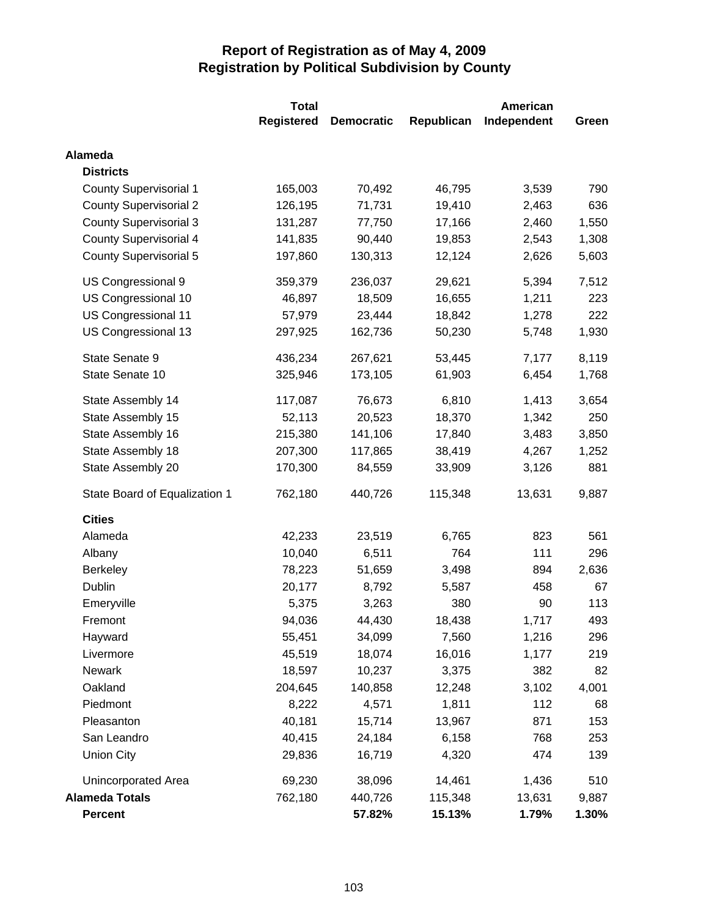|                               | <b>Total</b> | <b>American</b>   |            |             |       |
|-------------------------------|--------------|-------------------|------------|-------------|-------|
|                               | Registered   | <b>Democratic</b> | Republican | Independent | Green |
| Alameda                       |              |                   |            |             |       |
| <b>Districts</b>              |              |                   |            |             |       |
| <b>County Supervisorial 1</b> | 165,003      | 70,492            | 46,795     | 3,539       | 790   |
| <b>County Supervisorial 2</b> | 126,195      | 71,731            | 19,410     | 2,463       | 636   |
| <b>County Supervisorial 3</b> | 131,287      | 77,750            | 17,166     | 2,460       | 1,550 |
| <b>County Supervisorial 4</b> | 141,835      | 90,440            | 19,853     | 2,543       | 1,308 |
| County Supervisorial 5        | 197,860      | 130,313           | 12,124     | 2,626       | 5,603 |
| US Congressional 9            | 359,379      | 236,037           | 29,621     | 5,394       | 7,512 |
| US Congressional 10           | 46,897       | 18,509            | 16,655     | 1,211       | 223   |
| US Congressional 11           | 57,979       | 23,444            | 18,842     | 1,278       | 222   |
| US Congressional 13           | 297,925      | 162,736           | 50,230     | 5,748       | 1,930 |
| State Senate 9                | 436,234      | 267,621           | 53,445     | 7,177       | 8,119 |
| State Senate 10               | 325,946      | 173,105           | 61,903     | 6,454       | 1,768 |
| State Assembly 14             | 117,087      | 76,673            | 6,810      | 1,413       | 3,654 |
| State Assembly 15             | 52,113       | 20,523            | 18,370     | 1,342       | 250   |
| State Assembly 16             | 215,380      | 141,106           | 17,840     | 3,483       | 3,850 |
| State Assembly 18             | 207,300      | 117,865           | 38,419     | 4,267       | 1,252 |
| State Assembly 20             | 170,300      | 84,559            | 33,909     | 3,126       | 881   |
| State Board of Equalization 1 | 762,180      | 440,726           | 115,348    | 13,631      | 9,887 |
| <b>Cities</b>                 |              |                   |            |             |       |
| Alameda                       | 42,233       | 23,519            | 6,765      | 823         | 561   |
| Albany                        | 10,040       | 6,511             | 764        | 111         | 296   |
| Berkeley                      | 78,223       | 51,659            | 3,498      | 894         | 2,636 |
| Dublin                        | 20,177       | 8,792             | 5,587      | 458         | 67    |
| Emeryville                    | 5,375        | 3,263             | 380        | 90          | 113   |
| Fremont                       | 94,036       | 44,430            | 18,438     | 1,717       | 493   |
| Hayward                       | 55,451       | 34,099            | 7,560      | 1,216       | 296   |
| Livermore                     | 45,519       | 18,074            | 16,016     | 1,177       | 219   |
| Newark                        | 18,597       | 10,237            | 3,375      | 382         | 82    |
| Oakland                       | 204,645      | 140,858           | 12,248     | 3,102       | 4,001 |
| Piedmont                      | 8,222        | 4,571             | 1,811      | 112         | 68    |
| Pleasanton                    | 40,181       | 15,714            | 13,967     | 871         | 153   |
| San Leandro                   | 40,415       | 24,184            | 6,158      | 768         | 253   |
| <b>Union City</b>             | 29,836       | 16,719            | 4,320      | 474         | 139   |
| Unincorporated Area           | 69,230       | 38,096            | 14,461     | 1,436       | 510   |
| <b>Alameda Totals</b>         | 762,180      | 440,726           | 115,348    | 13,631      | 9,887 |
| <b>Percent</b>                |              | 57.82%            | 15.13%     | 1.79%       | 1.30% |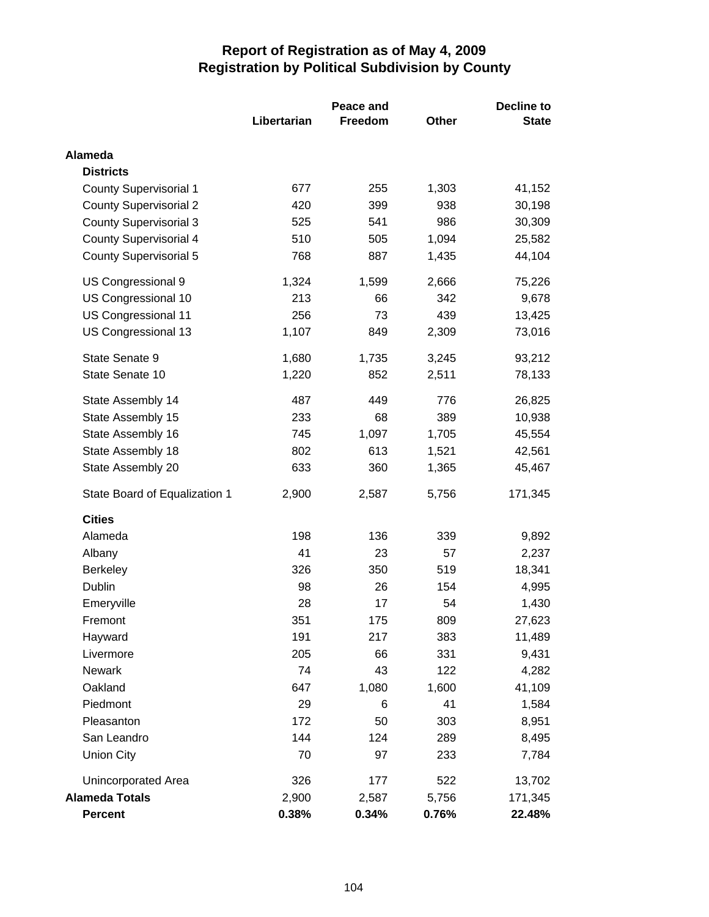|                               |             | Peace and      |       | <b>Decline to</b> |  |
|-------------------------------|-------------|----------------|-------|-------------------|--|
|                               | Libertarian | <b>Freedom</b> | Other | <b>State</b>      |  |
| Alameda                       |             |                |       |                   |  |
| <b>Districts</b>              |             |                |       |                   |  |
| <b>County Supervisorial 1</b> | 677         | 255            | 1,303 | 41,152            |  |
| <b>County Supervisorial 2</b> | 420         | 399            | 938   | 30,198            |  |
| <b>County Supervisorial 3</b> | 525         | 541            | 986   | 30,309            |  |
| <b>County Supervisorial 4</b> | 510         | 505            | 1,094 | 25,582            |  |
| <b>County Supervisorial 5</b> | 768         | 887            | 1,435 | 44,104            |  |
| US Congressional 9            | 1,324       | 1,599          | 2,666 | 75,226            |  |
| US Congressional 10           | 213         | 66             | 342   | 9,678             |  |
| US Congressional 11           | 256         | 73             | 439   | 13,425            |  |
| US Congressional 13           | 1,107       | 849            | 2,309 | 73,016            |  |
| State Senate 9                | 1,680       | 1,735          | 3,245 | 93,212            |  |
| State Senate 10               | 1,220       | 852            | 2,511 | 78,133            |  |
| State Assembly 14             | 487         | 449            | 776   | 26,825            |  |
| State Assembly 15             | 233         | 68             | 389   | 10,938            |  |
| State Assembly 16             | 745         | 1,097          | 1,705 | 45,554            |  |
| State Assembly 18             | 802         | 613            | 1,521 | 42,561            |  |
| State Assembly 20             | 633         | 360            | 1,365 | 45,467            |  |
| State Board of Equalization 1 | 2,900       | 2,587          | 5,756 | 171,345           |  |
| <b>Cities</b>                 |             |                |       |                   |  |
| Alameda                       | 198         | 136            | 339   | 9,892             |  |
| Albany                        | 41          | 23             | 57    | 2,237             |  |
| <b>Berkeley</b>               | 326         | 350            | 519   | 18,341            |  |
| Dublin                        | 98          | 26             | 154   | 4,995             |  |
| Emeryville                    | 28          | 17             | 54    | 1,430             |  |
| Fremont                       | 351         | 175            | 809   | 27,623            |  |
| Hayward                       | 191         | 217            | 383   | 11,489            |  |
| Livermore                     | 205         | 66             | 331   | 9,431             |  |
| Newark                        | 74          | 43             | 122   | 4,282             |  |
| Oakland                       | 647         | 1,080          | 1,600 | 41,109            |  |
| Piedmont                      | 29          | 6              | 41    | 1,584             |  |
| Pleasanton                    | 172         | 50             | 303   | 8,951             |  |
| San Leandro                   | 144         | 124            | 289   | 8,495             |  |
| <b>Union City</b>             | 70          | 97             | 233   | 7,784             |  |
| Unincorporated Area           | 326         | 177            | 522   | 13,702            |  |
| <b>Alameda Totals</b>         | 2,900       | 2,587          | 5,756 | 171,345           |  |
| <b>Percent</b>                | 0.38%       | 0.34%          | 0.76% | 22.48%            |  |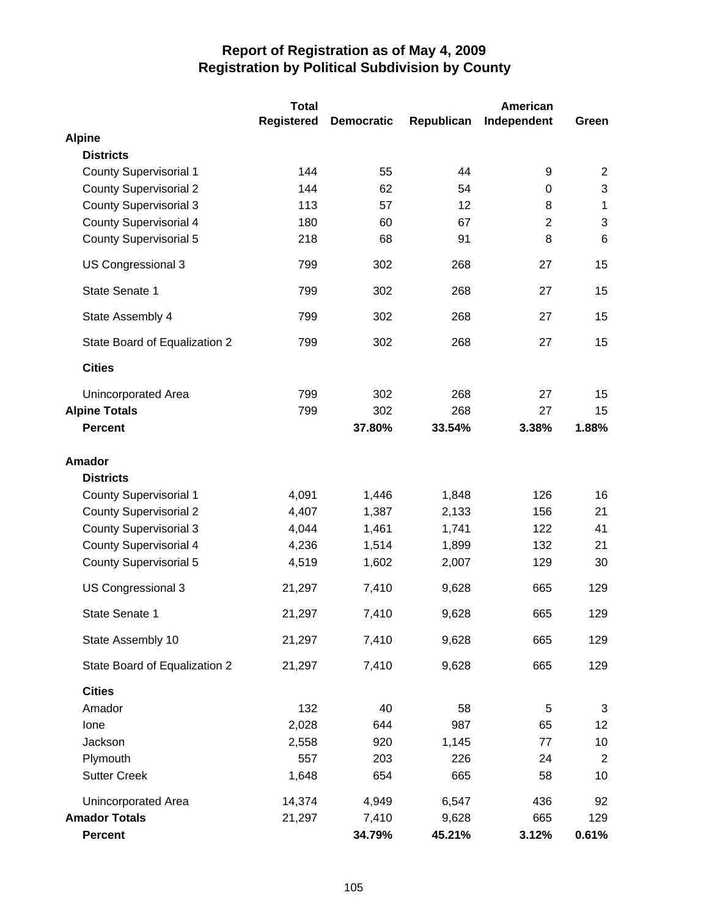|                               | <b>Total</b>      |                   |            | American       |                |
|-------------------------------|-------------------|-------------------|------------|----------------|----------------|
|                               | <b>Registered</b> | <b>Democratic</b> | Republican | Independent    | Green          |
| <b>Alpine</b>                 |                   |                   |            |                |                |
| <b>Districts</b>              |                   |                   |            |                |                |
| <b>County Supervisorial 1</b> | 144               | 55                | 44         | 9              | $\overline{2}$ |
| <b>County Supervisorial 2</b> | 144               | 62                | 54         | 0              | 3              |
| <b>County Supervisorial 3</b> | 113               | 57                | 12         | 8              | $\mathbf 1$    |
| <b>County Supervisorial 4</b> | 180               | 60                | 67         | $\overline{2}$ | $\mathbf{3}$   |
| <b>County Supervisorial 5</b> | 218               | 68                | 91         | 8              | $6\phantom{1}$ |
| US Congressional 3            | 799               | 302               | 268        | 27             | 15             |
| State Senate 1                | 799               | 302               | 268        | 27             | 15             |
| State Assembly 4              | 799               | 302               | 268        | 27             | 15             |
| State Board of Equalization 2 | 799               | 302               | 268        | 27             | 15             |
| <b>Cities</b>                 |                   |                   |            |                |                |
| Unincorporated Area           | 799               | 302               | 268        | 27             | 15             |
| <b>Alpine Totals</b>          | 799               | 302               | 268        | 27             | 15             |
| <b>Percent</b>                |                   | 37.80%            | 33.54%     | 3.38%          | 1.88%          |
| <b>Amador</b>                 |                   |                   |            |                |                |
| <b>Districts</b>              |                   |                   |            |                |                |
| <b>County Supervisorial 1</b> | 4,091             | 1,446             | 1,848      | 126            | 16             |
| <b>County Supervisorial 2</b> | 4,407             | 1,387             | 2,133      | 156            | 21             |
| <b>County Supervisorial 3</b> | 4,044             | 1,461             | 1,741      | 122            | 41             |
| <b>County Supervisorial 4</b> | 4,236             | 1,514             | 1,899      | 132            | 21             |
| <b>County Supervisorial 5</b> | 4,519             | 1,602             | 2,007      | 129            | 30             |
| US Congressional 3            | 21,297            | 7,410             | 9,628      | 665            | 129            |
| State Senate 1                | 21,297            | 7,410             | 9,628      | 665            | 129            |
| State Assembly 10             | 21,297            | 7,410             | 9,628      | 665            | 129            |
| State Board of Equalization 2 | 21,297            | 7,410             | 9,628      | 665            | 129            |
| <b>Cities</b>                 |                   |                   |            |                |                |
| Amador                        | 132               | 40                | 58         | 5              | 3              |
| lone                          | 2,028             | 644               | 987        | 65             | 12             |
| Jackson                       | 2,558             | 920               | 1,145      | 77             | 10             |
| Plymouth                      | 557               | 203               | 226        | 24             | $\overline{2}$ |
| <b>Sutter Creek</b>           | 1,648             | 654               | 665        | 58             | 10             |
| Unincorporated Area           | 14,374            | 4,949             | 6,547      | 436            | 92             |
| <b>Amador Totals</b>          | 21,297            | 7,410             | 9,628      | 665            | 129            |
| <b>Percent</b>                |                   | 34.79%            | 45.21%     | 3.12%          | 0.61%          |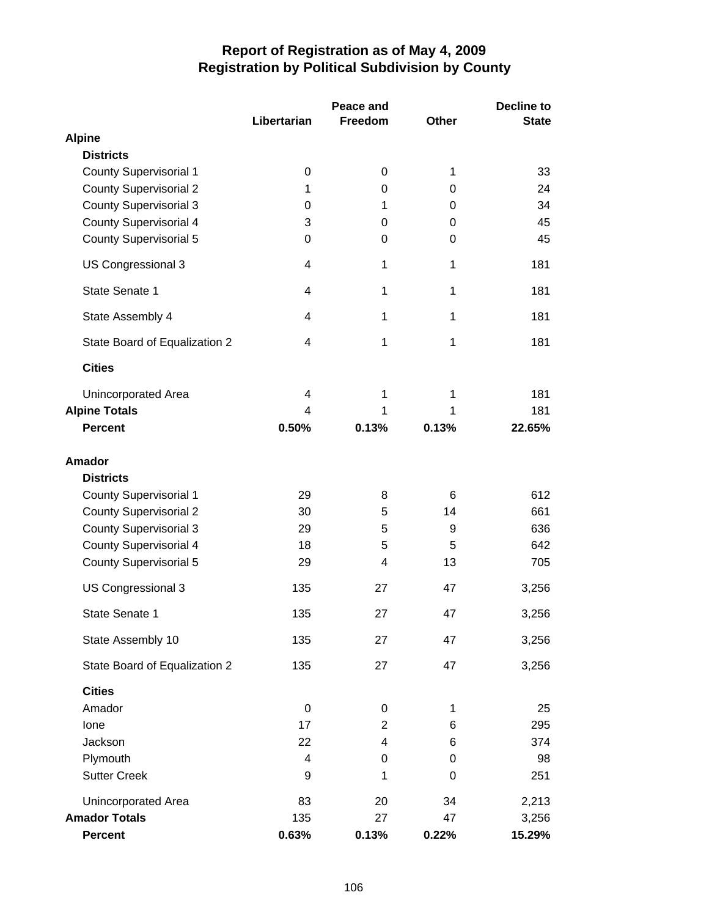|                               |                | Peace and      |              | Decline to   |  |
|-------------------------------|----------------|----------------|--------------|--------------|--|
|                               | Libertarian    | Freedom        | <b>Other</b> | <b>State</b> |  |
| <b>Alpine</b>                 |                |                |              |              |  |
| <b>Districts</b>              |                |                |              |              |  |
| <b>County Supervisorial 1</b> | 0              | $\pmb{0}$      | 1            | 33           |  |
| <b>County Supervisorial 2</b> | 1              | 0              | 0            | 24           |  |
| <b>County Supervisorial 3</b> | 0              | 1              | 0            | 34           |  |
| <b>County Supervisorial 4</b> | 3              | 0              | 0            | 45           |  |
| <b>County Supervisorial 5</b> | 0              | 0              | 0            | 45           |  |
| US Congressional 3            | 4              | 1              | 1            | 181          |  |
| State Senate 1                | 4              | 1              | 1            | 181          |  |
| State Assembly 4              | 4              | 1              | 1            | 181          |  |
| State Board of Equalization 2 | 4              | 1              | 1            | 181          |  |
| <b>Cities</b>                 |                |                |              |              |  |
| Unincorporated Area           | $\overline{4}$ | 1              | 1            | 181          |  |
| <b>Alpine Totals</b>          | $\overline{4}$ | 1              | 1            | 181          |  |
| <b>Percent</b>                | 0.50%          | 0.13%          | 0.13%        | 22.65%       |  |
| <b>Amador</b>                 |                |                |              |              |  |
| <b>Districts</b>              |                |                |              |              |  |
| <b>County Supervisorial 1</b> | 29             | 8              | 6            | 612          |  |
| <b>County Supervisorial 2</b> | 30             | 5              | 14           | 661          |  |
| <b>County Supervisorial 3</b> | 29             | 5              | 9            | 636          |  |
| <b>County Supervisorial 4</b> | 18             | 5              | 5            | 642          |  |
| <b>County Supervisorial 5</b> | 29             | 4              | 13           | 705          |  |
| US Congressional 3            | 135            | 27             | 47           | 3,256        |  |
| State Senate 1                | 135            | 27             | 47           | 3,256        |  |
| State Assembly 10             | 135            | 27             | 47           | 3,256        |  |
| State Board of Equalization 2 | 135            | 27             | 47           | 3,256        |  |
| <b>Cities</b>                 |                |                |              |              |  |
| Amador                        | 0              | 0              | 1            | 25           |  |
| Ione                          | 17             | $\overline{2}$ | 6            | 295          |  |
| Jackson                       | 22             | 4              | 6            | 374          |  |
| Plymouth                      | 4              | 0              | 0            | 98           |  |
| <b>Sutter Creek</b>           | 9              | 1              | 0            | 251          |  |
| Unincorporated Area           | 83             | 20             | 34           | 2,213        |  |
| <b>Amador Totals</b>          | 135            | 27             | 47           | 3,256        |  |
| <b>Percent</b>                | 0.63%          | 0.13%          | 0.22%        | 15.29%       |  |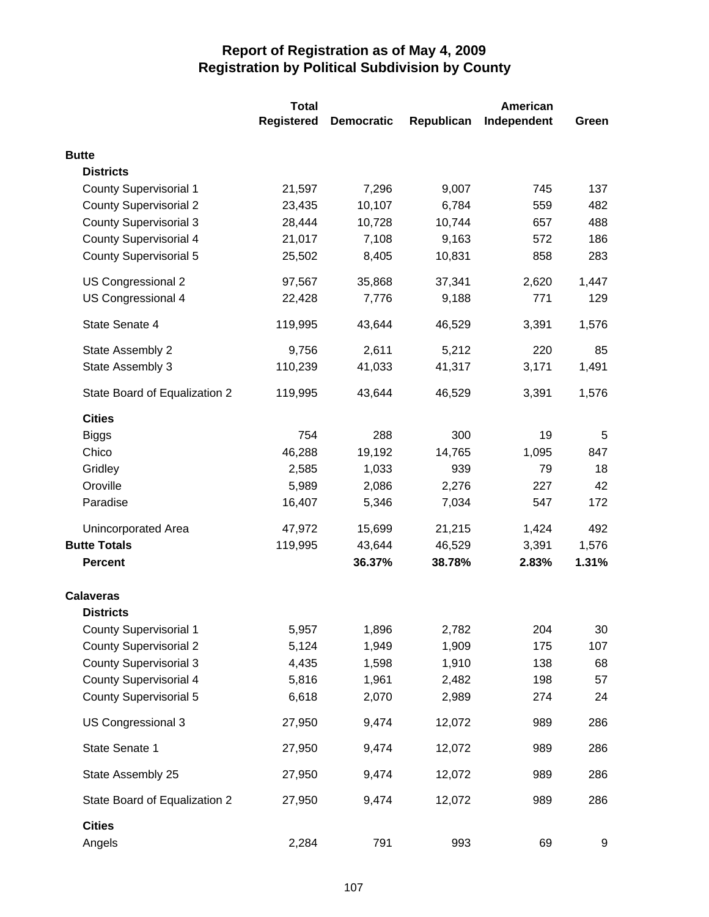|                               | <b>Total</b> | American          |            |             |       |
|-------------------------------|--------------|-------------------|------------|-------------|-------|
|                               | Registered   | <b>Democratic</b> | Republican | Independent | Green |
| <b>Butte</b>                  |              |                   |            |             |       |
| <b>Districts</b>              |              |                   |            |             |       |
| <b>County Supervisorial 1</b> | 21,597       | 7,296             | 9,007      | 745         | 137   |
| <b>County Supervisorial 2</b> | 23,435       | 10,107            | 6,784      | 559         | 482   |
| <b>County Supervisorial 3</b> | 28,444       | 10,728            | 10,744     | 657         | 488   |
| <b>County Supervisorial 4</b> | 21,017       | 7,108             | 9,163      | 572         | 186   |
| <b>County Supervisorial 5</b> | 25,502       | 8,405             | 10,831     | 858         | 283   |
| US Congressional 2            | 97,567       | 35,868            | 37,341     | 2,620       | 1,447 |
| US Congressional 4            | 22,428       | 7,776             | 9,188      | 771         | 129   |
| State Senate 4                | 119,995      | 43,644            | 46,529     | 3,391       | 1,576 |
| State Assembly 2              | 9,756        | 2,611             | 5,212      | 220         | 85    |
| State Assembly 3              | 110,239      | 41,033            | 41,317     | 3,171       | 1,491 |
| State Board of Equalization 2 | 119,995      | 43,644            | 46,529     | 3,391       | 1,576 |
| <b>Cities</b>                 |              |                   |            |             |       |
| <b>Biggs</b>                  | 754          | 288               | 300        | 19          | 5     |
| Chico                         | 46,288       | 19,192            | 14,765     | 1,095       | 847   |
| Gridley                       | 2,585        | 1,033             | 939        | 79          | 18    |
| Oroville                      | 5,989        | 2,086             | 2,276      | 227         | 42    |
| Paradise                      | 16,407       | 5,346             | 7,034      | 547         | 172   |
| Unincorporated Area           | 47,972       | 15,699            | 21,215     | 1,424       | 492   |
| <b>Butte Totals</b>           | 119,995      | 43,644            | 46,529     | 3,391       | 1,576 |
| <b>Percent</b>                |              | 36.37%            | 38.78%     | 2.83%       | 1.31% |
| <b>Calaveras</b>              |              |                   |            |             |       |
| <b>Districts</b>              |              |                   |            |             |       |
| <b>County Supervisorial 1</b> | 5,957        | 1,896             | 2,782      | 204         | 30    |
| <b>County Supervisorial 2</b> | 5,124        | 1,949             | 1,909      | 175         | 107   |
| <b>County Supervisorial 3</b> | 4,435        | 1,598             | 1,910      | 138         | 68    |
| <b>County Supervisorial 4</b> | 5,816        | 1,961             | 2,482      | 198         | 57    |
| <b>County Supervisorial 5</b> | 6,618        | 2,070             | 2,989      | 274         | 24    |
| US Congressional 3            | 27,950       | 9,474             | 12,072     | 989         | 286   |
| State Senate 1                | 27,950       | 9,474             | 12,072     | 989         | 286   |
| State Assembly 25             | 27,950       | 9,474             | 12,072     | 989         | 286   |
| State Board of Equalization 2 | 27,950       | 9,474             | 12,072     | 989         | 286   |
| <b>Cities</b><br>Angels       | 2,284        | 791               | 993        | 69          | 9     |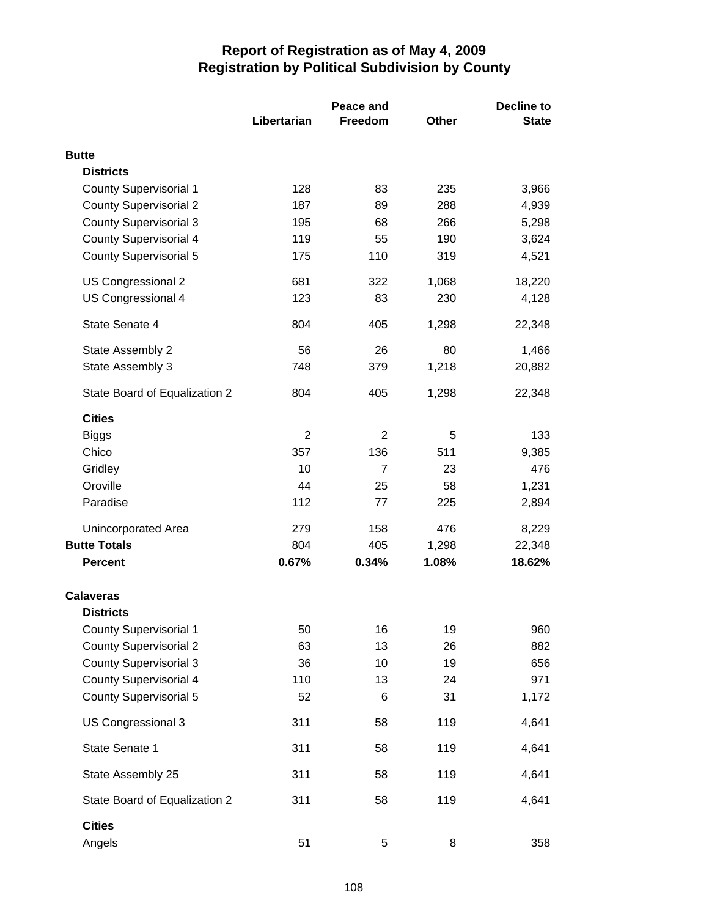|                                                                |                | Peace and | <b>Decline to</b> |              |  |
|----------------------------------------------------------------|----------------|-----------|-------------------|--------------|--|
|                                                                | Libertarian    | Freedom   | Other             | <b>State</b> |  |
| <b>Butte</b>                                                   |                |           |                   |              |  |
| <b>Districts</b>                                               |                |           |                   |              |  |
| <b>County Supervisorial 1</b>                                  | 128            | 83        | 235               | 3,966        |  |
| <b>County Supervisorial 2</b>                                  | 187            | 89        | 288               | 4,939        |  |
| <b>County Supervisorial 3</b>                                  | 195            | 68        | 266               | 5,298        |  |
| <b>County Supervisorial 4</b>                                  | 119            | 55        | 190               | 3,624        |  |
| <b>County Supervisorial 5</b>                                  | 175            | 110       | 319               | 4,521        |  |
| US Congressional 2                                             | 681            | 322       | 1,068             | 18,220       |  |
| US Congressional 4                                             | 123            | 83        | 230               | 4,128        |  |
| State Senate 4                                                 | 804            | 405       | 1,298             | 22,348       |  |
| State Assembly 2                                               | 56             | 26        | 80                | 1,466        |  |
| State Assembly 3                                               | 748            | 379       | 1,218             | 20,882       |  |
| State Board of Equalization 2                                  | 804            | 405       | 1,298             | 22,348       |  |
| <b>Cities</b>                                                  |                |           |                   |              |  |
| <b>Biggs</b>                                                   | $\overline{2}$ | 2         | 5                 | 133          |  |
| Chico                                                          | 357            | 136       | 511               | 9,385        |  |
| Gridley                                                        | 10             | 7         | 23                | 476          |  |
| Oroville                                                       | 44             | 25        | 58                | 1,231        |  |
| Paradise                                                       | 112            | 77        | 225               | 2,894        |  |
| Unincorporated Area                                            | 279            | 158       | 476               | 8,229        |  |
| <b>Butte Totals</b>                                            | 804            | 405       | 1,298             | 22,348       |  |
| <b>Percent</b>                                                 | 0.67%          | 0.34%     | 1.08%             | 18.62%       |  |
| <b>Calaveras</b>                                               |                |           |                   |              |  |
| <b>Districts</b>                                               |                |           |                   |              |  |
| <b>County Supervisorial 1</b>                                  | 50             | 16        | 19                | 960          |  |
| <b>County Supervisorial 2</b>                                  | 63             | 13        | 26                | 882          |  |
| <b>County Supervisorial 3</b>                                  | 36             | 10        | 19                | 656          |  |
| <b>County Supervisorial 4</b><br><b>County Supervisorial 5</b> | 110<br>52      | 13<br>6   | 24<br>31          | 971<br>1,172 |  |
| US Congressional 3                                             | 311            | 58        | 119               | 4,641        |  |
|                                                                |                |           |                   |              |  |
| State Senate 1                                                 | 311            | 58        | 119               | 4,641        |  |
| State Assembly 25                                              | 311            | 58        | 119               | 4,641        |  |
| State Board of Equalization 2                                  | 311            | 58        | 119               | 4,641        |  |
| <b>Cities</b>                                                  |                |           |                   |              |  |
| Angels                                                         | 51             | 5         | 8                 | 358          |  |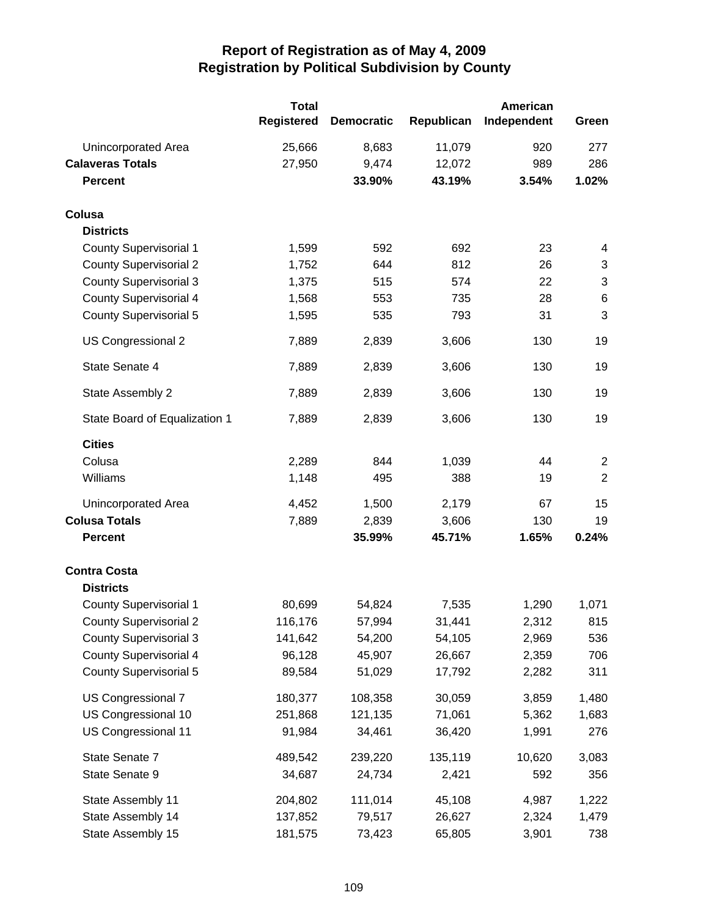|                               | <b>Total</b><br><b>Registered</b> | <b>Democratic</b> | Republican | American<br>Independent | Green          |
|-------------------------------|-----------------------------------|-------------------|------------|-------------------------|----------------|
| Unincorporated Area           | 25,666                            | 8,683             | 11,079     | 920                     | 277            |
| <b>Calaveras Totals</b>       | 27,950                            | 9,474             | 12,072     | 989                     | 286            |
| <b>Percent</b>                |                                   | 33.90%            | 43.19%     | 3.54%                   | 1.02%          |
| Colusa                        |                                   |                   |            |                         |                |
| <b>Districts</b>              |                                   |                   |            |                         |                |
| <b>County Supervisorial 1</b> | 1,599                             | 592               | 692        | 23                      | 4              |
| <b>County Supervisorial 2</b> | 1,752                             | 644               | 812        | 26                      | $\sqrt{3}$     |
| <b>County Supervisorial 3</b> | 1,375                             | 515               | 574        | 22                      | $\sqrt{3}$     |
| <b>County Supervisorial 4</b> | 1,568                             | 553               | 735        | 28                      | $\,6$          |
| <b>County Supervisorial 5</b> | 1,595                             | 535               | 793        | 31                      | 3              |
| US Congressional 2            | 7,889                             | 2,839             | 3,606      | 130                     | 19             |
| State Senate 4                | 7,889                             | 2,839             | 3,606      | 130                     | 19             |
| State Assembly 2              | 7,889                             | 2,839             | 3,606      | 130                     | 19             |
| State Board of Equalization 1 | 7,889                             | 2,839             | 3,606      | 130                     | 19             |
| <b>Cities</b>                 |                                   |                   |            |                         |                |
| Colusa                        | 2,289                             | 844               | 1,039      | 44                      | $\overline{2}$ |
| Williams                      | 1,148                             | 495               | 388        | 19                      | $\overline{2}$ |
| Unincorporated Area           | 4,452                             | 1,500             | 2,179      | 67                      | 15             |
| <b>Colusa Totals</b>          | 7,889                             | 2,839             | 3,606      | 130                     | 19             |
| <b>Percent</b>                |                                   | 35.99%            | 45.71%     | 1.65%                   | 0.24%          |
| <b>Contra Costa</b>           |                                   |                   |            |                         |                |
| <b>Districts</b>              |                                   |                   |            |                         |                |
| <b>County Supervisorial 1</b> | 80,699                            | 54,824            | 7,535      | 1,290                   | 1,071          |
| <b>County Supervisorial 2</b> | 116,176                           | 57,994            | 31,441     | 2,312                   | 815            |
| <b>County Supervisorial 3</b> | 141,642                           | 54,200            | 54,105     | 2,969                   | 536            |
| <b>County Supervisorial 4</b> | 96,128                            | 45,907            | 26,667     | 2,359                   | 706            |
| <b>County Supervisorial 5</b> | 89,584                            | 51,029            | 17,792     | 2,282                   | 311            |
| US Congressional 7            | 180,377                           | 108,358           | 30,059     | 3,859                   | 1,480          |
| US Congressional 10           | 251,868                           | 121,135           | 71,061     | 5,362                   | 1,683          |
| US Congressional 11           | 91,984                            | 34,461            | 36,420     | 1,991                   | 276            |
| State Senate 7                | 489,542                           | 239,220           | 135,119    | 10,620                  | 3,083          |
| State Senate 9                | 34,687                            | 24,734            | 2,421      | 592                     | 356            |
| State Assembly 11             | 204,802                           | 111,014           | 45,108     | 4,987                   | 1,222          |
| State Assembly 14             | 137,852                           | 79,517            | 26,627     | 2,324                   | 1,479          |
| State Assembly 15             | 181,575                           | 73,423            | 65,805     | 3,901                   | 738            |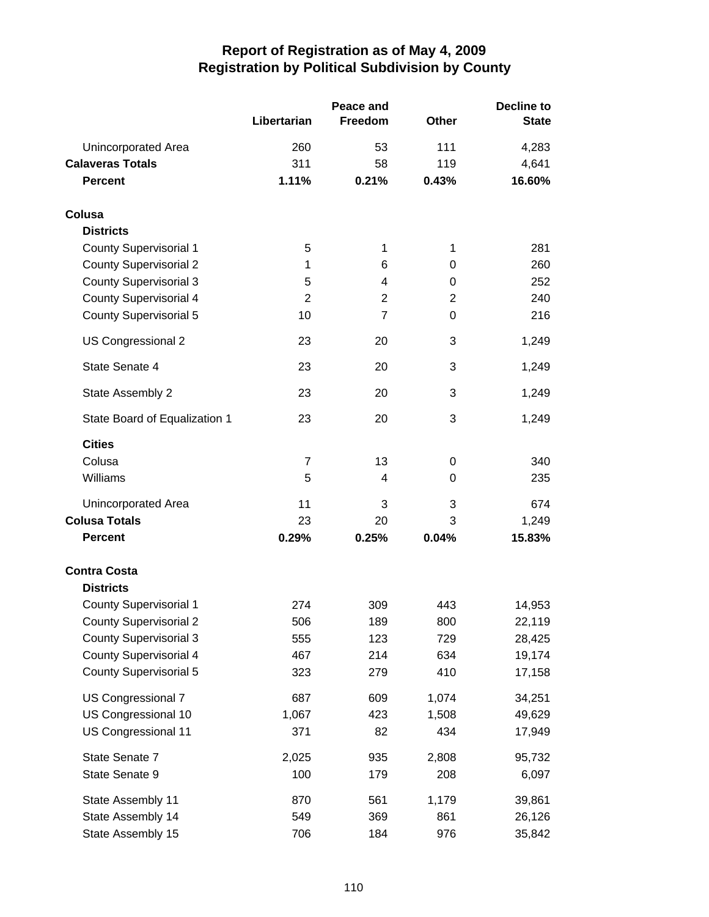|                               |                | Peace and      |                | <b>Decline to</b> |  |
|-------------------------------|----------------|----------------|----------------|-------------------|--|
|                               | Libertarian    | <b>Freedom</b> | <b>Other</b>   | <b>State</b>      |  |
| Unincorporated Area           | 260            | 53             | 111            | 4,283             |  |
| <b>Calaveras Totals</b>       | 311            | 58             | 119            | 4,641             |  |
| <b>Percent</b>                | 1.11%          | 0.21%          | 0.43%          | 16.60%            |  |
| Colusa                        |                |                |                |                   |  |
| <b>Districts</b>              |                |                |                |                   |  |
| <b>County Supervisorial 1</b> | 5              | 1              | 1              | 281               |  |
| <b>County Supervisorial 2</b> | 1              | 6              | 0              | 260               |  |
| <b>County Supervisorial 3</b> | 5              | 4              | 0              | 252               |  |
| <b>County Supervisorial 4</b> | $\overline{2}$ | 2              | $\overline{2}$ | 240               |  |
| <b>County Supervisorial 5</b> | 10             | $\overline{7}$ | 0              | 216               |  |
| US Congressional 2            | 23             | 20             | 3              | 1,249             |  |
| State Senate 4                | 23             | 20             | 3              | 1,249             |  |
| State Assembly 2              | 23             | 20             | 3              | 1,249             |  |
| State Board of Equalization 1 | 23             | 20             | 3              | 1,249             |  |
| <b>Cities</b>                 |                |                |                |                   |  |
| Colusa                        | $\overline{7}$ | 13             | 0              | 340               |  |
| Williams                      | 5              | 4              | 0              | 235               |  |
| Unincorporated Area           | 11             | 3              | 3              | 674               |  |
| <b>Colusa Totals</b>          | 23             | 20             | 3              | 1,249             |  |
| <b>Percent</b>                | 0.29%          | 0.25%          | 0.04%          | 15.83%            |  |
| <b>Contra Costa</b>           |                |                |                |                   |  |
| <b>Districts</b>              |                |                |                |                   |  |
| <b>County Supervisorial 1</b> | 274            | 309            | 443            | 14,953            |  |
| <b>County Supervisorial 2</b> | 506            | 189            | 800            | 22,119            |  |
| <b>County Supervisorial 3</b> | 555            | 123            | 729            | 28,425            |  |
| <b>County Supervisorial 4</b> | 467            | 214            | 634            | 19,174            |  |
| <b>County Supervisorial 5</b> | 323            | 279            | 410            | 17,158            |  |
| US Congressional 7            | 687            | 609            | 1,074          | 34,251            |  |
| US Congressional 10           | 1,067          | 423            | 1,508          | 49,629            |  |
| US Congressional 11           | 371            | 82             | 434            | 17,949            |  |
| State Senate 7                | 2,025          | 935            | 2,808          | 95,732            |  |
| State Senate 9                | 100            | 179            | 208            | 6,097             |  |
| State Assembly 11             | 870            | 561            | 1,179          | 39,861            |  |
| State Assembly 14             | 549            | 369            | 861            | 26,126            |  |
| State Assembly 15             | 706            | 184            | 976            | 35,842            |  |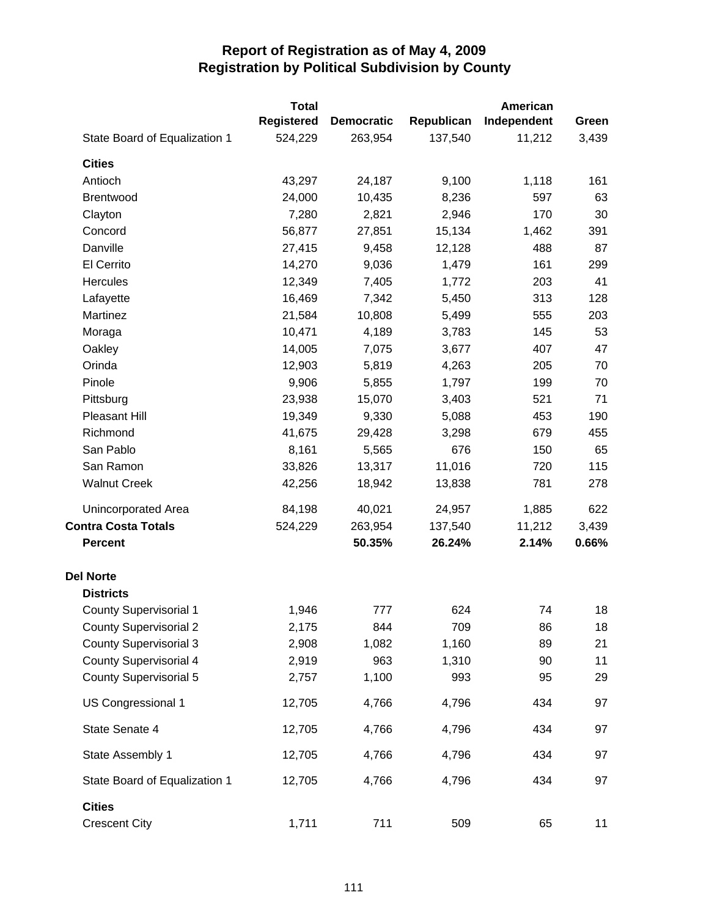|                               | <b>Total</b>      |                   |            | American    |       |
|-------------------------------|-------------------|-------------------|------------|-------------|-------|
|                               | <b>Registered</b> | <b>Democratic</b> | Republican | Independent | Green |
| State Board of Equalization 1 | 524,229           | 263,954           | 137,540    | 11,212      | 3,439 |
| <b>Cities</b>                 |                   |                   |            |             |       |
| Antioch                       | 43,297            | 24,187            | 9,100      | 1,118       | 161   |
| <b>Brentwood</b>              | 24,000            | 10,435            | 8,236      | 597         | 63    |
| Clayton                       | 7,280             | 2,821             | 2,946      | 170         | 30    |
| Concord                       | 56,877            | 27,851            | 15,134     | 1,462       | 391   |
| Danville                      | 27,415            | 9,458             | 12,128     | 488         | 87    |
| El Cerrito                    | 14,270            | 9,036             | 1,479      | 161         | 299   |
| <b>Hercules</b>               | 12,349            | 7,405             | 1,772      | 203         | 41    |
| Lafayette                     | 16,469            | 7,342             | 5,450      | 313         | 128   |
| Martinez                      | 21,584            | 10,808            | 5,499      | 555         | 203   |
| Moraga                        | 10,471            | 4,189             | 3,783      | 145         | 53    |
| Oakley                        | 14,005            | 7,075             | 3,677      | 407         | 47    |
| Orinda                        | 12,903            | 5,819             | 4,263      | 205         | 70    |
| Pinole                        | 9,906             | 5,855             | 1,797      | 199         | 70    |
| Pittsburg                     | 23,938            | 15,070            | 3,403      | 521         | 71    |
| Pleasant Hill                 | 19,349            | 9,330             | 5,088      | 453         | 190   |
| Richmond                      | 41,675            | 29,428            | 3,298      | 679         | 455   |
| San Pablo                     | 8,161             | 5,565             | 676        | 150         | 65    |
| San Ramon                     | 33,826            | 13,317            | 11,016     | 720         | 115   |
| <b>Walnut Creek</b>           | 42,256            | 18,942            | 13,838     | 781         | 278   |
| Unincorporated Area           | 84,198            | 40,021            | 24,957     | 1,885       | 622   |
| <b>Contra Costa Totals</b>    | 524,229           | 263,954           | 137,540    | 11,212      | 3,439 |
| <b>Percent</b>                |                   | 50.35%            | 26.24%     | 2.14%       | 0.66% |
| <b>Del Norte</b>              |                   |                   |            |             |       |
| <b>Districts</b>              |                   |                   |            |             |       |
| <b>County Supervisorial 1</b> | 1,946             | 777               | 624        | 74          | 18    |
| <b>County Supervisorial 2</b> | 2,175             | 844               | 709        | 86          | 18    |
| <b>County Supervisorial 3</b> | 2,908             | 1,082             | 1,160      | 89          | 21    |
| <b>County Supervisorial 4</b> | 2,919             | 963               | 1,310      | 90          | 11    |
| <b>County Supervisorial 5</b> | 2,757             | 1,100             | 993        | 95          | 29    |
| US Congressional 1            | 12,705            | 4,766             | 4,796      | 434         | 97    |
| State Senate 4                | 12,705            | 4,766             | 4,796      | 434         | 97    |
| State Assembly 1              | 12,705            | 4,766             | 4,796      | 434         | 97    |
| State Board of Equalization 1 | 12,705            | 4,766             | 4,796      | 434         | 97    |
| <b>Cities</b>                 |                   |                   |            |             |       |
| <b>Crescent City</b>          | 1,711             | 711               | 509        | 65          | 11    |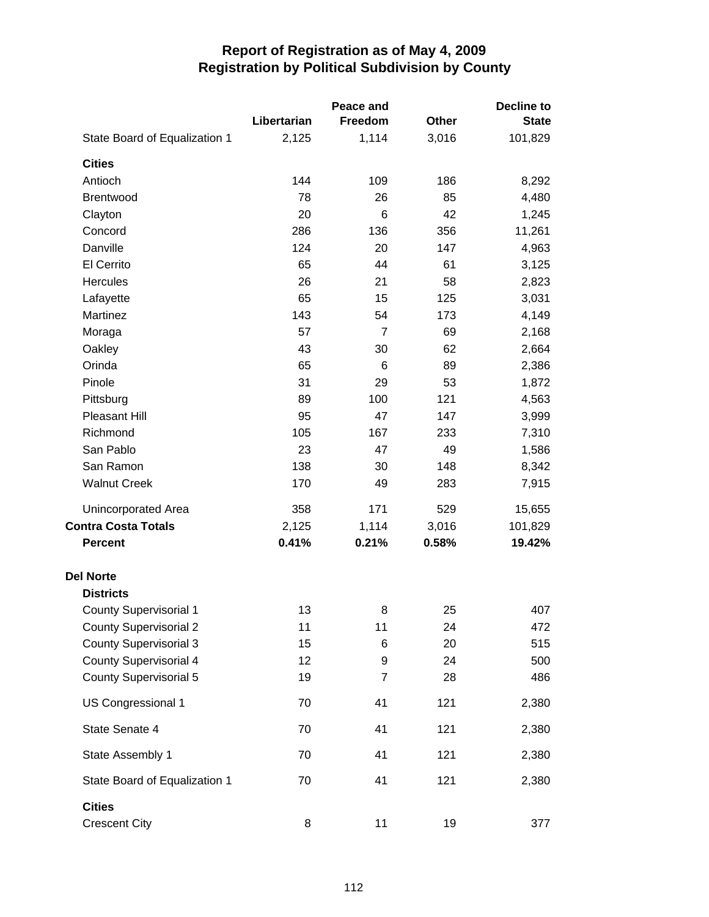|                               |             | Peace and      |       | <b>Decline to</b> |
|-------------------------------|-------------|----------------|-------|-------------------|
|                               | Libertarian | <b>Freedom</b> | Other | <b>State</b>      |
| State Board of Equalization 1 | 2,125       | 1,114          | 3,016 | 101,829           |
| <b>Cities</b>                 |             |                |       |                   |
| Antioch                       | 144         | 109            | 186   | 8,292             |
| Brentwood                     | 78          | 26             | 85    | 4,480             |
| Clayton                       | 20          | 6              | 42    | 1,245             |
| Concord                       | 286         | 136            | 356   | 11,261            |
| Danville                      | 124         | 20             | 147   | 4,963             |
| El Cerrito                    | 65          | 44             | 61    | 3,125             |
| Hercules                      | 26          | 21             | 58    | 2,823             |
| Lafayette                     | 65          | 15             | 125   | 3,031             |
| Martinez                      | 143         | 54             | 173   | 4,149             |
| Moraga                        | 57          | $\overline{7}$ | 69    | 2,168             |
| Oakley                        | 43          | 30             | 62    | 2,664             |
| Orinda                        | 65          | 6              | 89    | 2,386             |
| Pinole                        | 31          | 29             | 53    | 1,872             |
| Pittsburg                     | 89          | 100            | 121   | 4,563             |
| <b>Pleasant Hill</b>          | 95          | 47             | 147   | 3,999             |
| Richmond                      | 105         | 167            | 233   | 7,310             |
| San Pablo                     | 23          | 47             | 49    | 1,586             |
| San Ramon                     | 138         | 30             | 148   | 8,342             |
| <b>Walnut Creek</b>           | 170         | 49             | 283   | 7,915             |
| Unincorporated Area           | 358         | 171            | 529   | 15,655            |
| <b>Contra Costa Totals</b>    | 2,125       | 1,114          | 3,016 | 101,829           |
| <b>Percent</b>                | 0.41%       | 0.21%          | 0.58% | 19.42%            |
| <b>Del Norte</b>              |             |                |       |                   |
| <b>Districts</b>              |             |                |       |                   |
| County Supervisorial 1        | 13          | 8              | 25    | 407               |
| <b>County Supervisorial 2</b> | 11          | 11             | 24    | 472               |
| <b>County Supervisorial 3</b> | 15          | 6              | 20    | 515               |
| <b>County Supervisorial 4</b> | 12          | 9              | 24    | 500               |
| <b>County Supervisorial 5</b> | 19          | 7              | 28    | 486               |
| US Congressional 1            | 70          | 41             | 121   | 2,380             |
| State Senate 4                | 70          | 41             | 121   | 2,380             |
| State Assembly 1              | 70          | 41             | 121   | 2,380             |
| State Board of Equalization 1 | 70          | 41             | 121   | 2,380             |
| <b>Cities</b>                 |             |                |       |                   |
| <b>Crescent City</b>          | 8           | 11             | 19    | 377               |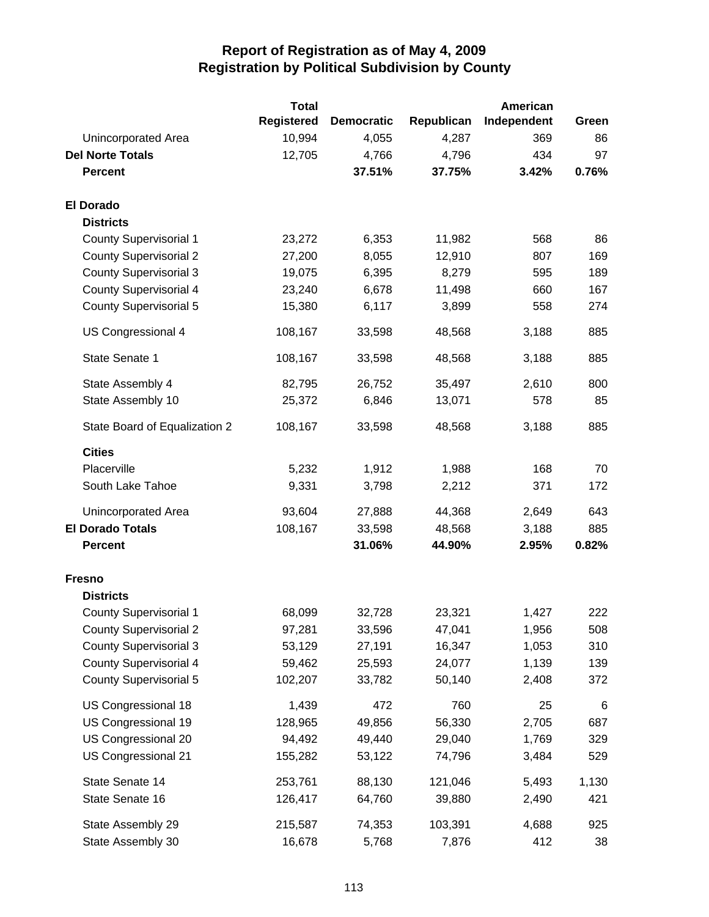|                               | <b>Total</b>      |                   |            | <b>American</b> |       |
|-------------------------------|-------------------|-------------------|------------|-----------------|-------|
|                               | <b>Registered</b> | <b>Democratic</b> | Republican | Independent     | Green |
| Unincorporated Area           | 10,994            | 4,055             | 4,287      | 369             | 86    |
| <b>Del Norte Totals</b>       | 12,705            | 4,766             | 4,796      | 434             | 97    |
| <b>Percent</b>                |                   | 37.51%            | 37.75%     | 3.42%           | 0.76% |
| <b>El Dorado</b>              |                   |                   |            |                 |       |
| <b>Districts</b>              |                   |                   |            |                 |       |
| <b>County Supervisorial 1</b> | 23,272            | 6,353             | 11,982     | 568             | 86    |
| <b>County Supervisorial 2</b> | 27,200            | 8,055             | 12,910     | 807             | 169   |
| <b>County Supervisorial 3</b> | 19,075            | 6,395             | 8,279      | 595             | 189   |
| <b>County Supervisorial 4</b> | 23,240            | 6,678             | 11,498     | 660             | 167   |
| <b>County Supervisorial 5</b> | 15,380            | 6,117             | 3,899      | 558             | 274   |
| US Congressional 4            | 108,167           | 33,598            | 48,568     | 3,188           | 885   |
| State Senate 1                | 108,167           | 33,598            | 48,568     | 3,188           | 885   |
| State Assembly 4              | 82,795            | 26,752            | 35,497     | 2,610           | 800   |
| State Assembly 10             | 25,372            | 6,846             | 13,071     | 578             | 85    |
| State Board of Equalization 2 | 108,167           | 33,598            | 48,568     | 3,188           | 885   |
| <b>Cities</b>                 |                   |                   |            |                 |       |
| Placerville                   | 5,232             | 1,912             | 1,988      | 168             | 70    |
| South Lake Tahoe              | 9,331             | 3,798             | 2,212      | 371             | 172   |
| Unincorporated Area           | 93,604            | 27,888            | 44,368     | 2,649           | 643   |
| <b>El Dorado Totals</b>       | 108,167           | 33,598            | 48,568     | 3,188           | 885   |
| <b>Percent</b>                |                   | 31.06%            | 44.90%     | 2.95%           | 0.82% |
| <b>Fresno</b>                 |                   |                   |            |                 |       |
| <b>Districts</b>              |                   |                   |            |                 |       |
| <b>County Supervisorial 1</b> | 68,099            | 32,728            | 23,321     | 1,427           | 222   |
| <b>County Supervisorial 2</b> | 97,281            | 33,596            | 47,041     | 1,956           | 508   |
| <b>County Supervisorial 3</b> | 53,129            | 27,191            | 16,347     | 1,053           | 310   |
| <b>County Supervisorial 4</b> | 59,462            | 25,593            | 24,077     | 1,139           | 139   |
| <b>County Supervisorial 5</b> | 102,207           | 33,782            | 50,140     | 2,408           | 372   |
| US Congressional 18           | 1,439             | 472               | 760        | 25              | $\,6$ |
| US Congressional 19           | 128,965           | 49,856            | 56,330     | 2,705           | 687   |
| US Congressional 20           | 94,492            | 49,440            | 29,040     | 1,769           | 329   |
| US Congressional 21           | 155,282           | 53,122            | 74,796     | 3,484           | 529   |
| State Senate 14               | 253,761           | 88,130            | 121,046    | 5,493           | 1,130 |
| State Senate 16               | 126,417           | 64,760            | 39,880     | 2,490           | 421   |
| State Assembly 29             | 215,587           | 74,353            | 103,391    | 4,688           | 925   |
| State Assembly 30             | 16,678            | 5,768             | 7,876      | 412             | 38    |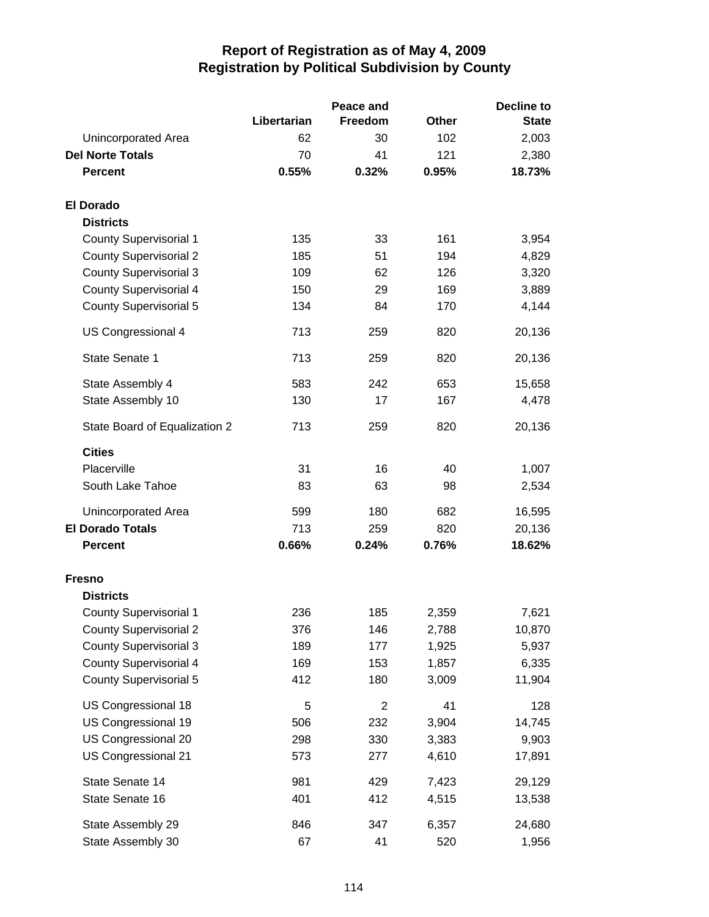|                               |             | Peace and      |       | <b>Decline to</b> |
|-------------------------------|-------------|----------------|-------|-------------------|
|                               | Libertarian | Freedom        | Other | <b>State</b>      |
| Unincorporated Area           | 62          | 30             | 102   | 2,003             |
| <b>Del Norte Totals</b>       | 70          | 41             | 121   | 2,380             |
| <b>Percent</b>                | 0.55%       | 0.32%          | 0.95% | 18.73%            |
| <b>El Dorado</b>              |             |                |       |                   |
| <b>Districts</b>              |             |                |       |                   |
| <b>County Supervisorial 1</b> | 135         | 33             | 161   | 3,954             |
| <b>County Supervisorial 2</b> | 185         | 51             | 194   | 4,829             |
| <b>County Supervisorial 3</b> | 109         | 62             | 126   | 3,320             |
| <b>County Supervisorial 4</b> | 150         | 29             | 169   | 3,889             |
| <b>County Supervisorial 5</b> | 134         | 84             | 170   | 4,144             |
| US Congressional 4            | 713         | 259            | 820   | 20,136            |
| State Senate 1                | 713         | 259            | 820   | 20,136            |
| State Assembly 4              | 583         | 242            | 653   | 15,658            |
| State Assembly 10             | 130         | 17             | 167   | 4,478             |
| State Board of Equalization 2 | 713         | 259            | 820   | 20,136            |
| <b>Cities</b>                 |             |                |       |                   |
| Placerville                   | 31          | 16             | 40    | 1,007             |
| South Lake Tahoe              | 83          | 63             | 98    | 2,534             |
| Unincorporated Area           | 599         | 180            | 682   | 16,595            |
| <b>El Dorado Totals</b>       | 713         | 259            | 820   | 20,136            |
| <b>Percent</b>                | 0.66%       | 0.24%          | 0.76% | 18.62%            |
| <b>Fresno</b>                 |             |                |       |                   |
| <b>Districts</b>              |             |                |       |                   |
| <b>County Supervisorial 1</b> | 236         | 185            | 2,359 | 7,621             |
| <b>County Supervisorial 2</b> | 376         | 146            | 2,788 | 10,870            |
| <b>County Supervisorial 3</b> | 189         | 177            | 1,925 | 5,937             |
| <b>County Supervisorial 4</b> | 169         | 153            | 1,857 | 6,335             |
| <b>County Supervisorial 5</b> | 412         | 180            | 3,009 | 11,904            |
| US Congressional 18           | 5           | $\overline{2}$ | 41    | 128               |
| US Congressional 19           | 506         | 232            | 3,904 | 14,745            |
| US Congressional 20           | 298         | 330            | 3,383 | 9,903             |
| US Congressional 21           | 573         | 277            | 4,610 | 17,891            |
| State Senate 14               | 981         | 429            | 7,423 | 29,129            |
| State Senate 16               | 401         | 412            | 4,515 | 13,538            |
| State Assembly 29             | 846         | 347            | 6,357 | 24,680            |
| State Assembly 30             | 67          | 41             | 520   | 1,956             |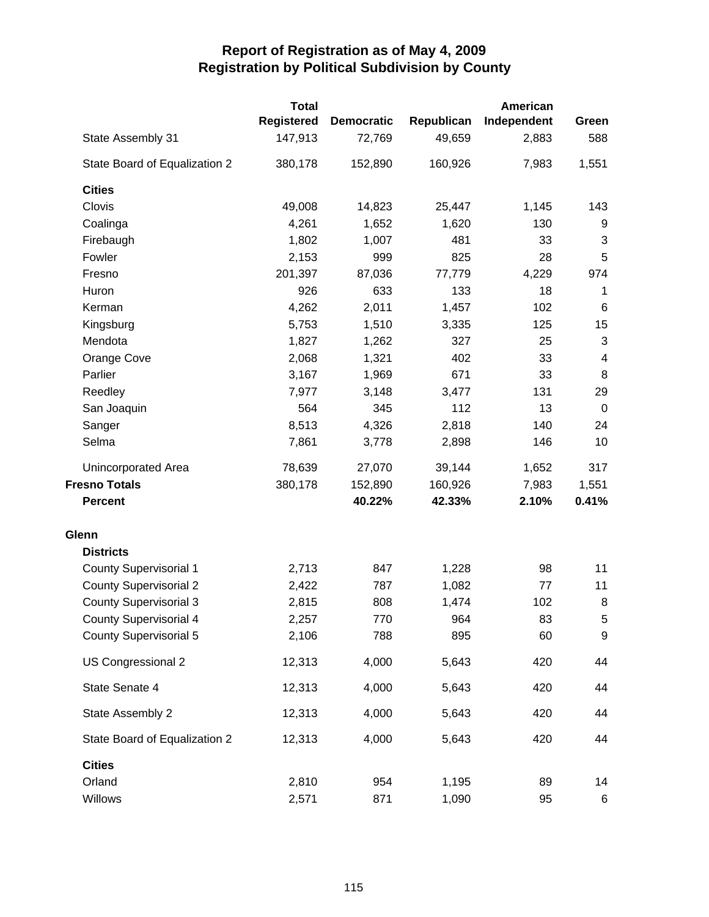|                               | <b>Total</b>      |                   |            | American    |                          |
|-------------------------------|-------------------|-------------------|------------|-------------|--------------------------|
|                               | <b>Registered</b> | <b>Democratic</b> | Republican | Independent | Green                    |
| State Assembly 31             | 147,913           | 72,769            | 49,659     | 2,883       | 588                      |
| State Board of Equalization 2 | 380,178           | 152,890           | 160,926    | 7,983       | 1,551                    |
| <b>Cities</b>                 |                   |                   |            |             |                          |
| Clovis                        | 49,008            | 14,823            | 25,447     | 1,145       | 143                      |
| Coalinga                      | 4,261             | 1,652             | 1,620      | 130         | 9                        |
| Firebaugh                     | 1,802             | 1,007             | 481        | 33          | $\sqrt{3}$               |
| Fowler                        | 2,153             | 999               | 825        | 28          | 5                        |
| Fresno                        | 201,397           | 87,036            | 77,779     | 4,229       | 974                      |
| Huron                         | 926               | 633               | 133        | 18          | 1                        |
| Kerman                        | 4,262             | 2,011             | 1,457      | 102         | $\,6$                    |
| Kingsburg                     | 5,753             | 1,510             | 3,335      | 125         | 15                       |
| Mendota                       | 1,827             | 1,262             | 327        | 25          | $\mathbf{3}$             |
| Orange Cove                   | 2,068             | 1,321             | 402        | 33          | $\overline{\mathcal{A}}$ |
| Parlier                       | 3,167             | 1,969             | 671        | 33          | 8                        |
| Reedley                       | 7,977             | 3,148             | 3,477      | 131         | 29                       |
| San Joaquin                   | 564               | 345               | 112        | 13          | $\mathbf 0$              |
| Sanger                        | 8,513             | 4,326             | 2,818      | 140         | 24                       |
| Selma                         | 7,861             | 3,778             | 2,898      | 146         | 10                       |
| Unincorporated Area           | 78,639            | 27,070            | 39,144     | 1,652       | 317                      |
| <b>Fresno Totals</b>          | 380,178           | 152,890           | 160,926    | 7,983       | 1,551                    |
| <b>Percent</b>                |                   | 40.22%            | 42.33%     | 2.10%       | 0.41%                    |
| Glenn                         |                   |                   |            |             |                          |
| <b>Districts</b>              |                   |                   |            |             |                          |
| <b>County Supervisorial 1</b> | 2,713             | 847               | 1,228      | 98          | 11                       |
| <b>County Supervisorial 2</b> | 2,422             | 787               | 1,082      | 77          | 11                       |
| <b>County Supervisorial 3</b> | 2,815             | 808               | 1,474      | 102         | 8                        |
| County Supervisorial 4        | 2,257             | 770               | 964        | 83          | $\sqrt{5}$               |
| <b>County Supervisorial 5</b> | 2,106             | 788               | 895        | 60          | 9                        |
| US Congressional 2            | 12,313            | 4,000             | 5,643      | 420         | 44                       |
| State Senate 4                | 12,313            | 4,000             | 5,643      | 420         | 44                       |
| State Assembly 2              | 12,313            | 4,000             | 5,643      | 420         | 44                       |
| State Board of Equalization 2 | 12,313            | 4,000             | 5,643      | 420         | 44                       |
| <b>Cities</b>                 |                   |                   |            |             |                          |
| Orland                        | 2,810             | 954               | 1,195      | 89          | 14                       |
| Willows                       | 2,571             | 871               | 1,090      | 95          | $\,6$                    |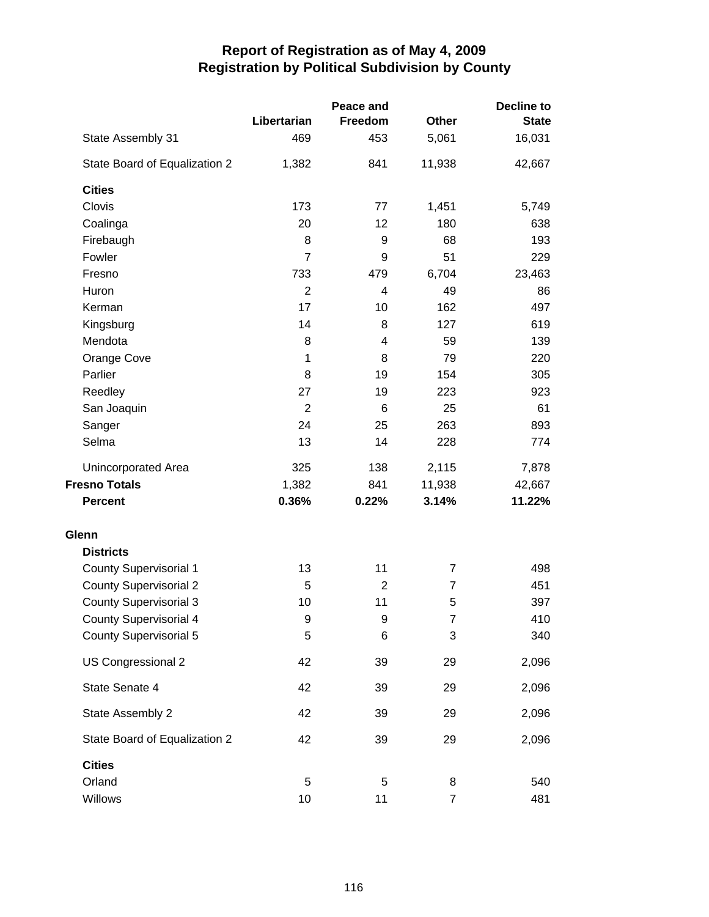|                               |                | Peace and      |                | <b>Decline to</b> |
|-------------------------------|----------------|----------------|----------------|-------------------|
|                               | Libertarian    | Freedom        | Other          | <b>State</b>      |
| State Assembly 31             | 469            | 453            | 5,061          | 16,031            |
| State Board of Equalization 2 | 1,382          | 841            | 11,938         | 42,667            |
| <b>Cities</b>                 |                |                |                |                   |
| Clovis                        | 173            | 77             | 1,451          | 5,749             |
| Coalinga                      | 20             | 12             | 180            | 638               |
| Firebaugh                     | 8              | 9              | 68             | 193               |
| Fowler                        | $\overline{7}$ | 9              | 51             | 229               |
| Fresno                        | 733            | 479            | 6,704          | 23,463            |
| Huron                         | $\overline{2}$ | 4              | 49             | 86                |
| Kerman                        | 17             | 10             | 162            | 497               |
| Kingsburg                     | 14             | 8              | 127            | 619               |
| Mendota                       | 8              | 4              | 59             | 139               |
| Orange Cove                   | 1              | 8              | 79             | 220               |
| Parlier                       | 8              | 19             | 154            | 305               |
| Reedley                       | 27             | 19             | 223            | 923               |
| San Joaquin                   | $\overline{2}$ | 6              | 25             | 61                |
| Sanger                        | 24             | 25             | 263            | 893               |
| Selma                         | 13             | 14             | 228            | 774               |
| <b>Unincorporated Area</b>    | 325            | 138            | 2,115          | 7,878             |
| <b>Fresno Totals</b>          | 1,382          | 841            | 11,938         | 42,667            |
| <b>Percent</b>                | 0.36%          | 0.22%          | 3.14%          | 11.22%            |
| Glenn                         |                |                |                |                   |
| <b>Districts</b>              |                |                |                |                   |
| <b>County Supervisorial 1</b> | 13             | 11             | 7              | 498               |
| <b>County Supervisorial 2</b> | 5              | $\overline{2}$ | $\overline{7}$ | 451               |
| <b>County Supervisorial 3</b> | 10             | 11             | 5              | 397               |
| <b>County Supervisorial 4</b> | 9              | 9              | $\overline{7}$ | 410               |
| <b>County Supervisorial 5</b> | 5              | 6              | 3              | 340               |
| US Congressional 2            | 42             | 39             | 29             | 2,096             |
| State Senate 4                | 42             | 39             | 29             | 2,096             |
| State Assembly 2              | 42             | 39             | 29             | 2,096             |
| State Board of Equalization 2 | 42             | 39             | 29             | 2,096             |
| <b>Cities</b>                 |                |                |                |                   |
| Orland                        | 5              | 5              | 8              | 540               |
| Willows                       | 10             | 11             | $\overline{7}$ | 481               |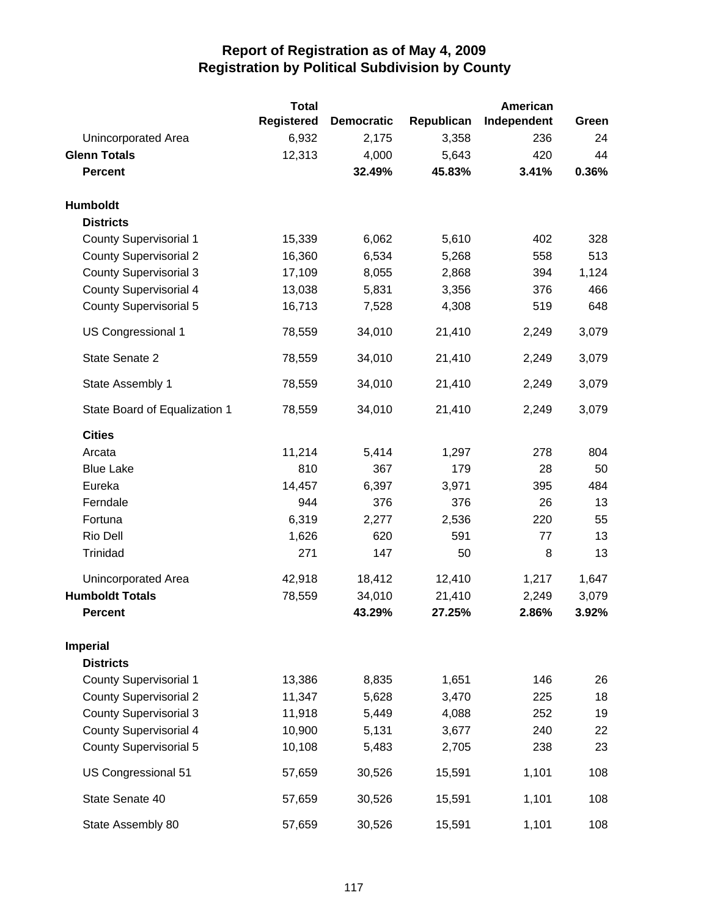|                               | <b>Total</b>      |                   |            | American    |       |
|-------------------------------|-------------------|-------------------|------------|-------------|-------|
|                               | <b>Registered</b> | <b>Democratic</b> | Republican | Independent | Green |
| Unincorporated Area           | 6,932             | 2,175             | 3,358      | 236         | 24    |
| <b>Glenn Totals</b>           | 12,313            | 4,000             | 5,643      | 420         | 44    |
| <b>Percent</b>                |                   | 32.49%            | 45.83%     | 3.41%       | 0.36% |
| Humboldt                      |                   |                   |            |             |       |
| <b>Districts</b>              |                   |                   |            |             |       |
| <b>County Supervisorial 1</b> | 15,339            | 6,062             | 5,610      | 402         | 328   |
| <b>County Supervisorial 2</b> | 16,360            | 6,534             | 5,268      | 558         | 513   |
| <b>County Supervisorial 3</b> | 17,109            | 8,055             | 2,868      | 394         | 1,124 |
| <b>County Supervisorial 4</b> | 13,038            | 5,831             | 3,356      | 376         | 466   |
| <b>County Supervisorial 5</b> | 16,713            | 7,528             | 4,308      | 519         | 648   |
| US Congressional 1            | 78,559            | 34,010            | 21,410     | 2,249       | 3,079 |
| State Senate 2                | 78,559            | 34,010            | 21,410     | 2,249       | 3,079 |
| State Assembly 1              | 78,559            | 34,010            | 21,410     | 2,249       | 3,079 |
| State Board of Equalization 1 | 78,559            | 34,010            | 21,410     | 2,249       | 3,079 |
| <b>Cities</b>                 |                   |                   |            |             |       |
| Arcata                        | 11,214            | 5,414             | 1,297      | 278         | 804   |
| <b>Blue Lake</b>              | 810               | 367               | 179        | 28          | 50    |
| Eureka                        | 14,457            | 6,397             | 3,971      | 395         | 484   |
| Ferndale                      | 944               | 376               | 376        | 26          | 13    |
| Fortuna                       | 6,319             | 2,277             | 2,536      | 220         | 55    |
| Rio Dell                      | 1,626             | 620               | 591        | 77          | 13    |
| Trinidad                      | 271               | 147               | 50         | 8           | 13    |
| <b>Unincorporated Area</b>    | 42,918            | 18,412            | 12,410     | 1,217       | 1,647 |
| <b>Humboldt Totals</b>        | 78,559            | 34,010            | 21,410     | 2,249       | 3,079 |
| <b>Percent</b>                |                   | 43.29%            | 27.25%     | 2.86%       | 3.92% |
| <b>Imperial</b>               |                   |                   |            |             |       |
| <b>Districts</b>              |                   |                   |            |             |       |
| <b>County Supervisorial 1</b> | 13,386            | 8,835             | 1,651      | 146         | 26    |
| <b>County Supervisorial 2</b> | 11,347            | 5,628             | 3,470      | 225         | 18    |
| <b>County Supervisorial 3</b> | 11,918            | 5,449             | 4,088      | 252         | 19    |
| <b>County Supervisorial 4</b> | 10,900            | 5,131             | 3,677      | 240         | 22    |
| <b>County Supervisorial 5</b> | 10,108            | 5,483             | 2,705      | 238         | 23    |
| US Congressional 51           | 57,659            | 30,526            | 15,591     | 1,101       | 108   |
| State Senate 40               | 57,659            | 30,526            | 15,591     | 1,101       | 108   |
| State Assembly 80             | 57,659            | 30,526            | 15,591     | 1,101       | 108   |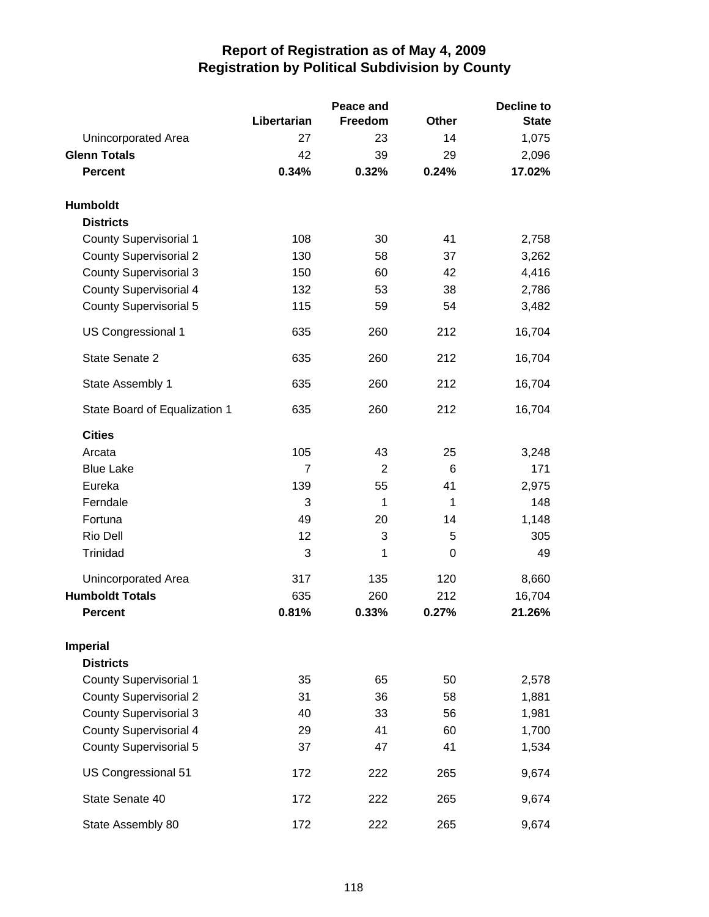|                               |             | Peace and |              | <b>Decline to</b> |  |
|-------------------------------|-------------|-----------|--------------|-------------------|--|
|                               | Libertarian | Freedom   | <b>Other</b> | <b>State</b>      |  |
| Unincorporated Area           | 27          | 23        | 14           | 1,075             |  |
| <b>Glenn Totals</b>           | 42          | 39        | 29           | 2,096             |  |
| <b>Percent</b>                | 0.34%       | 0.32%     | 0.24%        | 17.02%            |  |
| <b>Humboldt</b>               |             |           |              |                   |  |
| <b>Districts</b>              |             |           |              |                   |  |
| <b>County Supervisorial 1</b> | 108         | 30        | 41           | 2,758             |  |
| <b>County Supervisorial 2</b> | 130         | 58        | 37           | 3,262             |  |
| <b>County Supervisorial 3</b> | 150         | 60        | 42           | 4,416             |  |
| <b>County Supervisorial 4</b> | 132         | 53        | 38           | 2,786             |  |
| <b>County Supervisorial 5</b> | 115         | 59        | 54           | 3,482             |  |
| US Congressional 1            | 635         | 260       | 212          | 16,704            |  |
| State Senate 2                | 635         | 260       | 212          | 16,704            |  |
| State Assembly 1              | 635         | 260       | 212          | 16,704            |  |
| State Board of Equalization 1 | 635         | 260       | 212          | 16,704            |  |
| <b>Cities</b>                 |             |           |              |                   |  |
| Arcata                        | 105         | 43        | 25           | 3,248             |  |
| <b>Blue Lake</b>              | 7           | 2         | 6            | 171               |  |
| Eureka                        | 139         | 55        | 41           | 2,975             |  |
| Ferndale                      | 3           | 1         | 1            | 148               |  |
| Fortuna                       | 49          | 20        | 14           | 1,148             |  |
| Rio Dell                      | 12          | 3         | 5            | 305               |  |
| Trinidad                      | 3           | 1         | 0            | 49                |  |
| Unincorporated Area           | 317         | 135       | 120          | 8,660             |  |
| <b>Humboldt Totals</b>        | 635         | 260       | 212          | 16,704            |  |
| <b>Percent</b>                | 0.81%       | 0.33%     | 0.27%        | 21.26%            |  |
| <b>Imperial</b>               |             |           |              |                   |  |
| <b>Districts</b>              |             |           |              |                   |  |
| <b>County Supervisorial 1</b> | 35          | 65        | 50           | 2,578             |  |
| <b>County Supervisorial 2</b> | 31          | 36        | 58           | 1,881             |  |
| <b>County Supervisorial 3</b> | 40          | 33        | 56           | 1,981             |  |
| <b>County Supervisorial 4</b> | 29          | 41        | 60           | 1,700             |  |
| <b>County Supervisorial 5</b> | 37          | 47        | 41           | 1,534             |  |
| US Congressional 51           | 172         | 222       | 265          | 9,674             |  |
| State Senate 40               | 172         | 222       | 265          | 9,674             |  |
| State Assembly 80             | 172         | 222       | 265          | 9,674             |  |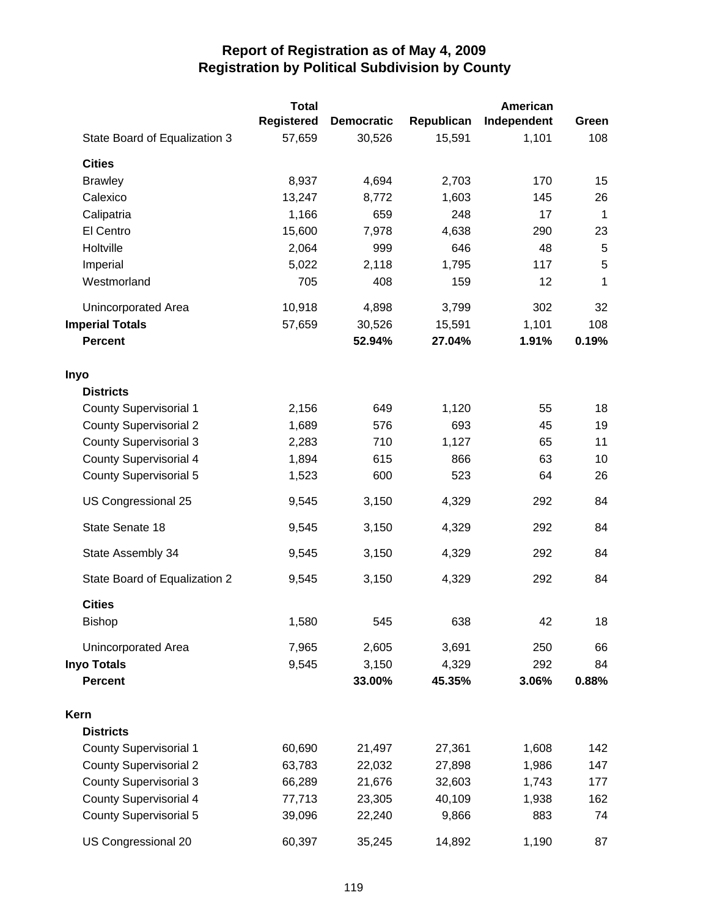|                               | <b>Total</b> |                   |            | American    |             |
|-------------------------------|--------------|-------------------|------------|-------------|-------------|
|                               | Registered   | <b>Democratic</b> | Republican | Independent | Green       |
| State Board of Equalization 3 | 57,659       | 30,526            | 15,591     | 1,101       | 108         |
| <b>Cities</b>                 |              |                   |            |             |             |
| <b>Brawley</b>                | 8,937        | 4,694             | 2,703      | 170         | 15          |
| Calexico                      | 13,247       | 8,772             | 1,603      | 145         | 26          |
| Calipatria                    | 1,166        | 659               | 248        | 17          | $\mathbf 1$ |
| El Centro                     | 15,600       | 7,978             | 4,638      | 290         | 23          |
| Holtville                     | 2,064        | 999               | 646        | 48          | 5           |
| Imperial                      | 5,022        | 2,118             | 1,795      | 117         | 5           |
| Westmorland                   | 705          | 408               | 159        | 12          | 1           |
| Unincorporated Area           | 10,918       | 4,898             | 3,799      | 302         | 32          |
| <b>Imperial Totals</b>        | 57,659       | 30,526            | 15,591     | 1,101       | 108         |
| <b>Percent</b>                |              | 52.94%            | 27.04%     | 1.91%       | 0.19%       |
| Inyo                          |              |                   |            |             |             |
| <b>Districts</b>              |              |                   |            |             |             |
| <b>County Supervisorial 1</b> | 2,156        | 649               | 1,120      | 55          | 18          |
| <b>County Supervisorial 2</b> | 1,689        | 576               | 693        | 45          | 19          |
| <b>County Supervisorial 3</b> | 2,283        | 710               | 1,127      | 65          | 11          |
| <b>County Supervisorial 4</b> | 1,894        | 615               | 866        | 63          | 10          |
| <b>County Supervisorial 5</b> | 1,523        | 600               | 523        | 64          | 26          |
| US Congressional 25           | 9,545        | 3,150             | 4,329      | 292         | 84          |
| State Senate 18               | 9,545        | 3,150             | 4,329      | 292         | 84          |
| State Assembly 34             | 9,545        | 3,150             | 4,329      | 292         | 84          |
| State Board of Equalization 2 | 9,545        | 3,150             | 4,329      | 292         | 84          |
| <b>Cities</b>                 |              |                   |            |             |             |
| <b>Bishop</b>                 | 1,580        | 545               | 638        | 42          | 18          |
| Unincorporated Area           | 7,965        | 2,605             | 3,691      | 250         | 66          |
| <b>Inyo Totals</b>            | 9,545        | 3,150             | 4,329      | 292         | 84          |
| <b>Percent</b>                |              | 33.00%            | 45.35%     | 3.06%       | 0.88%       |
| Kern                          |              |                   |            |             |             |
| <b>Districts</b>              |              |                   |            |             |             |
| <b>County Supervisorial 1</b> | 60,690       | 21,497            | 27,361     | 1,608       | 142         |
| <b>County Supervisorial 2</b> | 63,783       | 22,032            | 27,898     | 1,986       | 147         |
| <b>County Supervisorial 3</b> | 66,289       | 21,676            | 32,603     | 1,743       | 177         |
| <b>County Supervisorial 4</b> | 77,713       | 23,305            | 40,109     | 1,938       | 162         |
| <b>County Supervisorial 5</b> | 39,096       | 22,240            | 9,866      | 883         | 74          |
| US Congressional 20           | 60,397       | 35,245            | 14,892     | 1,190       | 87          |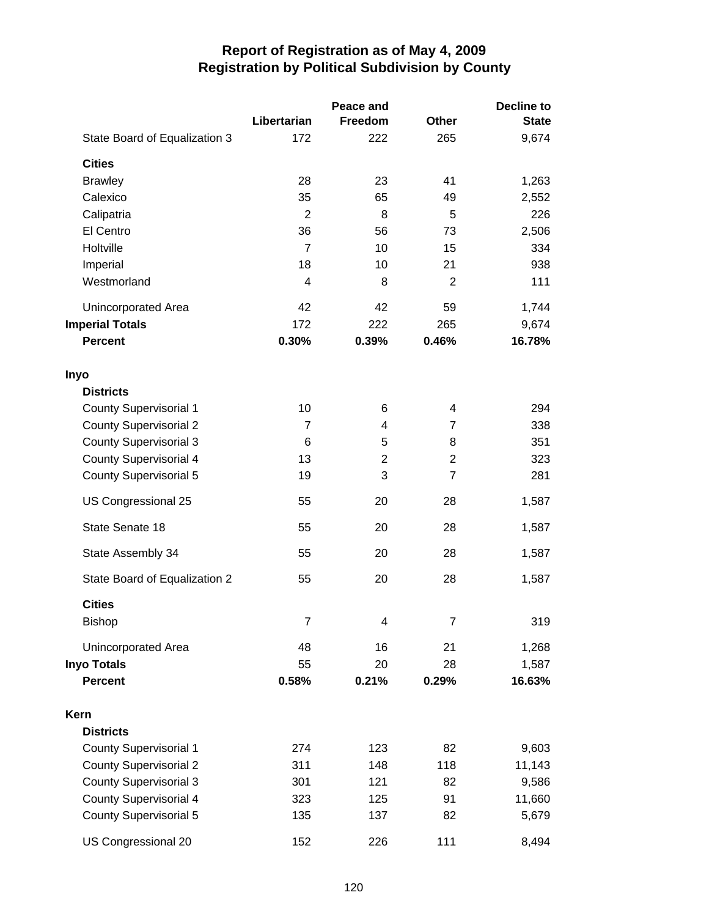|                               |                | Peace and      |                | <b>Decline to</b> |
|-------------------------------|----------------|----------------|----------------|-------------------|
|                               | Libertarian    | <b>Freedom</b> | Other          | <b>State</b>      |
| State Board of Equalization 3 | 172            | 222            | 265            | 9,674             |
| <b>Cities</b>                 |                |                |                |                   |
| <b>Brawley</b>                | 28             | 23             | 41             | 1,263             |
| Calexico                      | 35             | 65             | 49             | 2,552             |
| Calipatria                    | $\overline{2}$ | 8              | 5              | 226               |
| El Centro                     | 36             | 56             | 73             | 2,506             |
| Holtville                     | $\overline{7}$ | 10             | 15             | 334               |
| Imperial                      | 18             | 10             | 21             | 938               |
| Westmorland                   | 4              | 8              | $\overline{2}$ | 111               |
| Unincorporated Area           | 42             | 42             | 59             | 1,744             |
| <b>Imperial Totals</b>        | 172            | 222            | 265            | 9,674             |
| <b>Percent</b>                | 0.30%          | 0.39%          | 0.46%          | 16.78%            |
| Inyo                          |                |                |                |                   |
| <b>Districts</b>              |                |                |                |                   |
| <b>County Supervisorial 1</b> | 10             | 6              | 4              | 294               |
| <b>County Supervisorial 2</b> | $\overline{7}$ | 4              | $\overline{7}$ | 338               |
| <b>County Supervisorial 3</b> | 6              | 5              | 8              | 351               |
| <b>County Supervisorial 4</b> | 13             | 2              | 2              | 323               |
| <b>County Supervisorial 5</b> | 19             | 3              | $\overline{7}$ | 281               |
| US Congressional 25           | 55             | 20             | 28             | 1,587             |
| State Senate 18               | 55             | 20             | 28             | 1,587             |
| State Assembly 34             | 55             | 20             | 28             | 1,587             |
| State Board of Equalization 2 | 55             | 20             | 28             | 1,587             |
| <b>Cities</b>                 |                |                |                |                   |
| <b>Bishop</b>                 | $\overline{7}$ | 4              | 7              | 319               |
| Unincorporated Area           | 48             | 16             | 21             | 1,268             |
| <b>Inyo Totals</b>            | 55             | 20             | 28             | 1,587             |
| <b>Percent</b>                | 0.58%          | 0.21%          | 0.29%          | 16.63%            |
| Kern                          |                |                |                |                   |
| <b>Districts</b>              |                |                |                |                   |
| <b>County Supervisorial 1</b> | 274            | 123            | 82             | 9,603             |
| <b>County Supervisorial 2</b> | 311            | 148            | 118            | 11,143            |
| <b>County Supervisorial 3</b> | 301            | 121            | 82             | 9,586             |
| <b>County Supervisorial 4</b> | 323            | 125            | 91             | 11,660            |
| <b>County Supervisorial 5</b> | 135            | 137            | 82             | 5,679             |
| US Congressional 20           | 152            | 226            | 111            | 8,494             |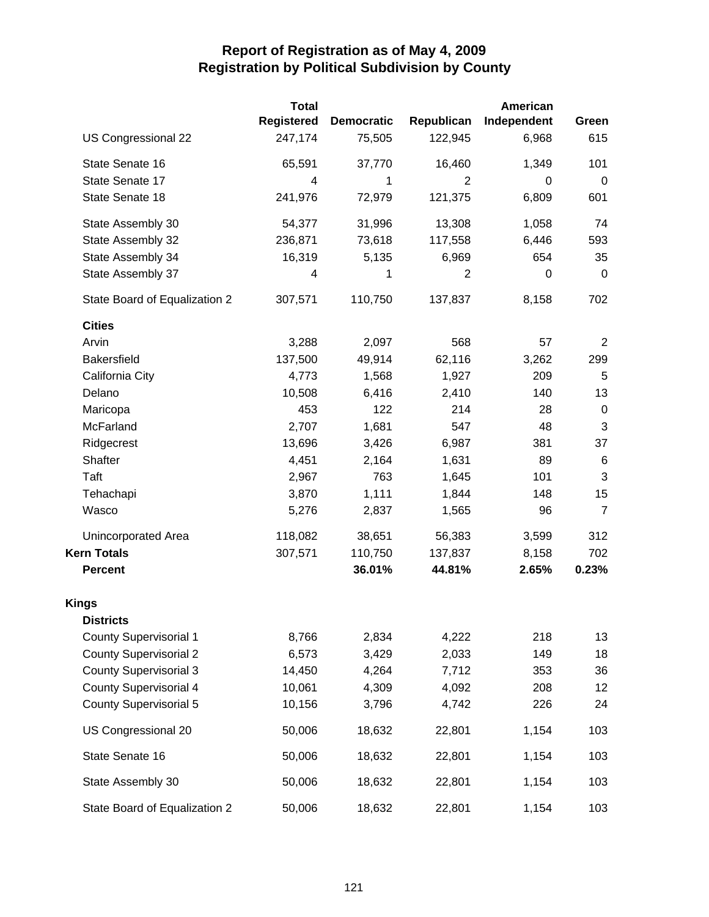|                               | <b>Total</b> |                   |                | American         |                |
|-------------------------------|--------------|-------------------|----------------|------------------|----------------|
|                               | Registered   | <b>Democratic</b> | Republican     | Independent      | Green          |
| US Congressional 22           | 247,174      | 75,505            | 122,945        | 6,968            | 615            |
| State Senate 16               | 65,591       | 37,770            | 16,460         | 1,349            | 101            |
| State Senate 17               | 4            | 1                 | $\overline{2}$ | 0                | $\mathbf 0$    |
| State Senate 18               | 241,976      | 72,979            | 121,375        | 6,809            | 601            |
| State Assembly 30             | 54,377       | 31,996            | 13,308         | 1,058            | 74             |
| State Assembly 32             | 236,871      | 73,618            | 117,558        | 6,446            | 593            |
| State Assembly 34             | 16,319       | 5,135             | 6,969          | 654              | 35             |
| State Assembly 37             | 4            | 1                 | $\overline{2}$ | $\boldsymbol{0}$ | $\mathbf 0$    |
| State Board of Equalization 2 | 307,571      | 110,750           | 137,837        | 8,158            | 702            |
| <b>Cities</b>                 |              |                   |                |                  |                |
| Arvin                         | 3,288        | 2,097             | 568            | 57               | $\overline{2}$ |
| <b>Bakersfield</b>            | 137,500      | 49,914            | 62,116         | 3,262            | 299            |
| California City               | 4,773        | 1,568             | 1,927          | 209              | 5              |
| Delano                        | 10,508       | 6,416             | 2,410          | 140              | 13             |
| Maricopa                      | 453          | 122               | 214            | 28               | $\mathbf 0$    |
| McFarland                     | 2,707        | 1,681             | 547            | 48               | 3              |
| Ridgecrest                    | 13,696       | 3,426             | 6,987          | 381              | 37             |
| Shafter                       | 4,451        | 2,164             | 1,631          | 89               | 6              |
| Taft                          | 2,967        | 763               | 1,645          | 101              | $\mathbf{3}$   |
| Tehachapi                     | 3,870        | 1,111             | 1,844          | 148              | 15             |
| Wasco                         | 5,276        | 2,837             | 1,565          | 96               | $\overline{7}$ |
| <b>Unincorporated Area</b>    | 118,082      | 38,651            | 56,383         | 3,599            | 312            |
| <b>Kern Totals</b>            | 307,571      | 110,750           | 137,837        | 8,158            | 702            |
| <b>Percent</b>                |              | 36.01%            | 44.81%         | 2.65%            | 0.23%          |
| <b>Kings</b>                  |              |                   |                |                  |                |
| <b>Districts</b>              |              |                   |                |                  |                |
| <b>County Supervisorial 1</b> | 8,766        | 2,834             | 4,222          | 218              | 13             |
| <b>County Supervisorial 2</b> | 6,573        | 3,429             | 2,033          | 149              | 18             |
| <b>County Supervisorial 3</b> | 14,450       | 4,264             | 7,712          | 353              | 36             |
| <b>County Supervisorial 4</b> | 10,061       | 4,309             | 4,092          | 208              | 12             |
| <b>County Supervisorial 5</b> | 10,156       | 3,796             | 4,742          | 226              | 24             |
| US Congressional 20           | 50,006       | 18,632            | 22,801         | 1,154            | 103            |
| State Senate 16               | 50,006       | 18,632            | 22,801         | 1,154            | 103            |
| State Assembly 30             | 50,006       | 18,632            | 22,801         | 1,154            | 103            |
| State Board of Equalization 2 | 50,006       | 18,632            | 22,801         | 1,154            | 103            |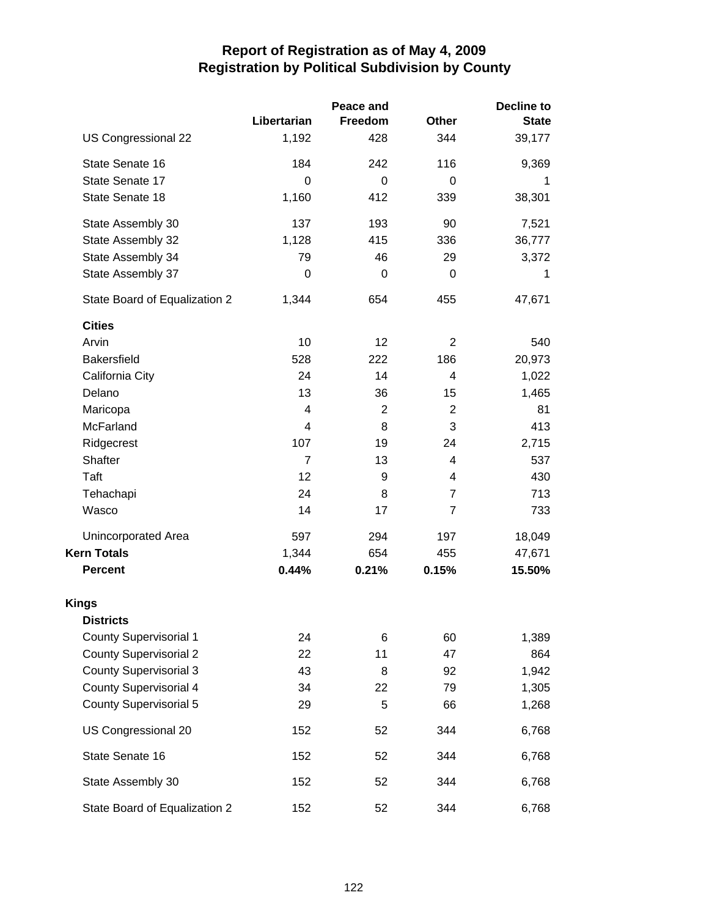|                               |                | Peace and | Decline to     |              |  |
|-------------------------------|----------------|-----------|----------------|--------------|--|
|                               | Libertarian    | Freedom   | <b>Other</b>   | <b>State</b> |  |
| US Congressional 22           | 1,192          | 428       | 344            | 39,177       |  |
| State Senate 16               | 184            | 242       | 116            | 9,369        |  |
| State Senate 17               | $\Omega$       | $\Omega$  | $\Omega$       |              |  |
| State Senate 18               | 1,160          | 412       | 339            | 38,301       |  |
| State Assembly 30             | 137            | 193       | 90             | 7,521        |  |
| State Assembly 32             | 1,128          | 415       | 336            | 36,777       |  |
| State Assembly 34             | 79             | 46        | 29             | 3,372        |  |
| State Assembly 37             | 0              | 0         | $\mathbf 0$    | 1            |  |
| State Board of Equalization 2 | 1,344          | 654       | 455            | 47,671       |  |
| <b>Cities</b>                 |                |           |                |              |  |
| Arvin                         | 10             | 12        | $\overline{2}$ | 540          |  |
| <b>Bakersfield</b>            | 528            | 222       | 186            | 20,973       |  |
| California City               | 24             | 14        | 4              | 1,022        |  |
| Delano                        | 13             | 36        | 15             | 1,465        |  |
| Maricopa                      | 4              | 2         | $\overline{2}$ | 81           |  |
| McFarland                     | 4              | 8         | 3              | 413          |  |
| Ridgecrest                    | 107            | 19        | 24             | 2,715        |  |
| Shafter                       | $\overline{7}$ | 13        | 4              | 537          |  |
| Taft                          | 12             | 9         | 4              | 430          |  |
| Tehachapi                     | 24             | 8         | 7              | 713          |  |
| Wasco                         | 14             | 17        | $\overline{7}$ | 733          |  |
| Unincorporated Area           | 597            | 294       | 197            | 18,049       |  |
| <b>Kern Totals</b>            | 1,344          | 654       | 455            | 47,671       |  |
| <b>Percent</b>                | 0.44%          | 0.21%     | 0.15%          | 15.50%       |  |
| <b>Kings</b>                  |                |           |                |              |  |
| <b>Districts</b>              |                |           |                |              |  |
| <b>County Supervisorial 1</b> | 24             | 6         | 60             | 1,389        |  |
| <b>County Supervisorial 2</b> | 22             | 11        | 47             | 864          |  |
| <b>County Supervisorial 3</b> | 43             | 8         | 92             | 1,942        |  |
| <b>County Supervisorial 4</b> | 34             | 22        | 79             | 1,305        |  |
| <b>County Supervisorial 5</b> | 29             | 5         | 66             | 1,268        |  |
| US Congressional 20           | 152            | 52        | 344            | 6,768        |  |
| State Senate 16               | 152            | 52        | 344            | 6,768        |  |
| State Assembly 30             | 152            | 52        | 344            | 6,768        |  |
| State Board of Equalization 2 | 152            | 52        | 344            | 6,768        |  |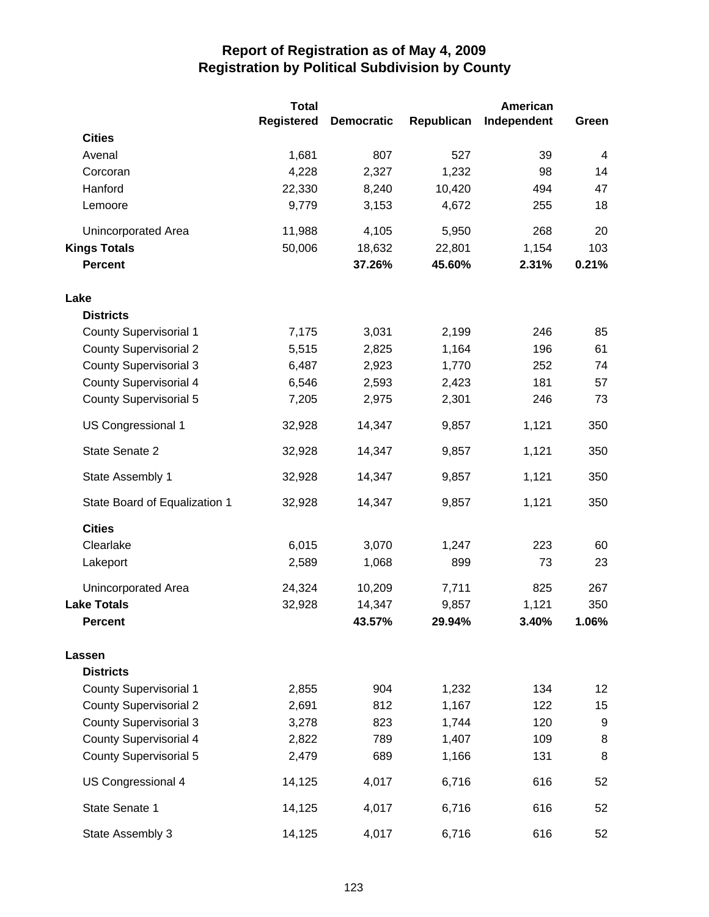|                               | <b>Total</b>      | <b>American</b>   |            |             |                |
|-------------------------------|-------------------|-------------------|------------|-------------|----------------|
|                               | <b>Registered</b> | <b>Democratic</b> | Republican | Independent | Green          |
| <b>Cities</b>                 |                   |                   |            |             |                |
| Avenal                        | 1,681             | 807               | 527        | 39          | $\overline{4}$ |
| Corcoran                      | 4,228             | 2,327             | 1,232      | 98          | 14             |
| Hanford                       | 22,330            | 8,240             | 10,420     | 494         | 47             |
| Lemoore                       | 9,779             | 3,153             | 4,672      | 255         | 18             |
| Unincorporated Area           | 11,988            | 4,105             | 5,950      | 268         | 20             |
| <b>Kings Totals</b>           | 50,006            | 18,632            | 22,801     | 1,154       | 103            |
| <b>Percent</b>                |                   | 37.26%            | 45.60%     | 2.31%       | 0.21%          |
| Lake                          |                   |                   |            |             |                |
| <b>Districts</b>              |                   |                   |            |             |                |
| <b>County Supervisorial 1</b> | 7,175             | 3,031             | 2,199      | 246         | 85             |
| <b>County Supervisorial 2</b> | 5,515             | 2,825             | 1,164      | 196         | 61             |
| <b>County Supervisorial 3</b> | 6,487             | 2,923             | 1,770      | 252         | 74             |
| <b>County Supervisorial 4</b> | 6,546             | 2,593             | 2,423      | 181         | 57             |
| <b>County Supervisorial 5</b> | 7,205             | 2,975             | 2,301      | 246         | 73             |
| US Congressional 1            | 32,928            | 14,347            | 9,857      | 1,121       | 350            |
| State Senate 2                | 32,928            | 14,347            | 9,857      | 1,121       | 350            |
| State Assembly 1              | 32,928            | 14,347            | 9,857      | 1,121       | 350            |
| State Board of Equalization 1 | 32,928            | 14,347            | 9,857      | 1,121       | 350            |
| <b>Cities</b>                 |                   |                   |            |             |                |
| Clearlake                     | 6,015             | 3,070             | 1,247      | 223         | 60             |
| Lakeport                      | 2,589             | 1,068             | 899        | 73          | 23             |
| Unincorporated Area           | 24,324            | 10,209            | 7,711      | 825         | 267            |
| <b>Lake Totals</b>            | 32,928            | 14,347            | 9,857      | 1,121       | 350            |
| <b>Percent</b>                |                   | 43.57%            | 29.94%     | 3.40%       | 1.06%          |
| Lassen                        |                   |                   |            |             |                |
| <b>Districts</b>              |                   |                   |            |             |                |
| County Supervisorial 1        | 2,855             | 904               | 1,232      | 134         | 12             |
| <b>County Supervisorial 2</b> | 2,691             | 812               | 1,167      | 122         | 15             |
| <b>County Supervisorial 3</b> | 3,278             | 823               | 1,744      | 120         | 9              |
| <b>County Supervisorial 4</b> | 2,822             | 789               | 1,407      | 109         | 8              |
| <b>County Supervisorial 5</b> | 2,479             | 689               | 1,166      | 131         | 8              |
| US Congressional 4            | 14,125            | 4,017             | 6,716      | 616         | 52             |
| State Senate 1                | 14,125            | 4,017             | 6,716      | 616         | 52             |
| State Assembly 3              | 14,125            | 4,017             | 6,716      | 616         | 52             |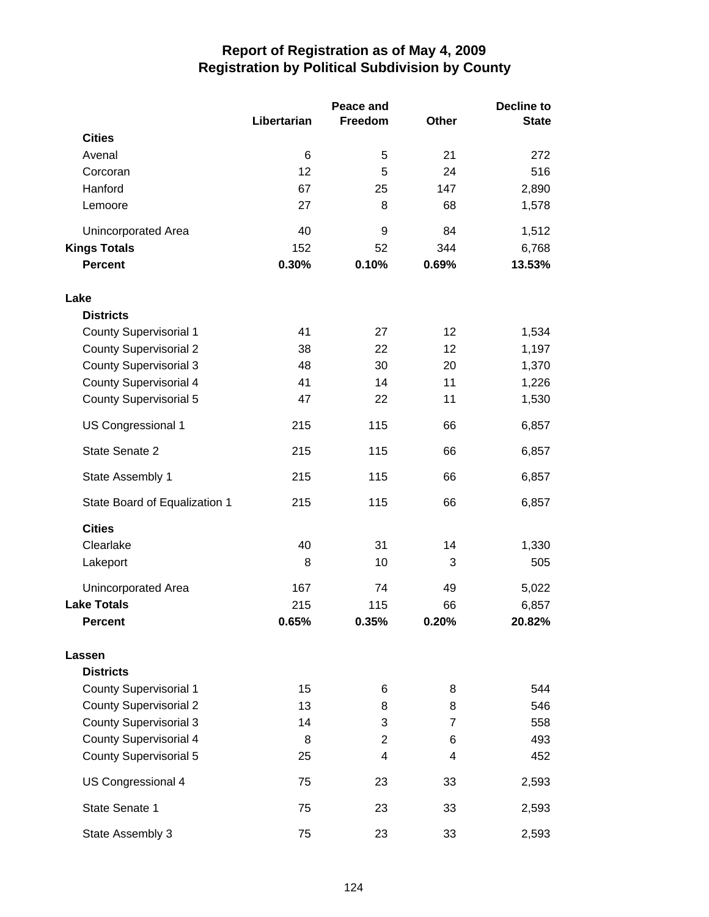|                               |             | Peace and      |                | <b>Decline to</b> |  |
|-------------------------------|-------------|----------------|----------------|-------------------|--|
|                               | Libertarian | Freedom        | Other          | <b>State</b>      |  |
| <b>Cities</b>                 |             |                |                |                   |  |
| Avenal                        | 6           | 5              | 21             | 272               |  |
| Corcoran                      | 12          | 5              | 24             | 516               |  |
| Hanford                       | 67          | 25             | 147            | 2,890             |  |
| Lemoore                       | 27          | 8              | 68             | 1,578             |  |
| Unincorporated Area           | 40          | 9              | 84             | 1,512             |  |
| <b>Kings Totals</b>           | 152         | 52             | 344            | 6,768             |  |
| <b>Percent</b>                | 0.30%       | 0.10%          | 0.69%          | 13.53%            |  |
| Lake                          |             |                |                |                   |  |
| <b>Districts</b>              |             |                |                |                   |  |
| <b>County Supervisorial 1</b> | 41          | 27             | 12             | 1,534             |  |
| <b>County Supervisorial 2</b> | 38          | 22             | 12             | 1,197             |  |
| <b>County Supervisorial 3</b> | 48          | 30             | 20             | 1,370             |  |
| <b>County Supervisorial 4</b> | 41          | 14             | 11             | 1,226             |  |
| <b>County Supervisorial 5</b> | 47          | 22             | 11             | 1,530             |  |
| US Congressional 1            | 215         | 115            | 66             | 6,857             |  |
| State Senate 2                | 215         | 115            | 66             | 6,857             |  |
| State Assembly 1              | 215         | 115            | 66             | 6,857             |  |
| State Board of Equalization 1 | 215         | 115            | 66             | 6,857             |  |
| <b>Cities</b>                 |             |                |                |                   |  |
| Clearlake                     | 40          | 31             | 14             | 1,330             |  |
| Lakeport                      | 8           | 10             | 3              | 505               |  |
| Unincorporated Area           | 167         | 74             | 49             | 5,022             |  |
| <b>Lake Totals</b>            | 215         | 115            | 66             | 6,857             |  |
| <b>Percent</b>                | 0.65%       | 0.35%          | 0.20%          | 20.82%            |  |
| Lassen                        |             |                |                |                   |  |
| <b>Districts</b>              |             |                |                |                   |  |
| <b>County Supervisorial 1</b> | 15          | 6              | 8              | 544               |  |
| <b>County Supervisorial 2</b> | 13          | 8              | 8              | 546               |  |
| <b>County Supervisorial 3</b> | 14          | 3              | $\overline{7}$ | 558               |  |
| <b>County Supervisorial 4</b> | 8           | $\overline{2}$ | 6              | 493               |  |
| <b>County Supervisorial 5</b> | 25          | $\overline{4}$ | 4              | 452               |  |
| US Congressional 4            | 75          | 23             | 33             | 2,593             |  |
| State Senate 1                | 75          | 23             | 33             | 2,593             |  |
| State Assembly 3              | 75          | 23             | 33             | 2,593             |  |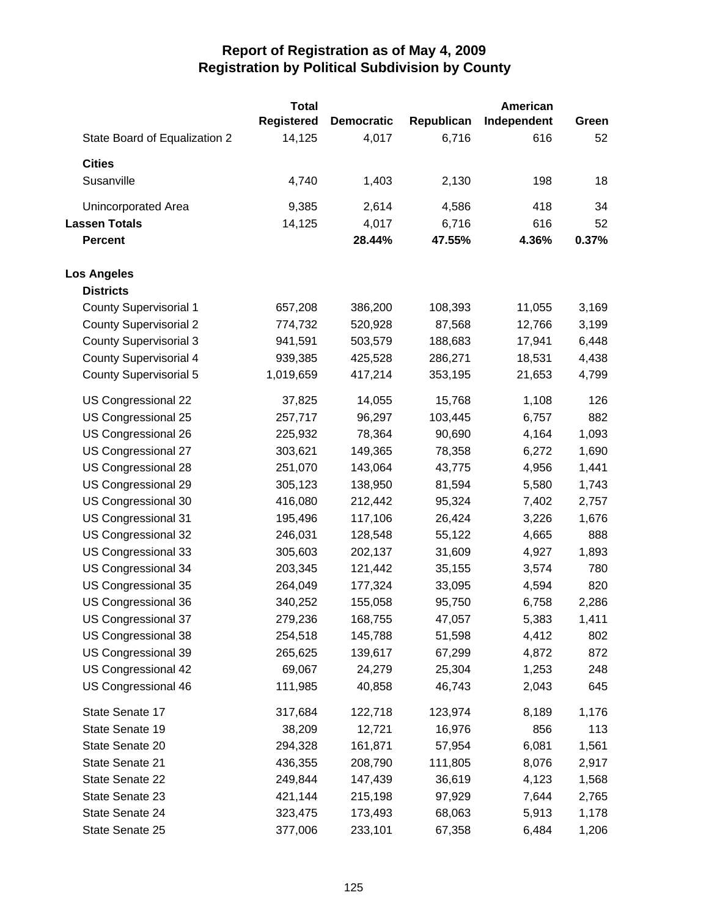|                               | <b>Total</b>      |                   |            | American    |       |
|-------------------------------|-------------------|-------------------|------------|-------------|-------|
|                               | <b>Registered</b> | <b>Democratic</b> | Republican | Independent | Green |
| State Board of Equalization 2 | 14,125            | 4,017             | 6,716      | 616         | 52    |
| <b>Cities</b>                 |                   |                   |            |             |       |
| Susanville                    | 4,740             | 1,403             | 2,130      | 198         | 18    |
| Unincorporated Area           | 9,385             | 2,614             | 4,586      | 418         | 34    |
| <b>Lassen Totals</b>          | 14,125            | 4,017             | 6,716      | 616         | 52    |
| <b>Percent</b>                |                   | 28.44%            | 47.55%     | 4.36%       | 0.37% |
| <b>Los Angeles</b>            |                   |                   |            |             |       |
| <b>Districts</b>              |                   |                   |            |             |       |
| <b>County Supervisorial 1</b> | 657,208           | 386,200           | 108,393    | 11,055      | 3,169 |
| <b>County Supervisorial 2</b> | 774,732           | 520,928           | 87,568     | 12,766      | 3,199 |
| <b>County Supervisorial 3</b> | 941,591           | 503,579           | 188,683    | 17,941      | 6,448 |
| <b>County Supervisorial 4</b> | 939,385           | 425,528           | 286,271    | 18,531      | 4,438 |
| <b>County Supervisorial 5</b> | 1,019,659         | 417,214           | 353,195    | 21,653      | 4,799 |
| US Congressional 22           | 37,825            | 14,055            | 15,768     | 1,108       | 126   |
| US Congressional 25           | 257,717           | 96,297            | 103,445    | 6,757       | 882   |
| US Congressional 26           | 225,932           | 78,364            | 90,690     | 4,164       | 1,093 |
| US Congressional 27           | 303,621           | 149,365           | 78,358     | 6,272       | 1,690 |
| US Congressional 28           | 251,070           | 143,064           | 43,775     | 4,956       | 1,441 |
| US Congressional 29           | 305,123           | 138,950           | 81,594     | 5,580       | 1,743 |
| US Congressional 30           | 416,080           | 212,442           | 95,324     | 7,402       | 2,757 |
| US Congressional 31           | 195,496           | 117,106           | 26,424     | 3,226       | 1,676 |
| US Congressional 32           | 246,031           | 128,548           | 55,122     | 4,665       | 888   |
| US Congressional 33           | 305,603           | 202,137           | 31,609     | 4,927       | 1,893 |
| US Congressional 34           | 203,345           | 121,442           | 35,155     | 3,574       | 780   |
| US Congressional 35           | 264,049           | 177,324           | 33,095     | 4,594       | 820   |
| US Congressional 36           | 340,252           | 155,058           | 95,750     | 6,758       | 2,286 |
| US Congressional 37           | 279,236           | 168,755           | 47,057     | 5,383       | 1,411 |
| US Congressional 38           | 254,518           | 145,788           | 51,598     | 4,412       | 802   |
| US Congressional 39           | 265,625           | 139,617           | 67,299     | 4,872       | 872   |
| US Congressional 42           | 69,067            | 24,279            | 25,304     | 1,253       | 248   |
| US Congressional 46           | 111,985           | 40,858            | 46,743     | 2,043       | 645   |
| State Senate 17               | 317,684           | 122,718           | 123,974    | 8,189       | 1,176 |
| State Senate 19               | 38,209            | 12,721            | 16,976     | 856         | 113   |
| State Senate 20               | 294,328           | 161,871           | 57,954     | 6,081       | 1,561 |
| State Senate 21               | 436,355           | 208,790           | 111,805    | 8,076       | 2,917 |
| State Senate 22               | 249,844           | 147,439           | 36,619     | 4,123       | 1,568 |
| State Senate 23               | 421,144           | 215,198           | 97,929     | 7,644       | 2,765 |
| State Senate 24               | 323,475           | 173,493           | 68,063     | 5,913       | 1,178 |
| State Senate 25               | 377,006           | 233,101           | 67,358     | 6,484       | 1,206 |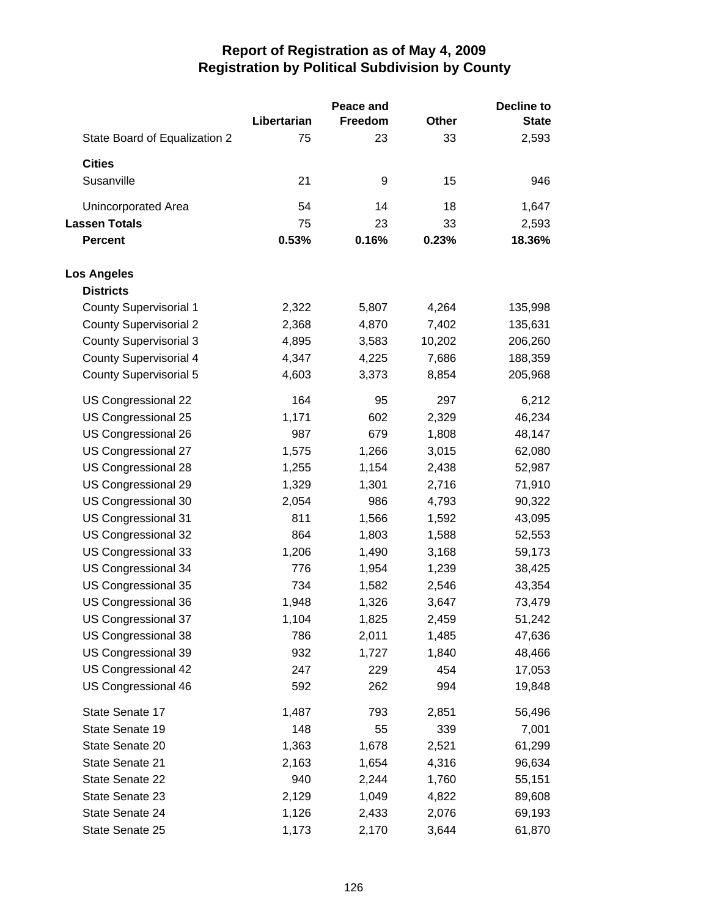|                               |             | Peace and      |        | <b>Decline to</b> |
|-------------------------------|-------------|----------------|--------|-------------------|
|                               | Libertarian | <b>Freedom</b> | Other  | <b>State</b>      |
| State Board of Equalization 2 | 75          | 23             | 33     | 2,593             |
| <b>Cities</b>                 |             |                |        |                   |
| Susanville                    | 21          | 9              | 15     | 946               |
| Unincorporated Area           | 54          | 14             | 18     | 1,647             |
| <b>Lassen Totals</b>          | 75          | 23             | 33     | 2,593             |
| <b>Percent</b>                | 0.53%       | 0.16%          | 0.23%  | 18.36%            |
| <b>Los Angeles</b>            |             |                |        |                   |
| <b>Districts</b>              |             |                |        |                   |
| <b>County Supervisorial 1</b> | 2,322       | 5,807          | 4,264  | 135,998           |
| <b>County Supervisorial 2</b> | 2,368       | 4,870          | 7,402  | 135,631           |
| <b>County Supervisorial 3</b> | 4,895       | 3,583          | 10,202 | 206,260           |
| <b>County Supervisorial 4</b> | 4,347       | 4,225          | 7,686  | 188,359           |
| <b>County Supervisorial 5</b> | 4,603       | 3,373          | 8,854  | 205,968           |
| US Congressional 22           | 164         | 95             | 297    | 6,212             |
| US Congressional 25           | 1,171       | 602            | 2,329  | 46,234            |
| US Congressional 26           | 987         | 679            | 1,808  | 48,147            |
| US Congressional 27           | 1,575       | 1,266          | 3,015  | 62,080            |
| US Congressional 28           | 1,255       | 1,154          | 2,438  | 52,987            |
| US Congressional 29           | 1,329       | 1,301          | 2,716  | 71,910            |
| US Congressional 30           | 2,054       | 986            | 4,793  | 90,322            |
| US Congressional 31           | 811         | 1,566          | 1,592  | 43,095            |
| US Congressional 32           | 864         | 1,803          | 1,588  | 52,553            |
| US Congressional 33           | 1,206       | 1,490          | 3,168  | 59,173            |
| US Congressional 34           | 776         | 1,954          | 1,239  | 38,425            |
| US Congressional 35           | 734         | 1,582          | 2,546  | 43,354            |
| US Congressional 36           | 1,948       | 1,326          | 3,647  | 73,479            |
| US Congressional 37           | 1,104       | 1,825          | 2,459  | 51,242            |
| US Congressional 38           | 786         | 2,011          | 1,485  | 47,636            |
| US Congressional 39           | 932         | 1,727          | 1,840  | 48,466            |
| US Congressional 42           | 247         | 229            | 454    | 17,053            |
| US Congressional 46           | 592         | 262            | 994    | 19,848            |
| State Senate 17               | 1,487       | 793            | 2,851  | 56,496            |
| State Senate 19               | 148         | 55             | 339    | 7,001             |
| State Senate 20               | 1,363       | 1,678          | 2,521  | 61,299            |
| State Senate 21               | 2,163       | 1,654          | 4,316  | 96,634            |
| State Senate 22               | 940         | 2,244          | 1,760  | 55,151            |
| State Senate 23               | 2,129       | 1,049          | 4,822  | 89,608            |
| State Senate 24               | 1,126       | 2,433          | 2,076  | 69,193            |
| State Senate 25               | 1,173       | 2,170          | 3,644  | 61,870            |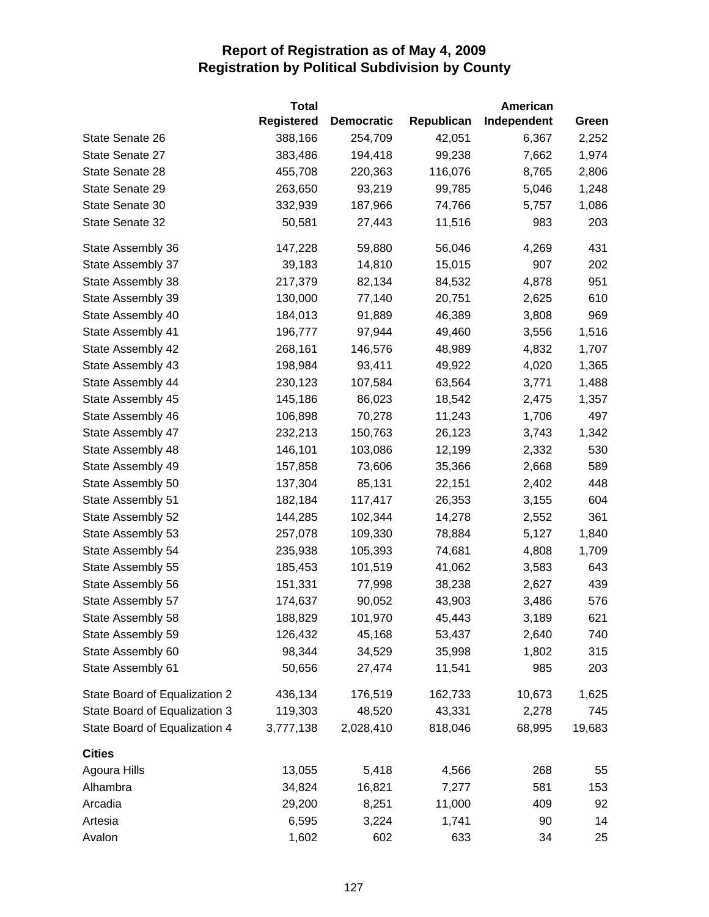|                               | <b>Total</b>      |                   |            | American    |        |
|-------------------------------|-------------------|-------------------|------------|-------------|--------|
|                               | <b>Registered</b> | <b>Democratic</b> | Republican | Independent | Green  |
| State Senate 26               | 388,166           | 254,709           | 42,051     | 6,367       | 2,252  |
| State Senate 27               | 383,486           | 194,418           | 99,238     | 7,662       | 1,974  |
| State Senate 28               | 455,708           | 220,363           | 116,076    | 8,765       | 2,806  |
| State Senate 29               | 263,650           | 93,219            | 99,785     | 5,046       | 1,248  |
| State Senate 30               | 332,939           | 187,966           | 74,766     | 5,757       | 1,086  |
| State Senate 32               | 50,581            | 27,443            | 11,516     | 983         | 203    |
| State Assembly 36             | 147,228           | 59,880            | 56,046     | 4,269       | 431    |
| State Assembly 37             | 39,183            | 14,810            | 15,015     | 907         | 202    |
| State Assembly 38             | 217,379           | 82,134            | 84,532     | 4,878       | 951    |
| State Assembly 39             | 130,000           | 77,140            | 20,751     | 2,625       | 610    |
| State Assembly 40             | 184,013           | 91,889            | 46,389     | 3,808       | 969    |
| State Assembly 41             | 196,777           | 97,944            | 49,460     | 3,556       | 1,516  |
| State Assembly 42             | 268,161           | 146,576           | 48,989     | 4,832       | 1,707  |
| State Assembly 43             | 198,984           | 93,411            | 49,922     | 4,020       | 1,365  |
| State Assembly 44             | 230,123           | 107,584           | 63,564     | 3,771       | 1,488  |
| State Assembly 45             | 145,186           | 86,023            | 18,542     | 2,475       | 1,357  |
| State Assembly 46             | 106,898           | 70,278            | 11,243     | 1,706       | 497    |
| State Assembly 47             | 232,213           | 150,763           | 26,123     | 3,743       | 1,342  |
| State Assembly 48             | 146,101           | 103,086           | 12,199     | 2,332       | 530    |
| State Assembly 49             | 157,858           | 73,606            | 35,366     | 2,668       | 589    |
| State Assembly 50             | 137,304           | 85,131            | 22,151     | 2,402       | 448    |
| State Assembly 51             | 182,184           | 117,417           | 26,353     | 3,155       | 604    |
| State Assembly 52             | 144,285           | 102,344           | 14,278     | 2,552       | 361    |
| State Assembly 53             | 257,078           | 109,330           | 78,884     | 5,127       | 1,840  |
| State Assembly 54             | 235,938           | 105,393           | 74,681     | 4,808       | 1,709  |
| State Assembly 55             | 185,453           | 101,519           | 41,062     | 3,583       | 643    |
| State Assembly 56             | 151,331           | 77,998            | 38,238     | 2,627       | 439    |
| State Assembly 57             | 174,637           | 90,052            | 43,903     | 3,486       | 576    |
| State Assembly 58             | 188,829           | 101,970           | 45,443     | 3,189       | 621    |
| State Assembly 59             | 126,432           | 45,168            | 53,437     | 2,640       | 740    |
| State Assembly 60             | 98,344            | 34,529            | 35,998     | 1,802       | 315    |
| State Assembly 61             | 50,656            | 27,474            | 11,541     | 985         | 203    |
| State Board of Equalization 2 | 436,134           | 176,519           | 162,733    | 10,673      | 1,625  |
| State Board of Equalization 3 | 119,303           | 48,520            | 43,331     | 2,278       | 745    |
| State Board of Equalization 4 | 3,777,138         | 2,028,410         | 818,046    | 68,995      | 19,683 |
| <b>Cities</b>                 |                   |                   |            |             |        |
| Agoura Hills                  | 13,055            | 5,418             | 4,566      | 268         | 55     |
| Alhambra                      | 34,824            | 16,821            | 7,277      | 581         | 153    |
| Arcadia                       | 29,200            | 8,251             | 11,000     | 409         | 92     |
| Artesia                       | 6,595             | 3,224             | 1,741      | 90          | 14     |
| Avalon                        | 1,602             | 602               | 633        | 34          | 25     |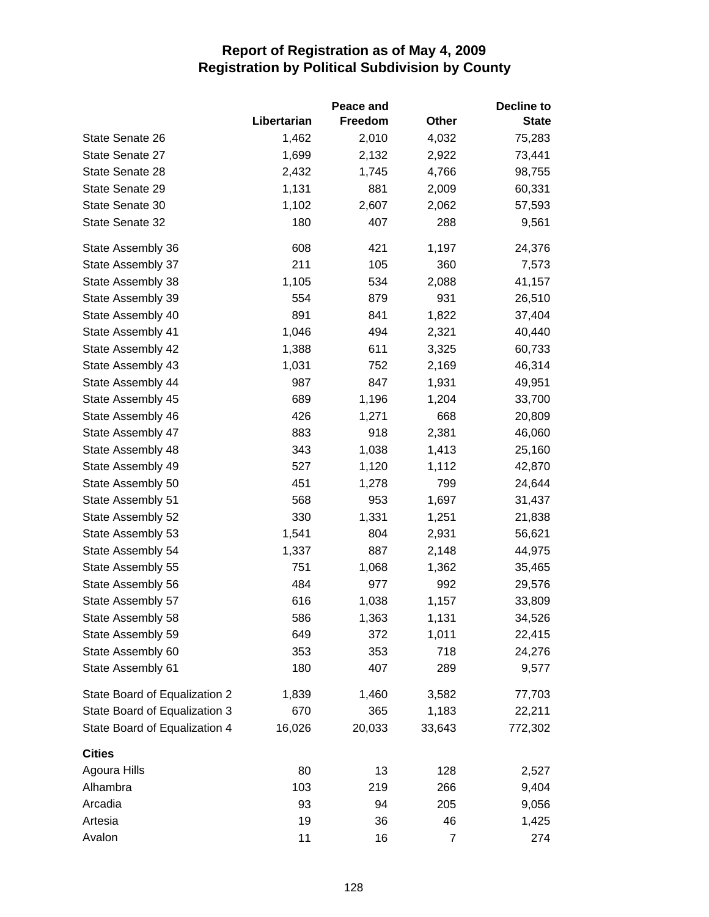|                               |             | Peace and |        | <b>Decline to</b> |
|-------------------------------|-------------|-----------|--------|-------------------|
|                               | Libertarian | Freedom   | Other  | <b>State</b>      |
| State Senate 26               | 1,462       | 2,010     | 4,032  | 75,283            |
| State Senate 27               | 1,699       | 2,132     | 2,922  | 73,441            |
| State Senate 28               | 2,432       | 1,745     | 4,766  | 98,755            |
| State Senate 29               | 1,131       | 881       | 2,009  | 60,331            |
| State Senate 30               | 1,102       | 2,607     | 2,062  | 57,593            |
| State Senate 32               | 180         | 407       | 288    | 9,561             |
| State Assembly 36             | 608         | 421       | 1,197  | 24,376            |
| State Assembly 37             | 211         | 105       | 360    | 7,573             |
| State Assembly 38             | 1,105       | 534       | 2,088  | 41,157            |
| State Assembly 39             | 554         | 879       | 931    | 26,510            |
| State Assembly 40             | 891         | 841       | 1,822  | 37,404            |
| State Assembly 41             | 1,046       | 494       | 2,321  | 40,440            |
| State Assembly 42             | 1,388       | 611       | 3,325  | 60,733            |
| State Assembly 43             | 1,031       | 752       | 2,169  | 46,314            |
| State Assembly 44             | 987         | 847       | 1,931  | 49,951            |
| State Assembly 45             | 689         | 1,196     | 1,204  | 33,700            |
| State Assembly 46             | 426         | 1,271     | 668    | 20,809            |
| State Assembly 47             | 883         | 918       | 2,381  | 46,060            |
| State Assembly 48             | 343         | 1,038     | 1,413  | 25,160            |
| State Assembly 49             | 527         | 1,120     | 1,112  | 42,870            |
| State Assembly 50             | 451         | 1,278     | 799    | 24,644            |
| State Assembly 51             | 568         | 953       | 1,697  | 31,437            |
| State Assembly 52             | 330         | 1,331     | 1,251  | 21,838            |
| State Assembly 53             | 1,541       | 804       | 2,931  | 56,621            |
| State Assembly 54             | 1,337       | 887       | 2,148  | 44,975            |
| State Assembly 55             | 751         | 1,068     | 1,362  | 35,465            |
| State Assembly 56             | 484         | 977       | 992    | 29,576            |
| State Assembly 57             | 616         | 1,038     | 1,157  | 33,809            |
| State Assembly 58             | 586         | 1,363     | 1,131  | 34,526            |
| State Assembly 59             | 649         | 372       | 1,011  | 22,415            |
| State Assembly 60             | 353         | 353       | 718    | 24,276            |
| State Assembly 61             | 180         | 407       | 289    | 9,577             |
| State Board of Equalization 2 | 1,839       | 1,460     | 3,582  | 77,703            |
| State Board of Equalization 3 | 670         | 365       | 1,183  | 22,211            |
| State Board of Equalization 4 | 16,026      | 20,033    | 33,643 | 772,302           |
| <b>Cities</b>                 |             |           |        |                   |
| Agoura Hills                  | 80          | 13        | 128    | 2,527             |
| Alhambra                      | 103         | 219       | 266    | 9,404             |
| Arcadia                       | 93          | 94        | 205    | 9,056             |
| Artesia                       | 19          | 36        | 46     | 1,425             |
| Avalon                        | 11          | 16        | 7      | 274               |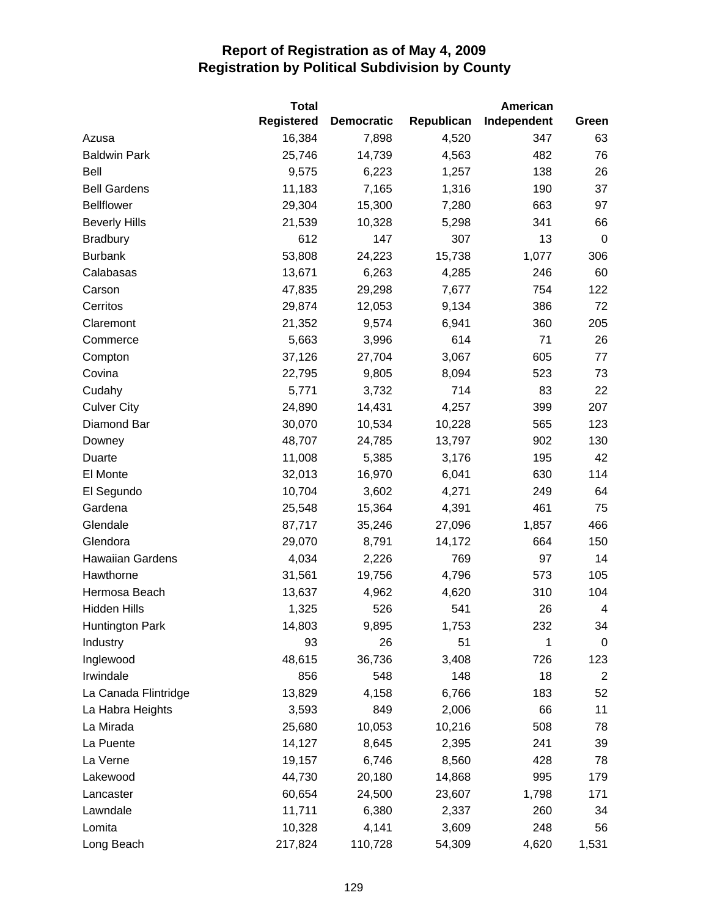|                         | <b>Total</b>      |                   |            | American    |                |
|-------------------------|-------------------|-------------------|------------|-------------|----------------|
|                         | <b>Registered</b> | <b>Democratic</b> | Republican | Independent | Green          |
| Azusa                   | 16,384            | 7,898             | 4,520      | 347         | 63             |
| <b>Baldwin Park</b>     | 25,746            | 14,739            | 4,563      | 482         | 76             |
| Bell                    | 9,575             | 6,223             | 1,257      | 138         | 26             |
| <b>Bell Gardens</b>     | 11,183            | 7,165             | 1,316      | 190         | 37             |
| <b>Bellflower</b>       | 29,304            | 15,300            | 7,280      | 663         | 97             |
| <b>Beverly Hills</b>    | 21,539            | 10,328            | 5,298      | 341         | 66             |
| <b>Bradbury</b>         | 612               | 147               | 307        | 13          | $\mathbf 0$    |
| <b>Burbank</b>          | 53,808            | 24,223            | 15,738     | 1,077       | 306            |
| Calabasas               | 13,671            | 6,263             | 4,285      | 246         | 60             |
| Carson                  | 47,835            | 29,298            | 7,677      | 754         | 122            |
| Cerritos                | 29,874            | 12,053            | 9,134      | 386         | 72             |
| Claremont               | 21,352            | 9,574             | 6,941      | 360         | 205            |
| Commerce                | 5,663             | 3,996             | 614        | 71          | 26             |
| Compton                 | 37,126            | 27,704            | 3,067      | 605         | 77             |
| Covina                  | 22,795            | 9,805             | 8,094      | 523         | 73             |
| Cudahy                  | 5,771             | 3,732             | 714        | 83          | 22             |
| <b>Culver City</b>      | 24,890            | 14,431            | 4,257      | 399         | 207            |
| Diamond Bar             | 30,070            | 10,534            | 10,228     | 565         | 123            |
| Downey                  | 48,707            | 24,785            | 13,797     | 902         | 130            |
| Duarte                  | 11,008            | 5,385             | 3,176      | 195         | 42             |
| El Monte                | 32,013            | 16,970            | 6,041      | 630         | 114            |
| El Segundo              | 10,704            | 3,602             | 4,271      | 249         | 64             |
| Gardena                 | 25,548            | 15,364            | 4,391      | 461         | 75             |
| Glendale                | 87,717            | 35,246            | 27,096     | 1,857       | 466            |
| Glendora                | 29,070            | 8,791             | 14,172     | 664         | 150            |
| <b>Hawaiian Gardens</b> | 4,034             | 2,226             | 769        | 97          | 14             |
| Hawthorne               | 31,561            | 19,756            | 4,796      | 573         | 105            |
| Hermosa Beach           | 13,637            | 4,962             | 4,620      | 310         | 104            |
| Hidden Hills            | 1,325             | 526               | 541        | 26          | 4              |
| <b>Huntington Park</b>  | 14,803            | 9,895             | 1,753      | 232         | 34             |
| Industry                | 93                | 26                | 51         | 1           | 0              |
| Inglewood               | 48,615            | 36,736            | 3,408      | 726         | 123            |
| Irwindale               | 856               | 548               | 148        | 18          | $\overline{2}$ |
| La Canada Flintridge    | 13,829            | 4,158             | 6,766      | 183         | 52             |
| La Habra Heights        | 3,593             | 849               | 2,006      | 66          | 11             |
| La Mirada               | 25,680            | 10,053            | 10,216     | 508         | 78             |
| La Puente               | 14,127            | 8,645             | 2,395      | 241         | 39             |
| La Verne                | 19,157            | 6,746             | 8,560      | 428         | 78             |
| Lakewood                | 44,730            | 20,180            | 14,868     | 995         | 179            |
| Lancaster               | 60,654            | 24,500            | 23,607     | 1,798       | 171            |
| Lawndale                | 11,711            | 6,380             | 2,337      | 260         | 34             |
| Lomita                  | 10,328            | 4,141             | 3,609      | 248         | 56             |
| Long Beach              | 217,824           | 110,728           | 54,309     | 4,620       | 1,531          |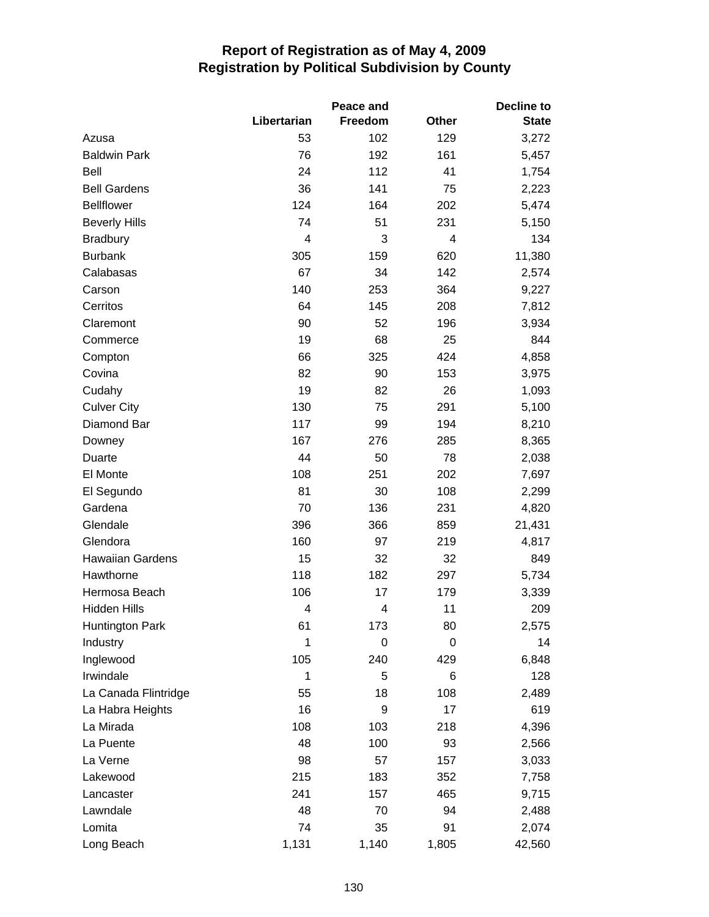|                         |             | Decline to |       |              |
|-------------------------|-------------|------------|-------|--------------|
|                         | Libertarian | Freedom    | Other | <b>State</b> |
| Azusa                   | 53          | 102        | 129   | 3,272        |
| <b>Baldwin Park</b>     | 76          | 192        | 161   | 5,457        |
| <b>Bell</b>             | 24          | 112        | 41    | 1,754        |
| <b>Bell Gardens</b>     | 36          | 141        | 75    | 2,223        |
| <b>Bellflower</b>       | 124         | 164        | 202   | 5,474        |
| <b>Beverly Hills</b>    | 74          | 51         | 231   | 5,150        |
| <b>Bradbury</b>         | 4           | 3          | 4     | 134          |
| <b>Burbank</b>          | 305         | 159        | 620   | 11,380       |
| Calabasas               | 67          | 34         | 142   | 2,574        |
| Carson                  | 140         | 253        | 364   | 9,227        |
| Cerritos                | 64          | 145        | 208   | 7,812        |
| Claremont               | 90          | 52         | 196   | 3,934        |
| Commerce                | 19          | 68         | 25    | 844          |
| Compton                 | 66          | 325        | 424   | 4,858        |
| Covina                  | 82          | 90         | 153   | 3,975        |
| Cudahy                  | 19          | 82         | 26    | 1,093        |
| <b>Culver City</b>      | 130         | 75         | 291   | 5,100        |
| Diamond Bar             | 117         | 99         | 194   | 8,210        |
| Downey                  | 167         | 276        | 285   | 8,365        |
| Duarte                  | 44          | 50         | 78    | 2,038        |
| El Monte                | 108         | 251        | 202   | 7,697        |
| El Segundo              | 81          | 30         | 108   | 2,299        |
| Gardena                 | 70          | 136        | 231   | 4,820        |
| Glendale                | 396         | 366        | 859   | 21,431       |
| Glendora                | 160         | 97         | 219   | 4,817        |
| <b>Hawaiian Gardens</b> | 15          | 32         | 32    | 849          |
| Hawthorne               | 118         | 182        | 297   | 5,734        |
| Hermosa Beach           | 106         | 17         | 179   | 3,339        |
| <b>Hidden Hills</b>     | 4           | 4          | 11    | 209          |
| <b>Huntington Park</b>  | 61          | 173        | 80    | 2,575        |
| Industry                | 1           | 0          | 0     | 14           |
| Inglewood               | 105         | 240        | 429   | 6,848        |
| Irwindale               | 1           | 5          | 6     | 128          |
| La Canada Flintridge    | 55          | 18         | 108   | 2,489        |
| La Habra Heights        | 16          | 9          | 17    | 619          |
| La Mirada               | 108         | 103        | 218   | 4,396        |
| La Puente               | 48          | 100        | 93    | 2,566        |
| La Verne                | 98          | 57         | 157   | 3,033        |
| Lakewood                | 215         | 183        | 352   | 7,758        |
| Lancaster               | 241         | 157        | 465   | 9,715        |
| Lawndale                | 48          | 70         | 94    | 2,488        |
| Lomita                  | 74          | 35         | 91    | 2,074        |
| Long Beach              | 1,131       | 1,140      | 1,805 | 42,560       |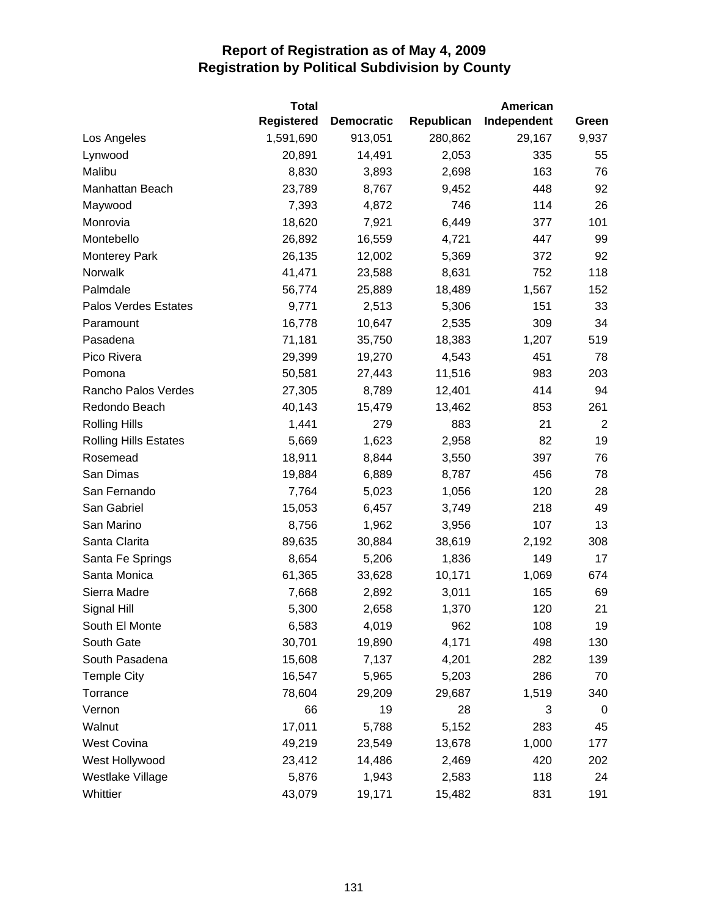|                              | <b>Total</b>      |                   |            | American    |                |
|------------------------------|-------------------|-------------------|------------|-------------|----------------|
|                              | <b>Registered</b> | <b>Democratic</b> | Republican | Independent | Green          |
| Los Angeles                  | 1,591,690         | 913,051           | 280,862    | 29,167      | 9,937          |
| Lynwood                      | 20,891            | 14,491            | 2,053      | 335         | 55             |
| Malibu                       | 8,830             | 3,893             | 2,698      | 163         | 76             |
| Manhattan Beach              | 23,789            | 8,767             | 9,452      | 448         | 92             |
| Maywood                      | 7,393             | 4,872             | 746        | 114         | 26             |
| Monrovia                     | 18,620            | 7,921             | 6,449      | 377         | 101            |
| Montebello                   | 26,892            | 16,559            | 4,721      | 447         | 99             |
| <b>Monterey Park</b>         | 26,135            | 12,002            | 5,369      | 372         | 92             |
| Norwalk                      | 41,471            | 23,588            | 8,631      | 752         | 118            |
| Palmdale                     | 56,774            | 25,889            | 18,489     | 1,567       | 152            |
| Palos Verdes Estates         | 9,771             | 2,513             | 5,306      | 151         | 33             |
| Paramount                    | 16,778            | 10,647            | 2,535      | 309         | 34             |
| Pasadena                     | 71,181            | 35,750            | 18,383     | 1,207       | 519            |
| Pico Rivera                  | 29,399            | 19,270            | 4,543      | 451         | 78             |
| Pomona                       | 50,581            | 27,443            | 11,516     | 983         | 203            |
| Rancho Palos Verdes          | 27,305            | 8,789             | 12,401     | 414         | 94             |
| Redondo Beach                | 40,143            | 15,479            | 13,462     | 853         | 261            |
| <b>Rolling Hills</b>         | 1,441             | 279               | 883        | 21          | $\overline{2}$ |
| <b>Rolling Hills Estates</b> | 5,669             | 1,623             | 2,958      | 82          | 19             |
| Rosemead                     | 18,911            | 8,844             | 3,550      | 397         | 76             |
| San Dimas                    | 19,884            | 6,889             | 8,787      | 456         | 78             |
| San Fernando                 | 7,764             | 5,023             | 1,056      | 120         | 28             |
| San Gabriel                  | 15,053            | 6,457             | 3,749      | 218         | 49             |
| San Marino                   | 8,756             | 1,962             | 3,956      | 107         | 13             |
| Santa Clarita                | 89,635            | 30,884            | 38,619     | 2,192       | 308            |
| Santa Fe Springs             | 8,654             | 5,206             | 1,836      | 149         | 17             |
| Santa Monica                 | 61,365            | 33,628            | 10,171     | 1,069       | 674            |
| Sierra Madre                 | 7,668             | 2,892             | 3,011      | 165         | 69             |
| Signal Hill                  | 5,300             | 2,658             | 1,370      | 120         | 21             |
| South El Monte               | 6,583             | 4,019             | 962        | 108         | 19             |
| South Gate                   | 30,701            | 19,890            | 4,171      | 498         | 130            |
| South Pasadena               | 15,608            | 7,137             | 4,201      | 282         | 139            |
| <b>Temple City</b>           | 16,547            | 5,965             | 5,203      | 286         | 70             |
| Torrance                     | 78,604            | 29,209            | 29,687     | 1,519       | 340            |
| Vernon                       | 66                | 19                | 28         | 3           | 0              |
| Walnut                       | 17,011            | 5,788             | 5,152      | 283         | 45             |
| <b>West Covina</b>           | 49,219            | 23,549            | 13,678     | 1,000       | 177            |
| West Hollywood               | 23,412            | 14,486            | 2,469      | 420         | 202            |
| Westlake Village             | 5,876             | 1,943             | 2,583      | 118         | 24             |
| Whittier                     | 43,079            | 19,171            | 15,482     | 831         | 191            |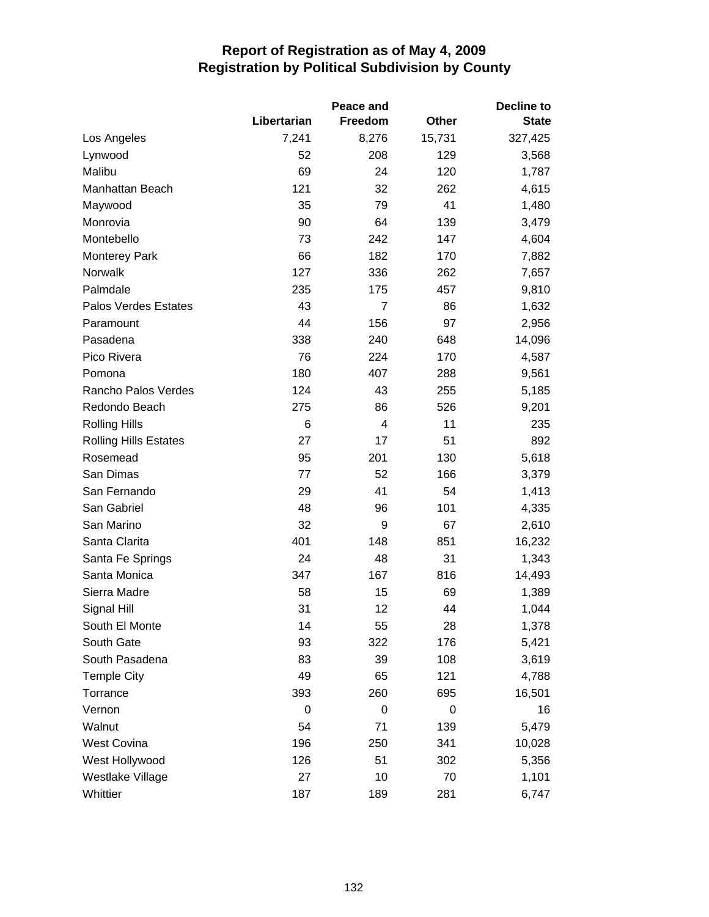|                              |             | Peace and      |              | <b>Decline to</b> |
|------------------------------|-------------|----------------|--------------|-------------------|
|                              | Libertarian | Freedom        | <b>Other</b> | <b>State</b>      |
| Los Angeles                  | 7,241       | 8,276          | 15,731       | 327,425           |
| Lynwood                      | 52          | 208            | 129          | 3,568             |
| Malibu                       | 69          | 24             | 120          | 1,787             |
| Manhattan Beach              | 121         | 32             | 262          | 4,615             |
| Maywood                      | 35          | 79             | 41           | 1,480             |
| Monrovia                     | 90          | 64             | 139          | 3,479             |
| Montebello                   | 73          | 242            | 147          | 4,604             |
| <b>Monterey Park</b>         | 66          | 182            | 170          | 7,882             |
| Norwalk                      | 127         | 336            | 262          | 7,657             |
| Palmdale                     | 235         | 175            | 457          | 9,810             |
| Palos Verdes Estates         | 43          | $\overline{7}$ | 86           | 1,632             |
| Paramount                    | 44          | 156            | 97           | 2,956             |
| Pasadena                     | 338         | 240            | 648          | 14,096            |
| Pico Rivera                  | 76          | 224            | 170          | 4,587             |
| Pomona                       | 180         | 407            | 288          | 9,561             |
| Rancho Palos Verdes          | 124         | 43             | 255          | 5,185             |
| Redondo Beach                | 275         | 86             | 526          | 9,201             |
| <b>Rolling Hills</b>         | 6           | 4              | 11           | 235               |
| <b>Rolling Hills Estates</b> | 27          | 17             | 51           | 892               |
| Rosemead                     | 95          | 201            | 130          | 5,618             |
| San Dimas                    | 77          | 52             | 166          | 3,379             |
| San Fernando                 | 29          | 41             | 54           | 1,413             |
| San Gabriel                  | 48          | 96             | 101          | 4,335             |
| San Marino                   | 32          | 9              | 67           | 2,610             |
| Santa Clarita                | 401         | 148            | 851          | 16,232            |
| Santa Fe Springs             | 24          | 48             | 31           | 1,343             |
| Santa Monica                 | 347         | 167            | 816          | 14,493            |
| Sierra Madre                 | 58          | 15             | 69           | 1,389             |
| Signal Hill                  | 31          | 12             | 44           | 1,044             |
| South El Monte               | 14          | 55             | 28           | 1,378             |
| South Gate                   | 93          | 322            | 176          | 5,421             |
| South Pasadena               | 83          | 39             | 108          | 3,619             |
| <b>Temple City</b>           | 49          | 65             | 121          | 4,788             |
| Torrance                     | 393         | 260            | 695          | 16,501            |
| Vernon                       | 0           | 0              | 0            | 16                |
| Walnut                       | 54          | 71             | 139          | 5,479             |
| <b>West Covina</b>           | 196         | 250            | 341          | 10,028            |
| West Hollywood               | 126         | 51             | 302          | 5,356             |
| Westlake Village             | 27          | 10             | 70           | 1,101             |
| Whittier                     | 187         | 189            | 281          | 6,747             |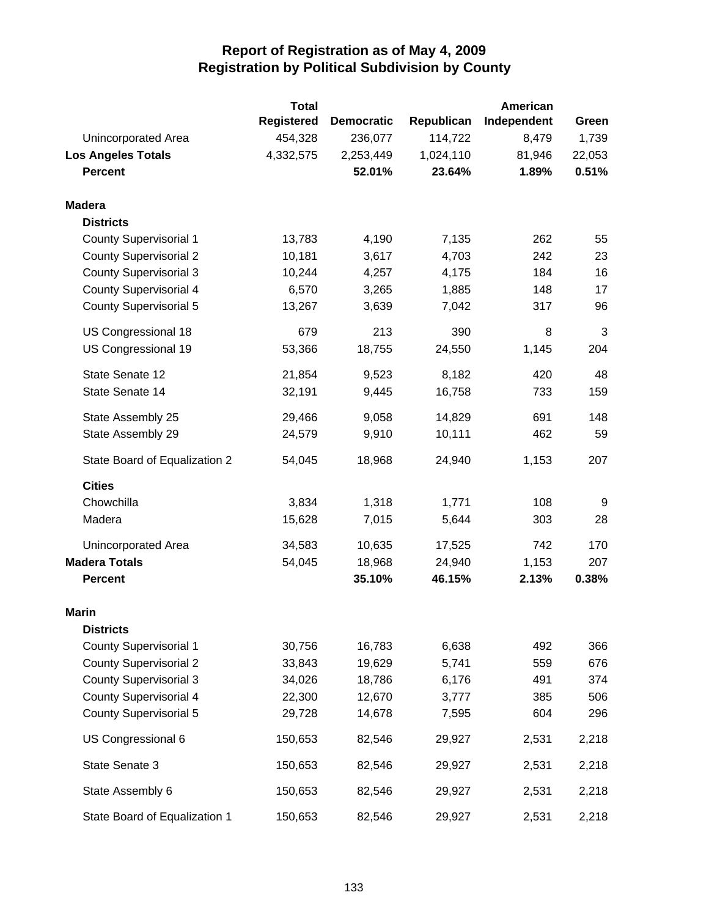|                               | <b>Total</b>      |                   |            | American    |        |
|-------------------------------|-------------------|-------------------|------------|-------------|--------|
|                               | <b>Registered</b> | <b>Democratic</b> | Republican | Independent | Green  |
| Unincorporated Area           | 454,328           | 236,077           | 114,722    | 8,479       | 1,739  |
| <b>Los Angeles Totals</b>     | 4,332,575         | 2,253,449         | 1,024,110  | 81,946      | 22,053 |
| <b>Percent</b>                |                   | 52.01%            | 23.64%     | 1.89%       | 0.51%  |
| <b>Madera</b>                 |                   |                   |            |             |        |
| <b>Districts</b>              |                   |                   |            |             |        |
| <b>County Supervisorial 1</b> | 13,783            | 4,190             | 7,135      | 262         | 55     |
| <b>County Supervisorial 2</b> | 10,181            | 3,617             | 4,703      | 242         | 23     |
| <b>County Supervisorial 3</b> | 10,244            | 4,257             | 4,175      | 184         | 16     |
| <b>County Supervisorial 4</b> | 6,570             | 3,265             | 1,885      | 148         | 17     |
| <b>County Supervisorial 5</b> | 13,267            | 3,639             | 7,042      | 317         | 96     |
| US Congressional 18           | 679               | 213               | 390        | 8           | 3      |
| US Congressional 19           | 53,366            | 18,755            | 24,550     | 1,145       | 204    |
| State Senate 12               | 21,854            | 9,523             | 8,182      | 420         | 48     |
| State Senate 14               | 32,191            | 9,445             | 16,758     | 733         | 159    |
| State Assembly 25             | 29,466            | 9,058             | 14,829     | 691         | 148    |
| State Assembly 29             | 24,579            | 9,910             | 10,111     | 462         | 59     |
| State Board of Equalization 2 | 54,045            | 18,968            | 24,940     | 1,153       | 207    |
| <b>Cities</b>                 |                   |                   |            |             |        |
| Chowchilla                    | 3,834             | 1,318             | 1,771      | 108         | $9\,$  |
| Madera                        | 15,628            | 7,015             | 5,644      | 303         | 28     |
| Unincorporated Area           | 34,583            | 10,635            | 17,525     | 742         | 170    |
| <b>Madera Totals</b>          | 54,045            | 18,968            | 24,940     | 1,153       | 207    |
| <b>Percent</b>                |                   | 35.10%            | 46.15%     | 2.13%       | 0.38%  |
| <b>Marin</b>                  |                   |                   |            |             |        |
| <b>Districts</b>              |                   |                   |            |             |        |
| <b>County Supervisorial 1</b> | 30,756            | 16,783            | 6,638      | 492         | 366    |
| <b>County Supervisorial 2</b> | 33,843            | 19,629            | 5,741      | 559         | 676    |
| <b>County Supervisorial 3</b> | 34,026            | 18,786            | 6,176      | 491         | 374    |
| <b>County Supervisorial 4</b> | 22,300            | 12,670            | 3,777      | 385         | 506    |
| <b>County Supervisorial 5</b> | 29,728            | 14,678            | 7,595      | 604         | 296    |
| US Congressional 6            | 150,653           | 82,546            | 29,927     | 2,531       | 2,218  |
| State Senate 3                | 150,653           | 82,546            | 29,927     | 2,531       | 2,218  |
| State Assembly 6              | 150,653           | 82,546            | 29,927     | 2,531       | 2,218  |
| State Board of Equalization 1 | 150,653           | 82,546            | 29,927     | 2,531       | 2,218  |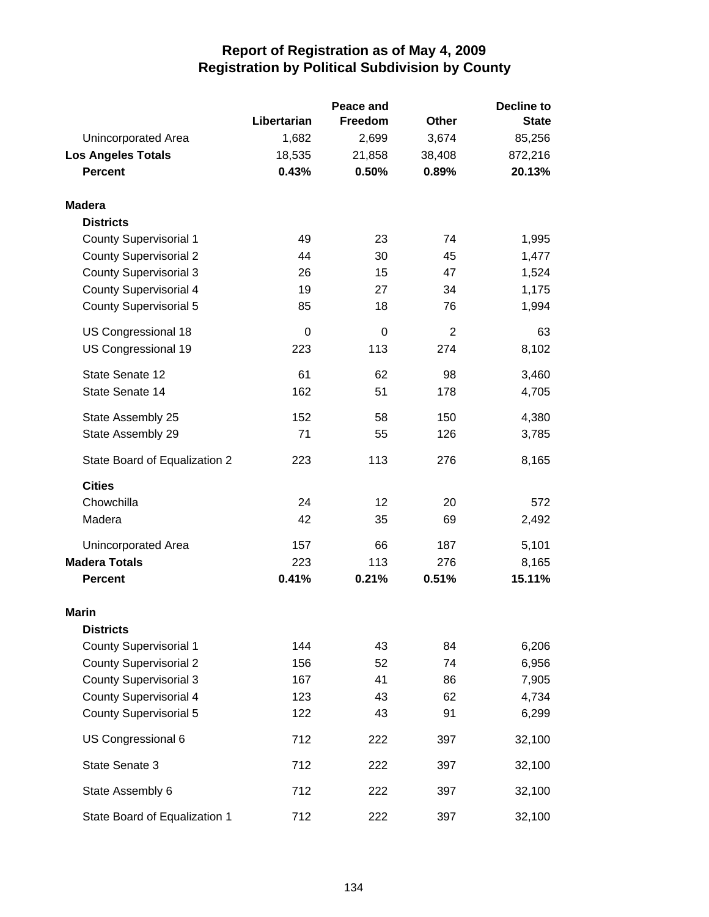|                               |             | Peace and      |                | <b>Decline to</b> |  |
|-------------------------------|-------------|----------------|----------------|-------------------|--|
|                               | Libertarian | <b>Freedom</b> | <b>Other</b>   | <b>State</b>      |  |
| Unincorporated Area           | 1,682       | 2,699          | 3,674          | 85,256            |  |
| <b>Los Angeles Totals</b>     | 18,535      | 21,858         | 38,408         | 872,216           |  |
| <b>Percent</b>                | 0.43%       | 0.50%          | 0.89%          | 20.13%            |  |
| <b>Madera</b>                 |             |                |                |                   |  |
| <b>Districts</b>              |             |                |                |                   |  |
| <b>County Supervisorial 1</b> | 49          | 23             | 74             | 1,995             |  |
| <b>County Supervisorial 2</b> | 44          | 30             | 45             | 1,477             |  |
| <b>County Supervisorial 3</b> | 26          | 15             | 47             | 1,524             |  |
| <b>County Supervisorial 4</b> | 19          | 27             | 34             | 1,175             |  |
| <b>County Supervisorial 5</b> | 85          | 18             | 76             | 1,994             |  |
| US Congressional 18           | 0           | 0              | $\overline{2}$ | 63                |  |
| US Congressional 19           | 223         | 113            | 274            | 8,102             |  |
| State Senate 12               | 61          | 62             | 98             | 3,460             |  |
| State Senate 14               | 162         | 51             | 178            | 4,705             |  |
| State Assembly 25             | 152         | 58             | 150            | 4,380             |  |
| State Assembly 29             | 71          | 55             | 126            | 3,785             |  |
| State Board of Equalization 2 | 223         | 113            | 276            | 8,165             |  |
| <b>Cities</b>                 |             |                |                |                   |  |
| Chowchilla                    | 24          | 12             | 20             | 572               |  |
| Madera                        | 42          | 35             | 69             | 2,492             |  |
| Unincorporated Area           | 157         | 66             | 187            | 5,101             |  |
| <b>Madera Totals</b>          | 223         | 113            | 276            | 8,165             |  |
| <b>Percent</b>                | 0.41%       | 0.21%          | 0.51%          | 15.11%            |  |
| Marin                         |             |                |                |                   |  |
| <b>Districts</b>              |             |                |                |                   |  |
| <b>County Supervisorial 1</b> | 144         | 43             | 84             | 6,206             |  |
| <b>County Supervisorial 2</b> | 156         | 52             | 74             | 6,956             |  |
| <b>County Supervisorial 3</b> | 167         | 41             | 86             | 7,905             |  |
| <b>County Supervisorial 4</b> | 123         | 43             | 62             | 4,734             |  |
| <b>County Supervisorial 5</b> | 122         | 43             | 91             | 6,299             |  |
| US Congressional 6            | 712         | 222            | 397            | 32,100            |  |
| State Senate 3                | 712         | 222            | 397            | 32,100            |  |
| State Assembly 6              | 712         | 222            | 397            | 32,100            |  |
| State Board of Equalization 1 | 712         | 222            | 397            | 32,100            |  |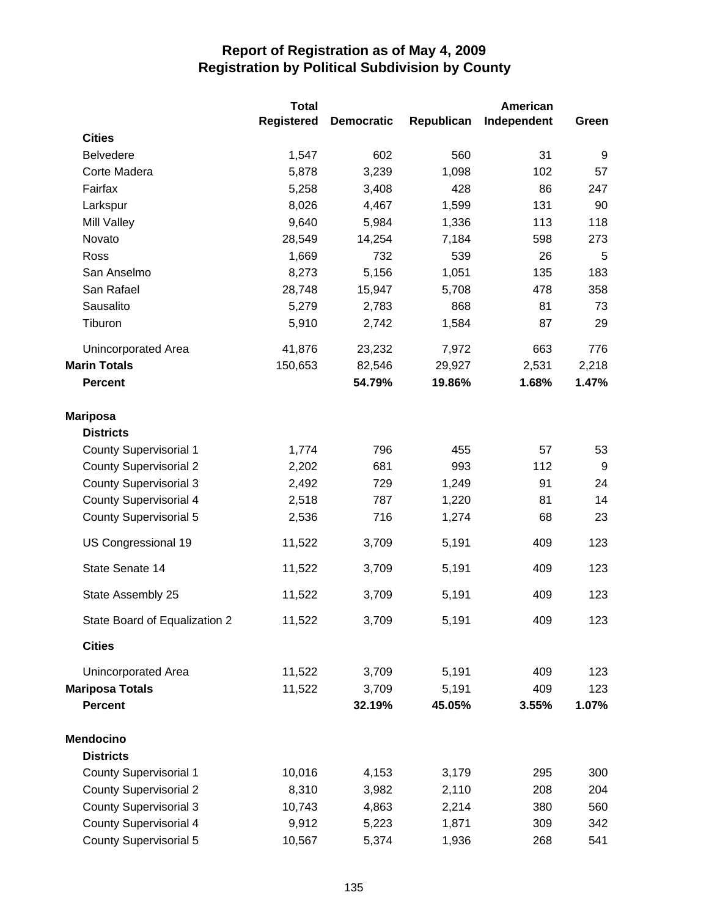|                               | <b>Total</b>      |                   |            | <b>American</b> |       |
|-------------------------------|-------------------|-------------------|------------|-----------------|-------|
|                               | <b>Registered</b> | <b>Democratic</b> | Republican | Independent     | Green |
| <b>Cities</b>                 |                   |                   |            |                 |       |
| <b>Belvedere</b>              | 1,547             | 602               | 560        | 31              | 9     |
| Corte Madera                  | 5,878             | 3,239             | 1,098      | 102             | 57    |
| Fairfax                       | 5,258             | 3,408             | 428        | 86              | 247   |
| Larkspur                      | 8,026             | 4,467             | 1,599      | 131             | 90    |
| Mill Valley                   | 9,640             | 5,984             | 1,336      | 113             | 118   |
| Novato                        | 28,549            | 14,254            | 7,184      | 598             | 273   |
| Ross                          | 1,669             | 732               | 539        | 26              | 5     |
| San Anselmo                   | 8,273             | 5,156             | 1,051      | 135             | 183   |
| San Rafael                    | 28,748            | 15,947            | 5,708      | 478             | 358   |
| Sausalito                     | 5,279             | 2,783             | 868        | 81              | 73    |
| Tiburon                       | 5,910             | 2,742             | 1,584      | 87              | 29    |
| <b>Unincorporated Area</b>    | 41,876            | 23,232            | 7,972      | 663             | 776   |
| <b>Marin Totals</b>           | 150,653           | 82,546            | 29,927     | 2,531           | 2,218 |
| <b>Percent</b>                |                   | 54.79%            | 19.86%     | 1.68%           | 1.47% |
| <b>Mariposa</b>               |                   |                   |            |                 |       |
| <b>Districts</b>              |                   |                   |            |                 |       |
| <b>County Supervisorial 1</b> | 1,774             | 796               | 455        | 57              | 53    |
| <b>County Supervisorial 2</b> | 2,202             | 681               | 993        | 112             | 9     |
| <b>County Supervisorial 3</b> | 2,492             | 729               | 1,249      | 91              | 24    |
| <b>County Supervisorial 4</b> | 2,518             | 787               | 1,220      | 81              | 14    |
| <b>County Supervisorial 5</b> | 2,536             | 716               | 1,274      | 68              | 23    |
| US Congressional 19           | 11,522            | 3,709             | 5,191      | 409             | 123   |
| State Senate 14               | 11,522            | 3,709             | 5,191      | 409             | 123   |
| State Assembly 25             | 11,522            | 3,709             | 5,191      | 409             | 123   |
| State Board of Equalization 2 | 11,522            | 3,709             | 5,191      | 409             | 123   |
| <b>Cities</b>                 |                   |                   |            |                 |       |
| Unincorporated Area           | 11,522            | 3,709             | 5,191      | 409             | 123   |
| <b>Mariposa Totals</b>        | 11,522            | 3,709             | 5,191      | 409             | 123   |
| <b>Percent</b>                |                   | 32.19%            | 45.05%     | 3.55%           | 1.07% |
| <b>Mendocino</b>              |                   |                   |            |                 |       |
| <b>Districts</b>              |                   |                   |            |                 |       |
| <b>County Supervisorial 1</b> | 10,016            | 4,153             | 3,179      | 295             | 300   |
| <b>County Supervisorial 2</b> | 8,310             | 3,982             | 2,110      | 208             | 204   |
| <b>County Supervisorial 3</b> | 10,743            | 4,863             | 2,214      | 380             | 560   |
| <b>County Supervisorial 4</b> | 9,912             | 5,223             | 1,871      | 309             | 342   |
| County Supervisorial 5        | 10,567            | 5,374             | 1,936      | 268             | 541   |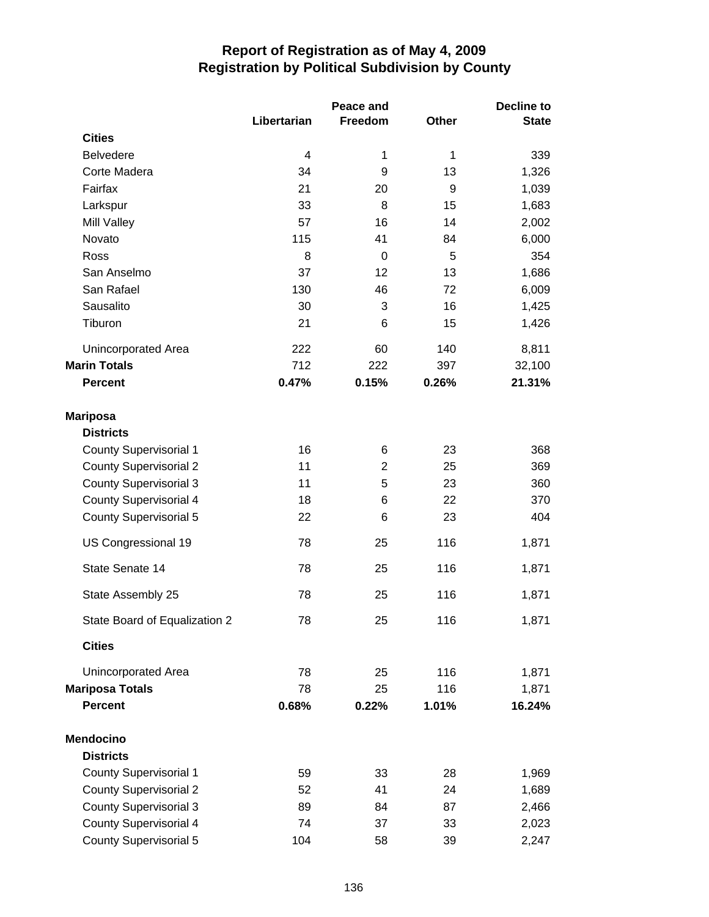|                               | Peace and   |                |       | Decline to   |  |
|-------------------------------|-------------|----------------|-------|--------------|--|
|                               | Libertarian | Freedom        | Other | <b>State</b> |  |
| <b>Cities</b>                 |             |                |       |              |  |
| <b>Belvedere</b>              | 4           | 1              | 1     | 339          |  |
| Corte Madera                  | 34          | 9              | 13    | 1,326        |  |
| Fairfax                       | 21          | 20             | 9     | 1,039        |  |
| Larkspur                      | 33          | 8              | 15    | 1,683        |  |
| Mill Valley                   | 57          | 16             | 14    | 2,002        |  |
| Novato                        | 115         | 41             | 84    | 6,000        |  |
| Ross                          | 8           | $\mathbf 0$    | 5     | 354          |  |
| San Anselmo                   | 37          | 12             | 13    | 1,686        |  |
| San Rafael                    | 130         | 46             | 72    | 6,009        |  |
| Sausalito                     | 30          | 3              | 16    | 1,425        |  |
| Tiburon                       | 21          | 6              | 15    | 1,426        |  |
| <b>Unincorporated Area</b>    | 222         | 60             | 140   | 8,811        |  |
| <b>Marin Totals</b>           | 712         | 222            | 397   | 32,100       |  |
| <b>Percent</b>                | 0.47%       | 0.15%          | 0.26% | 21.31%       |  |
| <b>Mariposa</b>               |             |                |       |              |  |
| <b>Districts</b>              |             |                |       |              |  |
| <b>County Supervisorial 1</b> | 16          | 6              | 23    | 368          |  |
| <b>County Supervisorial 2</b> | 11          | $\overline{2}$ | 25    | 369          |  |
| <b>County Supervisorial 3</b> | 11          | 5              | 23    | 360          |  |
| <b>County Supervisorial 4</b> | 18          | 6              | 22    | 370          |  |
| <b>County Supervisorial 5</b> | 22          | 6              | 23    | 404          |  |
| US Congressional 19           | 78          | 25             | 116   | 1,871        |  |
| State Senate 14               | 78          | 25             | 116   | 1,871        |  |
| State Assembly 25             | 78          | 25             | 116   | 1,871        |  |
| State Board of Equalization 2 | 78          | 25             | 116   | 1,871        |  |
| <b>Cities</b>                 |             |                |       |              |  |
| <b>Unincorporated Area</b>    | 78          | 25             | 116   | 1,871        |  |
| <b>Mariposa Totals</b>        | 78          | 25             | 116   | 1,871        |  |
| <b>Percent</b>                | 0.68%       | 0.22%          | 1.01% | 16.24%       |  |
| <b>Mendocino</b>              |             |                |       |              |  |
| <b>Districts</b>              |             |                |       |              |  |
| <b>County Supervisorial 1</b> | 59          | 33             | 28    | 1,969        |  |
| <b>County Supervisorial 2</b> | 52          | 41             | 24    | 1,689        |  |
| <b>County Supervisorial 3</b> | 89          | 84             | 87    | 2,466        |  |
| <b>County Supervisorial 4</b> | 74          | 37             | 33    | 2,023        |  |
| <b>County Supervisorial 5</b> | 104         | 58             | 39    | 2,247        |  |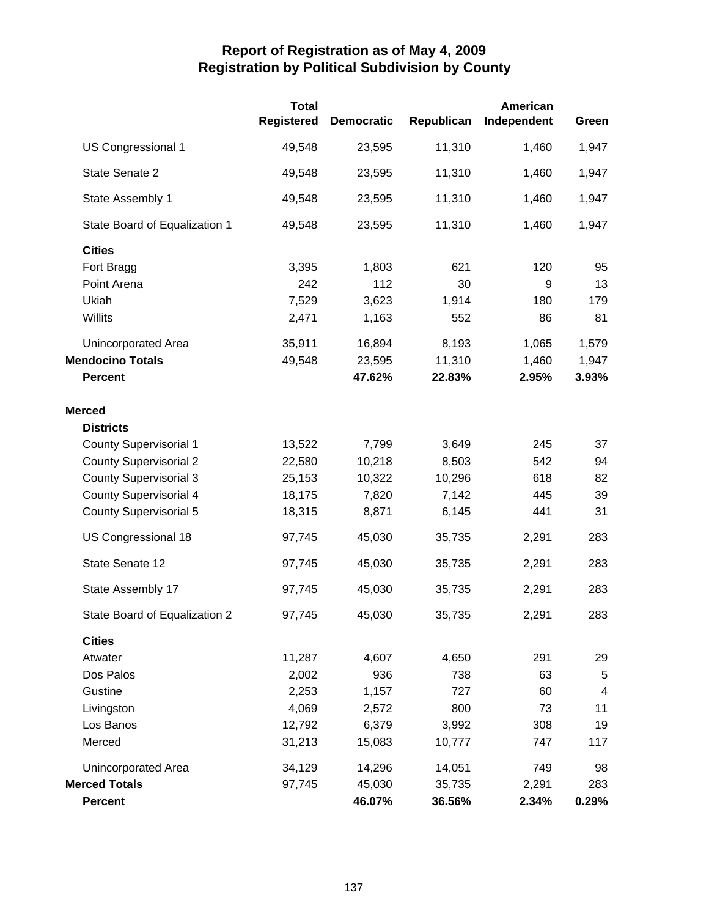|                               | <b>Total</b><br><b>Registered</b> | <b>Democratic</b> | Republican | American<br>Independent | Green      |
|-------------------------------|-----------------------------------|-------------------|------------|-------------------------|------------|
| US Congressional 1            | 49,548                            | 23,595            | 11,310     | 1,460                   | 1,947      |
| State Senate 2                | 49,548                            | 23,595            | 11,310     | 1,460                   | 1,947      |
| State Assembly 1              | 49,548                            | 23,595            | 11,310     | 1,460                   | 1,947      |
| State Board of Equalization 1 | 49,548                            | 23,595            | 11,310     | 1,460                   | 1,947      |
| <b>Cities</b>                 |                                   |                   |            |                         |            |
| Fort Bragg                    | 3,395                             | 1,803             | 621        | 120                     | 95         |
| Point Arena                   | 242                               | 112               | 30         | 9                       | 13         |
| Ukiah                         | 7,529                             | 3,623             | 1,914      | 180                     | 179        |
| Willits                       | 2,471                             | 1,163             | 552        | 86                      | 81         |
| <b>Unincorporated Area</b>    | 35,911                            | 16,894            | 8,193      | 1,065                   | 1,579      |
| <b>Mendocino Totals</b>       | 49,548                            | 23,595            | 11,310     | 1,460                   | 1,947      |
| <b>Percent</b>                |                                   | 47.62%            | 22.83%     | 2.95%                   | 3.93%      |
| <b>Merced</b>                 |                                   |                   |            |                         |            |
| <b>Districts</b>              |                                   |                   |            |                         |            |
| <b>County Supervisorial 1</b> | 13,522                            | 7,799             | 3,649      | 245                     | 37         |
| <b>County Supervisorial 2</b> | 22,580                            | 10,218            | 8,503      | 542                     | 94         |
| <b>County Supervisorial 3</b> | 25,153                            | 10,322            | 10,296     | 618                     | 82         |
| <b>County Supervisorial 4</b> | 18,175                            | 7,820             | 7,142      | 445                     | 39         |
| <b>County Supervisorial 5</b> | 18,315                            | 8,871             | 6,145      | 441                     | 31         |
| US Congressional 18           | 97,745                            | 45,030            | 35,735     | 2,291                   | 283        |
| State Senate 12               | 97,745                            | 45,030            | 35,735     | 2,291                   | 283        |
| State Assembly 17             | 97,745                            | 45,030            | 35,735     | 2,291                   | 283        |
| State Board of Equalization 2 | 97,745                            | 45,030            | 35,735     | 2,291                   | 283        |
| <b>Cities</b>                 |                                   |                   |            |                         |            |
| Atwater                       | 11,287                            | 4,607             | 4,650      | 291                     | 29         |
| Dos Palos                     | 2,002                             | 936               | 738        | 63                      | $\sqrt{5}$ |
| Gustine                       | 2,253                             | 1,157             | 727        | 60                      | 4          |
| Livingston                    | 4,069                             | 2,572             | 800        | 73                      | 11         |
| Los Banos                     | 12,792                            | 6,379             | 3,992      | 308                     | 19         |
| Merced                        | 31,213                            | 15,083            | 10,777     | 747                     | 117        |
| <b>Unincorporated Area</b>    | 34,129                            | 14,296            | 14,051     | 749                     | 98         |
| <b>Merced Totals</b>          | 97,745                            | 45,030            | 35,735     | 2,291                   | 283        |
| <b>Percent</b>                |                                   | 46.07%            | 36.56%     | 2.34%                   | 0.29%      |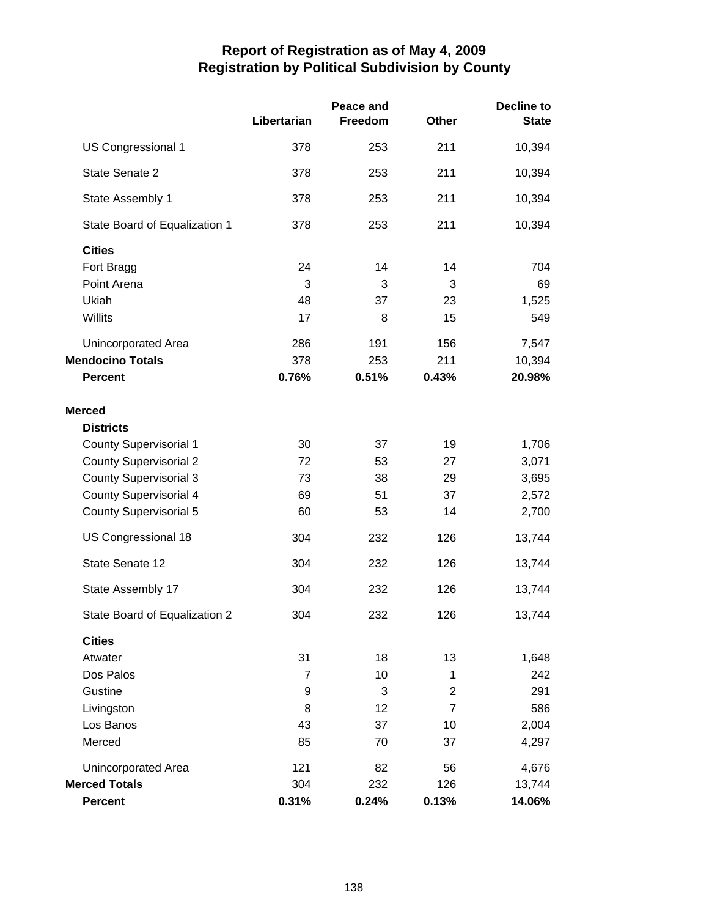|                                                                         | Libertarian         | Peace and<br>Freedom | Other               | <b>Decline to</b><br><b>State</b> |
|-------------------------------------------------------------------------|---------------------|----------------------|---------------------|-----------------------------------|
| US Congressional 1                                                      | 378                 | 253                  | 211                 | 10,394                            |
| State Senate 2                                                          | 378                 | 253                  | 211                 | 10,394                            |
| State Assembly 1                                                        | 378                 | 253                  | 211                 | 10,394                            |
| State Board of Equalization 1                                           | 378                 | 253                  | 211                 | 10,394                            |
| <b>Cities</b><br>Fort Bragg<br>Point Arena                              | 24<br>3             | 14<br>3              | 14<br>3             | 704<br>69                         |
| Ukiah                                                                   | 48                  | 37                   | 23                  | 1,525                             |
| Willits                                                                 | 17                  | 8                    | 15                  | 549                               |
| <b>Unincorporated Area</b><br><b>Mendocino Totals</b><br><b>Percent</b> | 286<br>378<br>0.76% | 191<br>253<br>0.51%  | 156<br>211<br>0.43% | 7,547<br>10,394<br>20.98%         |
| <b>Merced</b><br><b>Districts</b>                                       |                     |                      |                     |                                   |
| <b>County Supervisorial 1</b>                                           | 30                  | 37                   | 19                  | 1,706                             |
| <b>County Supervisorial 2</b>                                           | 72                  | 53                   | 27                  | 3,071                             |
| <b>County Supervisorial 3</b>                                           | 73                  | 38                   | 29                  | 3,695                             |
| <b>County Supervisorial 4</b>                                           | 69                  | 51                   | 37                  | 2,572                             |
| <b>County Supervisorial 5</b>                                           | 60                  | 53                   | 14                  | 2,700                             |
| US Congressional 18                                                     | 304                 | 232                  | 126                 | 13,744                            |
| State Senate 12                                                         | 304                 | 232                  | 126                 | 13,744                            |
| State Assembly 17                                                       | 304                 | 232                  | 126                 | 13,744                            |
| State Board of Equalization 2                                           | 304                 | 232                  | 126                 | 13,744                            |
| <b>Cities</b>                                                           |                     |                      |                     |                                   |
| Atwater                                                                 | 31                  | 18                   | 13                  | 1,648                             |
| Dos Palos                                                               | $\overline{7}$      | 10                   | 1                   | 242                               |
| Gustine                                                                 | 9                   | 3                    | 2                   | 291                               |
| Livingston                                                              | 8                   | 12                   | $\overline{7}$      | 586                               |
| Los Banos                                                               | 43                  | 37                   | 10                  | 2,004                             |
| Merced                                                                  | 85                  | 70                   | 37                  | 4,297                             |
| Unincorporated Area                                                     | 121                 | 82                   | 56                  | 4,676                             |
| <b>Merced Totals</b>                                                    | 304                 | 232                  | 126                 | 13,744                            |
| <b>Percent</b>                                                          | 0.31%               | 0.24%                | 0.13%               | 14.06%                            |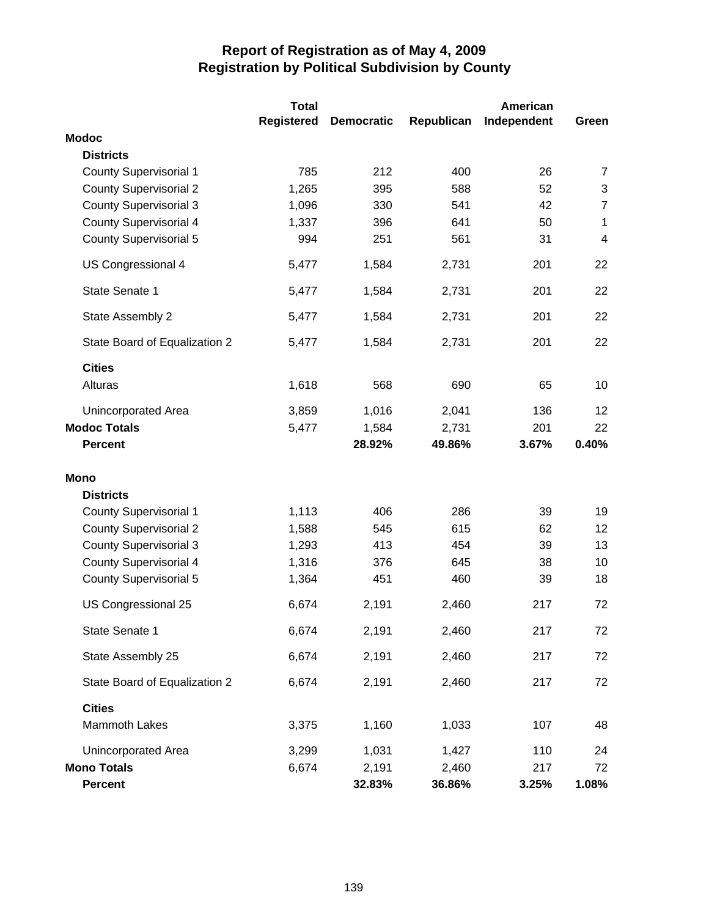|                               | <b>Total</b>      |                   |            | <b>American</b> |                |
|-------------------------------|-------------------|-------------------|------------|-----------------|----------------|
|                               | <b>Registered</b> | <b>Democratic</b> | Republican | Independent     | Green          |
| <b>Modoc</b>                  |                   |                   |            |                 |                |
| <b>Districts</b>              |                   |                   |            |                 |                |
| <b>County Supervisorial 1</b> | 785               | 212               | 400        | 26              | 7              |
| <b>County Supervisorial 2</b> | 1,265             | 395               | 588        | 52              | $\sqrt{3}$     |
| <b>County Supervisorial 3</b> | 1,096             | 330               | 541        | 42              | $\overline{7}$ |
| <b>County Supervisorial 4</b> | 1,337             | 396               | 641        | 50              | 1              |
| <b>County Supervisorial 5</b> | 994               | 251               | 561        | 31              | 4              |
| US Congressional 4            | 5,477             | 1,584             | 2,731      | 201             | 22             |
| State Senate 1                | 5,477             | 1,584             | 2,731      | 201             | 22             |
| State Assembly 2              | 5,477             | 1,584             | 2,731      | 201             | 22             |
| State Board of Equalization 2 | 5,477             | 1,584             | 2,731      | 201             | 22             |
| <b>Cities</b>                 |                   |                   |            |                 |                |
| Alturas                       | 1,618             | 568               | 690        | 65              | 10             |
| Unincorporated Area           | 3,859             | 1,016             | 2,041      | 136             | 12             |
| <b>Modoc Totals</b>           | 5,477             | 1,584             | 2,731      | 201             | 22             |
| <b>Percent</b>                |                   | 28.92%            | 49.86%     | 3.67%           | 0.40%          |
| <b>Mono</b>                   |                   |                   |            |                 |                |
| <b>Districts</b>              |                   |                   |            |                 |                |
| <b>County Supervisorial 1</b> | 1,113             | 406               | 286        | 39              | 19             |
| <b>County Supervisorial 2</b> | 1,588             | 545               | 615        | 62              | 12             |
| <b>County Supervisorial 3</b> | 1,293             | 413               | 454        | 39              | 13             |
| <b>County Supervisorial 4</b> | 1,316             | 376               | 645        | 38              | 10             |
| <b>County Supervisorial 5</b> | 1,364             | 451               | 460        | 39              | 18             |
| US Congressional 25           | 6,674             | 2,191             | 2,460      | 217             | 72             |
| State Senate 1                | 6,674             | 2,191             | 2,460      | 217             | 72             |
| State Assembly 25             | 6,674             | 2,191             | 2,460      | 217             | 72             |
| State Board of Equalization 2 | 6,674             | 2,191             | 2,460      | 217             | 72             |
| <b>Cities</b>                 |                   |                   |            |                 |                |
| Mammoth Lakes                 | 3,375             | 1,160             | 1,033      | 107             | 48             |
| Unincorporated Area           | 3,299             | 1,031             | 1,427      | 110             | 24             |
| <b>Mono Totals</b>            | 6,674             | 2,191             | 2,460      | 217             | 72             |
| <b>Percent</b>                |                   | 32.83%            | 36.86%     | 3.25%           | 1.08%          |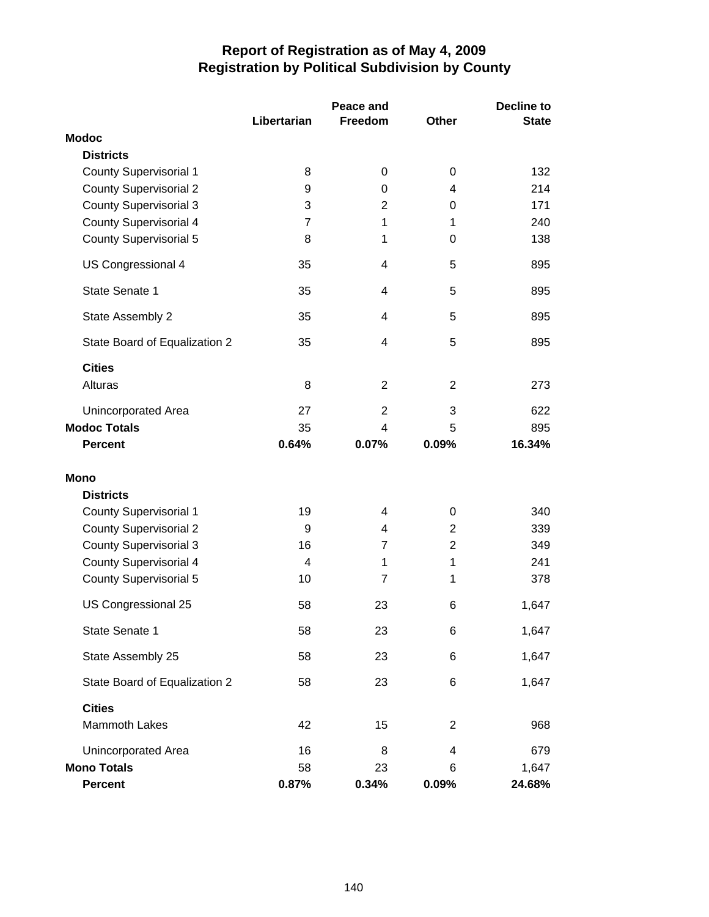|                               |                | Peace and      |                | Decline to   |  |
|-------------------------------|----------------|----------------|----------------|--------------|--|
|                               | Libertarian    | Freedom        | <b>Other</b>   | <b>State</b> |  |
| <b>Modoc</b>                  |                |                |                |              |  |
| <b>Districts</b>              |                |                |                |              |  |
| <b>County Supervisorial 1</b> | 8              | 0              | 0              | 132          |  |
| <b>County Supervisorial 2</b> | 9              | 0              | 4              | 214          |  |
| <b>County Supervisorial 3</b> | 3              | $\overline{2}$ | 0              | 171          |  |
| <b>County Supervisorial 4</b> | $\overline{7}$ | 1              | 1              | 240          |  |
| <b>County Supervisorial 5</b> | 8              | 1              | 0              | 138          |  |
| US Congressional 4            | 35             | 4              | 5              | 895          |  |
| State Senate 1                | 35             | 4              | 5              | 895          |  |
| State Assembly 2              | 35             | 4              | 5              | 895          |  |
| State Board of Equalization 2 | 35             | 4              | 5              | 895          |  |
| <b>Cities</b>                 |                |                |                |              |  |
| Alturas                       | 8              | $\overline{2}$ | $\overline{2}$ | 273          |  |
| Unincorporated Area           | 27             | $\overline{2}$ | 3              | 622          |  |
| <b>Modoc Totals</b>           | 35             | 4              | 5              | 895          |  |
| <b>Percent</b>                | 0.64%          | 0.07%          | 0.09%          | 16.34%       |  |
| Mono                          |                |                |                |              |  |
| <b>Districts</b>              |                |                |                |              |  |
| County Supervisorial 1        | 19             | 4              | 0              | 340          |  |
| <b>County Supervisorial 2</b> | 9              | 4              | $\overline{2}$ | 339          |  |
| <b>County Supervisorial 3</b> | 16             | $\overline{7}$ | $\overline{2}$ | 349          |  |
| <b>County Supervisorial 4</b> | 4              | 1              | 1              | 241          |  |
| <b>County Supervisorial 5</b> | 10             | 7              | 1              | 378          |  |
| US Congressional 25           | 58             | 23             | 6              | 1,647        |  |
| State Senate 1                | 58             | 23             | 6              | 1,647        |  |
| State Assembly 25             | 58             | 23             | 6              | 1,647        |  |
| State Board of Equalization 2 | 58             | 23             | 6              | 1,647        |  |
| <b>Cities</b>                 |                |                |                |              |  |
| Mammoth Lakes                 | 42             | 15             | $\overline{2}$ | 968          |  |
| Unincorporated Area           | 16             | 8              | 4              | 679          |  |
| <b>Mono Totals</b>            | 58             | 23             | 6              | 1,647        |  |
| Percent                       | 0.87%          | 0.34%          | 0.09%          | 24.68%       |  |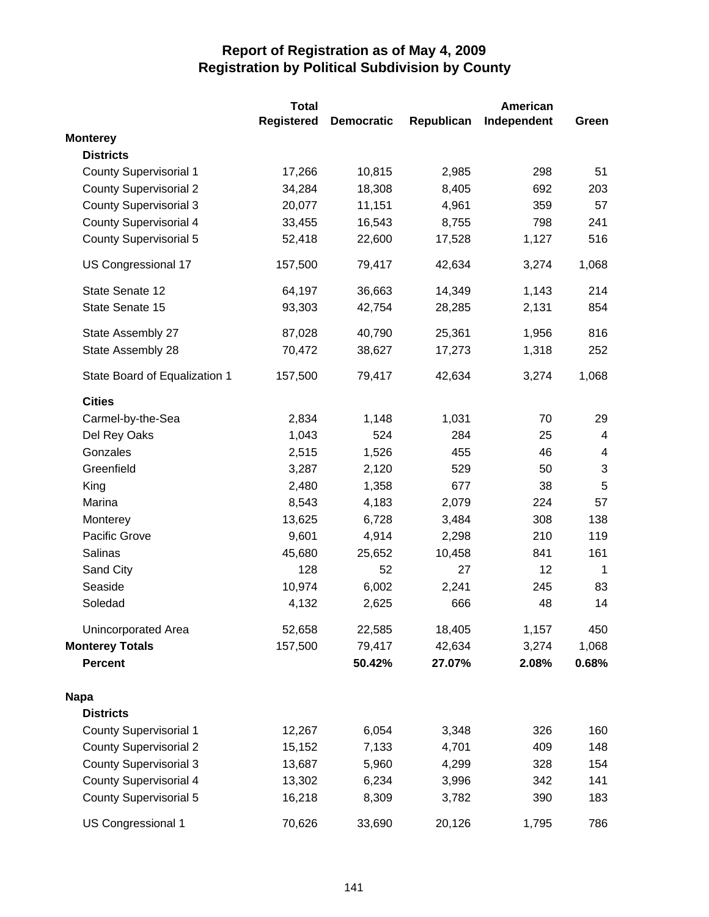|                               | <b>Total</b> |                   |            | American    |                         |
|-------------------------------|--------------|-------------------|------------|-------------|-------------------------|
|                               | Registered   | <b>Democratic</b> | Republican | Independent | Green                   |
| <b>Monterey</b>               |              |                   |            |             |                         |
| <b>Districts</b>              |              |                   |            |             |                         |
| <b>County Supervisorial 1</b> | 17,266       | 10,815            | 2,985      | 298         | 51                      |
| <b>County Supervisorial 2</b> | 34,284       | 18,308            | 8,405      | 692         | 203                     |
| <b>County Supervisorial 3</b> | 20,077       | 11,151            | 4,961      | 359         | 57                      |
| <b>County Supervisorial 4</b> | 33,455       | 16,543            | 8,755      | 798         | 241                     |
| <b>County Supervisorial 5</b> | 52,418       | 22,600            | 17,528     | 1,127       | 516                     |
| US Congressional 17           | 157,500      | 79,417            | 42,634     | 3,274       | 1,068                   |
| State Senate 12               | 64,197       | 36,663            | 14,349     | 1,143       | 214                     |
| State Senate 15               | 93,303       | 42,754            | 28,285     | 2,131       | 854                     |
| State Assembly 27             | 87,028       | 40,790            | 25,361     | 1,956       | 816                     |
| State Assembly 28             | 70,472       | 38,627            | 17,273     | 1,318       | 252                     |
| State Board of Equalization 1 | 157,500      | 79,417            | 42,634     | 3,274       | 1,068                   |
| <b>Cities</b>                 |              |                   |            |             |                         |
| Carmel-by-the-Sea             | 2,834        | 1,148             | 1,031      | 70          | 29                      |
| Del Rey Oaks                  | 1,043        | 524               | 284        | 25          | $\overline{4}$          |
| Gonzales                      | 2,515        | 1,526             | 455        | 46          | $\overline{\mathbf{4}}$ |
| Greenfield                    | 3,287        | 2,120             | 529        | 50          | 3                       |
| King                          | 2,480        | 1,358             | 677        | 38          | 5                       |
| Marina                        | 8,543        | 4,183             | 2,079      | 224         | 57                      |
| Monterey                      | 13,625       | 6,728             | 3,484      | 308         | 138                     |
| Pacific Grove                 | 9,601        | 4,914             | 2,298      | 210         | 119                     |
| Salinas                       | 45,680       | 25,652            | 10,458     | 841         | 161                     |
| Sand City                     | 128          | 52                | 27         | 12          | $\mathbf{1}$            |
| Seaside                       | 10,974       | 6,002             | 2,241      | 245         | 83                      |
| Soledad                       | 4,132        | 2,625             | 666        | 48          | 14                      |
| Unincorporated Area           | 52,658       | 22,585            | 18,405     | 1,157       | 450                     |
| <b>Monterey Totals</b>        | 157,500      | 79,417            | 42,634     | 3,274       | 1,068                   |
| <b>Percent</b>                |              | 50.42%            | 27.07%     | 2.08%       | 0.68%                   |
| <b>Napa</b>                   |              |                   |            |             |                         |
| <b>Districts</b>              |              |                   |            |             |                         |
| <b>County Supervisorial 1</b> | 12,267       | 6,054             | 3,348      | 326         | 160                     |
| <b>County Supervisorial 2</b> | 15,152       | 7,133             | 4,701      | 409         | 148                     |
| <b>County Supervisorial 3</b> | 13,687       | 5,960             | 4,299      | 328         | 154                     |
| <b>County Supervisorial 4</b> | 13,302       | 6,234             | 3,996      | 342         | 141                     |
| <b>County Supervisorial 5</b> | 16,218       | 8,309             | 3,782      | 390         | 183                     |
| US Congressional 1            | 70,626       | 33,690            | 20,126     | 1,795       | 786                     |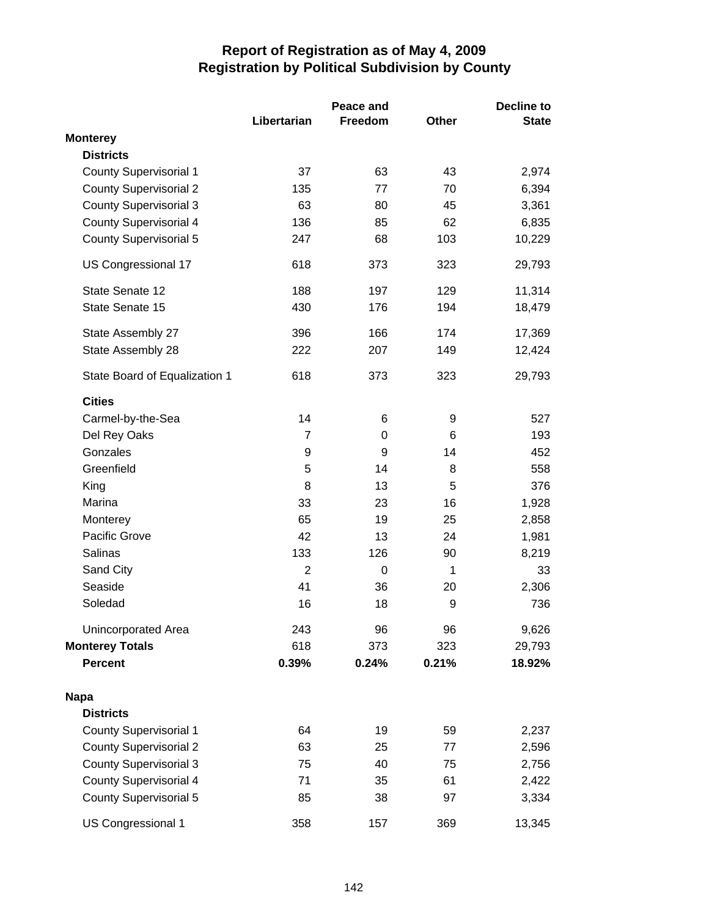|                               |                | Peace and |              | <b>Decline to</b> |  |
|-------------------------------|----------------|-----------|--------------|-------------------|--|
|                               | Libertarian    | Freedom   | <b>Other</b> | <b>State</b>      |  |
| <b>Monterey</b>               |                |           |              |                   |  |
| <b>Districts</b>              |                |           |              |                   |  |
| <b>County Supervisorial 1</b> | 37             | 63        | 43           | 2,974             |  |
| <b>County Supervisorial 2</b> | 135            | 77        | 70           | 6,394             |  |
| <b>County Supervisorial 3</b> | 63             | 80        | 45           | 3,361             |  |
| <b>County Supervisorial 4</b> | 136            | 85        | 62           | 6,835             |  |
| <b>County Supervisorial 5</b> | 247            | 68        | 103          | 10,229            |  |
| US Congressional 17           | 618            | 373       | 323          | 29,793            |  |
| State Senate 12               | 188            | 197       | 129          | 11,314            |  |
| State Senate 15               | 430            | 176       | 194          | 18,479            |  |
| State Assembly 27             | 396            | 166       | 174          | 17,369            |  |
| State Assembly 28             | 222            | 207       | 149          | 12,424            |  |
| State Board of Equalization 1 | 618            | 373       | 323          | 29,793            |  |
| <b>Cities</b>                 |                |           |              |                   |  |
| Carmel-by-the-Sea             | 14             | 6         | 9            | 527               |  |
| Del Rey Oaks                  | 7              | 0         | 6            | 193               |  |
| Gonzales                      | 9              | 9         | 14           | 452               |  |
| Greenfield                    | 5              | 14        | 8            | 558               |  |
| King                          | 8              | 13        | 5            | 376               |  |
| Marina                        | 33             | 23        | 16           | 1,928             |  |
| Monterey                      | 65             | 19        | 25           | 2,858             |  |
| Pacific Grove                 | 42             | 13        | 24           | 1,981             |  |
| Salinas                       | 133            | 126       | 90           | 8,219             |  |
| Sand City                     | $\overline{2}$ | 0         | 1            | 33                |  |
| Seaside                       | 41             | 36        | 20           | 2,306             |  |
| Soledad                       | 16             | 18        | 9            | 736               |  |
| <b>Unincorporated Area</b>    | 243            | 96        | 96           | 9,626             |  |
| <b>Monterey Totals</b>        | 618            | 373       | 323          | 29,793            |  |
| <b>Percent</b>                | 0.39%          | 0.24%     | 0.21%        | 18.92%            |  |
| <b>Napa</b>                   |                |           |              |                   |  |
| <b>Districts</b>              |                |           |              |                   |  |
| County Supervisorial 1        | 64             | 19        | 59           | 2,237             |  |
| <b>County Supervisorial 2</b> | 63             | 25        | 77           | 2,596             |  |
| <b>County Supervisorial 3</b> | 75             | 40        | 75           | 2,756             |  |
| <b>County Supervisorial 4</b> | 71             | 35        | 61           | 2,422             |  |
| <b>County Supervisorial 5</b> | 85             | 38        | 97           | 3,334             |  |
| US Congressional 1            | 358            | 157       | 369          | 13,345            |  |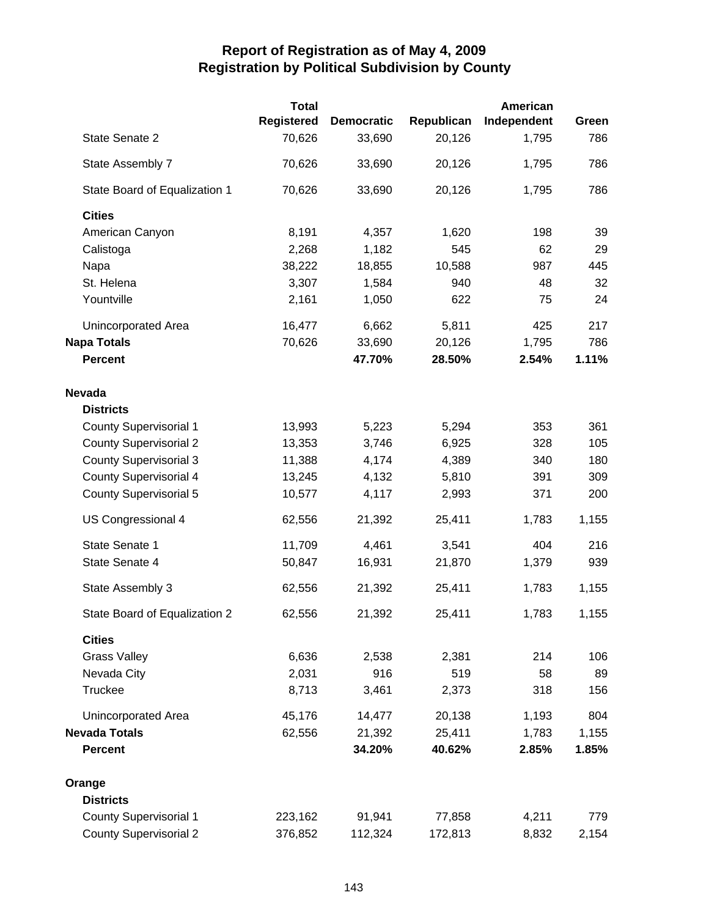|                               | <b>Total</b> |                   |            | <b>American</b> |       |
|-------------------------------|--------------|-------------------|------------|-----------------|-------|
|                               | Registered   | <b>Democratic</b> | Republican | Independent     | Green |
| State Senate 2                | 70,626       | 33,690            | 20,126     | 1,795           | 786   |
| State Assembly 7              | 70,626       | 33,690            | 20,126     | 1,795           | 786   |
| State Board of Equalization 1 | 70,626       | 33,690            | 20,126     | 1,795           | 786   |
| <b>Cities</b>                 |              |                   |            |                 |       |
| American Canyon               | 8,191        | 4,357             | 1,620      | 198             | 39    |
| Calistoga                     | 2,268        | 1,182             | 545        | 62              | 29    |
| Napa                          | 38,222       | 18,855            | 10,588     | 987             | 445   |
| St. Helena                    | 3,307        | 1,584             | 940        | 48              | 32    |
| Yountville                    | 2,161        | 1,050             | 622        | 75              | 24    |
| Unincorporated Area           | 16,477       | 6,662             | 5,811      | 425             | 217   |
| <b>Napa Totals</b>            | 70,626       | 33,690            | 20,126     | 1,795           | 786   |
| <b>Percent</b>                |              | 47.70%            | 28.50%     | 2.54%           | 1.11% |
| <b>Nevada</b>                 |              |                   |            |                 |       |
| <b>Districts</b>              |              |                   |            |                 |       |
| <b>County Supervisorial 1</b> | 13,993       | 5,223             | 5,294      | 353             | 361   |
| <b>County Supervisorial 2</b> | 13,353       | 3,746             | 6,925      | 328             | 105   |
| <b>County Supervisorial 3</b> | 11,388       | 4,174             | 4,389      | 340             | 180   |
| County Supervisorial 4        | 13,245       | 4,132             | 5,810      | 391             | 309   |
| <b>County Supervisorial 5</b> | 10,577       | 4,117             | 2,993      | 371             | 200   |
| US Congressional 4            | 62,556       | 21,392            | 25,411     | 1,783           | 1,155 |
| State Senate 1                | 11,709       | 4,461             | 3,541      | 404             | 216   |
| State Senate 4                | 50,847       | 16,931            | 21,870     | 1,379           | 939   |
| State Assembly 3              | 62,556       | 21,392            | 25,411     | 1,783           | 1,155 |
| State Board of Equalization 2 | 62,556       | 21,392            | 25,411     | 1,783           | 1,155 |
| <b>Cities</b>                 |              |                   |            |                 |       |
| <b>Grass Valley</b>           | 6,636        | 2,538             | 2,381      | 214             | 106   |
| Nevada City                   | 2,031        | 916               | 519        | 58              | 89    |
| Truckee                       | 8,713        | 3,461             | 2,373      | 318             | 156   |
| Unincorporated Area           | 45,176       | 14,477            | 20,138     | 1,193           | 804   |
| <b>Nevada Totals</b>          | 62,556       | 21,392            | 25,411     | 1,783           | 1,155 |
| <b>Percent</b>                |              | 34.20%            | 40.62%     | 2.85%           | 1.85% |
| Orange                        |              |                   |            |                 |       |
| <b>Districts</b>              |              |                   |            |                 |       |
| <b>County Supervisorial 1</b> | 223,162      | 91,941            | 77,858     | 4,211           | 779   |
| <b>County Supervisorial 2</b> | 376,852      | 112,324           | 172,813    | 8,832           | 2,154 |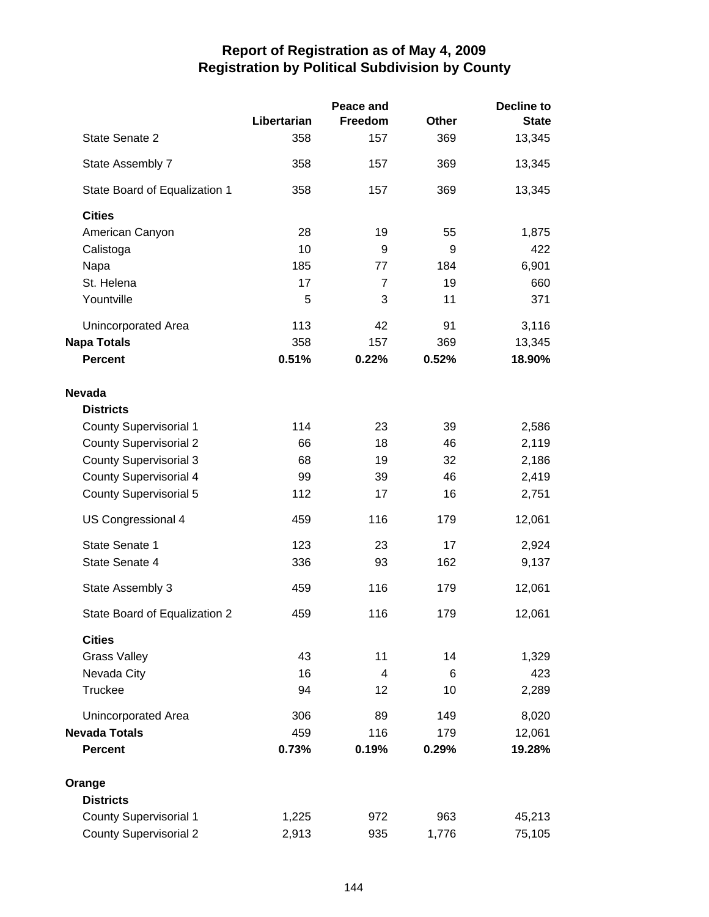|                               |             | Peace and      |              | <b>Decline to</b> |
|-------------------------------|-------------|----------------|--------------|-------------------|
|                               | Libertarian | Freedom        | <b>Other</b> | <b>State</b>      |
| State Senate 2                | 358         | 157            | 369          | 13,345            |
| State Assembly 7              | 358         | 157            | 369          | 13,345            |
| State Board of Equalization 1 | 358         | 157            | 369          | 13,345            |
| <b>Cities</b>                 |             |                |              |                   |
| American Canyon               | 28          | 19             | 55           | 1,875             |
| Calistoga                     | 10          | 9              | 9            | 422               |
| Napa                          | 185         | 77             | 184          | 6,901             |
| St. Helena                    | 17          | $\overline{7}$ | 19           | 660               |
| Yountville                    | 5           | 3              | 11           | 371               |
| Unincorporated Area           | 113         | 42             | 91           | 3,116             |
| <b>Napa Totals</b>            | 358         | 157            | 369          | 13,345            |
| <b>Percent</b>                | 0.51%       | 0.22%          | 0.52%        | 18.90%            |
| <b>Nevada</b>                 |             |                |              |                   |
| <b>Districts</b>              |             |                |              |                   |
| <b>County Supervisorial 1</b> | 114         | 23             | 39           | 2,586             |
| <b>County Supervisorial 2</b> | 66          | 18             | 46           | 2,119             |
| <b>County Supervisorial 3</b> | 68          | 19             | 32           | 2,186             |
| <b>County Supervisorial 4</b> | 99          | 39             | 46           | 2,419             |
| <b>County Supervisorial 5</b> | 112         | 17             | 16           | 2,751             |
| US Congressional 4            | 459         | 116            | 179          | 12,061            |
| State Senate 1                | 123         | 23             | 17           | 2,924             |
| State Senate 4                | 336         | 93             | 162          | 9,137             |
| State Assembly 3              | 459         | 116            | 179          | 12,061            |
| State Board of Equalization 2 | 459         | 116            | 179          | 12,061            |
| <b>Cities</b>                 |             |                |              |                   |
| <b>Grass Valley</b>           | 43          | 11             | 14           | 1,329             |
| Nevada City                   | 16          | 4              | 6            | 423               |
| Truckee                       | 94          | 12             | 10           | 2,289             |
|                               |             |                |              |                   |
| Unincorporated Area           | 306         | 89             | 149          | 8,020             |
| <b>Nevada Totals</b>          | 459         | 116            | 179          | 12,061            |
| <b>Percent</b>                | 0.73%       | 0.19%          | 0.29%        | 19.28%            |
| Orange                        |             |                |              |                   |
| <b>Districts</b>              |             |                |              |                   |
| <b>County Supervisorial 1</b> | 1,225       | 972            | 963          | 45,213            |
| <b>County Supervisorial 2</b> | 2,913       | 935            | 1,776        | 75,105            |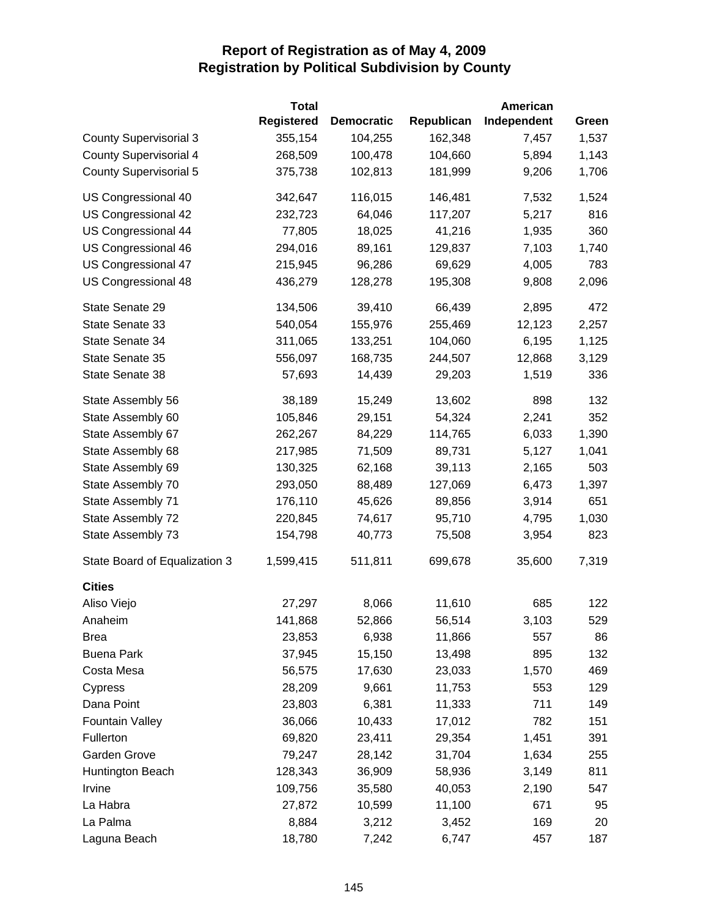|                               | <b>Total</b>      |                   |            | <b>American</b> |       |
|-------------------------------|-------------------|-------------------|------------|-----------------|-------|
|                               | <b>Registered</b> | <b>Democratic</b> | Republican | Independent     | Green |
| <b>County Supervisorial 3</b> | 355,154           | 104,255           | 162,348    | 7,457           | 1,537 |
| <b>County Supervisorial 4</b> | 268,509           | 100,478           | 104,660    | 5,894           | 1,143 |
| County Supervisorial 5        | 375,738           | 102,813           | 181,999    | 9,206           | 1,706 |
| US Congressional 40           | 342,647           | 116,015           | 146,481    | 7,532           | 1,524 |
| US Congressional 42           | 232,723           | 64,046            | 117,207    | 5,217           | 816   |
| <b>US Congressional 44</b>    | 77,805            | 18,025            | 41,216     | 1,935           | 360   |
| US Congressional 46           | 294,016           | 89,161            | 129,837    | 7,103           | 1,740 |
| US Congressional 47           | 215,945           | 96,286            | 69,629     | 4,005           | 783   |
| US Congressional 48           | 436,279           | 128,278           | 195,308    | 9,808           | 2,096 |
| State Senate 29               | 134,506           | 39,410            | 66,439     | 2,895           | 472   |
| State Senate 33               | 540,054           | 155,976           | 255,469    | 12,123          | 2,257 |
| State Senate 34               | 311,065           | 133,251           | 104,060    | 6,195           | 1,125 |
| State Senate 35               | 556,097           | 168,735           | 244,507    | 12,868          | 3,129 |
| State Senate 38               | 57,693            | 14,439            | 29,203     | 1,519           | 336   |
| State Assembly 56             | 38,189            | 15,249            | 13,602     | 898             | 132   |
| State Assembly 60             | 105,846           | 29,151            | 54,324     | 2,241           | 352   |
| State Assembly 67             | 262,267           | 84,229            | 114,765    | 6,033           | 1,390 |
| State Assembly 68             | 217,985           | 71,509            | 89,731     | 5,127           | 1,041 |
| State Assembly 69             | 130,325           | 62,168            | 39,113     | 2,165           | 503   |
| State Assembly 70             | 293,050           | 88,489            | 127,069    | 6,473           | 1,397 |
| State Assembly 71             | 176,110           | 45,626            | 89,856     | 3,914           | 651   |
| State Assembly 72             | 220,845           | 74,617            | 95,710     | 4,795           | 1,030 |
| State Assembly 73             | 154,798           | 40,773            | 75,508     | 3,954           | 823   |
| State Board of Equalization 3 | 1,599,415         | 511,811           | 699,678    | 35,600          | 7,319 |
| <b>Cities</b>                 |                   |                   |            |                 |       |
| Aliso Viejo                   | 27,297            | 8,066             | 11,610     | 685             | 122   |
| Anaheim                       | 141,868           | 52,866            | 56,514     | 3,103           | 529   |
| Brea                          | 23,853            | 6,938             | 11,866     | 557             | 86    |
| <b>Buena Park</b>             | 37,945            | 15,150            | 13,498     | 895             | 132   |
| Costa Mesa                    | 56,575            | 17,630            | 23,033     | 1,570           | 469   |
| Cypress                       | 28,209            | 9,661             | 11,753     | 553             | 129   |
| Dana Point                    | 23,803            | 6,381             | 11,333     | 711             | 149   |
| <b>Fountain Valley</b>        | 36,066            | 10,433            | 17,012     | 782             | 151   |
| Fullerton                     | 69,820            | 23,411            | 29,354     | 1,451           | 391   |
| Garden Grove                  | 79,247            | 28,142            | 31,704     | 1,634           | 255   |
| Huntington Beach              | 128,343           | 36,909            | 58,936     | 3,149           | 811   |
| Irvine                        | 109,756           | 35,580            | 40,053     | 2,190           | 547   |
| La Habra                      | 27,872            | 10,599            | 11,100     | 671             | 95    |
| La Palma                      | 8,884             | 3,212             | 3,452      | 169             | 20    |
| Laguna Beach                  | 18,780            | 7,242             | 6,747      | 457             | 187   |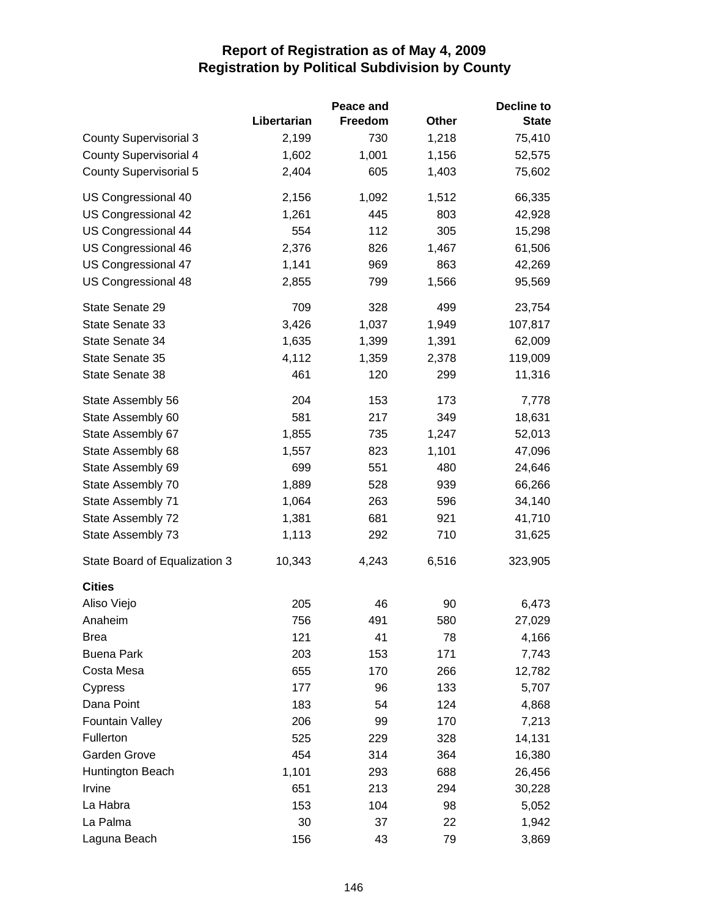|                               |             | Peace and      |       | <b>Decline to</b> |
|-------------------------------|-------------|----------------|-------|-------------------|
|                               | Libertarian | <b>Freedom</b> | Other | <b>State</b>      |
| <b>County Supervisorial 3</b> | 2,199       | 730            | 1,218 | 75,410            |
| <b>County Supervisorial 4</b> | 1,602       | 1,001          | 1,156 | 52,575            |
| <b>County Supervisorial 5</b> | 2,404       | 605            | 1,403 | 75,602            |
| US Congressional 40           | 2,156       | 1,092          | 1,512 | 66,335            |
| US Congressional 42           | 1,261       | 445            | 803   | 42,928            |
| US Congressional 44           | 554         | 112            | 305   | 15,298            |
| US Congressional 46           | 2,376       | 826            | 1,467 | 61,506            |
| US Congressional 47           | 1,141       | 969            | 863   | 42,269            |
| US Congressional 48           | 2,855       | 799            | 1,566 | 95,569            |
| State Senate 29               | 709         | 328            | 499   | 23,754            |
| State Senate 33               | 3,426       | 1,037          | 1,949 | 107,817           |
| State Senate 34               | 1,635       | 1,399          | 1,391 | 62,009            |
| State Senate 35               | 4,112       | 1,359          | 2,378 | 119,009           |
| State Senate 38               | 461         | 120            | 299   | 11,316            |
| State Assembly 56             | 204         | 153            | 173   | 7,778             |
| State Assembly 60             | 581         | 217            | 349   | 18,631            |
| State Assembly 67             | 1,855       | 735            | 1,247 | 52,013            |
| State Assembly 68             | 1,557       | 823            | 1,101 | 47,096            |
| State Assembly 69             | 699         | 551            | 480   | 24,646            |
| State Assembly 70             | 1,889       | 528            | 939   | 66,266            |
| State Assembly 71             | 1,064       | 263            | 596   | 34,140            |
| State Assembly 72             | 1,381       | 681            | 921   | 41,710            |
| State Assembly 73             | 1,113       | 292            | 710   | 31,625            |
| State Board of Equalization 3 | 10,343      | 4,243          | 6,516 | 323,905           |
| <b>Cities</b>                 |             |                |       |                   |
| Aliso Viejo                   | 205         | 46             | 90    | 6,473             |
| Anaheim                       | 756         | 491            | 580   | 27,029            |
| <b>Brea</b>                   | 121         | 41             | 78    | 4,166             |
| <b>Buena Park</b>             | 203         | 153            | 171   | 7,743             |
| Costa Mesa                    | 655         | 170            | 266   | 12,782            |
| Cypress                       | 177         | 96             | 133   | 5,707             |
| Dana Point                    | 183         | 54             | 124   | 4,868             |
| <b>Fountain Valley</b>        | 206         | 99             | 170   | 7,213             |
| Fullerton                     | 525         | 229            | 328   | 14,131            |
| Garden Grove                  | 454         | 314            | 364   | 16,380            |
| Huntington Beach              | 1,101       | 293            | 688   | 26,456            |
| Irvine                        | 651         | 213            | 294   | 30,228            |
| La Habra                      | 153         | 104            | 98    | 5,052             |
| La Palma                      | 30          | 37             | 22    | 1,942             |
| Laguna Beach                  | 156         | 43             | 79    | 3,869             |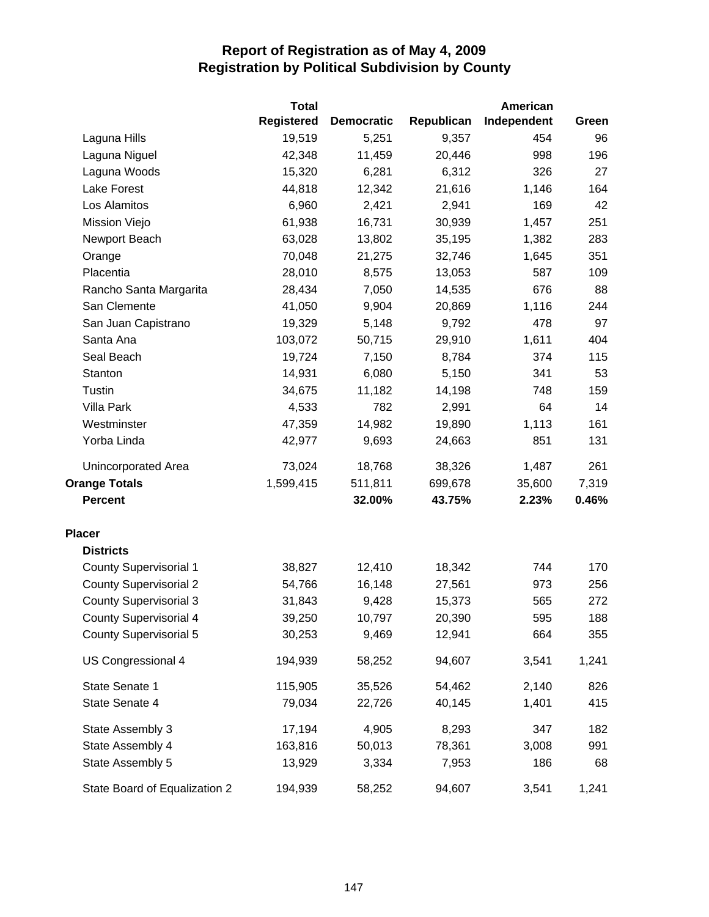|                               | <b>Total</b>      |                   |            | American    |       |
|-------------------------------|-------------------|-------------------|------------|-------------|-------|
|                               | <b>Registered</b> | <b>Democratic</b> | Republican | Independent | Green |
| Laguna Hills                  | 19,519            | 5,251             | 9,357      | 454         | 96    |
| Laguna Niguel                 | 42,348            | 11,459            | 20,446     | 998         | 196   |
| Laguna Woods                  | 15,320            | 6,281             | 6,312      | 326         | 27    |
| Lake Forest                   | 44,818            | 12,342            | 21,616     | 1,146       | 164   |
| Los Alamitos                  | 6,960             | 2,421             | 2,941      | 169         | 42    |
| Mission Viejo                 | 61,938            | 16,731            | 30,939     | 1,457       | 251   |
| Newport Beach                 | 63,028            | 13,802            | 35,195     | 1,382       | 283   |
| Orange                        | 70,048            | 21,275            | 32,746     | 1,645       | 351   |
| Placentia                     | 28,010            | 8,575             | 13,053     | 587         | 109   |
| Rancho Santa Margarita        | 28,434            | 7,050             | 14,535     | 676         | 88    |
| San Clemente                  | 41,050            | 9,904             | 20,869     | 1,116       | 244   |
| San Juan Capistrano           | 19,329            | 5,148             | 9,792      | 478         | 97    |
| Santa Ana                     | 103,072           | 50,715            | 29,910     | 1,611       | 404   |
| Seal Beach                    | 19,724            | 7,150             | 8,784      | 374         | 115   |
| Stanton                       | 14,931            | 6,080             | 5,150      | 341         | 53    |
| Tustin                        | 34,675            | 11,182            | 14,198     | 748         | 159   |
| Villa Park                    | 4,533             | 782               | 2,991      | 64          | 14    |
| Westminster                   | 47,359            | 14,982            | 19,890     | 1,113       | 161   |
| Yorba Linda                   | 42,977            | 9,693             | 24,663     | 851         | 131   |
| Unincorporated Area           | 73,024            | 18,768            | 38,326     | 1,487       | 261   |
| <b>Orange Totals</b>          | 1,599,415         | 511,811           | 699,678    | 35,600      | 7,319 |
| <b>Percent</b>                |                   | 32.00%            | 43.75%     | 2.23%       | 0.46% |
| <b>Placer</b>                 |                   |                   |            |             |       |
| <b>Districts</b>              |                   |                   |            |             |       |
| <b>County Supervisorial 1</b> | 38,827            | 12,410            | 18,342     | 744         | 170   |
| <b>County Supervisorial 2</b> | 54,766            | 16,148            | 27,561     | 973         | 256   |
| <b>County Supervisorial 3</b> | 31,843            | 9,428             | 15,373     | 565         | 272   |
| <b>County Supervisorial 4</b> | 39,250            | 10,797            | 20,390     | 595         | 188   |
| <b>County Supervisorial 5</b> | 30,253            | 9,469             | 12,941     | 664         | 355   |
| US Congressional 4            | 194,939           | 58,252            | 94,607     | 3,541       | 1,241 |
| State Senate 1                | 115,905           | 35,526            | 54,462     | 2,140       | 826   |
| State Senate 4                | 79,034            | 22,726            | 40,145     | 1,401       | 415   |
| State Assembly 3              | 17,194            | 4,905             | 8,293      | 347         | 182   |
| State Assembly 4              | 163,816           | 50,013            | 78,361     | 3,008       | 991   |
| State Assembly 5              | 13,929            | 3,334             | 7,953      | 186         | 68    |
| State Board of Equalization 2 | 194,939           | 58,252            | 94,607     | 3,541       | 1,241 |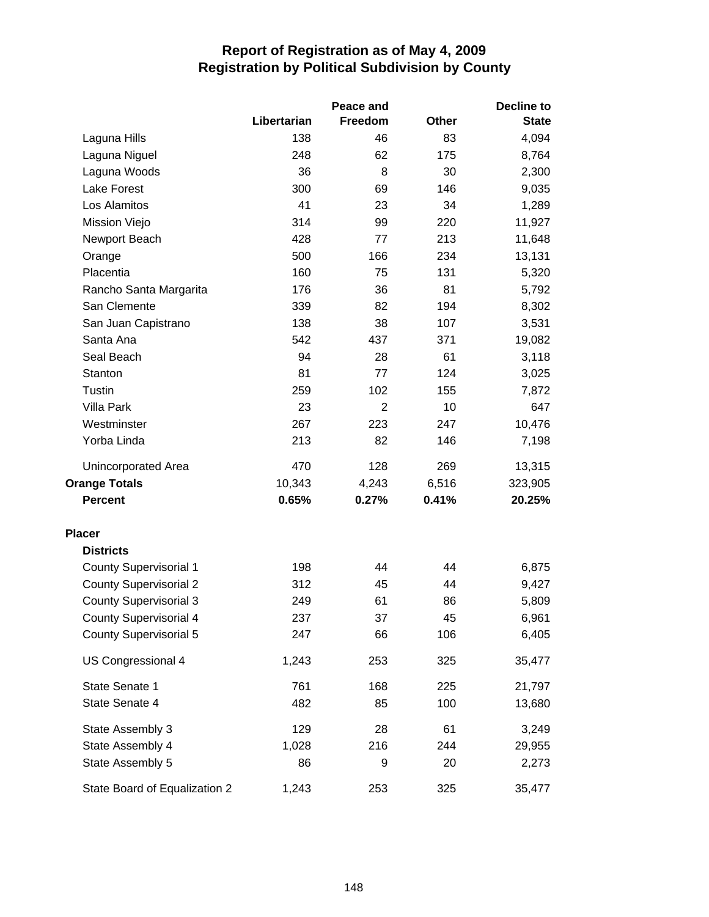|                               |             | Peace and      | <b>Decline to</b> |              |  |
|-------------------------------|-------------|----------------|-------------------|--------------|--|
|                               | Libertarian | Freedom        | <b>Other</b>      | <b>State</b> |  |
| Laguna Hills                  | 138         | 46             | 83                | 4,094        |  |
| Laguna Niguel                 | 248         | 62             | 175               | 8,764        |  |
| Laguna Woods                  | 36          | 8              | 30                | 2,300        |  |
| <b>Lake Forest</b>            | 300         | 69             | 146               | 9,035        |  |
| Los Alamitos                  | 41          | 23             | 34                | 1,289        |  |
| Mission Viejo                 | 314         | 99             | 220               | 11,927       |  |
| Newport Beach                 | 428         | 77             | 213               | 11,648       |  |
| Orange                        | 500         | 166            | 234               | 13,131       |  |
| Placentia                     | 160         | 75             | 131               | 5,320        |  |
| Rancho Santa Margarita        | 176         | 36             | 81                | 5,792        |  |
| San Clemente                  | 339         | 82             | 194               | 8,302        |  |
| San Juan Capistrano           | 138         | 38             | 107               | 3,531        |  |
| Santa Ana                     | 542         | 437            | 371               | 19,082       |  |
| Seal Beach                    | 94          | 28             | 61                | 3,118        |  |
| Stanton                       | 81          | 77             | 124               | 3,025        |  |
| Tustin                        | 259         | 102            | 155               | 7,872        |  |
| <b>Villa Park</b>             | 23          | $\overline{2}$ | 10                | 647          |  |
| Westminster                   | 267         | 223            | 247               | 10,476       |  |
| Yorba Linda                   | 213         | 82             | 146               | 7,198        |  |
| Unincorporated Area           | 470         | 128            | 269               | 13,315       |  |
| <b>Orange Totals</b>          | 10,343      | 4,243          | 6,516             | 323,905      |  |
| <b>Percent</b>                | 0.65%       | 0.27%          | 0.41%             | 20.25%       |  |
| <b>Placer</b>                 |             |                |                   |              |  |
| <b>Districts</b>              |             |                |                   |              |  |
| County Supervisorial 1        | 198         | 44             | 44                | 6,875        |  |
| <b>County Supervisorial 2</b> | 312         | 45             | 44                | 9,427        |  |
| <b>County Supervisorial 3</b> | 249         | 61             | 86                | 5,809        |  |
| <b>County Supervisorial 4</b> | 237         | 37             | 45                | 6,961        |  |
| County Supervisorial 5        | 247         | 66             | 106               | 6,405        |  |
| US Congressional 4            | 1,243       | 253            | 325               | 35,477       |  |
| State Senate 1                | 761         | 168            | 225               | 21,797       |  |
| State Senate 4                | 482         | 85             | 100               | 13,680       |  |
| State Assembly 3              | 129         | 28             | 61                | 3,249        |  |
| State Assembly 4              | 1,028       | 216            | 244               | 29,955       |  |
| State Assembly 5              | 86          | 9              | 20                | 2,273        |  |
| State Board of Equalization 2 | 1,243       | 253            | 325               | 35,477       |  |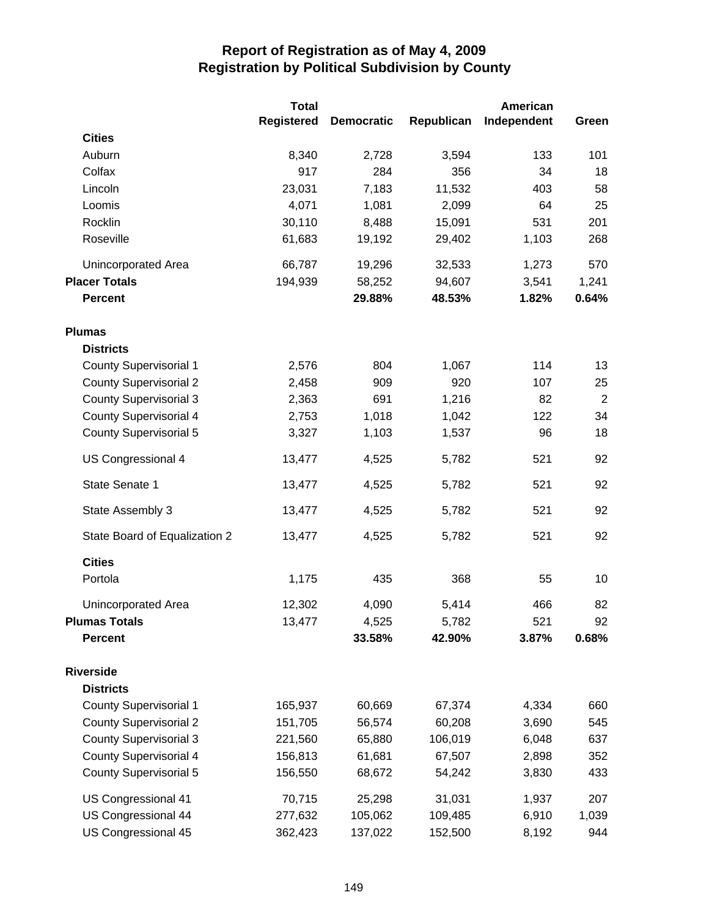|                               | <b>Total</b>      |                   |            | <b>American</b> |                |
|-------------------------------|-------------------|-------------------|------------|-----------------|----------------|
|                               | <b>Registered</b> | <b>Democratic</b> | Republican | Independent     | Green          |
| <b>Cities</b>                 |                   |                   |            |                 |                |
| Auburn                        | 8,340             | 2,728             | 3,594      | 133             | 101            |
| Colfax                        | 917               | 284               | 356        | 34              | 18             |
| Lincoln                       | 23,031            | 7,183             | 11,532     | 403             | 58             |
| Loomis                        | 4,071             | 1,081             | 2,099      | 64              | 25             |
| Rocklin                       | 30,110            | 8,488             | 15,091     | 531             | 201            |
| Roseville                     | 61,683            | 19,192            | 29,402     | 1,103           | 268            |
| <b>Unincorporated Area</b>    | 66,787            | 19,296            | 32,533     | 1,273           | 570            |
| <b>Placer Totals</b>          | 194,939           | 58,252            | 94,607     | 3,541           | 1,241          |
| <b>Percent</b>                |                   | 29.88%            | 48.53%     | 1.82%           | 0.64%          |
| <b>Plumas</b>                 |                   |                   |            |                 |                |
| <b>Districts</b>              |                   |                   |            |                 |                |
| <b>County Supervisorial 1</b> | 2,576             | 804               | 1,067      | 114             | 13             |
| <b>County Supervisorial 2</b> | 2,458             | 909               | 920        | 107             | 25             |
| <b>County Supervisorial 3</b> | 2,363             | 691               | 1,216      | 82              | $\overline{2}$ |
| County Supervisorial 4        | 2,753             | 1,018             | 1,042      | 122             | 34             |
| <b>County Supervisorial 5</b> | 3,327             | 1,103             | 1,537      | 96              | 18             |
| US Congressional 4            | 13,477            | 4,525             | 5,782      | 521             | 92             |
| State Senate 1                | 13,477            | 4,525             | 5,782      | 521             | 92             |
| State Assembly 3              | 13,477            | 4,525             | 5,782      | 521             | 92             |
| State Board of Equalization 2 | 13,477            | 4,525             | 5,782      | 521             | 92             |
| <b>Cities</b>                 |                   |                   |            |                 |                |
| Portola                       | 1,175             | 435               | 368        | 55              | 10             |
| Unincorporated Area           | 12,302            | 4,090             | 5,414      | 466             | 82             |
| <b>Plumas Totals</b>          | 13,477            | 4,525             | 5,782      | 521             | 92             |
| <b>Percent</b>                |                   | 33.58%            | 42.90%     | 3.87%           | 0.68%          |
| <b>Riverside</b>              |                   |                   |            |                 |                |
| <b>Districts</b>              |                   |                   |            |                 |                |
| <b>County Supervisorial 1</b> | 165,937           | 60,669            | 67,374     | 4,334           | 660            |
| <b>County Supervisorial 2</b> | 151,705           | 56,574            | 60,208     | 3,690           | 545            |
| <b>County Supervisorial 3</b> | 221,560           | 65,880            | 106,019    | 6,048           | 637            |
| <b>County Supervisorial 4</b> | 156,813           | 61,681            | 67,507     | 2,898           | 352            |
| <b>County Supervisorial 5</b> | 156,550           | 68,672            | 54,242     | 3,830           | 433            |
| US Congressional 41           | 70,715            | 25,298            | 31,031     | 1,937           | 207            |
| US Congressional 44           | 277,632           | 105,062           | 109,485    | 6,910           | 1,039          |
| US Congressional 45           | 362,423           | 137,022           | 152,500    | 8,192           | 944            |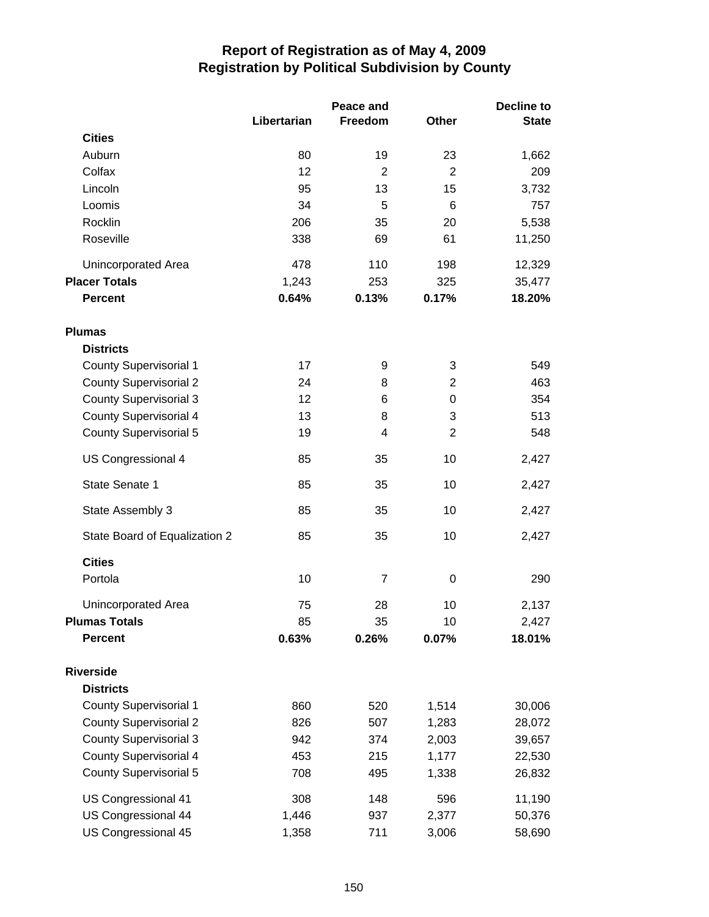|                               |             | Peace and      |                | Decline to   |  |
|-------------------------------|-------------|----------------|----------------|--------------|--|
|                               | Libertarian | Freedom        | <b>Other</b>   | <b>State</b> |  |
| <b>Cities</b>                 |             |                |                |              |  |
| Auburn                        | 80          | 19             | 23             | 1,662        |  |
| Colfax                        | 12          | $\overline{2}$ | $\overline{2}$ | 209          |  |
| Lincoln                       | 95          | 13             | 15             | 3,732        |  |
| Loomis                        | 34          | 5              | 6              | 757          |  |
| Rocklin                       | 206         | 35             | 20             | 5,538        |  |
| Roseville                     | 338         | 69             | 61             | 11,250       |  |
| Unincorporated Area           | 478         | 110            | 198            | 12,329       |  |
| <b>Placer Totals</b>          | 1,243       | 253            | 325            | 35,477       |  |
| <b>Percent</b>                | 0.64%       | 0.13%          | 0.17%          | 18.20%       |  |
| <b>Plumas</b>                 |             |                |                |              |  |
| <b>Districts</b>              |             |                |                |              |  |
| <b>County Supervisorial 1</b> | 17          | 9              | 3              | 549          |  |
| <b>County Supervisorial 2</b> | 24          | 8              | 2              | 463          |  |
| <b>County Supervisorial 3</b> | 12          | 6              | 0              | 354          |  |
| <b>County Supervisorial 4</b> | 13          | 8              | 3              | 513          |  |
| County Supervisorial 5        | 19          | 4              | $\overline{2}$ | 548          |  |
| US Congressional 4            | 85          | 35             | 10             | 2,427        |  |
| State Senate 1                | 85          | 35             | 10             | 2,427        |  |
| State Assembly 3              | 85          | 35             | 10             | 2,427        |  |
| State Board of Equalization 2 | 85          | 35             | 10             | 2,427        |  |
| <b>Cities</b>                 |             |                |                |              |  |
| Portola                       | 10          | 7              | $\mathbf 0$    | 290          |  |
| Unincorporated Area           | 75          | 28             | 10             | 2,137        |  |
| <b>Plumas Totals</b>          | 85          | 35             | 10             | 2,427        |  |
| <b>Percent</b>                | 0.63%       | 0.26%          | 0.07%          | 18.01%       |  |
| <b>Riverside</b>              |             |                |                |              |  |
| <b>Districts</b>              |             |                |                |              |  |
| <b>County Supervisorial 1</b> | 860         | 520            | 1,514          | 30,006       |  |
| <b>County Supervisorial 2</b> | 826         | 507            | 1,283          | 28,072       |  |
| <b>County Supervisorial 3</b> | 942         | 374            | 2,003          | 39,657       |  |
| <b>County Supervisorial 4</b> | 453         | 215            | 1,177          | 22,530       |  |
| <b>County Supervisorial 5</b> | 708         | 495            | 1,338          | 26,832       |  |
| US Congressional 41           | 308         | 148            | 596            | 11,190       |  |
| US Congressional 44           | 1,446       | 937            | 2,377          | 50,376       |  |
| US Congressional 45           | 1,358       | 711            | 3,006          | 58,690       |  |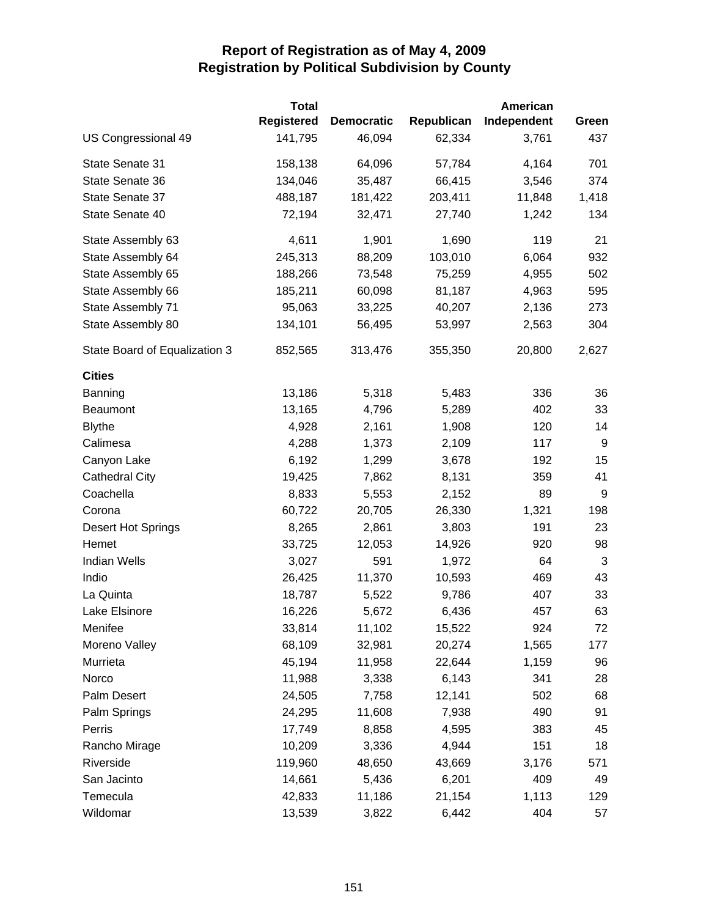|                               | <b>Total</b>      |                   |            | <b>American</b> |       |
|-------------------------------|-------------------|-------------------|------------|-----------------|-------|
|                               | <b>Registered</b> | <b>Democratic</b> | Republican | Independent     | Green |
| US Congressional 49           | 141,795           | 46,094            | 62,334     | 3,761           | 437   |
| State Senate 31               | 158,138           | 64,096            | 57,784     | 4,164           | 701   |
| State Senate 36               | 134,046           | 35,487            | 66,415     | 3,546           | 374   |
| State Senate 37               | 488,187           | 181,422           | 203,411    | 11,848          | 1,418 |
| State Senate 40               | 72,194            | 32,471            | 27,740     | 1,242           | 134   |
| State Assembly 63             | 4,611             | 1,901             | 1,690      | 119             | 21    |
| State Assembly 64             | 245,313           | 88,209            | 103,010    | 6,064           | 932   |
| State Assembly 65             | 188,266           | 73,548            | 75,259     | 4,955           | 502   |
| State Assembly 66             | 185,211           | 60,098            | 81,187     | 4,963           | 595   |
| State Assembly 71             | 95,063            | 33,225            | 40,207     | 2,136           | 273   |
| State Assembly 80             | 134,101           | 56,495            | 53,997     | 2,563           | 304   |
| State Board of Equalization 3 | 852,565           | 313,476           | 355,350    | 20,800          | 2,627 |
| <b>Cities</b>                 |                   |                   |            |                 |       |
| Banning                       | 13,186            | 5,318             | 5,483      | 336             | 36    |
| Beaumont                      | 13,165            | 4,796             | 5,289      | 402             | 33    |
| <b>Blythe</b>                 | 4,928             | 2,161             | 1,908      | 120             | 14    |
| Calimesa                      | 4,288             | 1,373             | 2,109      | 117             | 9     |
| Canyon Lake                   | 6,192             | 1,299             | 3,678      | 192             | 15    |
| <b>Cathedral City</b>         | 19,425            | 7,862             | 8,131      | 359             | 41    |
| Coachella                     | 8,833             | 5,553             | 2,152      | 89              | 9     |
| Corona                        | 60,722            | 20,705            | 26,330     | 1,321           | 198   |
| <b>Desert Hot Springs</b>     | 8,265             | 2,861             | 3,803      | 191             | 23    |
| Hemet                         | 33,725            | 12,053            | 14,926     | 920             | 98    |
| <b>Indian Wells</b>           | 3,027             | 591               | 1,972      | 64              | 3     |
| Indio                         | 26,425            | 11,370            | 10,593     | 469             | 43    |
| La Quinta                     | 18,787            | 5,522             | 9,786      | 407             | 33    |
| Lake Elsinore                 | 16,226            | 5,672             | 6,436      | 457             | 63    |
| Menifee                       | 33,814            | 11,102            | 15,522     | 924             | 72    |
| Moreno Valley                 | 68,109            | 32,981            | 20,274     | 1,565           | 177   |
| Murrieta                      | 45,194            | 11,958            | 22,644     | 1,159           | 96    |
| Norco                         | 11,988            | 3,338             | 6,143      | 341             | 28    |
| Palm Desert                   | 24,505            | 7,758             | 12,141     | 502             | 68    |
| Palm Springs                  | 24,295            | 11,608            | 7,938      | 490             | 91    |
| Perris                        | 17,749            | 8,858             | 4,595      | 383             | 45    |
| Rancho Mirage                 | 10,209            | 3,336             | 4,944      | 151             | 18    |
| Riverside                     | 119,960           | 48,650            | 43,669     | 3,176           | 571   |
| San Jacinto                   | 14,661            | 5,436             | 6,201      | 409             | 49    |
| Temecula                      | 42,833            | 11,186            | 21,154     | 1,113           | 129   |
| Wildomar                      | 13,539            | 3,822             | 6,442      | 404             | 57    |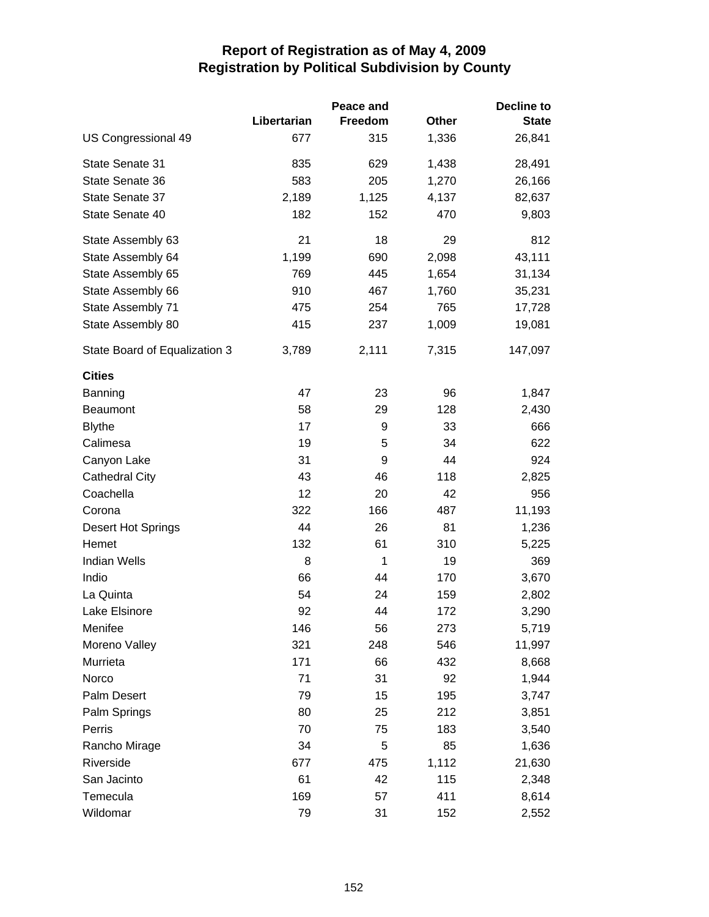|                               |             | Peace and |       | <b>Decline to</b> |
|-------------------------------|-------------|-----------|-------|-------------------|
|                               | Libertarian | Freedom   | Other | <b>State</b>      |
| US Congressional 49           | 677         | 315       | 1,336 | 26,841            |
| State Senate 31               | 835         | 629       | 1,438 | 28,491            |
| State Senate 36               | 583         | 205       | 1,270 | 26,166            |
| State Senate 37               | 2,189       | 1,125     | 4,137 | 82,637            |
| State Senate 40               | 182         | 152       | 470   | 9,803             |
| State Assembly 63             | 21          | 18        | 29    | 812               |
| State Assembly 64             | 1,199       | 690       | 2,098 | 43,111            |
| State Assembly 65             | 769         | 445       | 1,654 | 31,134            |
| State Assembly 66             | 910         | 467       | 1,760 | 35,231            |
| State Assembly 71             | 475         | 254       | 765   | 17,728            |
| State Assembly 80             | 415         | 237       | 1,009 | 19,081            |
| State Board of Equalization 3 | 3,789       | 2,111     | 7,315 | 147,097           |
| <b>Cities</b>                 |             |           |       |                   |
| Banning                       | 47          | 23        | 96    | 1,847             |
| <b>Beaumont</b>               | 58          | 29        | 128   | 2,430             |
| <b>Blythe</b>                 | 17          | 9         | 33    | 666               |
| Calimesa                      | 19          | 5         | 34    | 622               |
| Canyon Lake                   | 31          | 9         | 44    | 924               |
| <b>Cathedral City</b>         | 43          | 46        | 118   | 2,825             |
| Coachella                     | 12          | 20        | 42    | 956               |
| Corona                        | 322         | 166       | 487   | 11,193            |
| Desert Hot Springs            | 44          | 26        | 81    | 1,236             |
| Hemet                         | 132         | 61        | 310   | 5,225             |
| <b>Indian Wells</b>           | 8           | 1         | 19    | 369               |
| Indio                         | 66          | 44        | 170   | 3,670             |
| La Quinta                     | 54          | 24        | 159   | 2,802             |
| Lake Elsinore                 | 92          | 44        | 172   | 3,290             |
| Menifee                       | 146         | 56        | 273   | 5,719             |
| Moreno Valley                 | 321         | 248       | 546   | 11,997            |
| Murrieta                      | 171         | 66        | 432   | 8,668             |
| Norco                         | 71          | 31        | 92    | 1,944             |
| Palm Desert                   | 79          | 15        | 195   | 3,747             |
| Palm Springs                  | 80          | 25        | 212   | 3,851             |
| Perris                        | 70          | 75        | 183   | 3,540             |
| Rancho Mirage                 | 34          | 5         | 85    | 1,636             |
| Riverside                     | 677         | 475       | 1,112 | 21,630            |
| San Jacinto                   | 61          | 42        | 115   | 2,348             |
| Temecula                      | 169         | 57        | 411   | 8,614             |
| Wildomar                      | 79          | 31        | 152   | 2,552             |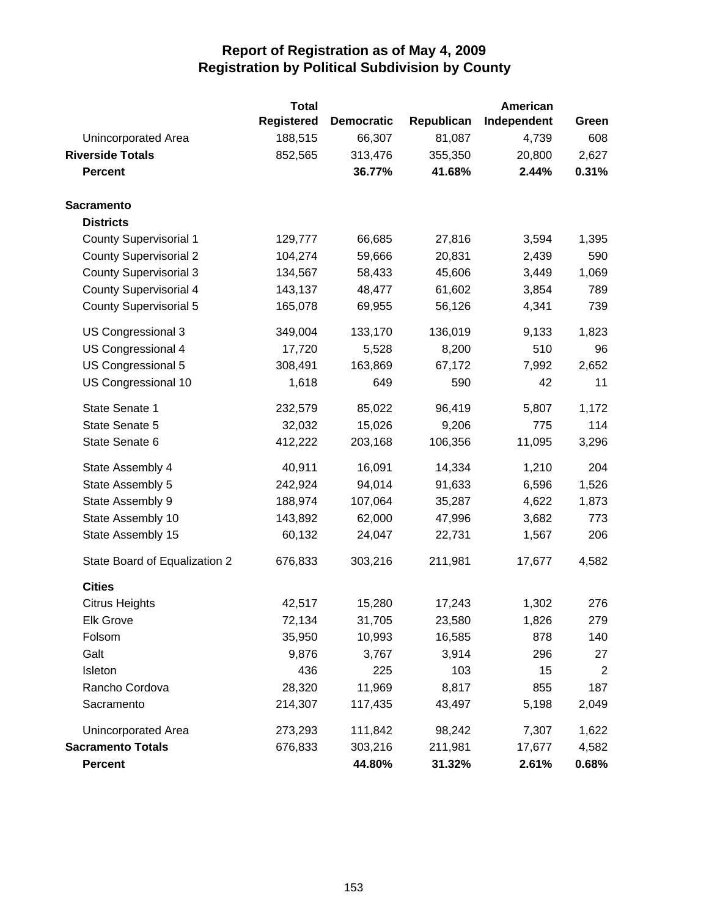|                               | <b>Total</b>      |                   |            | <b>American</b> |                |
|-------------------------------|-------------------|-------------------|------------|-----------------|----------------|
|                               | <b>Registered</b> | <b>Democratic</b> | Republican | Independent     | Green          |
| Unincorporated Area           | 188,515           | 66,307            | 81,087     | 4,739           | 608            |
| <b>Riverside Totals</b>       | 852,565           | 313,476           | 355,350    | 20,800          | 2,627          |
| <b>Percent</b>                |                   | 36.77%            | 41.68%     | 2.44%           | 0.31%          |
| <b>Sacramento</b>             |                   |                   |            |                 |                |
| <b>Districts</b>              |                   |                   |            |                 |                |
| <b>County Supervisorial 1</b> | 129,777           | 66,685            | 27,816     | 3,594           | 1,395          |
| <b>County Supervisorial 2</b> | 104,274           | 59,666            | 20,831     | 2,439           | 590            |
| <b>County Supervisorial 3</b> | 134,567           | 58,433            | 45,606     | 3,449           | 1,069          |
| <b>County Supervisorial 4</b> | 143,137           | 48,477            | 61,602     | 3,854           | 789            |
| <b>County Supervisorial 5</b> | 165,078           | 69,955            | 56,126     | 4,341           | 739            |
| US Congressional 3            | 349,004           | 133,170           | 136,019    | 9,133           | 1,823          |
| US Congressional 4            | 17,720            | 5,528             | 8,200      | 510             | 96             |
| US Congressional 5            | 308,491           | 163,869           | 67,172     | 7,992           | 2,652          |
| US Congressional 10           | 1,618             | 649               | 590        | 42              | 11             |
| State Senate 1                | 232,579           | 85,022            | 96,419     | 5,807           | 1,172          |
| State Senate 5                | 32,032            | 15,026            | 9,206      | 775             | 114            |
| State Senate 6                | 412,222           | 203,168           | 106,356    | 11,095          | 3,296          |
| State Assembly 4              | 40,911            | 16,091            | 14,334     | 1,210           | 204            |
| State Assembly 5              | 242,924           | 94,014            | 91,633     | 6,596           | 1,526          |
| State Assembly 9              | 188,974           | 107,064           | 35,287     | 4,622           | 1,873          |
| State Assembly 10             | 143,892           | 62,000            | 47,996     | 3,682           | 773            |
| State Assembly 15             | 60,132            | 24,047            | 22,731     | 1,567           | 206            |
| State Board of Equalization 2 | 676,833           | 303,216           | 211,981    | 17,677          | 4,582          |
| <b>Cities</b>                 |                   |                   |            |                 |                |
| <b>Citrus Heights</b>         | 42,517            | 15,280            | 17,243     | 1,302           | 276            |
| <b>Elk Grove</b>              | 72,134            | 31,705            | 23,580     | 1,826           | 279            |
| Folsom                        | 35,950            | 10,993            | 16,585     | 878             | 140            |
| Galt                          | 9,876             | 3,767             | 3,914      | 296             | 27             |
| Isleton                       | 436               | 225               | 103        | 15              | $\overline{2}$ |
| Rancho Cordova                | 28,320            | 11,969            | 8,817      | 855             | 187            |
| Sacramento                    | 214,307           | 117,435           | 43,497     | 5,198           | 2,049          |
| Unincorporated Area           | 273,293           | 111,842           | 98,242     | 7,307           | 1,622          |
| <b>Sacramento Totals</b>      | 676,833           | 303,216           | 211,981    | 17,677          | 4,582          |
| <b>Percent</b>                |                   | 44.80%            | 31.32%     | 2.61%           | 0.68%          |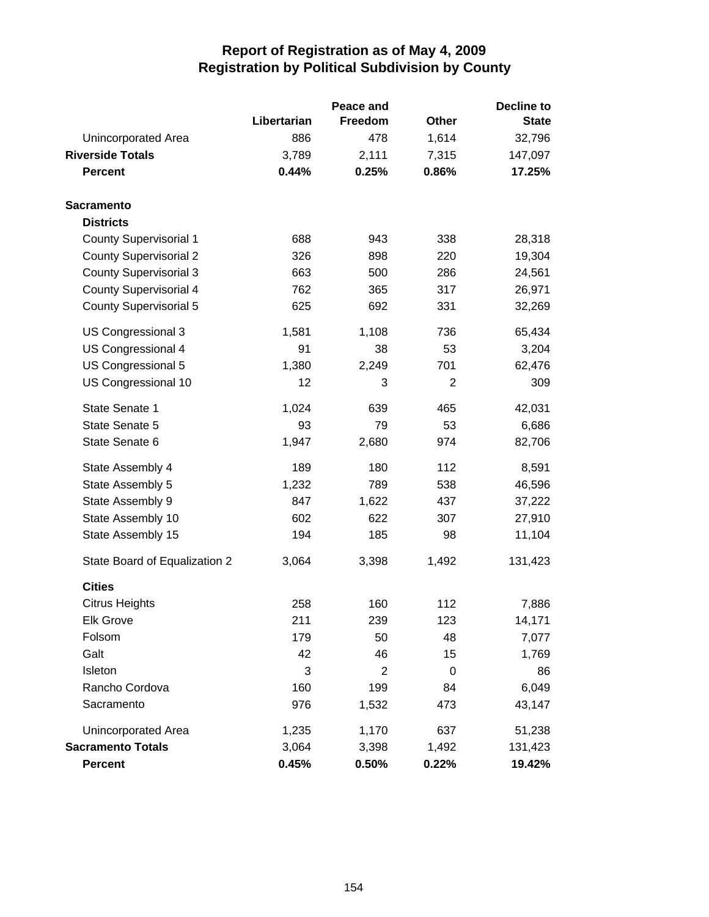|                               |             | Peace and | <b>Decline to</b> |              |  |
|-------------------------------|-------------|-----------|-------------------|--------------|--|
|                               | Libertarian | Freedom   | Other             | <b>State</b> |  |
| Unincorporated Area           | 886         | 478       | 1,614             | 32,796       |  |
| <b>Riverside Totals</b>       | 3,789       | 2,111     | 7,315             | 147,097      |  |
| <b>Percent</b>                | 0.44%       | 0.25%     | 0.86%             | 17.25%       |  |
| <b>Sacramento</b>             |             |           |                   |              |  |
| <b>Districts</b>              |             |           |                   |              |  |
| <b>County Supervisorial 1</b> | 688         | 943       | 338               | 28,318       |  |
| <b>County Supervisorial 2</b> | 326         | 898       | 220               | 19,304       |  |
| <b>County Supervisorial 3</b> | 663         | 500       | 286               | 24,561       |  |
| <b>County Supervisorial 4</b> | 762         | 365       | 317               | 26,971       |  |
| <b>County Supervisorial 5</b> | 625         | 692       | 331               | 32,269       |  |
| US Congressional 3            | 1,581       | 1,108     | 736               | 65,434       |  |
| US Congressional 4            | 91          | 38        | 53                | 3,204        |  |
| US Congressional 5            | 1,380       | 2,249     | 701               | 62,476       |  |
| US Congressional 10           | 12          | 3         | 2                 | 309          |  |
| State Senate 1                | 1,024       | 639       | 465               | 42,031       |  |
| State Senate 5                | 93          | 79        | 53                | 6,686        |  |
| State Senate 6                | 1,947       | 2,680     | 974               | 82,706       |  |
| State Assembly 4              | 189         | 180       | 112               | 8,591        |  |
| State Assembly 5              | 1,232       | 789       | 538               | 46,596       |  |
| State Assembly 9              | 847         | 1,622     | 437               | 37,222       |  |
| State Assembly 10             | 602         | 622       | 307               | 27,910       |  |
| State Assembly 15             | 194         | 185       | 98                | 11,104       |  |
| State Board of Equalization 2 | 3,064       | 3,398     | 1,492             | 131,423      |  |
| <b>Cities</b>                 |             |           |                   |              |  |
| <b>Citrus Heights</b>         | 258         | 160       | 112               | 7,886        |  |
| Elk Grove                     | 211         | 239       | 123               | 14,171       |  |
| Folsom                        | 179         | 50        | 48                | 7,077        |  |
| Galt                          | 42          | 46        | 15                | 1,769        |  |
| Isleton                       | 3           | 2         | 0                 | 86           |  |
| Rancho Cordova                | 160         | 199       | 84                | 6,049        |  |
| Sacramento                    | 976         | 1,532     | 473               | 43,147       |  |
| Unincorporated Area           | 1,235       | 1,170     | 637               | 51,238       |  |
| <b>Sacramento Totals</b>      | 3,064       | 3,398     | 1,492             | 131,423      |  |
| <b>Percent</b>                | 0.45%       | 0.50%     | 0.22%             | 19.42%       |  |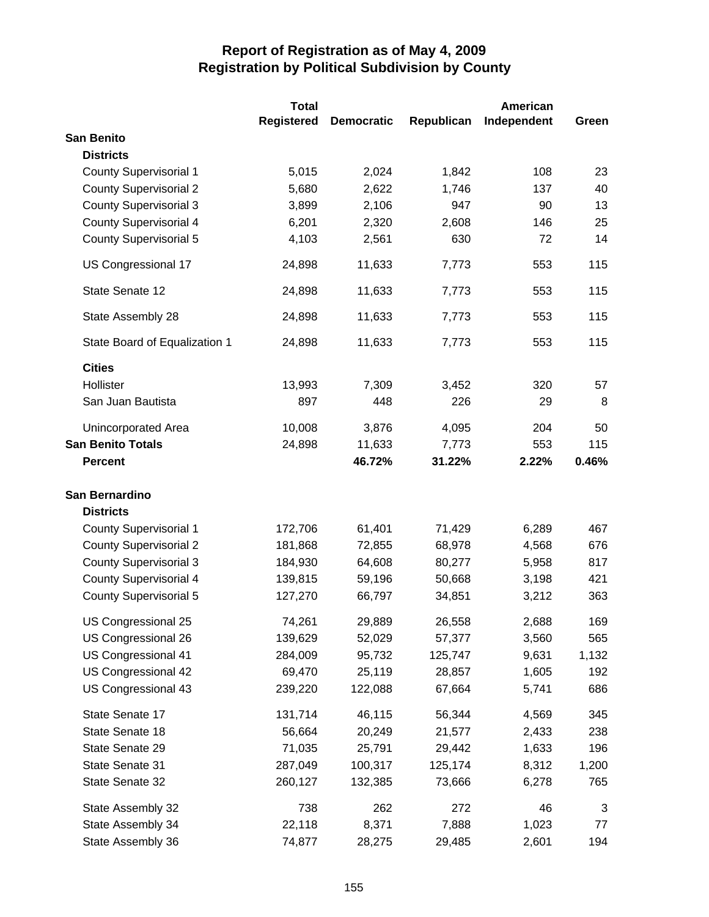|                               | <b>Total</b>      |                   |            | <b>American</b> |       |
|-------------------------------|-------------------|-------------------|------------|-----------------|-------|
|                               | <b>Registered</b> | <b>Democratic</b> | Republican | Independent     | Green |
| <b>San Benito</b>             |                   |                   |            |                 |       |
| <b>Districts</b>              |                   |                   |            |                 |       |
| <b>County Supervisorial 1</b> | 5,015             | 2,024             | 1,842      | 108             | 23    |
| <b>County Supervisorial 2</b> | 5,680             | 2,622             | 1,746      | 137             | 40    |
| <b>County Supervisorial 3</b> | 3,899             | 2,106             | 947        | 90              | 13    |
| <b>County Supervisorial 4</b> | 6,201             | 2,320             | 2,608      | 146             | 25    |
| <b>County Supervisorial 5</b> | 4,103             | 2,561             | 630        | 72              | 14    |
| US Congressional 17           | 24,898            | 11,633            | 7,773      | 553             | 115   |
| State Senate 12               | 24,898            | 11,633            | 7,773      | 553             | 115   |
| State Assembly 28             | 24,898            | 11,633            | 7,773      | 553             | 115   |
| State Board of Equalization 1 | 24,898            | 11,633            | 7,773      | 553             | 115   |
| <b>Cities</b>                 |                   |                   |            |                 |       |
| Hollister                     | 13,993            | 7,309             | 3,452      | 320             | 57    |
| San Juan Bautista             | 897               | 448               | 226        | 29              | 8     |
| Unincorporated Area           | 10,008            | 3,876             | 4,095      | 204             | 50    |
| <b>San Benito Totals</b>      | 24,898            | 11,633            | 7,773      | 553             | 115   |
| <b>Percent</b>                |                   | 46.72%            | 31.22%     | 2.22%           | 0.46% |
| San Bernardino                |                   |                   |            |                 |       |
| <b>Districts</b>              |                   |                   |            |                 |       |
| <b>County Supervisorial 1</b> | 172,706           | 61,401            | 71,429     | 6,289           | 467   |
| <b>County Supervisorial 2</b> | 181,868           | 72,855            | 68,978     | 4,568           | 676   |
| <b>County Supervisorial 3</b> | 184,930           | 64,608            | 80,277     | 5,958           | 817   |
| <b>County Supervisorial 4</b> | 139,815           | 59,196            | 50,668     | 3,198           | 421   |
| <b>County Supervisorial 5</b> | 127,270           | 66,797            | 34,851     | 3,212           | 363   |
| US Congressional 25           | 74,261            | 29,889            | 26,558     | 2,688           | 169   |
| US Congressional 26           | 139,629           | 52,029            | 57,377     | 3,560           | 565   |
| US Congressional 41           | 284,009           | 95,732            | 125,747    | 9,631           | 1,132 |
| US Congressional 42           | 69,470            | 25,119            | 28,857     | 1,605           | 192   |
| US Congressional 43           | 239,220           | 122,088           | 67,664     | 5,741           | 686   |
| State Senate 17               | 131,714           | 46,115            | 56,344     | 4,569           | 345   |
| State Senate 18               | 56,664            | 20,249            | 21,577     | 2,433           | 238   |
| State Senate 29               | 71,035            | 25,791            | 29,442     | 1,633           | 196   |
| State Senate 31               | 287,049           | 100,317           | 125,174    | 8,312           | 1,200 |
| State Senate 32               | 260,127           | 132,385           | 73,666     | 6,278           | 765   |
| State Assembly 32             | 738               | 262               | 272        | 46              | 3     |
| State Assembly 34             | 22,118            | 8,371             | 7,888      | 1,023           | 77    |
| State Assembly 36             | 74,877            | 28,275            | 29,485     | 2,601           | 194   |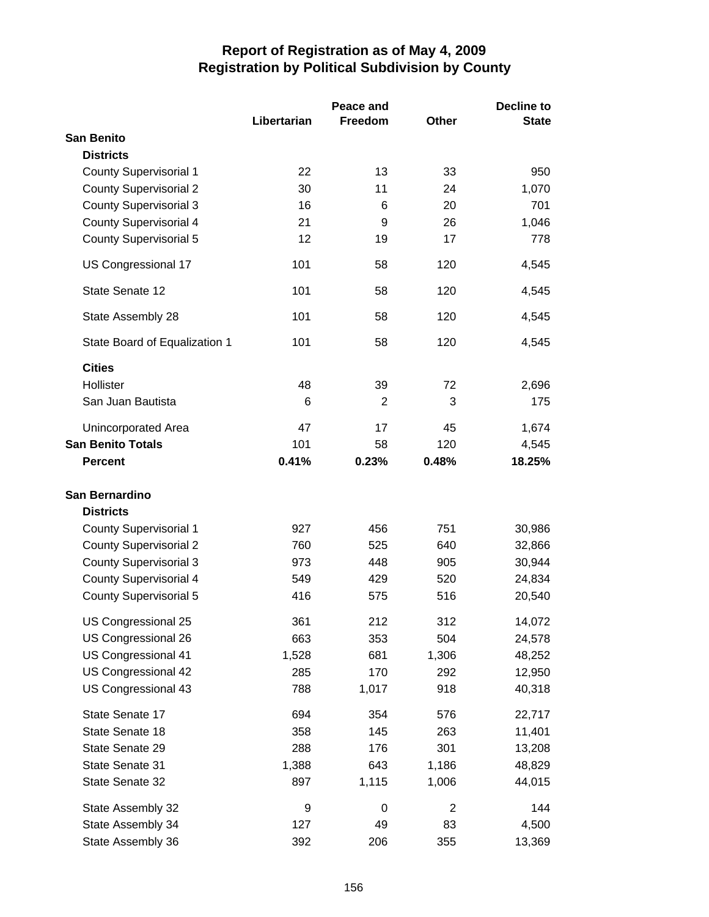|                               |             | Peace and      | Decline to     |              |  |
|-------------------------------|-------------|----------------|----------------|--------------|--|
|                               | Libertarian | Freedom        | Other          | <b>State</b> |  |
| <b>San Benito</b>             |             |                |                |              |  |
| <b>Districts</b>              |             |                |                |              |  |
| <b>County Supervisorial 1</b> | 22          | 13             | 33             | 950          |  |
| <b>County Supervisorial 2</b> | 30          | 11             | 24             | 1,070        |  |
| <b>County Supervisorial 3</b> | 16          | 6              | 20             | 701          |  |
| <b>County Supervisorial 4</b> | 21          | 9              | 26             | 1,046        |  |
| <b>County Supervisorial 5</b> | 12          | 19             | 17             | 778          |  |
| US Congressional 17           | 101         | 58             | 120            | 4,545        |  |
| <b>State Senate 12</b>        | 101         | 58             | 120            | 4,545        |  |
| State Assembly 28             | 101         | 58             | 120            | 4,545        |  |
| State Board of Equalization 1 | 101         | 58             | 120            | 4,545        |  |
| <b>Cities</b>                 |             |                |                |              |  |
| Hollister                     | 48          | 39             | 72             | 2,696        |  |
| San Juan Bautista             | 6           | $\overline{2}$ | 3              | 175          |  |
| Unincorporated Area           | 47          | 17             | 45             | 1,674        |  |
| <b>San Benito Totals</b>      | 101         | 58             | 120            | 4,545        |  |
| <b>Percent</b>                | 0.41%       | 0.23%          | 0.48%          | 18.25%       |  |
|                               |             |                |                |              |  |
| San Bernardino                |             |                |                |              |  |
| <b>Districts</b>              |             |                |                |              |  |
| <b>County Supervisorial 1</b> | 927         | 456            | 751            | 30,986       |  |
| <b>County Supervisorial 2</b> | 760         | 525            | 640            | 32,866       |  |
| <b>County Supervisorial 3</b> | 973         | 448            | 905            | 30,944       |  |
| <b>County Supervisorial 4</b> | 549         | 429            | 520            | 24,834       |  |
| <b>County Supervisorial 5</b> | 416         | 575            | 516            | 20,540       |  |
| US Congressional 25           | 361         | 212            | 312            | 14,072       |  |
| US Congressional 26           | 663         | 353            | 504            | 24,578       |  |
| US Congressional 41           | 1,528       | 681            | 1,306          | 48,252       |  |
| US Congressional 42           | 285         | 170            | 292            | 12,950       |  |
| US Congressional 43           | 788         | 1,017          | 918            | 40,318       |  |
| State Senate 17               | 694         | 354            | 576            | 22,717       |  |
| State Senate 18               | 358         | 145            | 263            | 11,401       |  |
| State Senate 29               | 288         | 176            | 301            | 13,208       |  |
| State Senate 31               | 1,388       | 643            | 1,186          | 48,829       |  |
| State Senate 32               | 897         | 1,115          | 1,006          | 44,015       |  |
| State Assembly 32             | 9           | $\mathbf 0$    | $\overline{2}$ | 144          |  |
| State Assembly 34             | 127         | 49             | 83             | 4,500        |  |
| State Assembly 36             | 392         | 206            | 355            | 13,369       |  |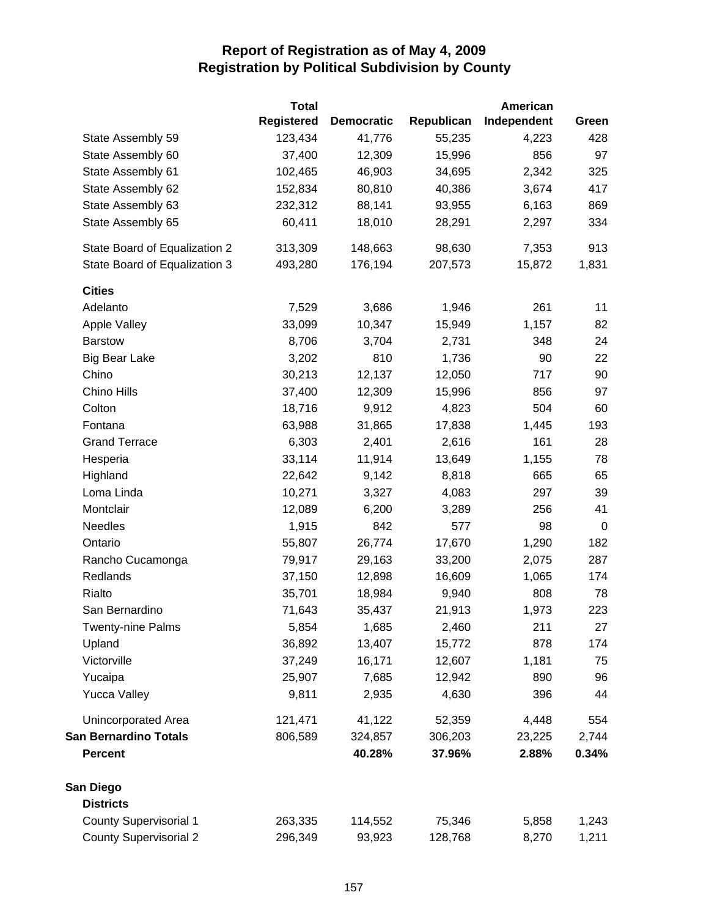| <b>Registered</b><br>Republican<br>Independent<br><b>Democratic</b><br>123,434<br>41,776<br>55,235<br>State Assembly 59<br>4,223 | Green<br>428 |
|----------------------------------------------------------------------------------------------------------------------------------|--------------|
|                                                                                                                                  |              |
|                                                                                                                                  |              |
| 856<br>State Assembly 60<br>37,400<br>12,309<br>15,996                                                                           | 97           |
| 46,903<br>State Assembly 61<br>102,465<br>34,695<br>2,342                                                                        | 325          |
| 80,810<br>State Assembly 62<br>152,834<br>40,386<br>3,674                                                                        | 417          |
| State Assembly 63<br>232,312<br>88,141<br>93,955<br>6,163                                                                        | 869          |
| State Assembly 65<br>60,411<br>18,010<br>28,291<br>2,297                                                                         | 334          |
| State Board of Equalization 2<br>313,309<br>148,663<br>98,630<br>7,353                                                           | 913          |
| State Board of Equalization 3<br>176,194<br>15,872<br>493,280<br>207,573                                                         | 1,831        |
| <b>Cities</b>                                                                                                                    |              |
| 261<br>Adelanto<br>7,529<br>3,686<br>1,946                                                                                       | 11           |
| Apple Valley<br>33,099<br>10,347<br>15,949<br>1,157                                                                              | 82           |
| <b>Barstow</b><br>8,706<br>3,704<br>2,731<br>348                                                                                 | 24           |
| 810<br>90<br>3,202<br>1,736<br><b>Big Bear Lake</b>                                                                              | 22           |
| 717<br>Chino<br>30,213<br>12,137<br>12,050                                                                                       | 90           |
| Chino Hills<br>37,400<br>12,309<br>856<br>15,996                                                                                 | 97           |
| 504<br>Colton<br>18,716<br>9,912<br>4,823                                                                                        | 60           |
| 31,865<br>Fontana<br>63,988<br>17,838<br>1,445                                                                                   | 193          |
| 6,303<br>2,401<br>161<br><b>Grand Terrace</b><br>2,616                                                                           | 28           |
| 33,114<br>11,914<br>13,649<br>1,155<br>Hesperia                                                                                  | 78           |
| 665<br>Highland<br>22,642<br>9,142<br>8,818                                                                                      | 65           |
| 297<br>Loma Linda<br>10,271<br>3,327<br>4,083                                                                                    | 39           |
| Montclair<br>12,089<br>6,200<br>256<br>3,289                                                                                     | 41           |
| <b>Needles</b><br>1,915<br>842<br>577<br>98                                                                                      | 0            |
| 55,807<br>Ontario<br>26,774<br>17,670<br>1,290                                                                                   | 182          |
| 29,163<br>33,200<br>2,075<br>Rancho Cucamonga<br>79,917                                                                          | 287          |
| Redlands<br>37,150<br>12,898<br>16,609<br>1,065                                                                                  | 174          |
| 808<br>Rialto<br>35,701<br>18,984<br>9,940                                                                                       | 78           |
| San Bernardino<br>71,643<br>35,437<br>21,913<br>1,973                                                                            | 223          |
| 211<br><b>Twenty-nine Palms</b><br>5,854<br>1,685<br>2,460                                                                       | 27           |
| 13,407<br>Upland<br>36,892<br>15,772<br>878                                                                                      | 174          |
| Victorville<br>37,249<br>16,171<br>12,607<br>1,181                                                                               | 75           |
| 890<br>Yucaipa<br>25,907<br>7,685<br>12,942                                                                                      | 96           |
| 9,811<br>396<br><b>Yucca Valley</b><br>2,935<br>4,630                                                                            | 44           |
| 41,122<br>Unincorporated Area<br>121,471<br>52,359<br>4,448                                                                      | 554          |
| <b>San Bernardino Totals</b><br>806,589<br>324,857<br>306,203<br>23,225                                                          | 2,744        |
| 40.28%<br><b>Percent</b><br>37.96%<br>2.88%                                                                                      | 0.34%        |
| San Diego                                                                                                                        |              |
| <b>Districts</b>                                                                                                                 |              |
| <b>County Supervisorial 1</b><br>263,335<br>75,346<br>5,858<br>114,552                                                           | 1,243        |
| <b>County Supervisorial 2</b><br>296,349<br>93,923<br>128,768<br>8,270                                                           | 1,211        |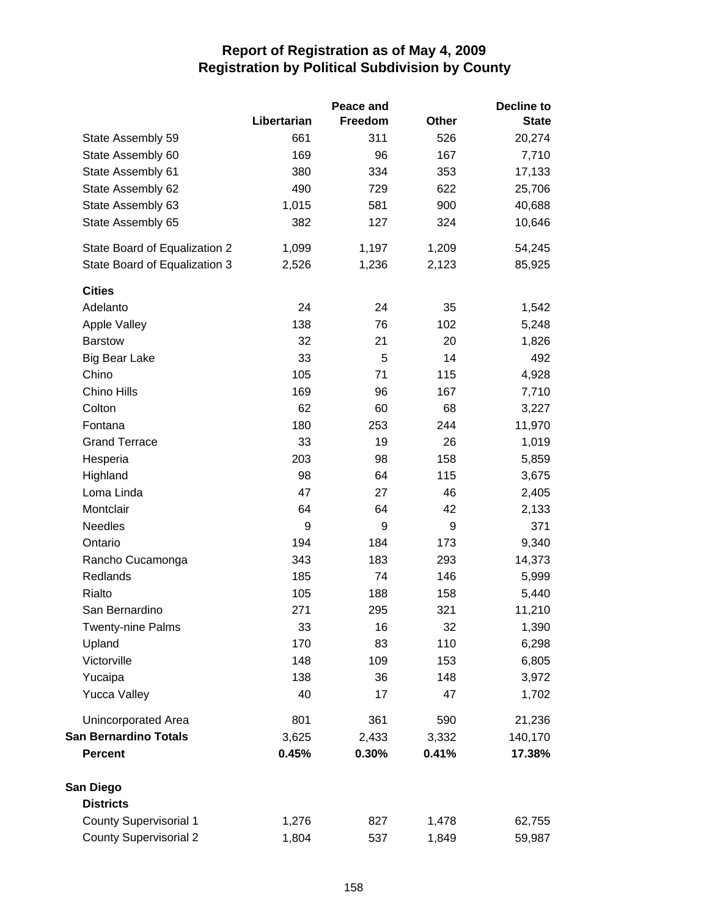|                               |             |         | Decline to   |              |
|-------------------------------|-------------|---------|--------------|--------------|
|                               | Libertarian | Freedom | <b>Other</b> | <b>State</b> |
| State Assembly 59             | 661         | 311     | 526          | 20,274       |
| State Assembly 60             | 169         | 96      | 167          | 7,710        |
| State Assembly 61             | 380         | 334     | 353          | 17,133       |
| State Assembly 62             | 490         | 729     | 622          | 25,706       |
| State Assembly 63             | 1,015       | 581     | 900          | 40,688       |
| State Assembly 65             | 382         | 127     | 324          | 10,646       |
| State Board of Equalization 2 | 1,099       | 1,197   | 1,209        | 54,245       |
| State Board of Equalization 3 | 2,526       | 1,236   | 2,123        | 85,925       |
| <b>Cities</b>                 |             |         |              |              |
| Adelanto                      | 24          | 24      | 35           | 1,542        |
| Apple Valley                  | 138         | 76      | 102          | 5,248        |
| <b>Barstow</b>                | 32          | 21      | 20           | 1,826        |
| <b>Big Bear Lake</b>          | 33          | 5       | 14           | 492          |
| Chino                         | 105         | 71      | 115          | 4,928        |
| Chino Hills                   | 169         | 96      | 167          | 7,710        |
| Colton                        | 62          | 60      | 68           | 3,227        |
| Fontana                       | 180         | 253     | 244          | 11,970       |
| <b>Grand Terrace</b>          | 33          | 19      | 26           | 1,019        |
| Hesperia                      | 203         | 98      | 158          | 5,859        |
| Highland                      | 98          | 64      | 115          | 3,675        |
| Loma Linda                    | 47          | 27      | 46           | 2,405        |
| Montclair                     | 64          | 64      | 42           | 2,133        |
| <b>Needles</b>                | 9           | 9       | 9            | 371          |
| Ontario                       | 194         | 184     | 173          | 9,340        |
| Rancho Cucamonga              | 343         | 183     | 293          | 14,373       |
| Redlands                      | 185         | 74      | 146          | 5,999        |
| Rialto                        | 105         | 188     | 158          | 5,440        |
| San Bernardino                | 271         | 295     | 321          | 11,210       |
| <b>Twenty-nine Palms</b>      | 33          | 16      | 32           | 1,390        |
| Upland                        | 170         | 83      | 110          | 6,298        |
| Victorville                   | 148         | 109     | 153          | 6,805        |
| Yucaipa                       | 138         | 36      | 148          | 3,972        |
| <b>Yucca Valley</b>           | 40          | 17      | 47           | 1,702        |
| Unincorporated Area           | 801         | 361     | 590          | 21,236       |
| <b>San Bernardino Totals</b>  | 3,625       | 2,433   | 3,332        | 140,170      |
| <b>Percent</b>                | 0.45%       | 0.30%   | 0.41%        | 17.38%       |
| San Diego                     |             |         |              |              |
| <b>Districts</b>              |             |         |              |              |
| <b>County Supervisorial 1</b> | 1,276       | 827     | 1,478        | 62,755       |
| <b>County Supervisorial 2</b> | 1,804       | 537     | 1,849        | 59,987       |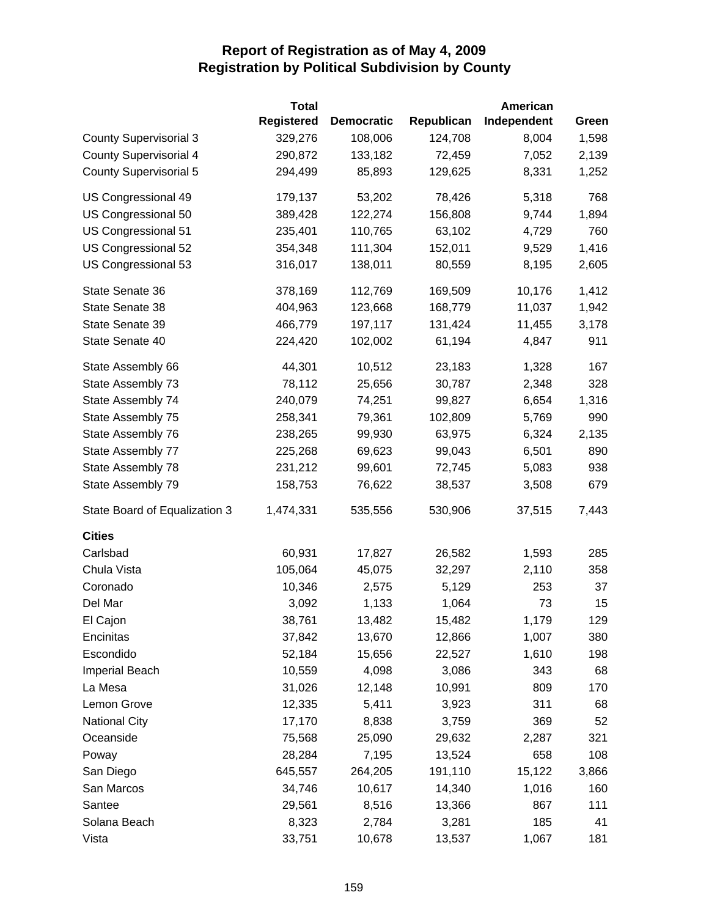|                               | <b>Total</b>      |                   |            | <b>American</b> |       |
|-------------------------------|-------------------|-------------------|------------|-----------------|-------|
|                               | <b>Registered</b> | <b>Democratic</b> | Republican | Independent     | Green |
| <b>County Supervisorial 3</b> | 329,276           | 108,006           | 124,708    | 8,004           | 1,598 |
| <b>County Supervisorial 4</b> | 290,872           | 133,182           | 72,459     | 7,052           | 2,139 |
| <b>County Supervisorial 5</b> | 294,499           | 85,893            | 129,625    | 8,331           | 1,252 |
| US Congressional 49           | 179,137           | 53,202            | 78,426     | 5,318           | 768   |
| US Congressional 50           | 389,428           | 122,274           | 156,808    | 9,744           | 1,894 |
| US Congressional 51           | 235,401           | 110,765           | 63,102     | 4,729           | 760   |
| US Congressional 52           | 354,348           | 111,304           | 152,011    | 9,529           | 1,416 |
| US Congressional 53           | 316,017           | 138,011           | 80,559     | 8,195           | 2,605 |
| State Senate 36               | 378,169           | 112,769           | 169,509    | 10,176          | 1,412 |
| State Senate 38               | 404,963           | 123,668           | 168,779    | 11,037          | 1,942 |
| State Senate 39               | 466,779           | 197,117           | 131,424    | 11,455          | 3,178 |
| State Senate 40               | 224,420           | 102,002           | 61,194     | 4,847           | 911   |
| State Assembly 66             | 44,301            | 10,512            | 23,183     | 1,328           | 167   |
| State Assembly 73             | 78,112            | 25,656            | 30,787     | 2,348           | 328   |
| State Assembly 74             | 240,079           | 74,251            | 99,827     | 6,654           | 1,316 |
| State Assembly 75             | 258,341           | 79,361            | 102,809    | 5,769           | 990   |
| State Assembly 76             | 238,265           | 99,930            | 63,975     | 6,324           | 2,135 |
| State Assembly 77             | 225,268           | 69,623            | 99,043     | 6,501           | 890   |
| State Assembly 78             | 231,212           | 99,601            | 72,745     | 5,083           | 938   |
| State Assembly 79             | 158,753           | 76,622            | 38,537     | 3,508           | 679   |
| State Board of Equalization 3 | 1,474,331         | 535,556           | 530,906    | 37,515          | 7,443 |
| <b>Cities</b>                 |                   |                   |            |                 |       |
| Carlsbad                      | 60,931            | 17,827            | 26,582     | 1,593           | 285   |
| Chula Vista                   | 105,064           | 45,075            | 32,297     | 2,110           | 358   |
| Coronado                      | 10,346            | 2,575             | 5,129      | 253             | 37    |
| Del Mar                       | 3,092             | 1,133             | 1,064      | 73              | 15    |
| El Cajon                      | 38,761            | 13,482            | 15,482     | 1,179           | 129   |
| Encinitas                     | 37,842            | 13,670            | 12,866     | 1,007           | 380   |
| Escondido                     | 52,184            | 15,656            | 22,527     | 1,610           | 198   |
| <b>Imperial Beach</b>         | 10,559            | 4,098             | 3,086      | 343             | 68    |
| La Mesa                       | 31,026            | 12,148            | 10,991     | 809             | 170   |
| Lemon Grove                   | 12,335            | 5,411             | 3,923      | 311             | 68    |
| <b>National City</b>          | 17,170            | 8,838             | 3,759      | 369             | 52    |
| Oceanside                     | 75,568            | 25,090            | 29,632     | 2,287           | 321   |
| Poway                         | 28,284            | 7,195             | 13,524     | 658             | 108   |
| San Diego                     | 645,557           | 264,205           | 191,110    | 15,122          | 3,866 |
| San Marcos                    | 34,746            | 10,617            | 14,340     | 1,016           | 160   |
| Santee                        | 29,561            | 8,516             | 13,366     | 867             | 111   |
| Solana Beach                  | 8,323             | 2,784             | 3,281      | 185             | 41    |
| Vista                         | 33,751            | 10,678            | 13,537     | 1,067           | 181   |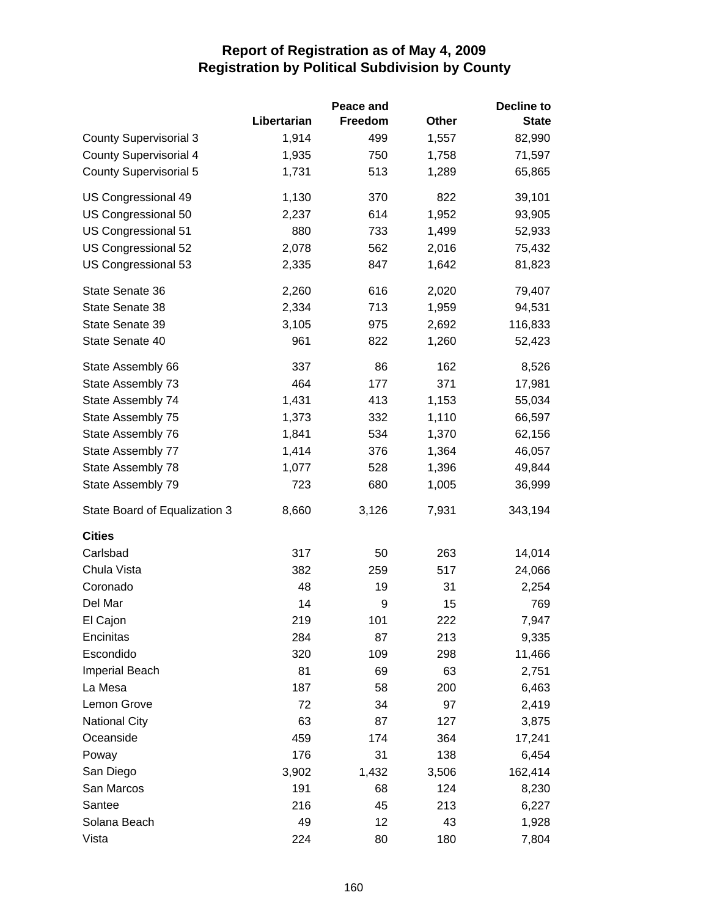|                               |             | Peace and      |       | <b>Decline to</b> |
|-------------------------------|-------------|----------------|-------|-------------------|
|                               | Libertarian | <b>Freedom</b> | Other | <b>State</b>      |
| <b>County Supervisorial 3</b> | 1,914       | 499            | 1,557 | 82,990            |
| <b>County Supervisorial 4</b> | 1,935       | 750            | 1,758 | 71,597            |
| <b>County Supervisorial 5</b> | 1,731       | 513            | 1,289 | 65,865            |
| US Congressional 49           | 1,130       | 370            | 822   | 39,101            |
| US Congressional 50           | 2,237       | 614            | 1,952 | 93,905            |
| US Congressional 51           | 880         | 733            | 1,499 | 52,933            |
| US Congressional 52           | 2,078       | 562            | 2,016 | 75,432            |
| US Congressional 53           | 2,335       | 847            | 1,642 | 81,823            |
| State Senate 36               | 2,260       | 616            | 2,020 | 79,407            |
| State Senate 38               | 2,334       | 713            | 1,959 | 94,531            |
| State Senate 39               | 3,105       | 975            | 2,692 | 116,833           |
| State Senate 40               | 961         | 822            | 1,260 | 52,423            |
| State Assembly 66             | 337         | 86             | 162   | 8,526             |
| State Assembly 73             | 464         | 177            | 371   | 17,981            |
| State Assembly 74             | 1,431       | 413            | 1,153 | 55,034            |
| State Assembly 75             | 1,373       | 332            | 1,110 | 66,597            |
| State Assembly 76             | 1,841       | 534            | 1,370 | 62,156            |
| State Assembly 77             | 1,414       | 376            | 1,364 | 46,057            |
| State Assembly 78             | 1,077       | 528            | 1,396 | 49,844            |
| State Assembly 79             | 723         | 680            | 1,005 | 36,999            |
| State Board of Equalization 3 | 8,660       | 3,126          | 7,931 | 343,194           |
| <b>Cities</b>                 |             |                |       |                   |
| Carlsbad                      | 317         | 50             | 263   | 14,014            |
| Chula Vista                   | 382         | 259            | 517   | 24,066            |
| Coronado                      | 48          | 19             | 31    | 2,254             |
| Del Mar                       | 14          | 9              | 15    | 769               |
| El Cajon                      | 219         | 101            | 222   | 7,947             |
| Encinitas                     | 284         | 87             | 213   | 9,335             |
| Escondido                     | 320         | 109            | 298   | 11,466            |
| <b>Imperial Beach</b>         | 81          | 69             | 63    | 2,751             |
| La Mesa                       | 187         | 58             | 200   | 6,463             |
| Lemon Grove                   | 72          | 34             | 97    | 2,419             |
| <b>National City</b>          | 63          | 87             | 127   | 3,875             |
| Oceanside                     | 459         | 174            | 364   | 17,241            |
| Poway                         | 176         | 31             | 138   | 6,454             |
| San Diego                     | 3,902       | 1,432          | 3,506 | 162,414           |
| San Marcos                    | 191         | 68             | 124   | 8,230             |
| Santee                        | 216         | 45             | 213   | 6,227             |
| Solana Beach                  | 49          | 12             | 43    | 1,928             |
| Vista                         | 224         | 80             | 180   | 7,804             |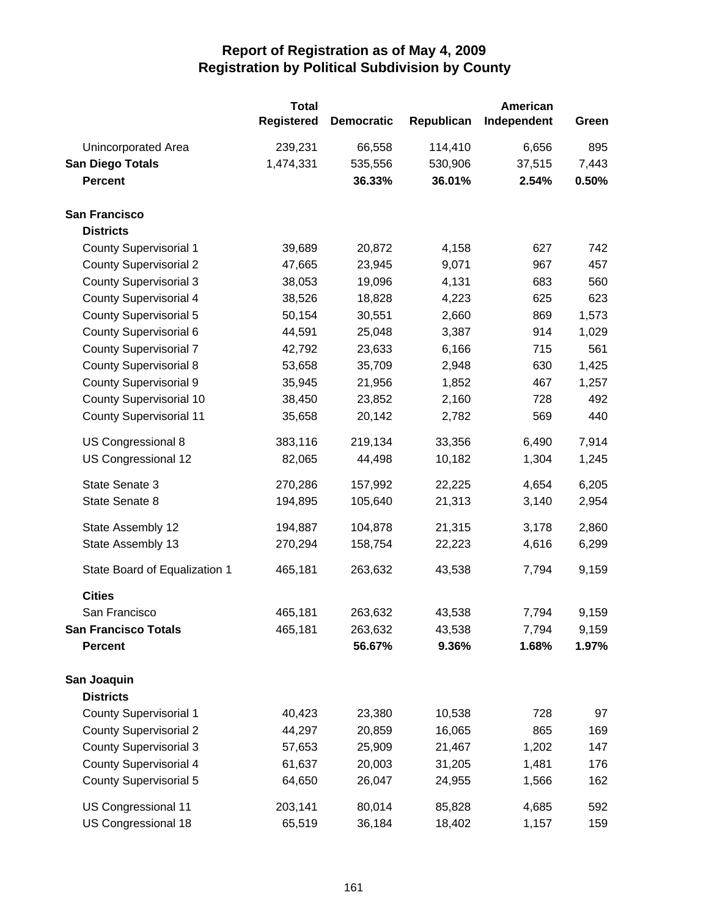|                                | <b>Total</b><br><b>Registered</b> | <b>Democratic</b> | Republican | American<br>Independent | Green |
|--------------------------------|-----------------------------------|-------------------|------------|-------------------------|-------|
| Unincorporated Area            | 239,231                           | 66,558            | 114,410    | 6,656                   | 895   |
| <b>San Diego Totals</b>        | 1,474,331                         | 535,556           | 530,906    | 37,515                  | 7,443 |
| <b>Percent</b>                 |                                   | 36.33%            | 36.01%     | 2.54%                   | 0.50% |
| <b>San Francisco</b>           |                                   |                   |            |                         |       |
| <b>Districts</b>               |                                   |                   |            |                         |       |
| <b>County Supervisorial 1</b>  | 39,689                            | 20,872            | 4,158      | 627                     | 742   |
| <b>County Supervisorial 2</b>  | 47,665                            | 23,945            | 9,071      | 967                     | 457   |
| <b>County Supervisorial 3</b>  | 38,053                            | 19,096            | 4,131      | 683                     | 560   |
| <b>County Supervisorial 4</b>  | 38,526                            | 18,828            | 4,223      | 625                     | 623   |
| <b>County Supervisorial 5</b>  | 50,154                            | 30,551            | 2,660      | 869                     | 1,573 |
| County Supervisorial 6         | 44,591                            | 25,048            | 3,387      | 914                     | 1,029 |
| <b>County Supervisorial 7</b>  | 42,792                            | 23,633            | 6,166      | 715                     | 561   |
| <b>County Supervisorial 8</b>  | 53,658                            | 35,709            | 2,948      | 630                     | 1,425 |
| <b>County Supervisorial 9</b>  | 35,945                            | 21,956            | 1,852      | 467                     | 1,257 |
| <b>County Supervisorial 10</b> | 38,450                            | 23,852            | 2,160      | 728                     | 492   |
| <b>County Supervisorial 11</b> | 35,658                            | 20,142            | 2,782      | 569                     | 440   |
| US Congressional 8             | 383,116                           | 219,134           | 33,356     | 6,490                   | 7,914 |
| US Congressional 12            | 82,065                            | 44,498            | 10,182     | 1,304                   | 1,245 |
| State Senate 3                 | 270,286                           | 157,992           | 22,225     | 4,654                   | 6,205 |
| State Senate 8                 | 194,895                           | 105,640           | 21,313     | 3,140                   | 2,954 |
| State Assembly 12              | 194,887                           | 104,878           | 21,315     | 3,178                   | 2,860 |
| State Assembly 13              | 270,294                           | 158,754           | 22,223     | 4,616                   | 6,299 |
| State Board of Equalization 1  | 465,181                           | 263,632           | 43,538     | 7,794                   | 9,159 |
| <b>Cities</b>                  |                                   |                   |            |                         |       |
| San Francisco                  | 465,181                           | 263,632           | 43,538     | 7,794                   | 9,159 |
| <b>San Francisco Totals</b>    | 465,181                           | 263,632           | 43,538     | 7,794                   | 9,159 |
| <b>Percent</b>                 |                                   | 56.67%            | 9.36%      | 1.68%                   | 1.97% |
| San Joaquin                    |                                   |                   |            |                         |       |
| <b>Districts</b>               |                                   |                   |            |                         |       |
| <b>County Supervisorial 1</b>  | 40,423                            | 23,380            | 10,538     | 728                     | 97    |
| <b>County Supervisorial 2</b>  | 44,297                            | 20,859            | 16,065     | 865                     | 169   |
| <b>County Supervisorial 3</b>  | 57,653                            | 25,909            | 21,467     | 1,202                   | 147   |
| <b>County Supervisorial 4</b>  | 61,637                            | 20,003            | 31,205     | 1,481                   | 176   |
| <b>County Supervisorial 5</b>  | 64,650                            | 26,047            | 24,955     | 1,566                   | 162   |
| US Congressional 11            | 203,141                           | 80,014            | 85,828     | 4,685                   | 592   |
| US Congressional 18            | 65,519                            | 36,184            | 18,402     | 1,157                   | 159   |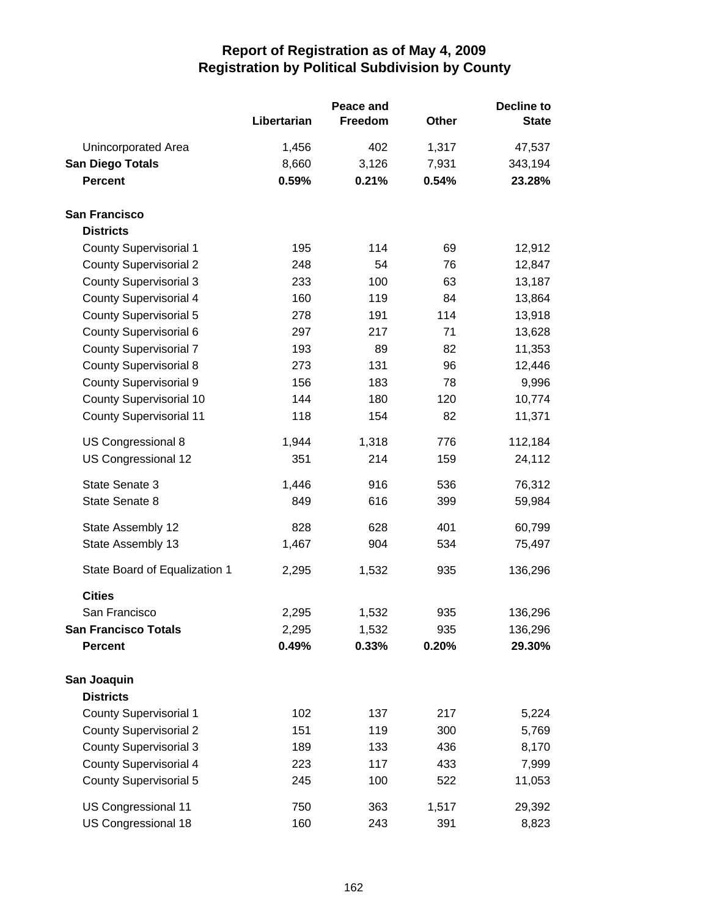|                                |             | Peace and | <b>Decline to</b> |              |  |
|--------------------------------|-------------|-----------|-------------------|--------------|--|
|                                | Libertarian | Freedom   | Other             | <b>State</b> |  |
| Unincorporated Area            | 1,456       | 402       | 1,317             | 47,537       |  |
| <b>San Diego Totals</b>        | 8,660       | 3,126     | 7,931             | 343,194      |  |
| <b>Percent</b>                 | 0.59%       | 0.21%     | 0.54%             | 23.28%       |  |
| <b>San Francisco</b>           |             |           |                   |              |  |
| <b>Districts</b>               |             |           |                   |              |  |
| <b>County Supervisorial 1</b>  | 195         | 114       | 69                | 12,912       |  |
| <b>County Supervisorial 2</b>  | 248         | 54        | 76                | 12,847       |  |
| <b>County Supervisorial 3</b>  | 233         | 100       | 63                | 13,187       |  |
| <b>County Supervisorial 4</b>  | 160         | 119       | 84                | 13,864       |  |
| <b>County Supervisorial 5</b>  | 278         | 191       | 114               | 13,918       |  |
| County Supervisorial 6         | 297         | 217       | 71                | 13,628       |  |
| <b>County Supervisorial 7</b>  | 193         | 89        | 82                | 11,353       |  |
| <b>County Supervisorial 8</b>  | 273         | 131       | 96                | 12,446       |  |
| <b>County Supervisorial 9</b>  | 156         | 183       | 78                | 9,996        |  |
| <b>County Supervisorial 10</b> | 144         | 180       | 120               | 10,774       |  |
| <b>County Supervisorial 11</b> | 118         | 154       | 82                | 11,371       |  |
| US Congressional 8             | 1,944       | 1,318     | 776               | 112,184      |  |
| US Congressional 12            | 351         | 214       | 159               | 24,112       |  |
| State Senate 3                 | 1,446       | 916       | 536               | 76,312       |  |
| State Senate 8                 | 849         | 616       | 399               | 59,984       |  |
| State Assembly 12              | 828         | 628       | 401               | 60,799       |  |
| State Assembly 13              | 1,467       | 904       | 534               | 75,497       |  |
| State Board of Equalization 1  | 2,295       | 1,532     | 935               | 136,296      |  |
| <b>Cities</b>                  |             |           |                   |              |  |
| San Francisco                  | 2,295       | 1,532     | 935               | 136,296      |  |
| <b>San Francisco Totals</b>    | 2,295       | 1,532     | 935               | 136,296      |  |
| <b>Percent</b>                 | 0.49%       | 0.33%     | 0.20%             | 29.30%       |  |
| San Joaquin                    |             |           |                   |              |  |
| <b>Districts</b>               |             |           |                   |              |  |
| <b>County Supervisorial 1</b>  | 102         | 137       | 217               | 5,224        |  |
| <b>County Supervisorial 2</b>  | 151         | 119       | 300               | 5,769        |  |
| <b>County Supervisorial 3</b>  | 189         | 133       | 436               | 8,170        |  |
| <b>County Supervisorial 4</b>  | 223         | 117       | 433               | 7,999        |  |
| <b>County Supervisorial 5</b>  | 245         | 100       | 522               | 11,053       |  |
| US Congressional 11            | 750         | 363       | 1,517             | 29,392       |  |
| US Congressional 18            | 160         | 243       | 391               | 8,823        |  |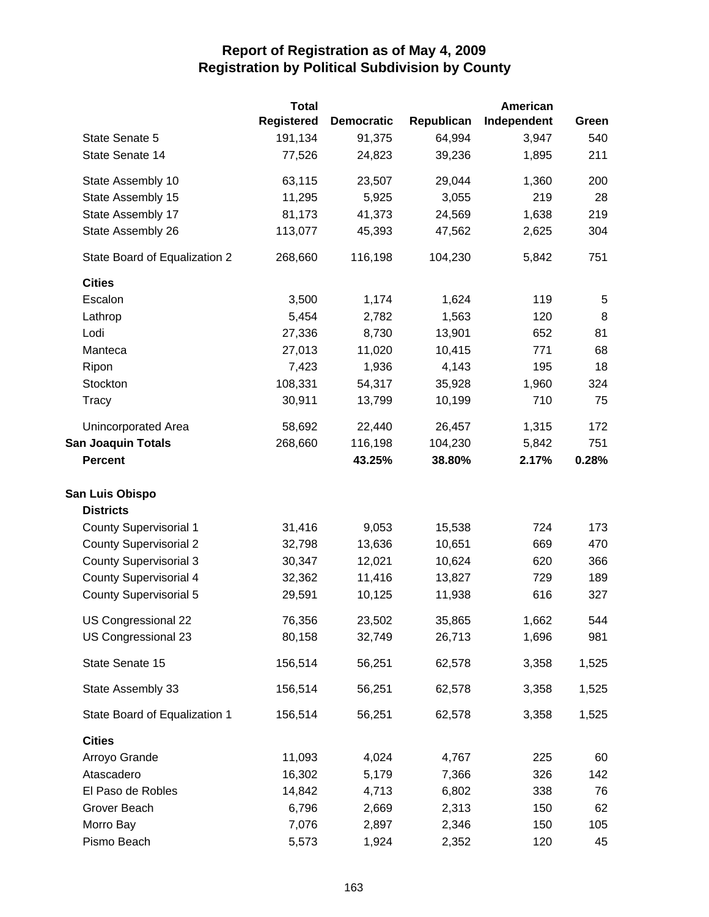|                               | <b>Total</b>      |                   |            | American    |       |
|-------------------------------|-------------------|-------------------|------------|-------------|-------|
|                               | <b>Registered</b> | <b>Democratic</b> | Republican | Independent | Green |
| State Senate 5                | 191,134           | 91,375            | 64,994     | 3,947       | 540   |
| State Senate 14               | 77,526            | 24,823            | 39,236     | 1,895       | 211   |
| State Assembly 10             | 63,115            | 23,507            | 29,044     | 1,360       | 200   |
| State Assembly 15             | 11,295            | 5,925             | 3,055      | 219         | 28    |
| State Assembly 17             | 81,173            | 41,373            | 24,569     | 1,638       | 219   |
| State Assembly 26             | 113,077           | 45,393            | 47,562     | 2,625       | 304   |
| State Board of Equalization 2 | 268,660           | 116,198           | 104,230    | 5,842       | 751   |
| <b>Cities</b>                 |                   |                   |            |             |       |
| Escalon                       | 3,500             | 1,174             | 1,624      | 119         | 5     |
| Lathrop                       | 5,454             | 2,782             | 1,563      | 120         | 8     |
| Lodi                          | 27,336            | 8,730             | 13,901     | 652         | 81    |
| Manteca                       | 27,013            | 11,020            | 10,415     | 771         | 68    |
| Ripon                         | 7,423             | 1,936             | 4,143      | 195         | 18    |
| Stockton                      | 108,331           | 54,317            | 35,928     | 1,960       | 324   |
| Tracy                         | 30,911            | 13,799            | 10,199     | 710         | 75    |
| Unincorporated Area           | 58,692            | 22,440            | 26,457     | 1,315       | 172   |
| <b>San Joaquin Totals</b>     | 268,660           | 116,198           | 104,230    | 5,842       | 751   |
| <b>Percent</b>                |                   | 43.25%            | 38.80%     | 2.17%       | 0.28% |
| San Luis Obispo               |                   |                   |            |             |       |
| <b>Districts</b>              |                   |                   |            |             |       |
| <b>County Supervisorial 1</b> | 31,416            | 9,053             | 15,538     | 724         | 173   |
| <b>County Supervisorial 2</b> | 32,798            | 13,636            | 10,651     | 669         | 470   |
| <b>County Supervisorial 3</b> | 30,347            | 12,021            | 10,624     | 620         | 366   |
| <b>County Supervisorial 4</b> | 32,362            | 11,416            | 13,827     | 729         | 189   |
| <b>County Supervisorial 5</b> | 29,591            | 10,125            | 11,938     | 616         | 327   |
| US Congressional 22           | 76,356            | 23,502            | 35,865     | 1,662       | 544   |
| US Congressional 23           | 80,158            | 32,749            | 26,713     | 1,696       | 981   |
| State Senate 15               | 156,514           | 56,251            | 62,578     | 3,358       | 1,525 |
| State Assembly 33             | 156,514           | 56,251            | 62,578     | 3,358       | 1,525 |
| State Board of Equalization 1 | 156,514           | 56,251            | 62,578     | 3,358       | 1,525 |
| <b>Cities</b>                 |                   |                   |            |             |       |
| Arroyo Grande                 | 11,093            | 4,024             | 4,767      | 225         | 60    |
| Atascadero                    | 16,302            | 5,179             | 7,366      | 326         | 142   |
| El Paso de Robles             | 14,842            | 4,713             | 6,802      | 338         | 76    |
| Grover Beach                  | 6,796             | 2,669             | 2,313      | 150         | 62    |
| Morro Bay                     | 7,076             | 2,897             | 2,346      | 150         | 105   |
| Pismo Beach                   | 5,573             | 1,924             | 2,352      | 120         | 45    |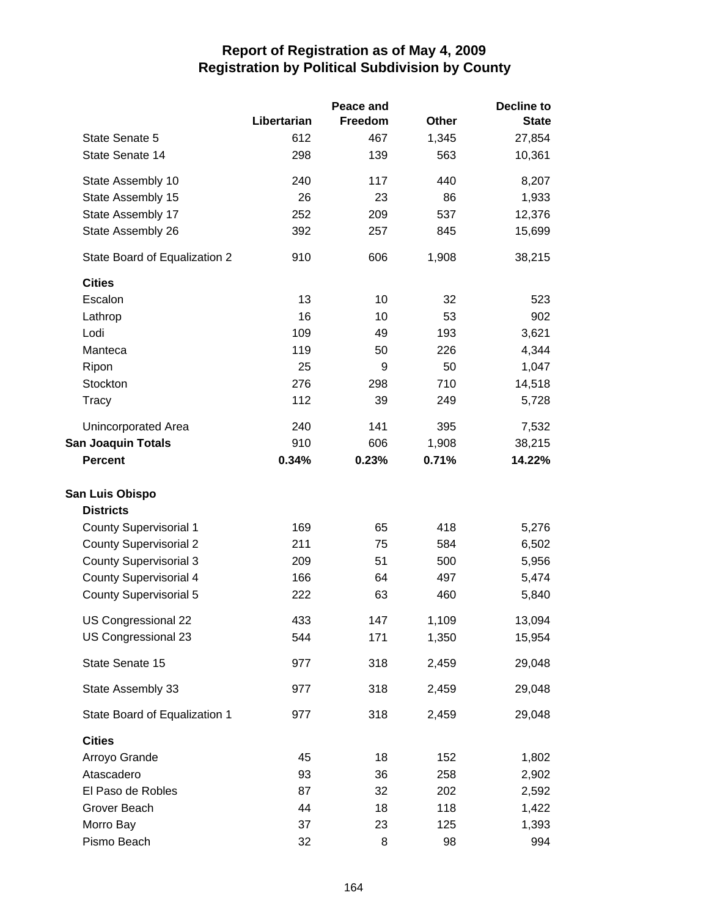|                               |             | Peace and |              | Decline to   |
|-------------------------------|-------------|-----------|--------------|--------------|
|                               | Libertarian | Freedom   | <b>Other</b> | <b>State</b> |
| State Senate 5                | 612         | 467       | 1,345        | 27,854       |
| State Senate 14               | 298         | 139       | 563          | 10,361       |
| State Assembly 10             | 240         | 117       | 440          | 8,207        |
| State Assembly 15             | 26          | 23        | 86           | 1,933        |
| State Assembly 17             | 252         | 209       | 537          | 12,376       |
| State Assembly 26             | 392         | 257       | 845          | 15,699       |
| State Board of Equalization 2 | 910         | 606       | 1,908        | 38,215       |
| <b>Cities</b>                 |             |           |              |              |
| Escalon                       | 13          | 10        | 32           | 523          |
| Lathrop                       | 16          | 10        | 53           | 902          |
| Lodi                          | 109         | 49        | 193          | 3,621        |
| Manteca                       | 119         | 50        | 226          | 4,344        |
| Ripon                         | 25          | 9         | 50           | 1,047        |
| Stockton                      | 276         | 298       | 710          | 14,518       |
| Tracy                         | 112         | 39        | 249          | 5,728        |
| Unincorporated Area           | 240         | 141       | 395          | 7,532        |
| <b>San Joaquin Totals</b>     | 910         | 606       | 1,908        | 38,215       |
| <b>Percent</b>                | 0.34%       | 0.23%     | 0.71%        | 14.22%       |
| San Luis Obispo               |             |           |              |              |
| <b>Districts</b>              |             |           |              |              |
| <b>County Supervisorial 1</b> | 169         | 65        | 418          | 5,276        |
| <b>County Supervisorial 2</b> | 211         | 75        | 584          | 6,502        |
| <b>County Supervisorial 3</b> | 209         | 51        | 500          | 5,956        |
| <b>County Supervisorial 4</b> | 166         | 64        | 497          | 5,474        |
| <b>County Supervisorial 5</b> | 222         | 63        | 460          | 5,840        |
| US Congressional 22           | 433         | 147       | 1,109        | 13,094       |
| US Congressional 23           | 544         | 171       | 1,350        | 15,954       |
| State Senate 15               | 977         | 318       | 2,459        | 29,048       |
| State Assembly 33             | 977         | 318       | 2,459        | 29,048       |
| State Board of Equalization 1 | 977         | 318       | 2,459        | 29,048       |
| <b>Cities</b>                 |             |           |              |              |
| Arroyo Grande                 | 45          | 18        | 152          | 1,802        |
| Atascadero                    | 93          | 36        | 258          | 2,902        |
| El Paso de Robles             | 87          | 32        | 202          | 2,592        |
| Grover Beach                  | 44          | 18        | 118          | 1,422        |
| Morro Bay                     | 37          | 23        | 125          | 1,393        |
| Pismo Beach                   | 32          | 8         | 98           | 994          |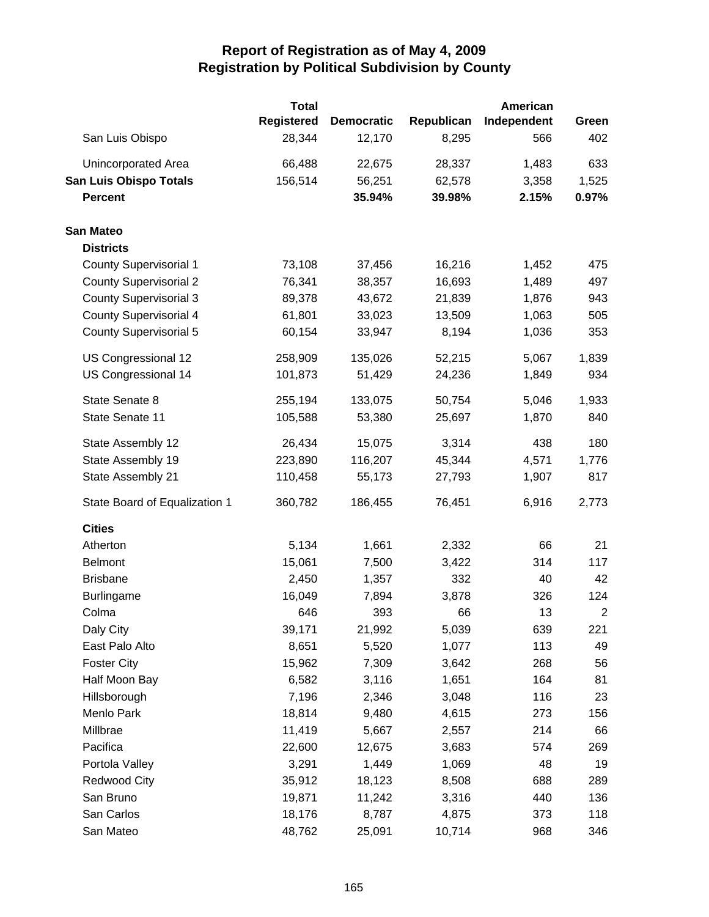|                               | <b>Total</b>      |                   |            | American    |                |
|-------------------------------|-------------------|-------------------|------------|-------------|----------------|
|                               | <b>Registered</b> | <b>Democratic</b> | Republican | Independent | Green          |
| San Luis Obispo               | 28,344            | 12,170            | 8,295      | 566         | 402            |
| Unincorporated Area           | 66,488            | 22,675            | 28,337     | 1,483       | 633            |
| <b>San Luis Obispo Totals</b> | 156,514           | 56,251            | 62,578     | 3,358       | 1,525          |
| <b>Percent</b>                |                   | 35.94%            | 39.98%     | 2.15%       | 0.97%          |
| <b>San Mateo</b>              |                   |                   |            |             |                |
| <b>Districts</b>              |                   |                   |            |             |                |
| <b>County Supervisorial 1</b> | 73,108            | 37,456            | 16,216     | 1,452       | 475            |
| <b>County Supervisorial 2</b> | 76,341            | 38,357            | 16,693     | 1,489       | 497            |
| <b>County Supervisorial 3</b> | 89,378            | 43,672            | 21,839     | 1,876       | 943            |
| <b>County Supervisorial 4</b> | 61,801            | 33,023            | 13,509     | 1,063       | 505            |
| <b>County Supervisorial 5</b> | 60,154            | 33,947            | 8,194      | 1,036       | 353            |
| US Congressional 12           | 258,909           | 135,026           | 52,215     | 5,067       | 1,839          |
| US Congressional 14           | 101,873           | 51,429            | 24,236     | 1,849       | 934            |
| State Senate 8                | 255,194           | 133,075           | 50,754     | 5,046       | 1,933          |
| State Senate 11               | 105,588           | 53,380            | 25,697     | 1,870       | 840            |
| State Assembly 12             | 26,434            | 15,075            | 3,314      | 438         | 180            |
| State Assembly 19             | 223,890           | 116,207           | 45,344     | 4,571       | 1,776          |
| State Assembly 21             | 110,458           | 55,173            | 27,793     | 1,907       | 817            |
| State Board of Equalization 1 | 360,782           | 186,455           | 76,451     | 6,916       | 2,773          |
| <b>Cities</b>                 |                   |                   |            |             |                |
| Atherton                      | 5,134             | 1,661             | 2,332      | 66          | 21             |
| <b>Belmont</b>                | 15,061            | 7,500             | 3,422      | 314         | 117            |
| <b>Brisbane</b>               | 2,450             | 1,357             | 332        | 40          | 42             |
| <b>Burlingame</b>             | 16,049            | 7,894             | 3,878      | 326         | 124            |
| Colma                         | 646               | 393               | 66         | 13          | $\overline{2}$ |
| Daly City                     | 39,171            | 21,992            | 5,039      | 639         | 221            |
| East Palo Alto                | 8,651             | 5,520             | 1,077      | 113         | 49             |
| <b>Foster City</b>            | 15,962            | 7,309             | 3,642      | 268         | 56             |
| Half Moon Bay                 | 6,582             | 3,116             | 1,651      | 164         | 81             |
| Hillsborough                  | 7,196             | 2,346             | 3,048      | 116         | 23             |
| Menlo Park                    | 18,814            | 9,480             | 4,615      | 273         | 156            |
| Millbrae                      | 11,419            | 5,667             | 2,557      | 214         | 66             |
| Pacifica                      | 22,600            | 12,675            | 3,683      | 574         | 269            |
| Portola Valley                | 3,291             | 1,449             | 1,069      | 48          | 19             |
| <b>Redwood City</b>           | 35,912            | 18,123            | 8,508      | 688         | 289            |
| San Bruno                     | 19,871            | 11,242            | 3,316      | 440         | 136            |
| San Carlos                    | 18,176            | 8,787             | 4,875      | 373         | 118            |
| San Mateo                     | 48,762            | 25,091            | 10,714     | 968         | 346            |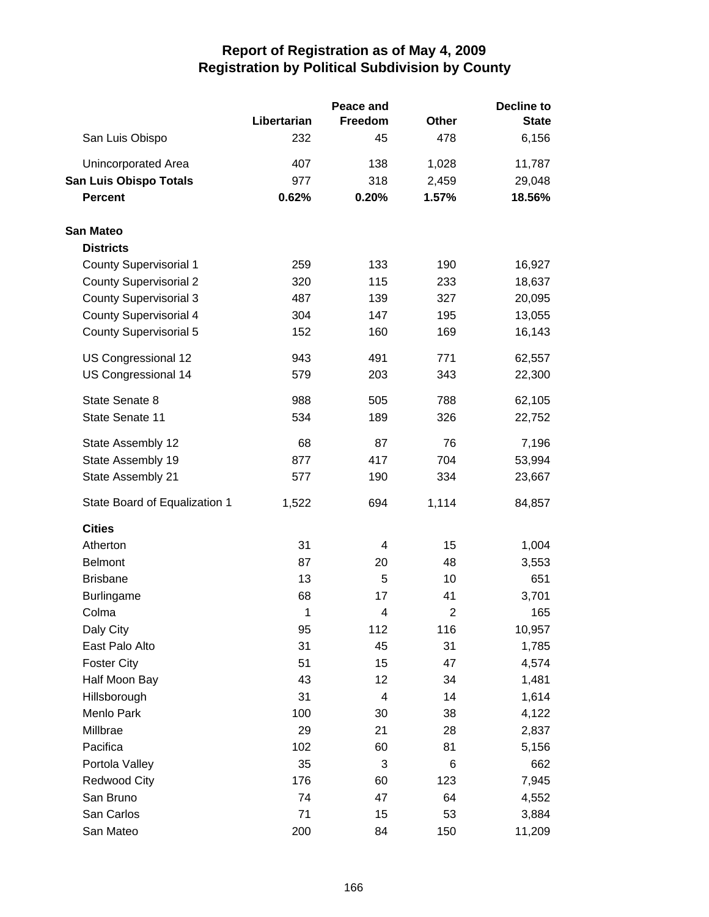|                               |             | Peace and               |                | <b>Decline to</b> |
|-------------------------------|-------------|-------------------------|----------------|-------------------|
|                               | Libertarian | <b>Freedom</b>          | <b>Other</b>   | <b>State</b>      |
| San Luis Obispo               | 232         | 45                      | 478            | 6,156             |
| Unincorporated Area           | 407         | 138                     | 1,028          | 11,787            |
| <b>San Luis Obispo Totals</b> | 977         | 318                     | 2,459          | 29,048            |
| <b>Percent</b>                | 0.62%       | 0.20%                   | 1.57%          | 18.56%            |
| <b>San Mateo</b>              |             |                         |                |                   |
| <b>Districts</b>              |             |                         |                |                   |
| <b>County Supervisorial 1</b> | 259         | 133                     | 190            | 16,927            |
| <b>County Supervisorial 2</b> | 320         | 115                     | 233            | 18,637            |
| <b>County Supervisorial 3</b> | 487         | 139                     | 327            | 20,095            |
| <b>County Supervisorial 4</b> | 304         | 147                     | 195            | 13,055            |
| <b>County Supervisorial 5</b> | 152         | 160                     | 169            | 16,143            |
| US Congressional 12           | 943         | 491                     | 771            | 62,557            |
| US Congressional 14           | 579         | 203                     | 343            | 22,300            |
| State Senate 8                | 988         | 505                     | 788            | 62,105            |
| State Senate 11               | 534         | 189                     | 326            | 22,752            |
| State Assembly 12             | 68          | 87                      | 76             | 7,196             |
| State Assembly 19             | 877         | 417                     | 704            | 53,994            |
| State Assembly 21             | 577         | 190                     | 334            | 23,667            |
| State Board of Equalization 1 | 1,522       | 694                     | 1,114          | 84,857            |
| <b>Cities</b>                 |             |                         |                |                   |
| Atherton                      | 31          | 4                       | 15             | 1,004             |
| <b>Belmont</b>                | 87          | 20                      | 48             | 3,553             |
| <b>Brisbane</b>               | 13          | 5                       | 10             | 651               |
| Burlingame                    | 68          | 17                      | 41             | 3,701             |
| Colma                         | 1           | 4                       | $\overline{2}$ | 165               |
| Daly City                     | 95          | 112                     | 116            | 10,957            |
| East Palo Alto                | 31          | 45                      | 31             | 1,785             |
| <b>Foster City</b>            | 51          | 15                      | 47             | 4,574             |
| Half Moon Bay                 | 43          | 12                      | 34             | 1,481             |
| Hillsborough                  | 31          | $\overline{\mathbf{4}}$ | 14             | 1,614             |
| Menlo Park                    | 100         | 30                      | 38             | 4,122             |
| Millbrae                      | 29          | 21                      | 28             | 2,837             |
| Pacifica                      | 102         | 60                      | 81             | 5,156             |
| Portola Valley                | 35          | 3                       | 6              | 662               |
| <b>Redwood City</b>           | 176         | 60                      | 123            | 7,945             |
| San Bruno                     | 74          | 47                      | 64             | 4,552             |
| San Carlos                    | 71          | 15                      | 53             | 3,884             |
| San Mateo                     | 200         | 84                      | 150            | 11,209            |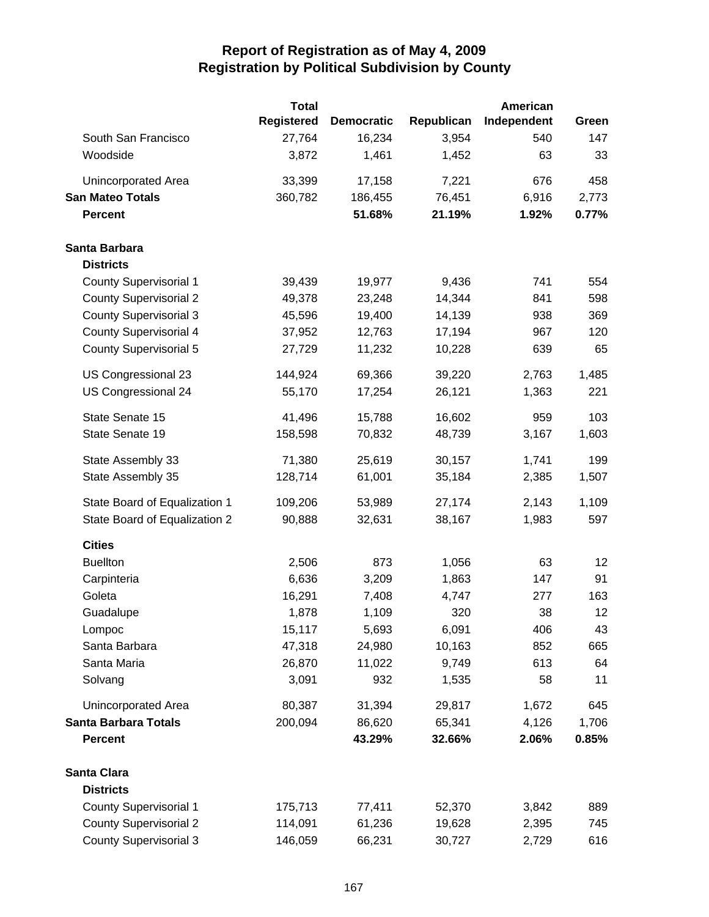|                               | <b>Total</b>      |                   |            | <b>American</b> |       |
|-------------------------------|-------------------|-------------------|------------|-----------------|-------|
|                               | <b>Registered</b> | <b>Democratic</b> | Republican | Independent     | Green |
| South San Francisco           | 27,764            | 16,234            | 3,954      | 540             | 147   |
| Woodside                      | 3,872             | 1,461             | 1,452      | 63              | 33    |
| Unincorporated Area           | 33,399            | 17,158            | 7,221      | 676             | 458   |
| <b>San Mateo Totals</b>       | 360,782           | 186,455           | 76,451     | 6,916           | 2,773 |
| <b>Percent</b>                |                   | 51.68%            | 21.19%     | 1.92%           | 0.77% |
| Santa Barbara                 |                   |                   |            |                 |       |
| <b>Districts</b>              |                   |                   |            |                 |       |
| <b>County Supervisorial 1</b> | 39,439            | 19,977            | 9,436      | 741             | 554   |
| <b>County Supervisorial 2</b> | 49,378            | 23,248            | 14,344     | 841             | 598   |
| <b>County Supervisorial 3</b> | 45,596            | 19,400            | 14,139     | 938             | 369   |
| <b>County Supervisorial 4</b> | 37,952            | 12,763            | 17,194     | 967             | 120   |
| <b>County Supervisorial 5</b> | 27,729            | 11,232            | 10,228     | 639             | 65    |
| US Congressional 23           | 144,924           | 69,366            | 39,220     | 2,763           | 1,485 |
| US Congressional 24           | 55,170            | 17,254            | 26,121     | 1,363           | 221   |
| State Senate 15               | 41,496            | 15,788            | 16,602     | 959             | 103   |
| State Senate 19               | 158,598           | 70,832            | 48,739     | 3,167           | 1,603 |
| State Assembly 33             | 71,380            | 25,619            | 30,157     | 1,741           | 199   |
| State Assembly 35             | 128,714           | 61,001            | 35,184     | 2,385           | 1,507 |
| State Board of Equalization 1 | 109,206           | 53,989            | 27,174     | 2,143           | 1,109 |
| State Board of Equalization 2 | 90,888            | 32,631            | 38,167     | 1,983           | 597   |
| <b>Cities</b>                 |                   |                   |            |                 |       |
| <b>Buellton</b>               | 2,506             | 873               | 1,056      | 63              | 12    |
| Carpinteria                   | 6,636             | 3,209             | 1,863      | 147             | 91    |
| Goleta                        | 16,291            | 7,408             | 4,747      | 277             | 163   |
| Guadalupe                     | 1,878             | 1,109             | 320        | 38              | 12    |
| Lompoc                        | 15,117            | 5,693             | 6,091      | 406             | 43    |
| Santa Barbara                 | 47,318            | 24,980            | 10,163     | 852             | 665   |
| Santa Maria                   | 26,870            | 11,022            | 9,749      | 613             | 64    |
| Solvang                       | 3,091             | 932               | 1,535      | 58              | 11    |
| Unincorporated Area           | 80,387            | 31,394            | 29,817     | 1,672           | 645   |
| <b>Santa Barbara Totals</b>   | 200,094           | 86,620            | 65,341     | 4,126           | 1,706 |
| <b>Percent</b>                |                   | 43.29%            | 32.66%     | 2.06%           | 0.85% |
| <b>Santa Clara</b>            |                   |                   |            |                 |       |
| <b>Districts</b>              |                   |                   |            |                 |       |
| <b>County Supervisorial 1</b> | 175,713           | 77,411            | 52,370     | 3,842           | 889   |
| <b>County Supervisorial 2</b> | 114,091           | 61,236            | 19,628     | 2,395           | 745   |
| <b>County Supervisorial 3</b> | 146,059           | 66,231            | 30,727     | 2,729           | 616   |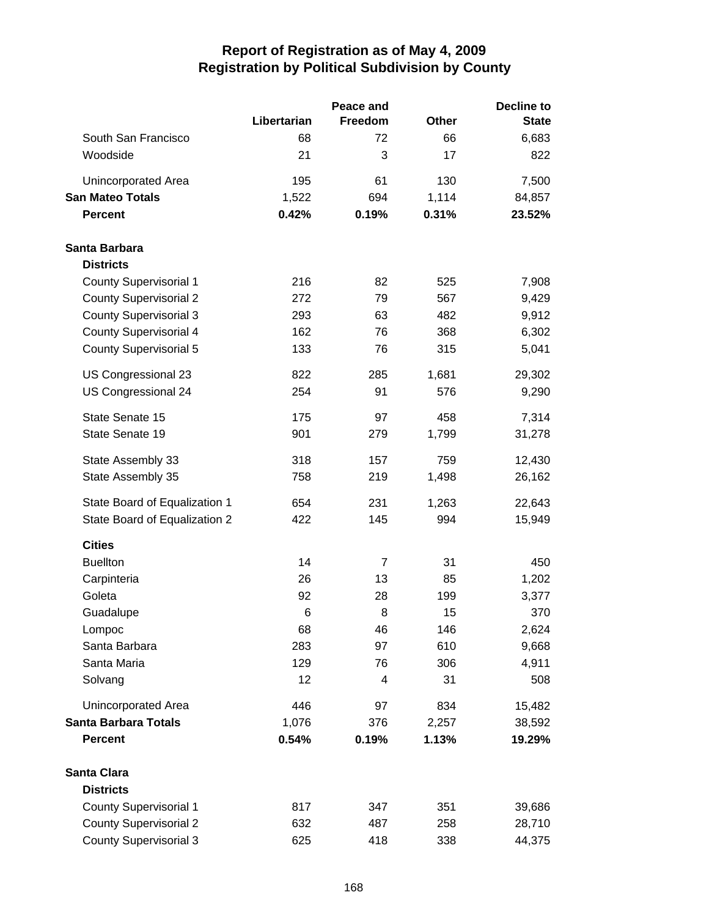|                               |             | Peace and      | <b>Decline to</b> |              |  |
|-------------------------------|-------------|----------------|-------------------|--------------|--|
|                               | Libertarian | Freedom        | <b>Other</b>      | <b>State</b> |  |
| South San Francisco           | 68          | 72             | 66                | 6,683        |  |
| Woodside                      | 21          | 3              | 17                | 822          |  |
| Unincorporated Area           | 195         | 61             | 130               | 7,500        |  |
| <b>San Mateo Totals</b>       | 1,522       | 694            | 1,114             | 84,857       |  |
| <b>Percent</b>                | 0.42%       | 0.19%          | 0.31%             | 23.52%       |  |
| Santa Barbara                 |             |                |                   |              |  |
| <b>Districts</b>              |             |                |                   |              |  |
| <b>County Supervisorial 1</b> | 216         | 82             | 525               | 7,908        |  |
| <b>County Supervisorial 2</b> | 272         | 79             | 567               | 9,429        |  |
| <b>County Supervisorial 3</b> | 293         | 63             | 482               | 9,912        |  |
| <b>County Supervisorial 4</b> | 162         | 76             | 368               | 6,302        |  |
| <b>County Supervisorial 5</b> | 133         | 76             | 315               | 5,041        |  |
| US Congressional 23           | 822         | 285            | 1,681             | 29,302       |  |
| <b>US Congressional 24</b>    | 254         | 91             | 576               | 9,290        |  |
| State Senate 15               | 175         | 97             | 458               | 7,314        |  |
| State Senate 19               | 901         | 279            | 1,799             | 31,278       |  |
| State Assembly 33             | 318         | 157            | 759               | 12,430       |  |
| State Assembly 35             | 758         | 219            | 1,498             | 26,162       |  |
| State Board of Equalization 1 | 654         | 231            | 1,263             | 22,643       |  |
| State Board of Equalization 2 | 422         | 145            | 994               | 15,949       |  |
| <b>Cities</b>                 |             |                |                   |              |  |
| <b>Buellton</b>               | 14          | $\overline{7}$ | 31                | 450          |  |
| Carpinteria                   | 26          | 13             | 85                | 1,202        |  |
| Goleta                        | 92          | 28             | 199               | 3,377        |  |
| Guadalupe                     | $\,6$       | 8              | 15                | 370          |  |
| Lompoc                        | 68          | 46             | 146               | 2,624        |  |
| Santa Barbara                 | 283         | 97             | 610               | 9,668        |  |
| Santa Maria                   | 129         | 76             | 306               | 4,911        |  |
| Solvang                       | 12          | 4              | 31                | 508          |  |
| Unincorporated Area           | 446         | 97             | 834               | 15,482       |  |
| <b>Santa Barbara Totals</b>   | 1,076       | 376            | 2,257             | 38,592       |  |
| <b>Percent</b>                | 0.54%       | 0.19%          | 1.13%             | 19.29%       |  |
| <b>Santa Clara</b>            |             |                |                   |              |  |
| <b>Districts</b>              |             |                |                   |              |  |
| <b>County Supervisorial 1</b> | 817         | 347            | 351               | 39,686       |  |
| <b>County Supervisorial 2</b> | 632         | 487            | 258               | 28,710       |  |
| <b>County Supervisorial 3</b> | 625         | 418            | 338               | 44,375       |  |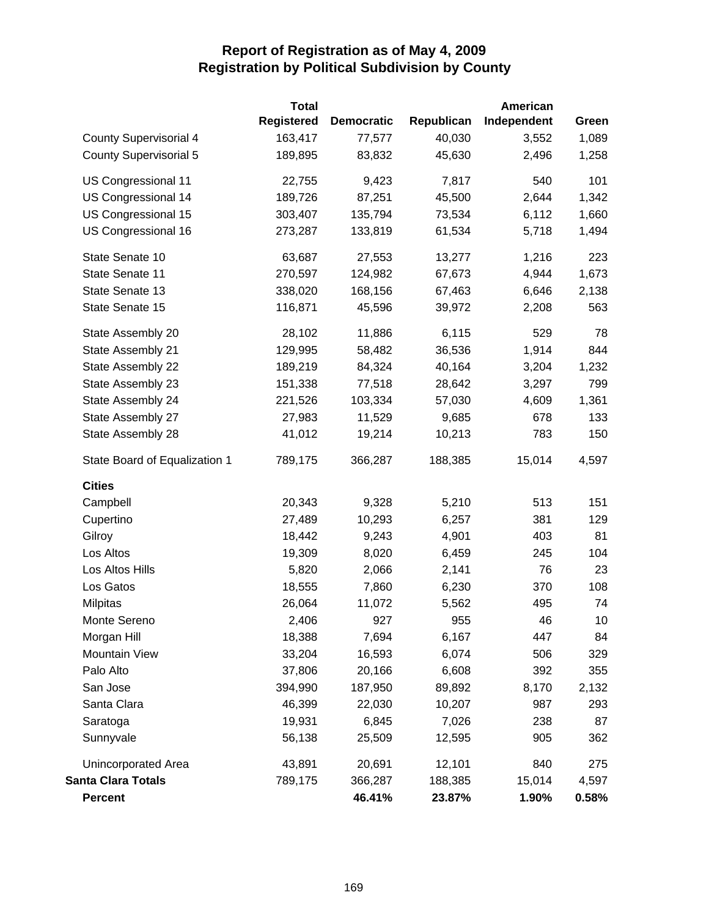|                               | <b>Total</b>      |                   |            | <b>American</b> |       |
|-------------------------------|-------------------|-------------------|------------|-----------------|-------|
|                               | <b>Registered</b> | <b>Democratic</b> | Republican | Independent     | Green |
| <b>County Supervisorial 4</b> | 163,417           | 77,577            | 40,030     | 3,552           | 1,089 |
| County Supervisorial 5        | 189,895           | 83,832            | 45,630     | 2,496           | 1,258 |
| US Congressional 11           | 22,755            | 9,423             | 7,817      | 540             | 101   |
| US Congressional 14           | 189,726           | 87,251            | 45,500     | 2,644           | 1,342 |
| US Congressional 15           | 303,407           | 135,794           | 73,534     | 6,112           | 1,660 |
| US Congressional 16           | 273,287           | 133,819           | 61,534     | 5,718           | 1,494 |
| State Senate 10               | 63,687            | 27,553            | 13,277     | 1,216           | 223   |
| State Senate 11               | 270,597           | 124,982           | 67,673     | 4,944           | 1,673 |
| State Senate 13               | 338,020           | 168,156           | 67,463     | 6,646           | 2,138 |
| State Senate 15               | 116,871           | 45,596            | 39,972     | 2,208           | 563   |
| State Assembly 20             | 28,102            | 11,886            | 6,115      | 529             | 78    |
| State Assembly 21             | 129,995           | 58,482            | 36,536     | 1,914           | 844   |
| State Assembly 22             | 189,219           | 84,324            | 40,164     | 3,204           | 1,232 |
| State Assembly 23             | 151,338           | 77,518            | 28,642     | 3,297           | 799   |
| State Assembly 24             | 221,526           | 103,334           | 57,030     | 4,609           | 1,361 |
| State Assembly 27             | 27,983            | 11,529            | 9,685      | 678             | 133   |
| State Assembly 28             | 41,012            | 19,214            | 10,213     | 783             | 150   |
| State Board of Equalization 1 | 789,175           | 366,287           | 188,385    | 15,014          | 4,597 |
| <b>Cities</b>                 |                   |                   |            |                 |       |
| Campbell                      | 20,343            | 9,328             | 5,210      | 513             | 151   |
| Cupertino                     | 27,489            | 10,293            | 6,257      | 381             | 129   |
| Gilroy                        | 18,442            | 9,243             | 4,901      | 403             | 81    |
| Los Altos                     | 19,309            | 8,020             | 6,459      | 245             | 104   |
| Los Altos Hills               | 5,820             | 2,066             | 2,141      | 76              | 23    |
| Los Gatos                     | 18,555            | 7,860             | 6,230      | 370             | 108   |
| <b>Milpitas</b>               | 26,064            | 11,072            | 5,562      | 495             | 74    |
| Monte Sereno                  | 2,406             | 927               | 955        | 46              | 10    |
| Morgan Hill                   | 18,388            | 7,694             | 6,167      | 447             | 84    |
| Mountain View                 | 33,204            | 16,593            | 6,074      | 506             | 329   |
| Palo Alto                     | 37,806            | 20,166            | 6,608      | 392             | 355   |
| San Jose                      | 394,990           | 187,950           | 89,892     | 8,170           | 2,132 |
| Santa Clara                   | 46,399            | 22,030            | 10,207     | 987             | 293   |
| Saratoga                      | 19,931            | 6,845             | 7,026      | 238             | 87    |
| Sunnyvale                     | 56,138            | 25,509            | 12,595     | 905             | 362   |
| Unincorporated Area           | 43,891            | 20,691            | 12,101     | 840             | 275   |
| <b>Santa Clara Totals</b>     | 789,175           | 366,287           | 188,385    | 15,014          | 4,597 |
| <b>Percent</b>                |                   | 46.41%            | 23.87%     | 1.90%           | 0.58% |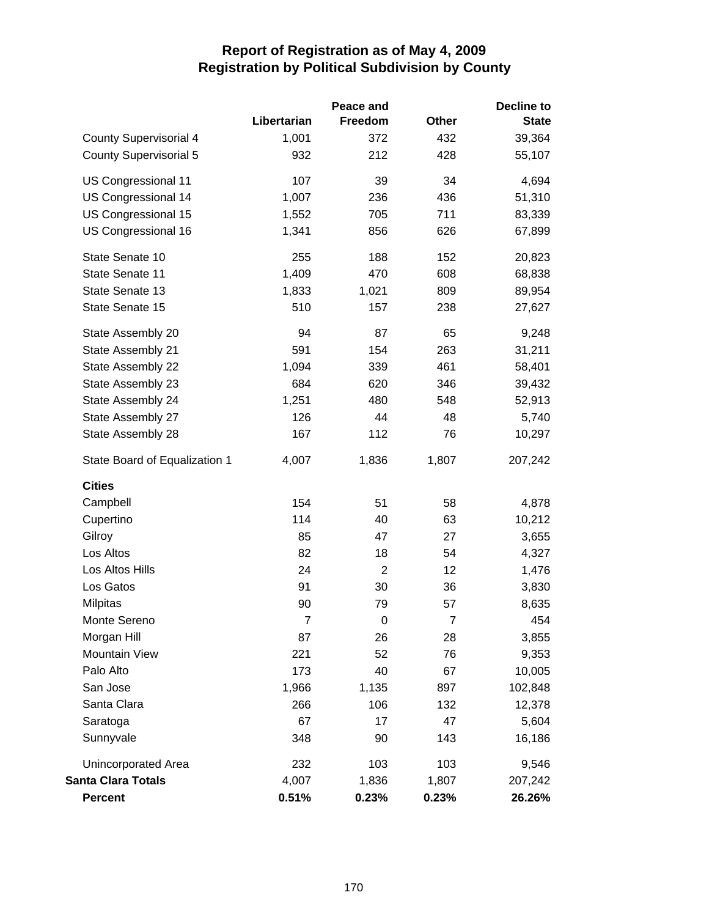|                               |                | Peace and      |                | Decline to   |
|-------------------------------|----------------|----------------|----------------|--------------|
|                               | Libertarian    | Freedom        | <b>Other</b>   | <b>State</b> |
| <b>County Supervisorial 4</b> | 1,001          | 372            | 432            | 39,364       |
| <b>County Supervisorial 5</b> | 932            | 212            | 428            | 55,107       |
| US Congressional 11           | 107            | 39             | 34             | 4,694        |
| US Congressional 14           | 1,007          | 236            | 436            | 51,310       |
| US Congressional 15           | 1,552          | 705            | 711            | 83,339       |
| US Congressional 16           | 1,341          | 856            | 626            | 67,899       |
| State Senate 10               | 255            | 188            | 152            | 20,823       |
| State Senate 11               | 1,409          | 470            | 608            | 68,838       |
| State Senate 13               | 1,833          | 1,021          | 809            | 89,954       |
| State Senate 15               | 510            | 157            | 238            | 27,627       |
| State Assembly 20             | 94             | 87             | 65             | 9,248        |
| State Assembly 21             | 591            | 154            | 263            | 31,211       |
| State Assembly 22             | 1,094          | 339            | 461            | 58,401       |
| State Assembly 23             | 684            | 620            | 346            | 39,432       |
| State Assembly 24             | 1,251          | 480            | 548            | 52,913       |
| State Assembly 27             | 126            | 44             | 48             | 5,740        |
| State Assembly 28             | 167            | 112            | 76             | 10,297       |
| State Board of Equalization 1 | 4,007          | 1,836          | 1,807          | 207,242      |
| <b>Cities</b>                 |                |                |                |              |
| Campbell                      | 154            | 51             | 58             | 4,878        |
| Cupertino                     | 114            | 40             | 63             | 10,212       |
| Gilroy                        | 85             | 47             | 27             | 3,655        |
| Los Altos                     | 82             | 18             | 54             | 4,327        |
| Los Altos Hills               | 24             | $\overline{2}$ | 12             | 1,476        |
| Los Gatos                     | 91             | 30             | 36             | 3,830        |
| <b>Milpitas</b>               | 90             | 79             | 57             | 8,635        |
| Monte Sereno                  | $\overline{7}$ | 0              | $\overline{7}$ | 454          |
| Morgan Hill                   | 87             | 26             | 28             | 3,855        |
| <b>Mountain View</b>          | 221            | 52             | 76             | 9,353        |
| Palo Alto                     | 173            | 40             | 67             | 10,005       |
| San Jose                      | 1,966          | 1,135          | 897            | 102,848      |
| Santa Clara                   | 266            | 106            | 132            | 12,378       |
| Saratoga                      | 67             | 17             | 47             | 5,604        |
| Sunnyvale                     | 348            | 90             | 143            | 16,186       |
| Unincorporated Area           | 232            | 103            | 103            | 9,546        |
| <b>Santa Clara Totals</b>     | 4,007          | 1,836          | 1,807          | 207,242      |
| <b>Percent</b>                | 0.51%          | 0.23%          | 0.23%          | 26.26%       |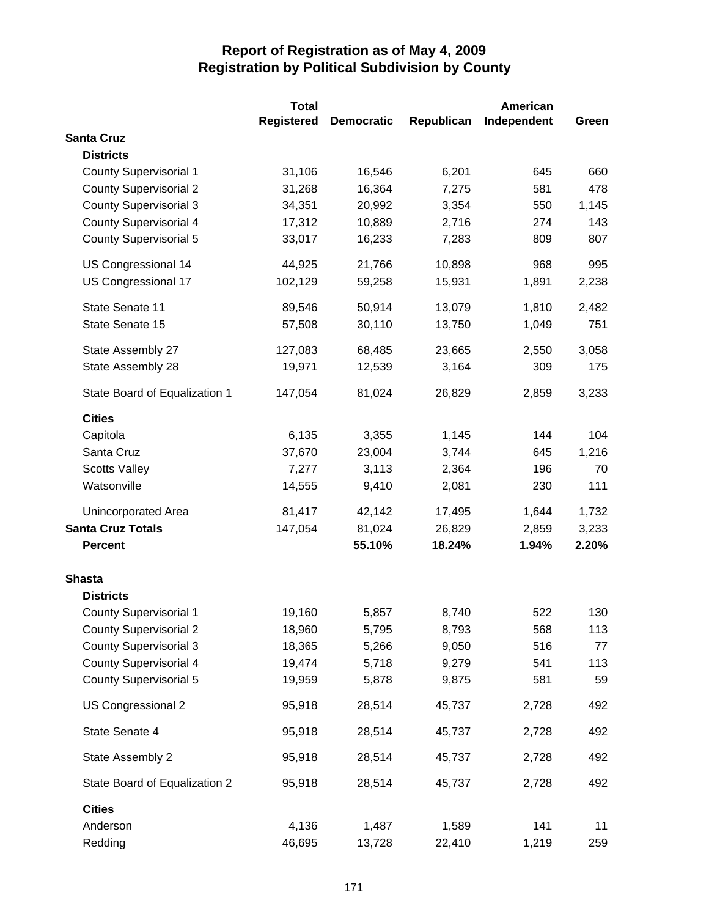|                               | <b>Total</b>      |                   |            | <b>American</b> |       |
|-------------------------------|-------------------|-------------------|------------|-----------------|-------|
|                               | <b>Registered</b> | <b>Democratic</b> | Republican | Independent     | Green |
| <b>Santa Cruz</b>             |                   |                   |            |                 |       |
| <b>Districts</b>              |                   |                   |            |                 |       |
| <b>County Supervisorial 1</b> | 31,106            | 16,546            | 6,201      | 645             | 660   |
| <b>County Supervisorial 2</b> | 31,268            | 16,364            | 7,275      | 581             | 478   |
| <b>County Supervisorial 3</b> | 34,351            | 20,992            | 3,354      | 550             | 1,145 |
| <b>County Supervisorial 4</b> | 17,312            | 10,889            | 2,716      | 274             | 143   |
| <b>County Supervisorial 5</b> | 33,017            | 16,233            | 7,283      | 809             | 807   |
| US Congressional 14           | 44,925            | 21,766            | 10,898     | 968             | 995   |
| US Congressional 17           | 102,129           | 59,258            | 15,931     | 1,891           | 2,238 |
| State Senate 11               | 89,546            | 50,914            | 13,079     | 1,810           | 2,482 |
| State Senate 15               | 57,508            | 30,110            | 13,750     | 1,049           | 751   |
| State Assembly 27             | 127,083           | 68,485            | 23,665     | 2,550           | 3,058 |
| State Assembly 28             | 19,971            | 12,539            | 3,164      | 309             | 175   |
| State Board of Equalization 1 | 147,054           | 81,024            | 26,829     | 2,859           | 3,233 |
| <b>Cities</b>                 |                   |                   |            |                 |       |
| Capitola                      | 6,135             | 3,355             | 1,145      | 144             | 104   |
| Santa Cruz                    | 37,670            | 23,004            | 3,744      | 645             | 1,216 |
| <b>Scotts Valley</b>          | 7,277             | 3,113             | 2,364      | 196             | 70    |
| Watsonville                   | 14,555            | 9,410             | 2,081      | 230             | 111   |
| <b>Unincorporated Area</b>    | 81,417            | 42,142            | 17,495     | 1,644           | 1,732 |
| <b>Santa Cruz Totals</b>      | 147,054           | 81,024            | 26,829     | 2,859           | 3,233 |
| <b>Percent</b>                |                   | 55.10%            | 18.24%     | 1.94%           | 2.20% |
| <b>Shasta</b>                 |                   |                   |            |                 |       |
| <b>Districts</b>              |                   |                   |            |                 |       |
| <b>County Supervisorial 1</b> | 19,160            | 5,857             | 8,740      | 522             | 130   |
| <b>County Supervisorial 2</b> | 18,960            | 5,795             | 8,793      | 568             | 113   |
| <b>County Supervisorial 3</b> | 18,365            | 5,266             | 9,050      | 516             | 77    |
| <b>County Supervisorial 4</b> | 19,474            | 5,718             | 9,279      | 541             | 113   |
| <b>County Supervisorial 5</b> | 19,959            | 5,878             | 9,875      | 581             | 59    |
| US Congressional 2            | 95,918            | 28,514            | 45,737     | 2,728           | 492   |
| State Senate 4                | 95,918            | 28,514            | 45,737     | 2,728           | 492   |
| State Assembly 2              | 95,918            | 28,514            | 45,737     | 2,728           | 492   |
| State Board of Equalization 2 | 95,918            | 28,514            | 45,737     | 2,728           | 492   |
| <b>Cities</b>                 |                   |                   |            |                 |       |
| Anderson                      | 4,136             | 1,487             | 1,589      | 141             | 11    |
| Redding                       | 46,695            | 13,728            | 22,410     | 1,219           | 259   |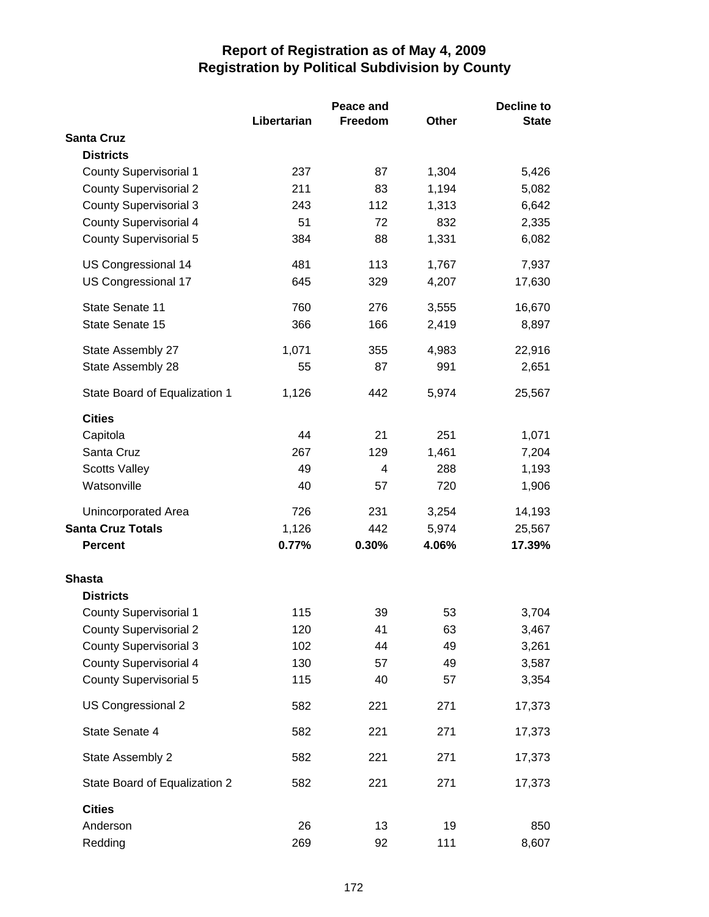|                               |             | Peace and      |              | <b>Decline to</b> |
|-------------------------------|-------------|----------------|--------------|-------------------|
|                               | Libertarian | <b>Freedom</b> | <b>Other</b> | <b>State</b>      |
| <b>Santa Cruz</b>             |             |                |              |                   |
| <b>Districts</b>              |             |                |              |                   |
| <b>County Supervisorial 1</b> | 237         | 87             | 1,304        | 5,426             |
| <b>County Supervisorial 2</b> | 211         | 83             | 1,194        | 5,082             |
| <b>County Supervisorial 3</b> | 243         | 112            | 1,313        | 6,642             |
| <b>County Supervisorial 4</b> | 51          | 72             | 832          | 2,335             |
| <b>County Supervisorial 5</b> | 384         | 88             | 1,331        | 6,082             |
| US Congressional 14           | 481         | 113            | 1,767        | 7,937             |
| US Congressional 17           | 645         | 329            | 4,207        | 17,630            |
| State Senate 11               | 760         | 276            | 3,555        | 16,670            |
| State Senate 15               | 366         | 166            | 2,419        | 8,897             |
| State Assembly 27             | 1,071       | 355            | 4,983        | 22,916            |
| State Assembly 28             | 55          | 87             | 991          | 2,651             |
| State Board of Equalization 1 | 1,126       | 442            | 5,974        | 25,567            |
| <b>Cities</b>                 |             |                |              |                   |
| Capitola                      | 44          | 21             | 251          | 1,071             |
| Santa Cruz                    | 267         | 129            | 1,461        | 7,204             |
| <b>Scotts Valley</b>          | 49          | 4              | 288          | 1,193             |
| Watsonville                   | 40          | 57             | 720          | 1,906             |
| Unincorporated Area           | 726         | 231            | 3,254        | 14,193            |
| <b>Santa Cruz Totals</b>      | 1,126       | 442            | 5,974        | 25,567            |
| <b>Percent</b>                | 0.77%       | 0.30%          | 4.06%        | 17.39%            |
| <b>Shasta</b>                 |             |                |              |                   |
| <b>Districts</b>              |             |                |              |                   |
| County Supervisorial 1        | 115         | 39             | 53           | 3,704             |
| <b>County Supervisorial 2</b> | 120         | 41             | 63           | 3,467             |
| <b>County Supervisorial 3</b> | 102         | 44             | 49           | 3,261             |
| <b>County Supervisorial 4</b> | 130         | 57             | 49           | 3,587             |
| <b>County Supervisorial 5</b> | 115         | 40             | 57           | 3,354             |
| US Congressional 2            | 582         | 221            | 271          | 17,373            |
| State Senate 4                | 582         | 221            | 271          | 17,373            |
| State Assembly 2              | 582         | 221            | 271          | 17,373            |
| State Board of Equalization 2 | 582         | 221            | 271          | 17,373            |
| <b>Cities</b>                 |             |                |              |                   |
| Anderson                      | 26          | 13             | 19           | 850               |
| Redding                       | 269         | 92             | 111          | 8,607             |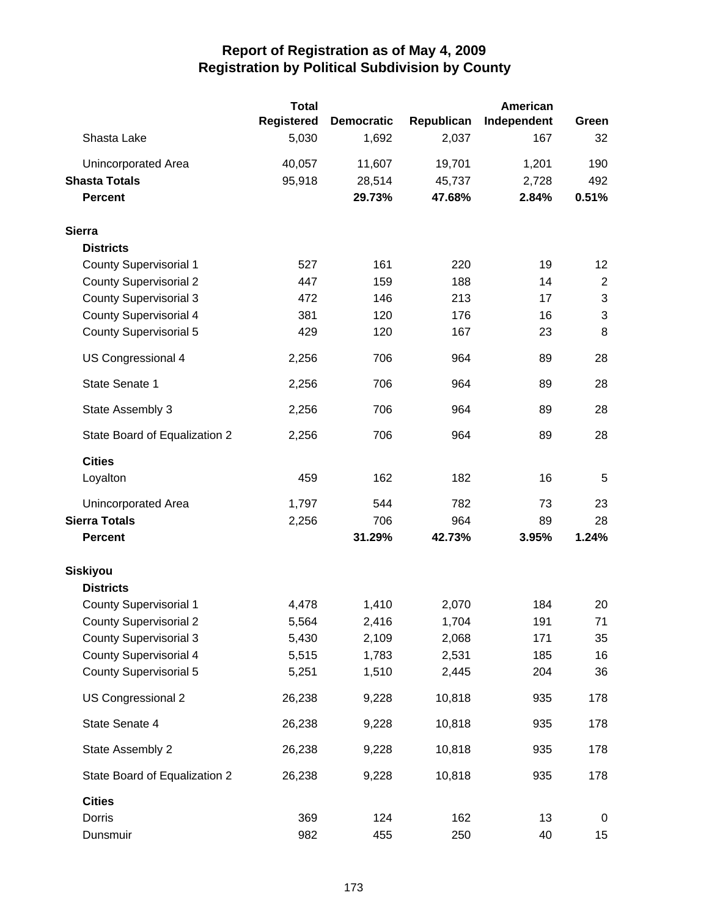|                               | <b>Total</b> |                   |            | American    |                  |
|-------------------------------|--------------|-------------------|------------|-------------|------------------|
|                               | Registered   | <b>Democratic</b> | Republican | Independent | Green            |
| Shasta Lake                   | 5,030        | 1,692             | 2,037      | 167         | 32               |
| Unincorporated Area           | 40,057       | 11,607            | 19,701     | 1,201       | 190              |
| <b>Shasta Totals</b>          | 95,918       | 28,514            | 45,737     | 2,728       | 492              |
| <b>Percent</b>                |              | 29.73%            | 47.68%     | 2.84%       | 0.51%            |
| <b>Sierra</b>                 |              |                   |            |             |                  |
| <b>Districts</b>              |              |                   |            |             |                  |
| <b>County Supervisorial 1</b> | 527          | 161               | 220        | 19          | 12               |
| <b>County Supervisorial 2</b> | 447          | 159               | 188        | 14          | $\boldsymbol{2}$ |
| <b>County Supervisorial 3</b> | 472          | 146               | 213        | 17          | $\sqrt{3}$       |
| <b>County Supervisorial 4</b> | 381          | 120               | 176        | 16          | $\mathbf{3}$     |
| <b>County Supervisorial 5</b> | 429          | 120               | 167        | 23          | 8                |
| US Congressional 4            | 2,256        | 706               | 964        | 89          | 28               |
| State Senate 1                | 2,256        | 706               | 964        | 89          | 28               |
| State Assembly 3              | 2,256        | 706               | 964        | 89          | 28               |
| State Board of Equalization 2 | 2,256        | 706               | 964        | 89          | 28               |
| <b>Cities</b>                 |              |                   |            |             |                  |
| Loyalton                      | 459          | 162               | 182        | 16          | 5                |
| Unincorporated Area           | 1,797        | 544               | 782        | 73          | 23               |
| <b>Sierra Totals</b>          | 2,256        | 706               | 964        | 89          | 28               |
| <b>Percent</b>                |              | 31.29%            | 42.73%     | 3.95%       | 1.24%            |
| <b>Siskiyou</b>               |              |                   |            |             |                  |
| <b>Districts</b>              |              |                   |            |             |                  |
| <b>County Supervisorial 1</b> | 4,478        | 1,410             | 2,070      | 184         | 20               |
| <b>County Supervisorial 2</b> | 5,564        | 2,416             | 1,704      | 191         | 71               |
| <b>County Supervisorial 3</b> | 5,430        | 2,109             | 2,068      | 171         | 35               |
| <b>County Supervisorial 4</b> | 5,515        | 1,783             | 2,531      | 185         | 16               |
| County Supervisorial 5        | 5,251        | 1,510             | 2,445      | 204         | 36               |
| US Congressional 2            | 26,238       | 9,228             | 10,818     | 935         | 178              |
| State Senate 4                | 26,238       | 9,228             | 10,818     | 935         | 178              |
| State Assembly 2              | 26,238       | 9,228             | 10,818     | 935         | 178              |
| State Board of Equalization 2 | 26,238       | 9,228             | 10,818     | 935         | 178              |
| <b>Cities</b>                 |              |                   |            |             |                  |
| Dorris                        | 369          | 124               | 162        | 13          | 0                |
| Dunsmuir                      | 982          | 455               | 250        | 40          | 15               |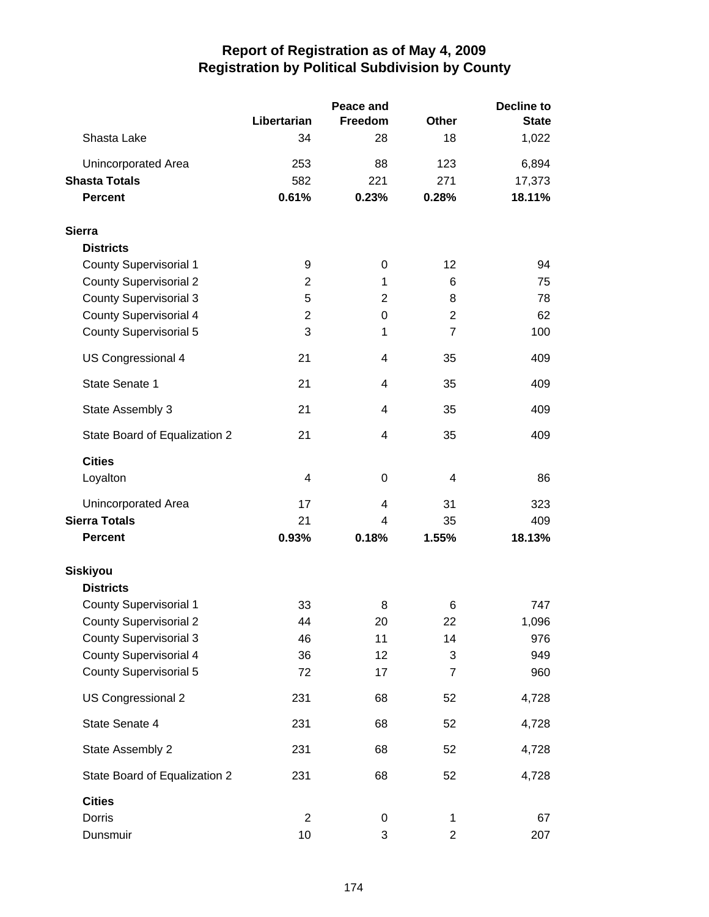|                               |                | Peace and |                | <b>Decline to</b> |
|-------------------------------|----------------|-----------|----------------|-------------------|
|                               | Libertarian    | Freedom   | Other          | <b>State</b>      |
| Shasta Lake                   | 34             | 28        | 18             | 1,022             |
| Unincorporated Area           | 253            | 88        | 123            | 6,894             |
| <b>Shasta Totals</b>          | 582            | 221       | 271            | 17,373            |
| <b>Percent</b>                | 0.61%          | 0.23%     | 0.28%          | 18.11%            |
| <b>Sierra</b>                 |                |           |                |                   |
| <b>Districts</b>              |                |           |                |                   |
| <b>County Supervisorial 1</b> | 9              | 0         | 12             | 94                |
| <b>County Supervisorial 2</b> | $\overline{2}$ | 1         | 6              | 75                |
| <b>County Supervisorial 3</b> | 5              | 2         | 8              | 78                |
| <b>County Supervisorial 4</b> | $\overline{2}$ | 0         | $\overline{2}$ | 62                |
| <b>County Supervisorial 5</b> | 3              | 1         | $\overline{7}$ | 100               |
| US Congressional 4            | 21             | 4         | 35             | 409               |
| State Senate 1                | 21             | 4         | 35             | 409               |
| State Assembly 3              | 21             | 4         | 35             | 409               |
| State Board of Equalization 2 | 21             | 4         | 35             | 409               |
| <b>Cities</b>                 |                |           |                |                   |
| Loyalton                      | 4              | 0         | 4              | 86                |
| Unincorporated Area           | 17             | 4         | 31             | 323               |
| <b>Sierra Totals</b>          | 21             | 4         | 35             | 409               |
| <b>Percent</b>                | 0.93%          | 0.18%     | 1.55%          | 18.13%            |
| <b>Siskiyou</b>               |                |           |                |                   |
| <b>Districts</b>              |                |           |                |                   |
| <b>County Supervisorial 1</b> | 33             | 8         | 6              | 747               |
| <b>County Supervisorial 2</b> | 44             | 20        | 22             | 1,096             |
| <b>County Supervisorial 3</b> | 46             | 11        | 14             | 976               |
| <b>County Supervisorial 4</b> | 36             | 12        | 3              | 949               |
| <b>County Supervisorial 5</b> | 72             | 17        | $\overline{7}$ | 960               |
| US Congressional 2            | 231            | 68        | 52             | 4,728             |
| State Senate 4                | 231            | 68        | 52             | 4,728             |
| State Assembly 2              | 231            | 68        | 52             | 4,728             |
| State Board of Equalization 2 | 231            | 68        | 52             | 4,728             |
| <b>Cities</b>                 |                |           |                |                   |
| Dorris                        | $\overline{2}$ | 0         | 1              | 67                |
| Dunsmuir                      | 10             | 3         | $\overline{2}$ | 207               |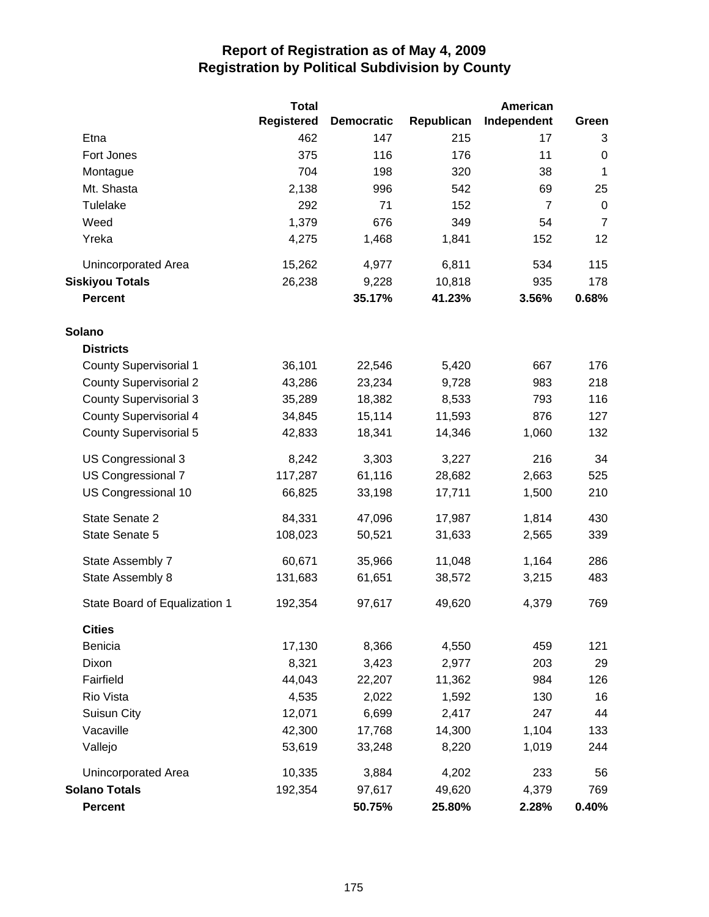|                               | <b>Total</b> |                   |            | <b>American</b> |                |
|-------------------------------|--------------|-------------------|------------|-----------------|----------------|
|                               | Registered   | <b>Democratic</b> | Republican | Independent     | Green          |
| Etna                          | 462          | 147               | 215        | 17              | 3              |
| Fort Jones                    | 375          | 116               | 176        | 11              | $\pmb{0}$      |
| Montague                      | 704          | 198               | 320        | 38              | $\mathbf 1$    |
| Mt. Shasta                    | 2,138        | 996               | 542        | 69              | 25             |
| Tulelake                      | 292          | 71                | 152        | $\overline{7}$  | $\mathbf 0$    |
| Weed                          | 1,379        | 676               | 349        | 54              | $\overline{7}$ |
| Yreka                         | 4,275        | 1,468             | 1,841      | 152             | 12             |
| Unincorporated Area           | 15,262       | 4,977             | 6,811      | 534             | 115            |
| <b>Siskiyou Totals</b>        | 26,238       | 9,228             | 10,818     | 935             | 178            |
| <b>Percent</b>                |              | 35.17%            | 41.23%     | 3.56%           | 0.68%          |
| Solano                        |              |                   |            |                 |                |
| <b>Districts</b>              |              |                   |            |                 |                |
| <b>County Supervisorial 1</b> | 36,101       | 22,546            | 5,420      | 667             | 176            |
| <b>County Supervisorial 2</b> | 43,286       | 23,234            | 9,728      | 983             | 218            |
| <b>County Supervisorial 3</b> | 35,289       | 18,382            | 8,533      | 793             | 116            |
| <b>County Supervisorial 4</b> | 34,845       | 15,114            | 11,593     | 876             | 127            |
| <b>County Supervisorial 5</b> | 42,833       | 18,341            | 14,346     | 1,060           | 132            |
| US Congressional 3            | 8,242        | 3,303             | 3,227      | 216             | 34             |
| US Congressional 7            | 117,287      | 61,116            | 28,682     | 2,663           | 525            |
| US Congressional 10           | 66,825       | 33,198            | 17,711     | 1,500           | 210            |
| State Senate 2                | 84,331       | 47,096            | 17,987     | 1,814           | 430            |
| State Senate 5                | 108,023      | 50,521            | 31,633     | 2,565           | 339            |
| State Assembly 7              | 60,671       | 35,966            | 11,048     | 1,164           | 286            |
| State Assembly 8              | 131,683      | 61,651            | 38,572     | 3,215           | 483            |
| State Board of Equalization 1 | 192,354      | 97,617            | 49,620     | 4,379           | 769            |
| <b>Cities</b>                 |              |                   |            |                 |                |
| Benicia                       | 17,130       | 8,366             | 4,550      | 459             | 121            |
| Dixon                         | 8,321        | 3,423             | 2,977      | 203             | 29             |
| Fairfield                     | 44,043       | 22,207            | 11,362     | 984             | 126            |
| Rio Vista                     | 4,535        | 2,022             | 1,592      | 130             | 16             |
| Suisun City                   | 12,071       | 6,699             | 2,417      | 247             | 44             |
| Vacaville                     | 42,300       | 17,768            | 14,300     | 1,104           | 133            |
| Vallejo                       | 53,619       | 33,248            | 8,220      | 1,019           | 244            |
| Unincorporated Area           | 10,335       | 3,884             | 4,202      | 233             | 56             |
| <b>Solano Totals</b>          | 192,354      | 97,617            | 49,620     | 4,379           | 769            |
| Percent                       |              | 50.75%            | 25.80%     | 2.28%           | 0.40%          |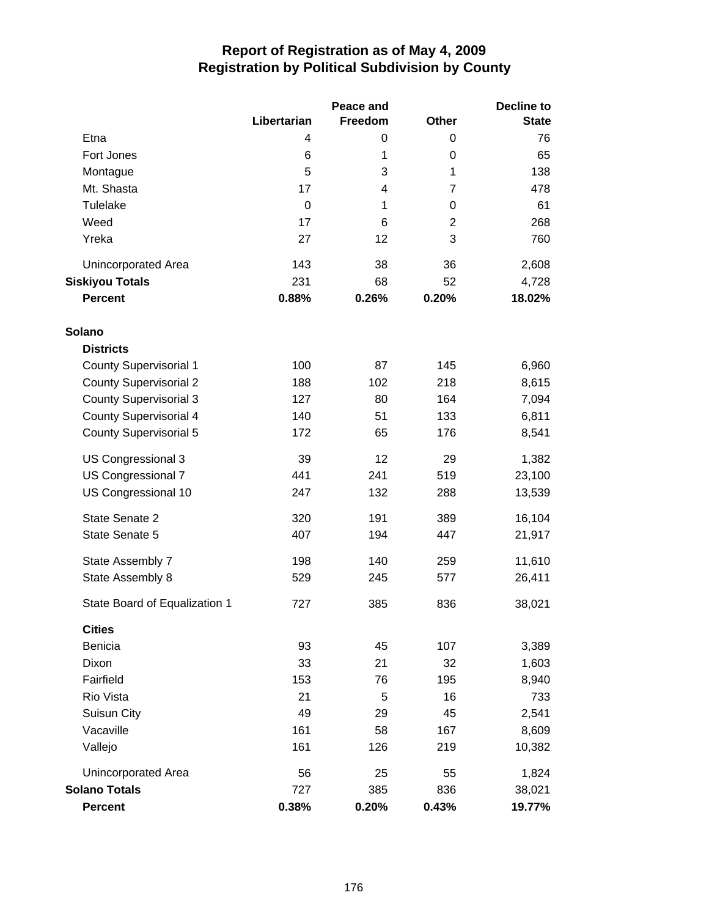|                               | Libertarian | Peace and<br>Freedom | <b>Other</b>   | <b>Decline to</b><br><b>State</b> |
|-------------------------------|-------------|----------------------|----------------|-----------------------------------|
| Etna                          | 4           | 0                    | 0              | 76                                |
| Fort Jones                    | 6           | 1                    | 0              | 65                                |
| Montague                      | 5           | 3                    | 1              | 138                               |
| Mt. Shasta                    | 17          | 4                    | $\overline{7}$ | 478                               |
| Tulelake                      | 0           | 1                    | 0              | 61                                |
| Weed                          | 17          | 6                    | $\overline{2}$ | 268                               |
| Yreka                         | 27          | 12                   | 3              | 760                               |
| Unincorporated Area           | 143         | 38                   | 36             | 2,608                             |
| <b>Siskiyou Totals</b>        | 231         | 68                   | 52             | 4,728                             |
| <b>Percent</b>                | 0.88%       | 0.26%                | 0.20%          | 18.02%                            |
| Solano                        |             |                      |                |                                   |
| <b>Districts</b>              |             |                      |                |                                   |
| <b>County Supervisorial 1</b> | 100         | 87                   | 145            | 6,960                             |
| <b>County Supervisorial 2</b> | 188         | 102                  | 218            | 8,615                             |
| <b>County Supervisorial 3</b> | 127         | 80                   | 164            | 7,094                             |
| <b>County Supervisorial 4</b> | 140         | 51                   | 133            | 6,811                             |
| <b>County Supervisorial 5</b> | 172         | 65                   | 176            | 8,541                             |
| US Congressional 3            | 39          | 12                   | 29             | 1,382                             |
| US Congressional 7            | 441         | 241                  | 519            | 23,100                            |
| US Congressional 10           | 247         | 132                  | 288            | 13,539                            |
| State Senate 2                | 320         | 191                  | 389            | 16,104                            |
| State Senate 5                | 407         | 194                  | 447            | 21,917                            |
| State Assembly 7              | 198         | 140                  | 259            | 11,610                            |
| State Assembly 8              | 529         | 245                  | 577            | 26,411                            |
| State Board of Equalization 1 | 727         | 385                  | 836            | 38,021                            |
| <b>Cities</b>                 |             |                      |                |                                   |
| Benicia                       | 93          | 45                   | 107            | 3,389                             |
| Dixon                         | 33          | 21                   | 32             | 1,603                             |
| Fairfield                     | 153         | 76                   | 195            | 8,940                             |
| Rio Vista                     | 21          | 5                    | 16             | 733                               |
| Suisun City                   | 49          | 29                   | 45             | 2,541                             |
| Vacaville                     | 161         | 58                   | 167            | 8,609                             |
| Vallejo                       | 161         | 126                  | 219            | 10,382                            |
| <b>Unincorporated Area</b>    | 56          | 25                   | 55             | 1,824                             |
| <b>Solano Totals</b>          | 727         | 385                  | 836            | 38,021                            |
| <b>Percent</b>                | 0.38%       | 0.20%                | 0.43%          | 19.77%                            |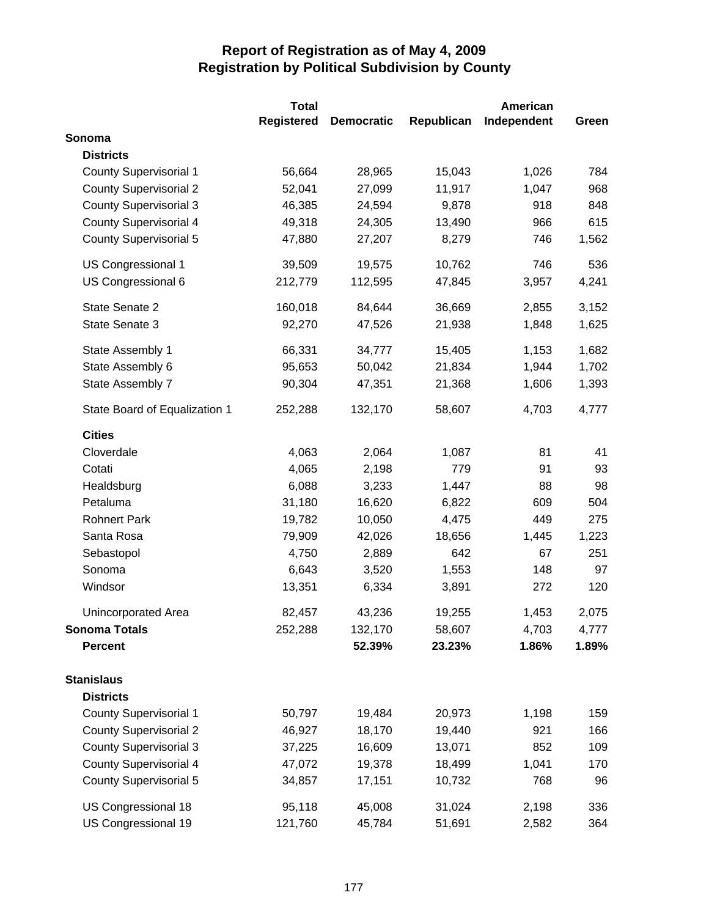|                               | <b>Total</b>      |                   |            | <b>American</b> |       |
|-------------------------------|-------------------|-------------------|------------|-----------------|-------|
|                               | <b>Registered</b> | <b>Democratic</b> | Republican | Independent     | Green |
| Sonoma                        |                   |                   |            |                 |       |
| <b>Districts</b>              |                   |                   |            |                 |       |
| <b>County Supervisorial 1</b> | 56,664            | 28,965            | 15,043     | 1,026           | 784   |
| <b>County Supervisorial 2</b> | 52,041            | 27,099            | 11,917     | 1,047           | 968   |
| <b>County Supervisorial 3</b> | 46,385            | 24,594            | 9,878      | 918             | 848   |
| <b>County Supervisorial 4</b> | 49,318            | 24,305            | 13,490     | 966             | 615   |
| <b>County Supervisorial 5</b> | 47,880            | 27,207            | 8,279      | 746             | 1,562 |
| US Congressional 1            | 39,509            | 19,575            | 10,762     | 746             | 536   |
| US Congressional 6            | 212,779           | 112,595           | 47,845     | 3,957           | 4,241 |
| State Senate 2                | 160,018           | 84,644            | 36,669     | 2,855           | 3,152 |
| State Senate 3                | 92,270            | 47,526            | 21,938     | 1,848           | 1,625 |
| State Assembly 1              | 66,331            | 34,777            | 15,405     | 1,153           | 1,682 |
| State Assembly 6              | 95,653            | 50,042            | 21,834     | 1,944           | 1,702 |
| State Assembly 7              | 90,304            | 47,351            | 21,368     | 1,606           | 1,393 |
| State Board of Equalization 1 | 252,288           | 132,170           | 58,607     | 4,703           | 4,777 |
| <b>Cities</b>                 |                   |                   |            |                 |       |
| Cloverdale                    | 4,063             | 2,064             | 1,087      | 81              | 41    |
| Cotati                        | 4,065             | 2,198             | 779        | 91              | 93    |
| Healdsburg                    | 6,088             | 3,233             | 1,447      | 88              | 98    |
| Petaluma                      | 31,180            | 16,620            | 6,822      | 609             | 504   |
| <b>Rohnert Park</b>           | 19,782            | 10,050            | 4,475      | 449             | 275   |
| Santa Rosa                    | 79,909            | 42,026            | 18,656     | 1,445           | 1,223 |
| Sebastopol                    | 4,750             | 2,889             | 642        | 67              | 251   |
| Sonoma                        | 6,643             | 3,520             | 1,553      | 148             | 97    |
| Windsor                       | 13,351            | 6,334             | 3,891      | 272             | 120   |
| Unincorporated Area           | 82,457            | 43,236            | 19,255     | 1,453           | 2,075 |
| <b>Sonoma Totals</b>          | 252,288           | 132,170           | 58,607     | 4,703           | 4,777 |
| <b>Percent</b>                |                   | 52.39%            | 23.23%     | 1.86%           | 1.89% |
| <b>Stanislaus</b>             |                   |                   |            |                 |       |
| <b>Districts</b>              |                   |                   |            |                 |       |
| <b>County Supervisorial 1</b> | 50,797            | 19,484            | 20,973     | 1,198           | 159   |
| <b>County Supervisorial 2</b> | 46,927            | 18,170            | 19,440     | 921             | 166   |
| <b>County Supervisorial 3</b> | 37,225            | 16,609            | 13,071     | 852             | 109   |
| <b>County Supervisorial 4</b> | 47,072            | 19,378            | 18,499     | 1,041           | 170   |
| <b>County Supervisorial 5</b> | 34,857            | 17,151            | 10,732     | 768             | 96    |
| US Congressional 18           | 95,118            | 45,008            | 31,024     | 2,198           | 336   |
| US Congressional 19           | 121,760           | 45,784            | 51,691     | 2,582           | 364   |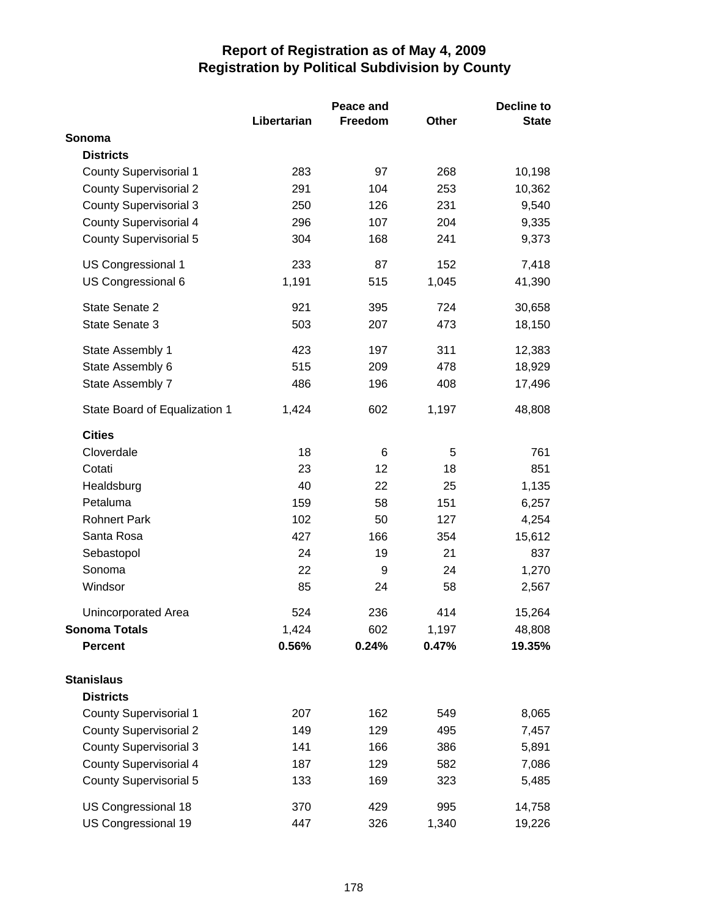|                               |             | Peace and |       | <b>Decline to</b> |  |
|-------------------------------|-------------|-----------|-------|-------------------|--|
|                               | Libertarian | Freedom   | Other | <b>State</b>      |  |
| Sonoma                        |             |           |       |                   |  |
| <b>Districts</b>              |             |           |       |                   |  |
| <b>County Supervisorial 1</b> | 283         | 97        | 268   | 10,198            |  |
| <b>County Supervisorial 2</b> | 291         | 104       | 253   | 10,362            |  |
| <b>County Supervisorial 3</b> | 250         | 126       | 231   | 9,540             |  |
| <b>County Supervisorial 4</b> | 296         | 107       | 204   | 9,335             |  |
| County Supervisorial 5        | 304         | 168       | 241   | 9,373             |  |
| <b>US Congressional 1</b>     | 233         | 87        | 152   | 7,418             |  |
| US Congressional 6            | 1,191       | 515       | 1,045 | 41,390            |  |
| State Senate 2                | 921         | 395       | 724   | 30,658            |  |
| State Senate 3                | 503         | 207       | 473   | 18,150            |  |
| State Assembly 1              | 423         | 197       | 311   | 12,383            |  |
| State Assembly 6              | 515         | 209       | 478   | 18,929            |  |
| State Assembly 7              | 486         | 196       | 408   | 17,496            |  |
| State Board of Equalization 1 | 1,424       | 602       | 1,197 | 48,808            |  |
| <b>Cities</b>                 |             |           |       |                   |  |
| Cloverdale                    | 18          | 6         | 5     | 761               |  |
| Cotati                        | 23          | 12        | 18    | 851               |  |
| Healdsburg                    | 40          | 22        | 25    | 1,135             |  |
| Petaluma                      | 159         | 58        | 151   | 6,257             |  |
| <b>Rohnert Park</b>           | 102         | 50        | 127   | 4,254             |  |
| Santa Rosa                    | 427         | 166       | 354   | 15,612            |  |
| Sebastopol                    | 24          | 19        | 21    | 837               |  |
| Sonoma                        | 22          | 9         | 24    | 1,270             |  |
| Windsor                       | 85          | 24        | 58    | 2,567             |  |
| Unincorporated Area           | 524         | 236       | 414   | 15,264            |  |
| <b>Sonoma Totals</b>          | 1,424       | 602       | 1,197 | 48,808            |  |
| <b>Percent</b>                | 0.56%       | 0.24%     | 0.47% | 19.35%            |  |
| <b>Stanislaus</b>             |             |           |       |                   |  |
| <b>Districts</b>              |             |           |       |                   |  |
| <b>County Supervisorial 1</b> | 207         | 162       | 549   | 8,065             |  |
| <b>County Supervisorial 2</b> | 149         | 129       | 495   | 7,457             |  |
| <b>County Supervisorial 3</b> | 141         | 166       | 386   | 5,891             |  |
| <b>County Supervisorial 4</b> | 187         | 129       | 582   | 7,086             |  |
| <b>County Supervisorial 5</b> | 133         | 169       | 323   | 5,485             |  |
| US Congressional 18           | 370         | 429       | 995   | 14,758            |  |
| US Congressional 19           | 447         | 326       | 1,340 | 19,226            |  |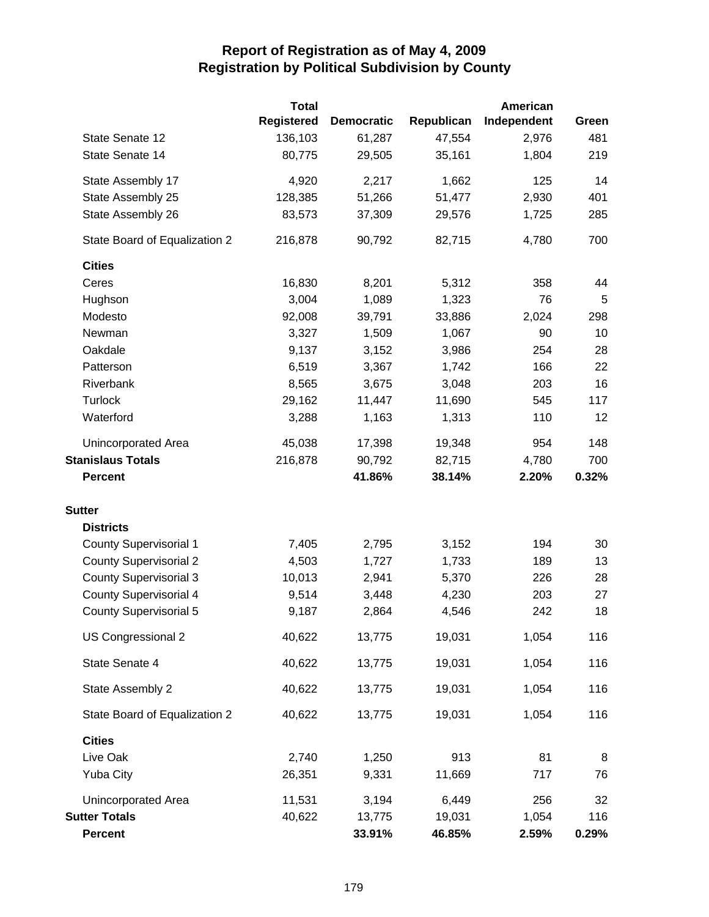|                               | <b>Total</b>      |                   |            | American    |       |
|-------------------------------|-------------------|-------------------|------------|-------------|-------|
|                               | <b>Registered</b> | <b>Democratic</b> | Republican | Independent | Green |
| State Senate 12               | 136,103           | 61,287            | 47,554     | 2,976       | 481   |
| State Senate 14               | 80,775            | 29,505            | 35,161     | 1,804       | 219   |
| State Assembly 17             | 4,920             | 2,217             | 1,662      | 125         | 14    |
| State Assembly 25             | 128,385           | 51,266            | 51,477     | 2,930       | 401   |
| State Assembly 26             | 83,573            | 37,309            | 29,576     | 1,725       | 285   |
| State Board of Equalization 2 | 216,878           | 90,792            | 82,715     | 4,780       | 700   |
| <b>Cities</b>                 |                   |                   |            |             |       |
| Ceres                         | 16,830            | 8,201             | 5,312      | 358         | 44    |
| Hughson                       | 3,004             | 1,089             | 1,323      | 76          | 5     |
| Modesto                       | 92,008            | 39,791            | 33,886     | 2,024       | 298   |
| Newman                        | 3,327             | 1,509             | 1,067      | 90          | 10    |
| Oakdale                       | 9,137             | 3,152             | 3,986      | 254         | 28    |
| Patterson                     | 6,519             | 3,367             | 1,742      | 166         | 22    |
| Riverbank                     | 8,565             | 3,675             | 3,048      | 203         | 16    |
| <b>Turlock</b>                | 29,162            | 11,447            | 11,690     | 545         | 117   |
| Waterford                     | 3,288             | 1,163             | 1,313      | 110         | 12    |
| <b>Unincorporated Area</b>    | 45,038            | 17,398            | 19,348     | 954         | 148   |
| <b>Stanislaus Totals</b>      | 216,878           | 90,792            | 82,715     | 4,780       | 700   |
| <b>Percent</b>                |                   | 41.86%            | 38.14%     | 2.20%       | 0.32% |
| <b>Sutter</b>                 |                   |                   |            |             |       |
| <b>Districts</b>              |                   |                   |            |             |       |
| <b>County Supervisorial 1</b> | 7,405             | 2,795             | 3,152      | 194         | 30    |
| <b>County Supervisorial 2</b> | 4,503             | 1,727             | 1,733      | 189         | 13    |
| <b>County Supervisorial 3</b> | 10,013            | 2,941             | 5,370      | 226         | 28    |
| <b>County Supervisorial 4</b> | 9,514             | 3,448             | 4,230      | 203         | 27    |
| <b>County Supervisorial 5</b> | 9,187             | 2,864             | 4,546      | 242         | 18    |
| US Congressional 2            | 40,622            | 13,775            | 19,031     | 1,054       | 116   |
| State Senate 4                | 40,622            | 13,775            | 19,031     | 1,054       | 116   |
| State Assembly 2              | 40,622            | 13,775            | 19,031     | 1,054       | 116   |
| State Board of Equalization 2 | 40,622            | 13,775            | 19,031     | 1,054       | 116   |
| <b>Cities</b>                 |                   |                   |            |             |       |
| Live Oak                      | 2,740             | 1,250             | 913        | 81          | 8     |
| <b>Yuba City</b>              | 26,351            | 9,331             | 11,669     | 717         | 76    |
| Unincorporated Area           | 11,531            | 3,194             | 6,449      | 256         | 32    |
| <b>Sutter Totals</b>          | 40,622            | 13,775            | 19,031     | 1,054       | 116   |
| <b>Percent</b>                |                   | 33.91%            | 46.85%     | 2.59%       | 0.29% |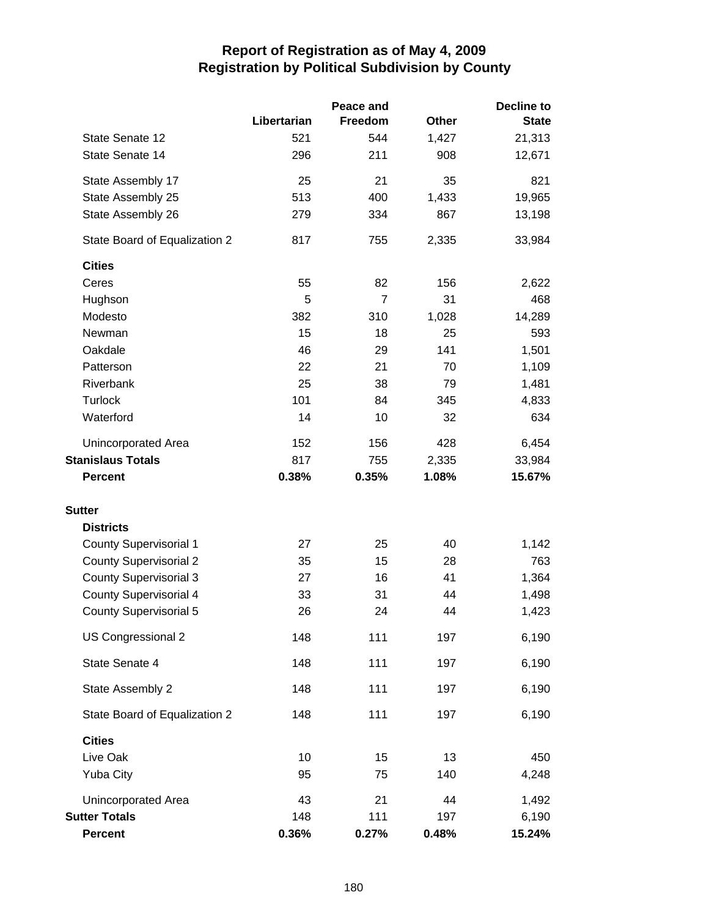|                               |             | Peace and      |              | <b>Decline to</b> |
|-------------------------------|-------------|----------------|--------------|-------------------|
|                               | Libertarian | Freedom        | <b>Other</b> | <b>State</b>      |
| State Senate 12               | 521         | 544            | 1,427        | 21,313            |
| State Senate 14               | 296         | 211            | 908          | 12,671            |
| State Assembly 17             | 25          | 21             | 35           | 821               |
| State Assembly 25             | 513         | 400            | 1,433        | 19,965            |
| State Assembly 26             | 279         | 334            | 867          | 13,198            |
| State Board of Equalization 2 | 817         | 755            | 2,335        | 33,984            |
| <b>Cities</b>                 |             |                |              |                   |
| Ceres                         | 55          | 82             | 156          | 2,622             |
| Hughson                       | 5           | $\overline{7}$ | 31           | 468               |
| Modesto                       | 382         | 310            | 1,028        | 14,289            |
| Newman                        | 15          | 18             | 25           | 593               |
| Oakdale                       | 46          | 29             | 141          | 1,501             |
| Patterson                     | 22          | 21             | 70           | 1,109             |
| Riverbank                     | 25          | 38             | 79           | 1,481             |
| <b>Turlock</b>                | 101         | 84             | 345          | 4,833             |
| Waterford                     | 14          | 10             | 32           | 634               |
| Unincorporated Area           | 152         | 156            | 428          | 6,454             |
| <b>Stanislaus Totals</b>      | 817         | 755            | 2,335        | 33,984            |
| <b>Percent</b>                | 0.38%       | 0.35%          | 1.08%        | 15.67%            |
| <b>Sutter</b>                 |             |                |              |                   |
| <b>Districts</b>              |             |                |              |                   |
| <b>County Supervisorial 1</b> | 27          | 25             | 40           | 1,142             |
| <b>County Supervisorial 2</b> | 35          | 15             | 28           | 763               |
| <b>County Supervisorial 3</b> | 27          | 16             | 41           | 1,364             |
| <b>County Supervisorial 4</b> | 33          | 31             | 44           | 1,498             |
| <b>County Supervisorial 5</b> | 26          | 24             | 44           | 1,423             |
| US Congressional 2            | 148         | 111            | 197          | 6,190             |
| State Senate 4                | 148         | 111            | 197          | 6,190             |
| State Assembly 2              | 148         | 111            | 197          | 6,190             |
| State Board of Equalization 2 | 148         | 111            | 197          | 6,190             |
| <b>Cities</b>                 |             |                |              |                   |
| Live Oak                      | 10          | 15             | 13           | 450               |
| <b>Yuba City</b>              | 95          | 75             | 140          | 4,248             |
| Unincorporated Area           | 43          | 21             | 44           | 1,492             |
| <b>Sutter Totals</b>          | 148         | 111            | 197          | 6,190             |
| <b>Percent</b>                | 0.36%       | 0.27%          | 0.48%        | 15.24%            |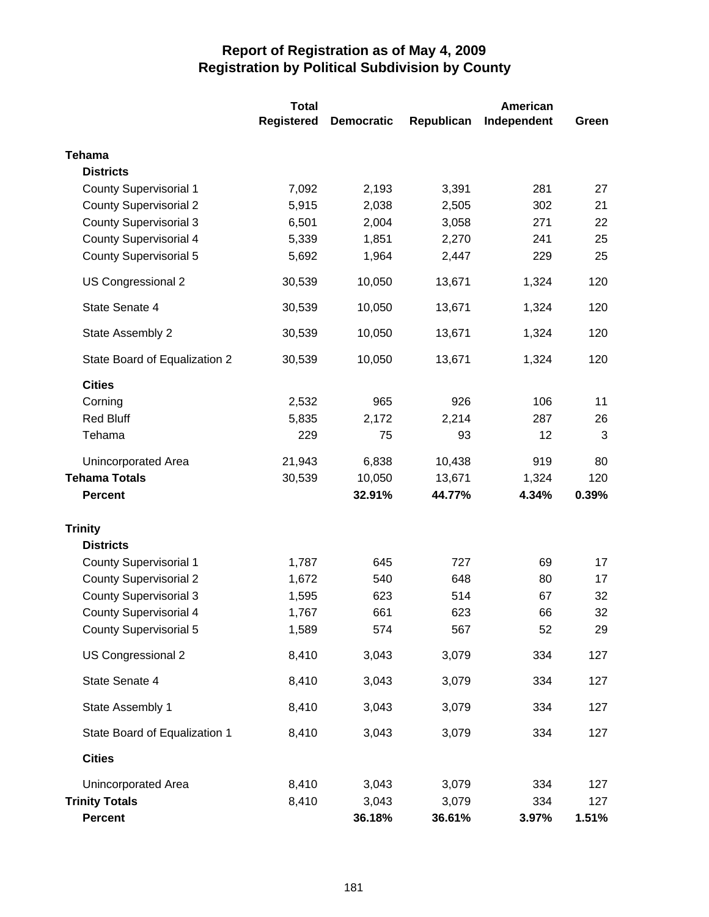|                               | <b>Total</b>      | <b>American</b>   |            |             |       |
|-------------------------------|-------------------|-------------------|------------|-------------|-------|
|                               | <b>Registered</b> | <b>Democratic</b> | Republican | Independent | Green |
| <b>Tehama</b>                 |                   |                   |            |             |       |
| <b>Districts</b>              |                   |                   |            |             |       |
| <b>County Supervisorial 1</b> | 7,092             | 2,193             | 3,391      | 281         | 27    |
| <b>County Supervisorial 2</b> | 5,915             | 2,038             | 2,505      | 302         | 21    |
| <b>County Supervisorial 3</b> | 6,501             | 2,004             | 3,058      | 271         | 22    |
| <b>County Supervisorial 4</b> | 5,339             | 1,851             | 2,270      | 241         | 25    |
| <b>County Supervisorial 5</b> | 5,692             | 1,964             | 2,447      | 229         | 25    |
| US Congressional 2            | 30,539            | 10,050            | 13,671     | 1,324       | 120   |
| State Senate 4                | 30,539            | 10,050            | 13,671     | 1,324       | 120   |
| State Assembly 2              | 30,539            | 10,050            | 13,671     | 1,324       | 120   |
| State Board of Equalization 2 | 30,539            | 10,050            | 13,671     | 1,324       | 120   |
| <b>Cities</b>                 |                   |                   |            |             |       |
| Corning                       | 2,532             | 965               | 926        | 106         | 11    |
| <b>Red Bluff</b>              | 5,835             | 2,172             | 2,214      | 287         | 26    |
| Tehama                        | 229               | 75                | 93         | 12          | 3     |
| Unincorporated Area           | 21,943            | 6,838             | 10,438     | 919         | 80    |
| <b>Tehama Totals</b>          | 30,539            | 10,050            | 13,671     | 1,324       | 120   |
| <b>Percent</b>                |                   | 32.91%            | 44.77%     | 4.34%       | 0.39% |
| <b>Trinity</b>                |                   |                   |            |             |       |
| <b>Districts</b>              |                   |                   |            |             |       |
| <b>County Supervisorial 1</b> | 1,787             | 645               | 727        | 69          | 17    |
| <b>County Supervisorial 2</b> | 1,672             | 540               | 648        | 80          | 17    |
| <b>County Supervisorial 3</b> | 1,595             | 623               | 514        | 67          | 32    |
| <b>County Supervisorial 4</b> | 1,767             | 661               | 623        | 66          | 32    |
| <b>County Supervisorial 5</b> | 1,589             | 574               | 567        | 52          | 29    |
| US Congressional 2            | 8,410             | 3,043             | 3,079      | 334         | 127   |
| State Senate 4                | 8,410             | 3,043             | 3,079      | 334         | 127   |
| State Assembly 1              | 8,410             | 3,043             | 3,079      | 334         | 127   |
| State Board of Equalization 1 | 8,410             | 3,043             | 3,079      | 334         | 127   |
| <b>Cities</b>                 |                   |                   |            |             |       |
| Unincorporated Area           | 8,410             | 3,043             | 3,079      | 334         | 127   |
| <b>Trinity Totals</b>         | 8,410             | 3,043             | 3,079      | 334         | 127   |
| <b>Percent</b>                |                   | 36.18%            | 36.61%     | 3.97%       | 1.51% |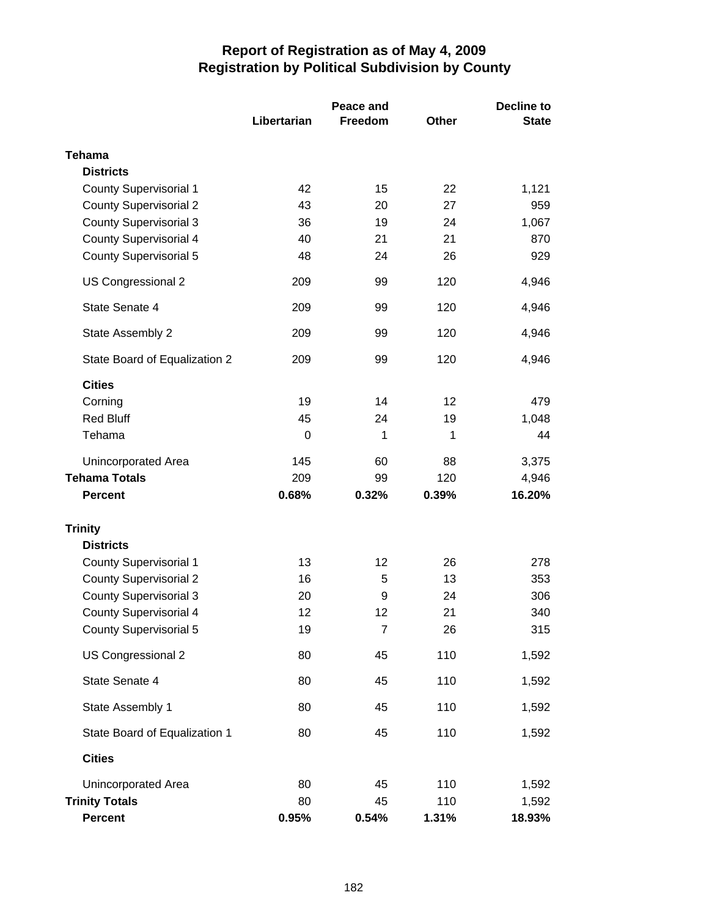|                               |             | Peace and      |              | <b>Decline to</b> |  |
|-------------------------------|-------------|----------------|--------------|-------------------|--|
|                               | Libertarian | <b>Freedom</b> | <b>Other</b> | <b>State</b>      |  |
| <b>Tehama</b>                 |             |                |              |                   |  |
| <b>Districts</b>              |             |                |              |                   |  |
| <b>County Supervisorial 1</b> | 42          | 15             | 22           | 1,121             |  |
| <b>County Supervisorial 2</b> | 43          | 20             | 27           | 959               |  |
| <b>County Supervisorial 3</b> | 36          | 19             | 24           | 1,067             |  |
| <b>County Supervisorial 4</b> | 40          | 21             | 21           | 870               |  |
| <b>County Supervisorial 5</b> | 48          | 24             | 26           | 929               |  |
| US Congressional 2            | 209         | 99             | 120          | 4,946             |  |
| State Senate 4                | 209         | 99             | 120          | 4,946             |  |
| State Assembly 2              | 209         | 99             | 120          | 4,946             |  |
| State Board of Equalization 2 | 209         | 99             | 120          | 4,946             |  |
| <b>Cities</b>                 |             |                |              |                   |  |
| Corning                       | 19          | 14             | 12           | 479               |  |
| <b>Red Bluff</b>              | 45          | 24             | 19           | 1,048             |  |
| Tehama                        | 0           | 1              | 1            | 44                |  |
| Unincorporated Area           | 145         | 60             | 88           | 3,375             |  |
| <b>Tehama Totals</b>          | 209         | 99             | 120          | 4,946             |  |
| <b>Percent</b>                | 0.68%       | 0.32%          | 0.39%        | 16.20%            |  |
| <b>Trinity</b>                |             |                |              |                   |  |
| <b>Districts</b>              |             |                |              |                   |  |
| <b>County Supervisorial 1</b> | 13          | 12             | 26           | 278               |  |
| <b>County Supervisorial 2</b> | 16          | 5              | 13           | 353               |  |
| <b>County Supervisorial 3</b> | 20          | 9              | 24           | 306               |  |
| <b>County Supervisorial 4</b> | 12          | 12             | 21           | 340               |  |
| <b>County Supervisorial 5</b> | 19          | $\overline{7}$ | 26           | 315               |  |
| US Congressional 2            | 80          | 45             | 110          | 1,592             |  |
| State Senate 4                | 80          | 45             | 110          | 1,592             |  |
| State Assembly 1              | 80          | 45             | 110          | 1,592             |  |
| State Board of Equalization 1 | 80          | 45             | 110          | 1,592             |  |
| <b>Cities</b>                 |             |                |              |                   |  |
| Unincorporated Area           | 80          | 45             | 110          | 1,592             |  |
| <b>Trinity Totals</b>         | 80          | 45             | 110          | 1,592             |  |
| <b>Percent</b>                | 0.95%       | 0.54%          | 1.31%        | 18.93%            |  |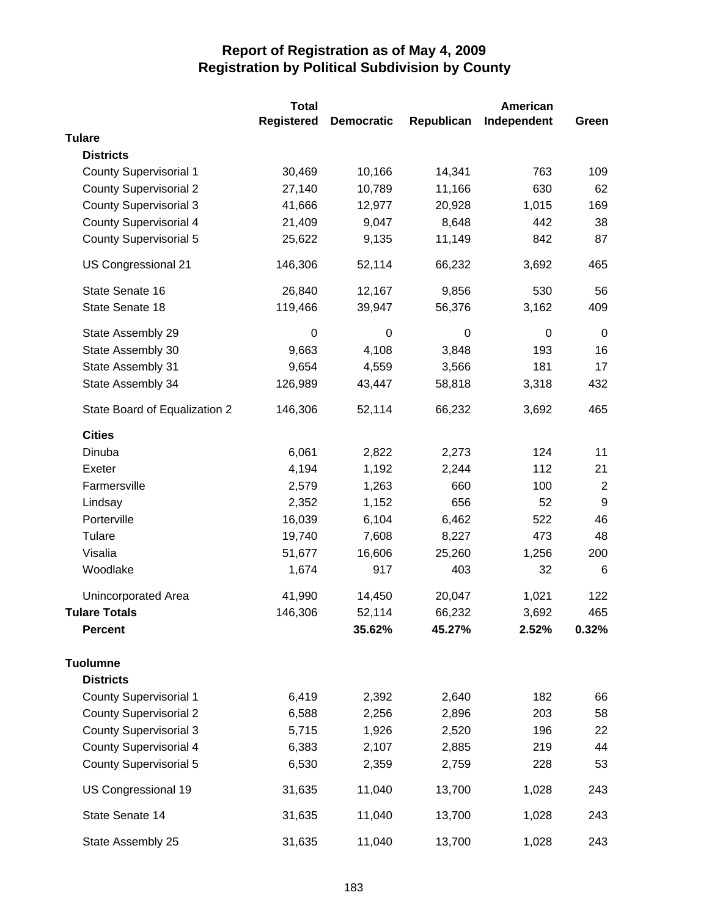|                               | <b>Total</b>      |                   |            | American         |                  |
|-------------------------------|-------------------|-------------------|------------|------------------|------------------|
|                               | <b>Registered</b> | <b>Democratic</b> | Republican | Independent      | Green            |
| <b>Tulare</b>                 |                   |                   |            |                  |                  |
| <b>Districts</b>              |                   |                   |            |                  |                  |
| <b>County Supervisorial 1</b> | 30,469            | 10,166            | 14,341     | 763              | 109              |
| <b>County Supervisorial 2</b> | 27,140            | 10,789            | 11,166     | 630              | 62               |
| <b>County Supervisorial 3</b> | 41,666            | 12,977            | 20,928     | 1,015            | 169              |
| <b>County Supervisorial 4</b> | 21,409            | 9,047             | 8,648      | 442              | 38               |
| <b>County Supervisorial 5</b> | 25,622            | 9,135             | 11,149     | 842              | 87               |
| US Congressional 21           | 146,306           | 52,114            | 66,232     | 3,692            | 465              |
| State Senate 16               | 26,840            | 12,167            | 9,856      | 530              | 56               |
| State Senate 18               | 119,466           | 39,947            | 56,376     | 3,162            | 409              |
| State Assembly 29             | $\boldsymbol{0}$  | $\mathbf 0$       | 0          | $\boldsymbol{0}$ | $\mathbf 0$      |
| State Assembly 30             | 9,663             | 4,108             | 3,848      | 193              | 16               |
| State Assembly 31             | 9,654             | 4,559             | 3,566      | 181              | 17               |
| State Assembly 34             | 126,989           | 43,447            | 58,818     | 3,318            | 432              |
| State Board of Equalization 2 | 146,306           | 52,114            | 66,232     | 3,692            | 465              |
| <b>Cities</b>                 |                   |                   |            |                  |                  |
| Dinuba                        | 6,061             | 2,822             | 2,273      | 124              | 11               |
| Exeter                        | 4,194             | 1,192             | 2,244      | 112              | 21               |
| Farmersville                  | 2,579             | 1,263             | 660        | 100              | $\overline{2}$   |
| Lindsay                       | 2,352             | 1,152             | 656        | 52               | $\boldsymbol{9}$ |
| Porterville                   | 16,039            | 6,104             | 6,462      | 522              | 46               |
| Tulare                        | 19,740            | 7,608             | 8,227      | 473              | 48               |
| Visalia                       | 51,677            | 16,606            | 25,260     | 1,256            | 200              |
| Woodlake                      | 1,674             | 917               | 403        | 32               | 6                |
| Unincorporated Area           | 41,990            | 14,450            | 20,047     | 1,021            | 122              |
| <b>Tulare Totals</b>          | 146,306           | 52,114            | 66,232     | 3,692            | 465              |
| <b>Percent</b>                |                   | 35.62%            | 45.27%     | 2.52%            | 0.32%            |
| <b>Tuolumne</b>               |                   |                   |            |                  |                  |
| <b>Districts</b>              |                   |                   |            |                  |                  |
| <b>County Supervisorial 1</b> | 6,419             | 2,392             | 2,640      | 182              | 66               |
| <b>County Supervisorial 2</b> | 6,588             | 2,256             | 2,896      | 203              | 58               |
| <b>County Supervisorial 3</b> | 5,715             | 1,926             | 2,520      | 196              | 22               |
| <b>County Supervisorial 4</b> | 6,383             | 2,107             | 2,885      | 219              | 44               |
| <b>County Supervisorial 5</b> | 6,530             | 2,359             | 2,759      | 228              | 53               |
| US Congressional 19           | 31,635            | 11,040            | 13,700     | 1,028            | 243              |
| State Senate 14               | 31,635            | 11,040            | 13,700     | 1,028            | 243              |
| State Assembly 25             | 31,635            | 11,040            | 13,700     | 1,028            | 243              |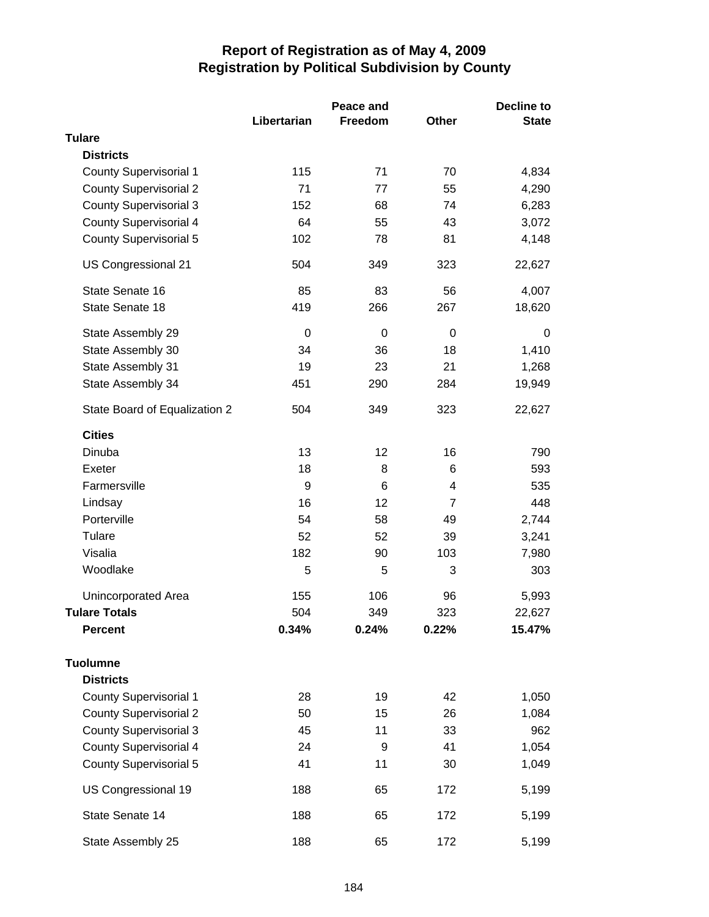|                               |             | Peace and      |                | <b>Decline to</b> |  |
|-------------------------------|-------------|----------------|----------------|-------------------|--|
|                               | Libertarian | <b>Freedom</b> | <b>Other</b>   | <b>State</b>      |  |
| <b>Tulare</b>                 |             |                |                |                   |  |
| <b>Districts</b>              |             |                |                |                   |  |
| <b>County Supervisorial 1</b> | 115         | 71             | 70             | 4,834             |  |
| <b>County Supervisorial 2</b> | 71          | 77             | 55             | 4,290             |  |
| <b>County Supervisorial 3</b> | 152         | 68             | 74             | 6,283             |  |
| <b>County Supervisorial 4</b> | 64          | 55             | 43             | 3,072             |  |
| County Supervisorial 5        | 102         | 78             | 81             | 4,148             |  |
| US Congressional 21           | 504         | 349            | 323            | 22,627            |  |
| State Senate 16               | 85          | 83             | 56             | 4,007             |  |
| State Senate 18               | 419         | 266            | 267            | 18,620            |  |
| State Assembly 29             | 0           | 0              | 0              | 0                 |  |
| State Assembly 30             | 34          | 36             | 18             | 1,410             |  |
| State Assembly 31             | 19          | 23             | 21             | 1,268             |  |
| State Assembly 34             | 451         | 290            | 284            | 19,949            |  |
| State Board of Equalization 2 | 504         | 349            | 323            | 22,627            |  |
| <b>Cities</b>                 |             |                |                |                   |  |
| Dinuba                        | 13          | 12             | 16             | 790               |  |
| Exeter                        | 18          | 8              | 6              | 593               |  |
| Farmersville                  | 9           | 6              | 4              | 535               |  |
| Lindsay                       | 16          | 12             | $\overline{7}$ | 448               |  |
| Porterville                   | 54          | 58             | 49             | 2,744             |  |
| Tulare                        | 52          | 52             | 39             | 3,241             |  |
| Visalia                       | 182         | 90             | 103            | 7,980             |  |
| Woodlake                      | 5           | 5              | 3              | 303               |  |
| Unincorporated Area           | 155         | 106            | 96             | 5,993             |  |
| <b>Tulare Totals</b>          | 504         | 349            | 323            | 22,627            |  |
| <b>Percent</b>                | 0.34%       | 0.24%          | 0.22%          | 15.47%            |  |
| <b>Tuolumne</b>               |             |                |                |                   |  |
| <b>Districts</b>              |             |                |                |                   |  |
| <b>County Supervisorial 1</b> | 28          | 19             | 42             | 1,050             |  |
| <b>County Supervisorial 2</b> | 50          | 15             | 26             | 1,084             |  |
| <b>County Supervisorial 3</b> | 45          | 11             | 33             | 962               |  |
| <b>County Supervisorial 4</b> | 24          | 9              | 41             | 1,054             |  |
| <b>County Supervisorial 5</b> | 41          | 11             | 30             | 1,049             |  |
| US Congressional 19           | 188         | 65             | 172            | 5,199             |  |
| State Senate 14               | 188         | 65             | 172            | 5,199             |  |
| State Assembly 25             | 188         | 65             | 172            | 5,199             |  |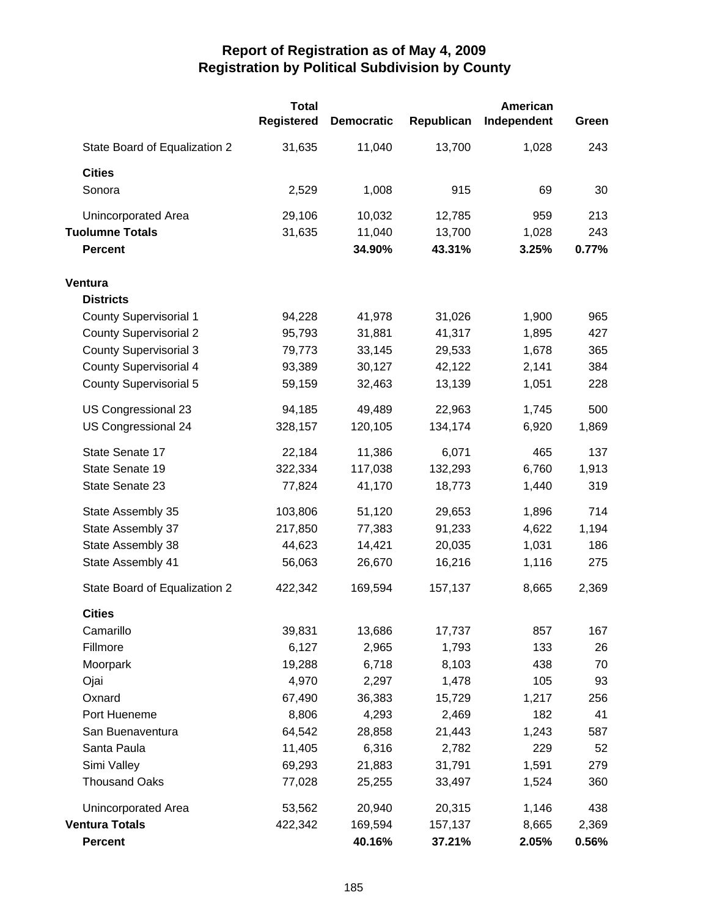|                               | <b>Total</b><br><b>Registered</b> | <b>Democratic</b> | Republican | American<br>Independent | Green |
|-------------------------------|-----------------------------------|-------------------|------------|-------------------------|-------|
| State Board of Equalization 2 | 31,635                            | 11,040            | 13,700     | 1,028                   | 243   |
| <b>Cities</b>                 |                                   |                   |            |                         |       |
| Sonora                        | 2,529                             | 1,008             | 915        | 69                      | 30    |
| Unincorporated Area           | 29,106                            | 10,032            | 12,785     | 959                     | 213   |
| <b>Tuolumne Totals</b>        | 31,635                            | 11,040            | 13,700     | 1,028                   | 243   |
| <b>Percent</b>                |                                   | 34.90%            | 43.31%     | 3.25%                   | 0.77% |
| Ventura                       |                                   |                   |            |                         |       |
| <b>Districts</b>              |                                   |                   |            |                         |       |
| <b>County Supervisorial 1</b> | 94,228                            | 41,978            | 31,026     | 1,900                   | 965   |
| <b>County Supervisorial 2</b> | 95,793                            | 31,881            | 41,317     | 1,895                   | 427   |
| <b>County Supervisorial 3</b> | 79,773                            | 33,145            | 29,533     | 1,678                   | 365   |
| <b>County Supervisorial 4</b> | 93,389                            | 30,127            | 42,122     | 2,141                   | 384   |
| <b>County Supervisorial 5</b> | 59,159                            | 32,463            | 13,139     | 1,051                   | 228   |
| US Congressional 23           | 94,185                            | 49,489            | 22,963     | 1,745                   | 500   |
| US Congressional 24           | 328,157                           | 120,105           | 134,174    | 6,920                   | 1,869 |
| State Senate 17               | 22,184                            | 11,386            | 6,071      | 465                     | 137   |
| State Senate 19               | 322,334                           | 117,038           | 132,293    | 6,760                   | 1,913 |
| State Senate 23               | 77,824                            | 41,170            | 18,773     | 1,440                   | 319   |
| State Assembly 35             | 103,806                           | 51,120            | 29,653     | 1,896                   | 714   |
| State Assembly 37             | 217,850                           | 77,383            | 91,233     | 4,622                   | 1,194 |
| State Assembly 38             | 44,623                            | 14,421            | 20,035     | 1,031                   | 186   |
| State Assembly 41             | 56,063                            | 26,670            | 16,216     | 1,116                   | 275   |
| State Board of Equalization 2 | 422,342                           | 169,594           | 157,137    | 8,665                   | 2,369 |
| <b>Cities</b>                 |                                   |                   |            |                         |       |
| Camarillo                     | 39,831                            | 13,686            | 17,737     | 857                     | 167   |
| Fillmore                      | 6,127                             | 2,965             | 1,793      | 133                     | 26    |
| Moorpark                      | 19,288                            | 6,718             | 8,103      | 438                     | 70    |
| Ojai                          | 4,970                             | 2,297             | 1,478      | 105                     | 93    |
| Oxnard                        | 67,490                            | 36,383            | 15,729     | 1,217                   | 256   |
| Port Hueneme                  | 8,806                             | 4,293             | 2,469      | 182                     | 41    |
| San Buenaventura              | 64,542                            | 28,858            | 21,443     | 1,243                   | 587   |
| Santa Paula                   | 11,405                            | 6,316             | 2,782      | 229                     | 52    |
| Simi Valley                   | 69,293                            | 21,883            | 31,791     | 1,591                   | 279   |
| <b>Thousand Oaks</b>          | 77,028                            | 25,255            | 33,497     | 1,524                   | 360   |
| Unincorporated Area           | 53,562                            | 20,940            | 20,315     | 1,146                   | 438   |
| <b>Ventura Totals</b>         | 422,342                           | 169,594           | 157,137    | 8,665                   | 2,369 |
| <b>Percent</b>                |                                   | 40.16%            | 37.21%     | 2.05%                   | 0.56% |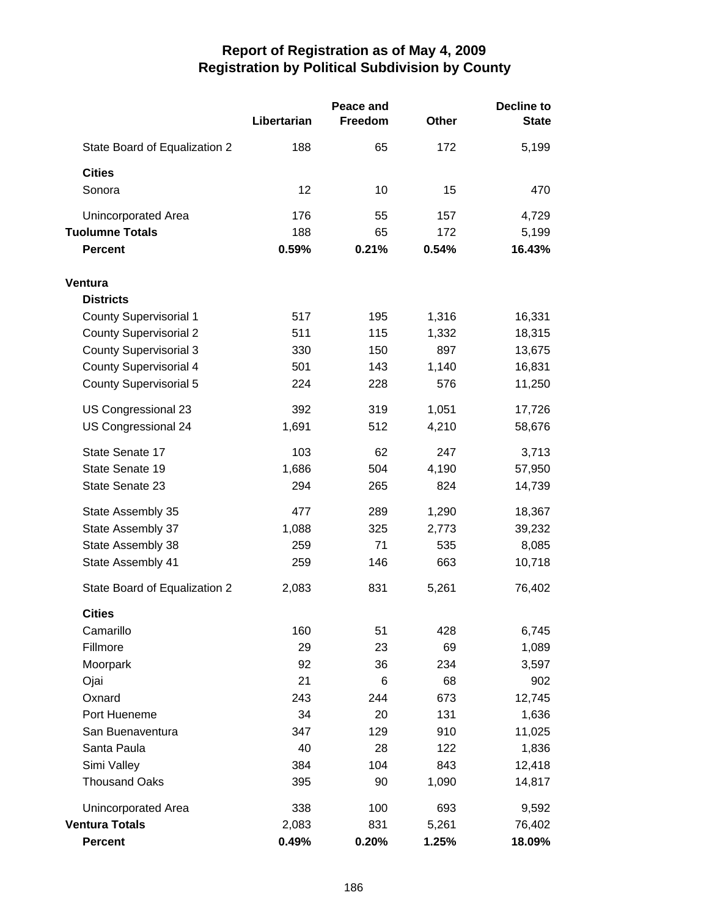|                               |             | Peace and |              | <b>Decline to</b> |  |
|-------------------------------|-------------|-----------|--------------|-------------------|--|
|                               | Libertarian | Freedom   | <b>Other</b> | <b>State</b>      |  |
| State Board of Equalization 2 | 188         | 65        | 172          | 5,199             |  |
| <b>Cities</b>                 |             |           |              |                   |  |
| Sonora                        | 12          | 10        | 15           | 470               |  |
| Unincorporated Area           | 176         | 55        | 157          | 4,729             |  |
| <b>Tuolumne Totals</b>        | 188         | 65        | 172          | 5,199             |  |
| <b>Percent</b>                | 0.59%       | 0.21%     | 0.54%        | 16.43%            |  |
| Ventura                       |             |           |              |                   |  |
| <b>Districts</b>              |             |           |              |                   |  |
| <b>County Supervisorial 1</b> | 517         | 195       | 1,316        | 16,331            |  |
| <b>County Supervisorial 2</b> | 511         | 115       | 1,332        | 18,315            |  |
| <b>County Supervisorial 3</b> | 330         | 150       | 897          | 13,675            |  |
| <b>County Supervisorial 4</b> | 501         | 143       | 1,140        | 16,831            |  |
| <b>County Supervisorial 5</b> | 224         | 228       | 576          | 11,250            |  |
| US Congressional 23           | 392         | 319       | 1,051        | 17,726            |  |
| US Congressional 24           | 1,691       | 512       | 4,210        | 58,676            |  |
| State Senate 17               | 103         | 62        | 247          | 3,713             |  |
| State Senate 19               | 1,686       | 504       | 4,190        | 57,950            |  |
| State Senate 23               | 294         | 265       | 824          | 14,739            |  |
| State Assembly 35             | 477         | 289       | 1,290        | 18,367            |  |
| State Assembly 37             | 1,088       | 325       | 2,773        | 39,232            |  |
| State Assembly 38             | 259         | 71        | 535          | 8,085             |  |
| State Assembly 41             | 259         | 146       | 663          | 10,718            |  |
| State Board of Equalization 2 | 2,083       | 831       | 5,261        | 76,402            |  |
| <b>Cities</b>                 |             |           |              |                   |  |
| Camarillo                     | 160         | 51        | 428          | 6,745             |  |
| Fillmore                      | 29          | 23        | 69           | 1,089             |  |
| Moorpark                      | 92          | 36        | 234          | 3,597             |  |
| Ojai                          | 21          | 6         | 68           | 902               |  |
| Oxnard                        | 243         | 244       | 673          | 12,745            |  |
| Port Hueneme                  | 34          | 20        | 131          | 1,636             |  |
| San Buenaventura              | 347         | 129       | 910          | 11,025            |  |
| Santa Paula                   | 40          | 28        | 122          | 1,836             |  |
| Simi Valley                   | 384         | 104       | 843          | 12,418            |  |
| <b>Thousand Oaks</b>          | 395         | 90        | 1,090        | 14,817            |  |
| Unincorporated Area           | 338         | 100       | 693          | 9,592             |  |
| <b>Ventura Totals</b>         | 2,083       | 831       | 5,261        | 76,402            |  |
| <b>Percent</b>                | 0.49%       | 0.20%     | 1.25%        | 18.09%            |  |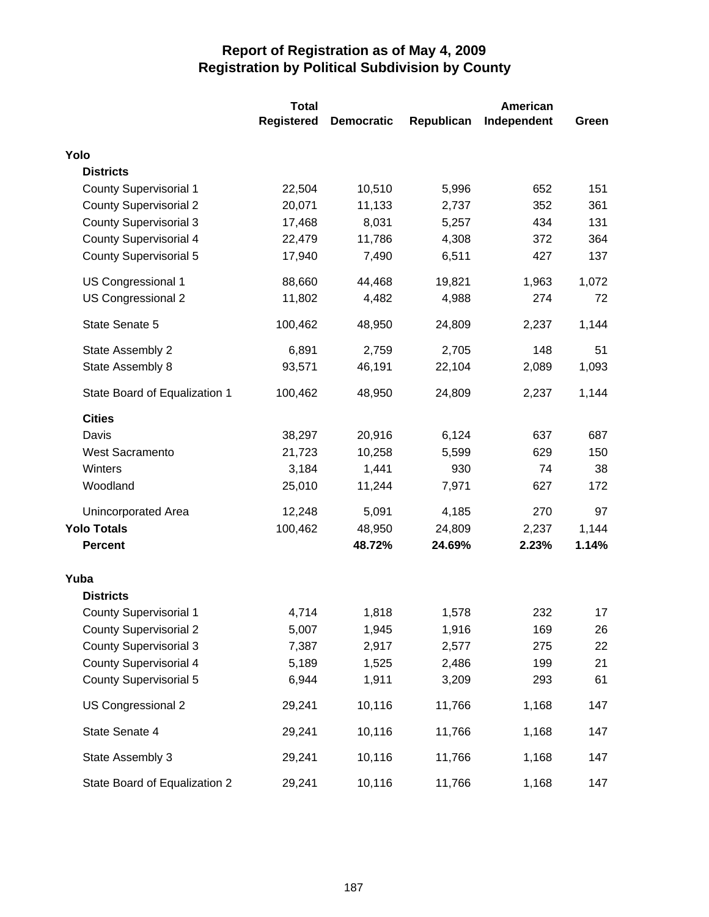|                               | <b>Total</b>      | <b>American</b>   |            |             |       |
|-------------------------------|-------------------|-------------------|------------|-------------|-------|
|                               | <b>Registered</b> | <b>Democratic</b> | Republican | Independent | Green |
| Yolo                          |                   |                   |            |             |       |
| <b>Districts</b>              |                   |                   |            |             |       |
| <b>County Supervisorial 1</b> | 22,504            | 10,510            | 5,996      | 652         | 151   |
| <b>County Supervisorial 2</b> | 20,071            | 11,133            | 2,737      | 352         | 361   |
| <b>County Supervisorial 3</b> | 17,468            | 8,031             | 5,257      | 434         | 131   |
| <b>County Supervisorial 4</b> | 22,479            | 11,786            | 4,308      | 372         | 364   |
| <b>County Supervisorial 5</b> | 17,940            | 7,490             | 6,511      | 427         | 137   |
| US Congressional 1            | 88,660            | 44,468            | 19,821     | 1,963       | 1,072 |
| US Congressional 2            | 11,802            | 4,482             | 4,988      | 274         | 72    |
| State Senate 5                | 100,462           | 48,950            | 24,809     | 2,237       | 1,144 |
| State Assembly 2              | 6,891             | 2,759             | 2,705      | 148         | 51    |
| State Assembly 8              | 93,571            | 46,191            | 22,104     | 2,089       | 1,093 |
| State Board of Equalization 1 | 100,462           | 48,950            | 24,809     | 2,237       | 1,144 |
| <b>Cities</b>                 |                   |                   |            |             |       |
| Davis                         | 38,297            | 20,916            | 6,124      | 637         | 687   |
| <b>West Sacramento</b>        | 21,723            | 10,258            | 5,599      | 629         | 150   |
| Winters                       | 3,184             | 1,441             | 930        | 74          | 38    |
| Woodland                      | 25,010            | 11,244            | 7,971      | 627         | 172   |
| <b>Unincorporated Area</b>    | 12,248            | 5,091             | 4,185      | 270         | 97    |
| <b>Yolo Totals</b>            | 100,462           | 48,950            | 24,809     | 2,237       | 1,144 |
| <b>Percent</b>                |                   | 48.72%            | 24.69%     | 2.23%       | 1.14% |
| Yuba                          |                   |                   |            |             |       |
| <b>Districts</b>              |                   |                   |            |             |       |
| <b>County Supervisorial 1</b> | 4,714             | 1,818             | 1,578      | 232         | 17    |
| <b>County Supervisorial 2</b> | 5,007             | 1,945             | 1,916      | 169         | 26    |
| <b>County Supervisorial 3</b> | 7,387             | 2,917             | 2,577      | 275         | 22    |
| <b>County Supervisorial 4</b> | 5,189             | 1,525             | 2,486      | 199         | 21    |
| <b>County Supervisorial 5</b> | 6,944             | 1,911             | 3,209      | 293         | 61    |
| US Congressional 2            | 29,241            | 10,116            | 11,766     | 1,168       | 147   |
| State Senate 4                | 29,241            | 10,116            | 11,766     | 1,168       | 147   |
| State Assembly 3              | 29,241            | 10,116            | 11,766     | 1,168       | 147   |
| State Board of Equalization 2 | 29,241            | 10,116            | 11,766     | 1,168       | 147   |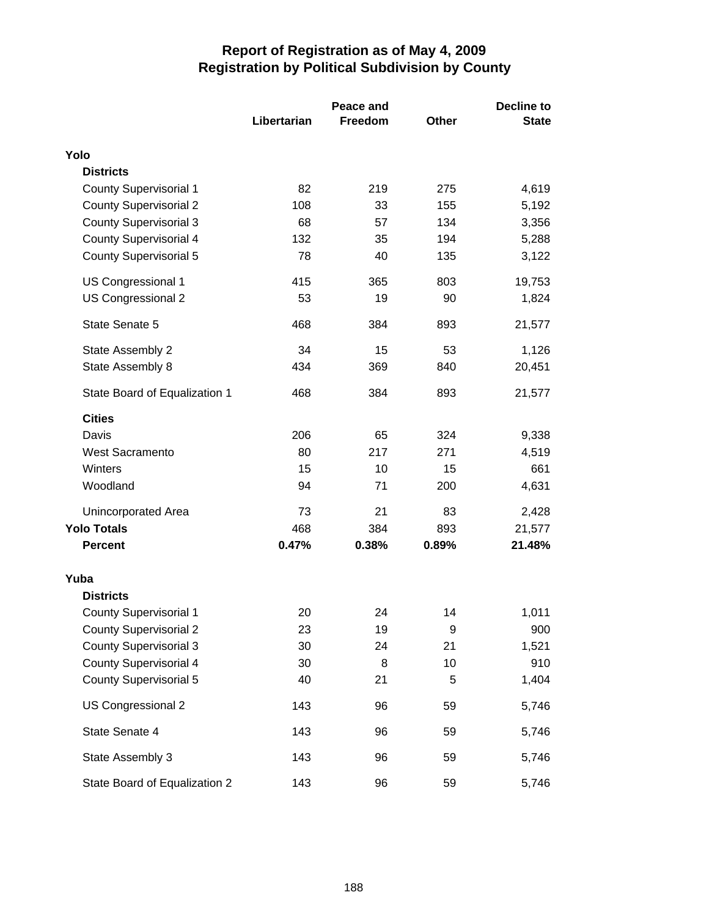|                               |             | Peace and |              | <b>Decline to</b> |  |
|-------------------------------|-------------|-----------|--------------|-------------------|--|
|                               | Libertarian | Freedom   | <b>Other</b> | <b>State</b>      |  |
| Yolo                          |             |           |              |                   |  |
| <b>Districts</b>              |             |           |              |                   |  |
| <b>County Supervisorial 1</b> | 82          | 219       | 275          | 4,619             |  |
| <b>County Supervisorial 2</b> | 108         | 33        | 155          | 5,192             |  |
| <b>County Supervisorial 3</b> | 68          | 57        | 134          | 3,356             |  |
| <b>County Supervisorial 4</b> | 132         | 35        | 194          | 5,288             |  |
| County Supervisorial 5        | 78          | 40        | 135          | 3,122             |  |
| US Congressional 1            | 415         | 365       | 803          | 19,753            |  |
| US Congressional 2            | 53          | 19        | 90           | 1,824             |  |
| State Senate 5                | 468         | 384       | 893          | 21,577            |  |
| State Assembly 2              | 34          | 15        | 53           | 1,126             |  |
| State Assembly 8              | 434         | 369       | 840          | 20,451            |  |
| State Board of Equalization 1 | 468         | 384       | 893          | 21,577            |  |
| <b>Cities</b>                 |             |           |              |                   |  |
| Davis                         | 206         | 65        | 324          | 9,338             |  |
| <b>West Sacramento</b>        | 80          | 217       | 271          | 4,519             |  |
| Winters                       | 15          | 10        | 15           | 661               |  |
| Woodland                      | 94          | 71        | 200          | 4,631             |  |
| <b>Unincorporated Area</b>    | 73          | 21        | 83           | 2,428             |  |
| <b>Yolo Totals</b>            | 468         | 384       | 893          | 21,577            |  |
| <b>Percent</b>                | 0.47%       | 0.38%     | 0.89%        | 21.48%            |  |
| Yuba                          |             |           |              |                   |  |
| <b>Districts</b>              |             |           |              |                   |  |
| <b>County Supervisorial 1</b> | 20          | 24        | 14           | 1,011             |  |
| <b>County Supervisorial 2</b> | 23          | 19        | 9            | 900               |  |
| <b>County Supervisorial 3</b> | 30          | 24        | 21           | 1,521             |  |
| <b>County Supervisorial 4</b> | 30          | 8         | 10           | 910               |  |
| <b>County Supervisorial 5</b> | 40          | 21        | 5            | 1,404             |  |
| US Congressional 2            | 143         | 96        | 59           | 5,746             |  |
| State Senate 4                | 143         | 96        | 59           | 5,746             |  |
| State Assembly 3              | 143         | 96        | 59           | 5,746             |  |
| State Board of Equalization 2 | 143         | 96        | 59           | 5,746             |  |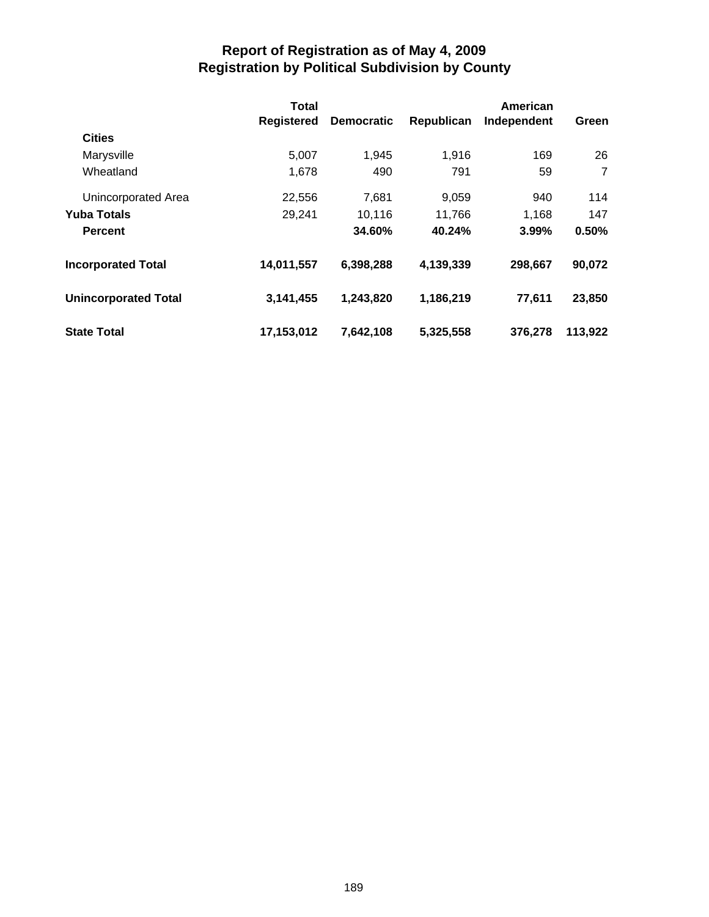|                             | <b>Total</b>      |                   |            | American    |                |  |
|-----------------------------|-------------------|-------------------|------------|-------------|----------------|--|
|                             | <b>Registered</b> | <b>Democratic</b> | Republican | Independent | Green          |  |
| <b>Cities</b>               |                   |                   |            |             |                |  |
| Marysville                  | 5,007             | 1,945             | 1,916      | 169         | 26             |  |
| Wheatland                   | 1,678             | 490               | 791        | 59          | $\overline{7}$ |  |
| Unincorporated Area         | 22,556            | 7,681             | 9,059      | 940         | 114            |  |
| <b>Yuba Totals</b>          | 29,241            | 10,116            | 11,766     | 1,168       | 147            |  |
| <b>Percent</b>              |                   | 34.60%            | 40.24%     | 3.99%       | 0.50%          |  |
| <b>Incorporated Total</b>   | 14,011,557        | 6,398,288         | 4,139,339  | 298,667     | 90,072         |  |
| <b>Unincorporated Total</b> | 3,141,455         | 1,243,820         | 1,186,219  | 77,611      | 23,850         |  |
| <b>State Total</b>          | 17,153,012        | 7,642,108         | 5,325,558  | 376,278     | 113,922        |  |